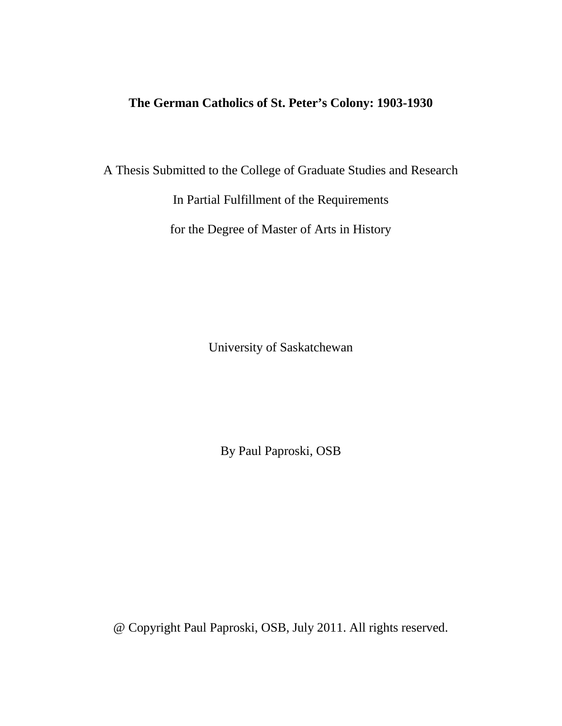# **The German Catholics of St. Peter's Colony: 1903-1930**

A Thesis Submitted to the College of Graduate Studies and Research

In Partial Fulfillment of the Requirements

for the Degree of Master of Arts in History

University of Saskatchewan

By Paul Paproski, OSB

@ Copyright Paul Paproski, OSB, July 2011. All rights reserved.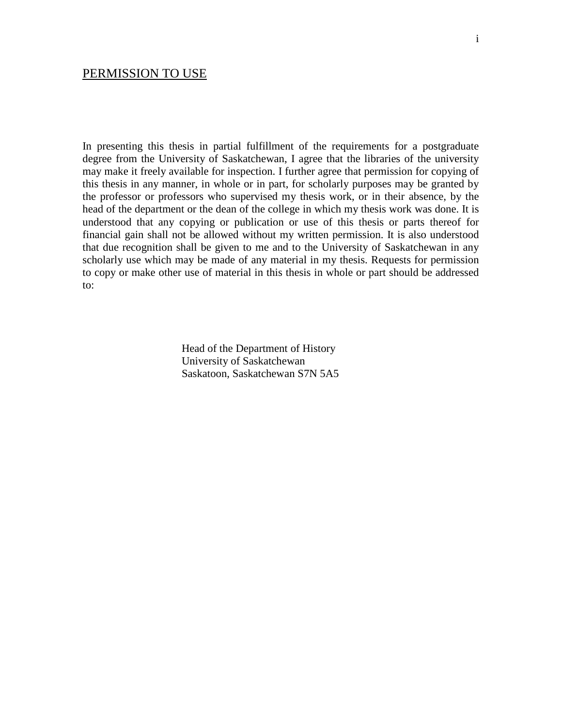In presenting this thesis in partial fulfillment of the requirements for a postgraduate degree from the University of Saskatchewan, I agree that the libraries of the university may make it freely available for inspection. I further agree that permission for copying of this thesis in any manner, in whole or in part, for scholarly purposes may be granted by the professor or professors who supervised my thesis work, or in their absence, by the head of the department or the dean of the college in which my thesis work was done. It is understood that any copying or publication or use of this thesis or parts thereof for financial gain shall not be allowed without my written permission. It is also understood that due recognition shall be given to me and to the University of Saskatchewan in any scholarly use which may be made of any material in my thesis. Requests for permission to copy or make other use of material in this thesis in whole or part should be addressed to:

> Head of the Department of History University of Saskatchewan Saskatoon, Saskatchewan S7N 5A5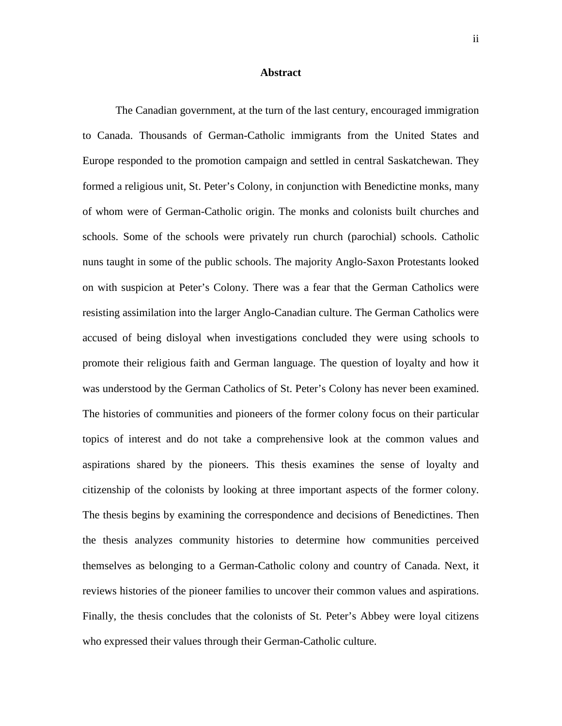#### **Abstract**

The Canadian government, at the turn of the last century, encouraged immigration to Canada. Thousands of German-Catholic immigrants from the United States and Europe responded to the promotion campaign and settled in central Saskatchewan. They formed a religious unit, St. Peter's Colony, in conjunction with Benedictine monks, many of whom were of German-Catholic origin. The monks and colonists built churches and schools. Some of the schools were privately run church (parochial) schools. Catholic nuns taught in some of the public schools. The majority Anglo-Saxon Protestants looked on with suspicion at Peter's Colony. There was a fear that the German Catholics were resisting assimilation into the larger Anglo-Canadian culture. The German Catholics were accused of being disloyal when investigations concluded they were using schools to promote their religious faith and German language. The question of loyalty and how it was understood by the German Catholics of St. Peter's Colony has never been examined. The histories of communities and pioneers of the former colony focus on their particular topics of interest and do not take a comprehensive look at the common values and aspirations shared by the pioneers. This thesis examines the sense of loyalty and citizenship of the colonists by looking at three important aspects of the former colony. The thesis begins by examining the correspondence and decisions of Benedictines. Then the thesis analyzes community histories to determine how communities perceived themselves as belonging to a German-Catholic colony and country of Canada. Next, it reviews histories of the pioneer families to uncover their common values and aspirations. Finally, the thesis concludes that the colonists of St. Peter's Abbey were loyal citizens who expressed their values through their German-Catholic culture.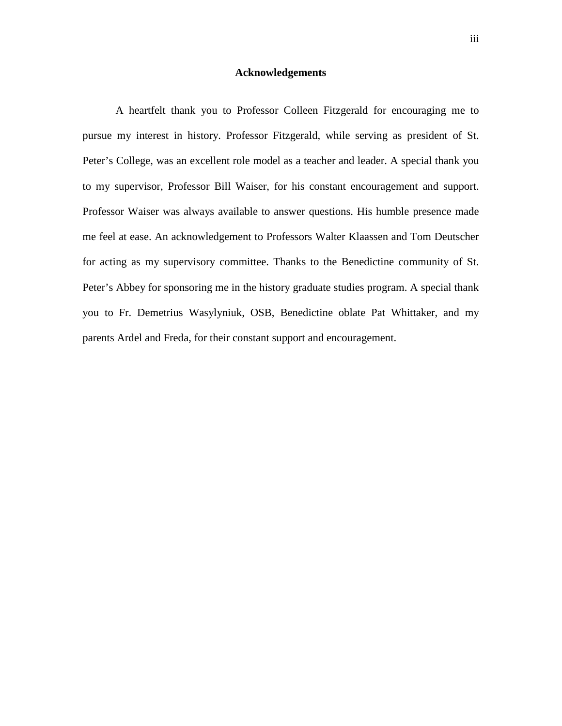### **Acknowledgements**

A heartfelt thank you to Professor Colleen Fitzgerald for encouraging me to pursue my interest in history. Professor Fitzgerald, while serving as president of St. Peter's College, was an excellent role model as a teacher and leader. A special thank you to my supervisor, Professor Bill Waiser, for his constant encouragement and support. Professor Waiser was always available to answer questions. His humble presence made me feel at ease. An acknowledgement to Professors Walter Klaassen and Tom Deutscher for acting as my supervisory committee. Thanks to the Benedictine community of St. Peter's Abbey for sponsoring me in the history graduate studies program. A special thank you to Fr. Demetrius Wasylyniuk, OSB, Benedictine oblate Pat Whittaker, and my parents Ardel and Freda, for their constant support and encouragement.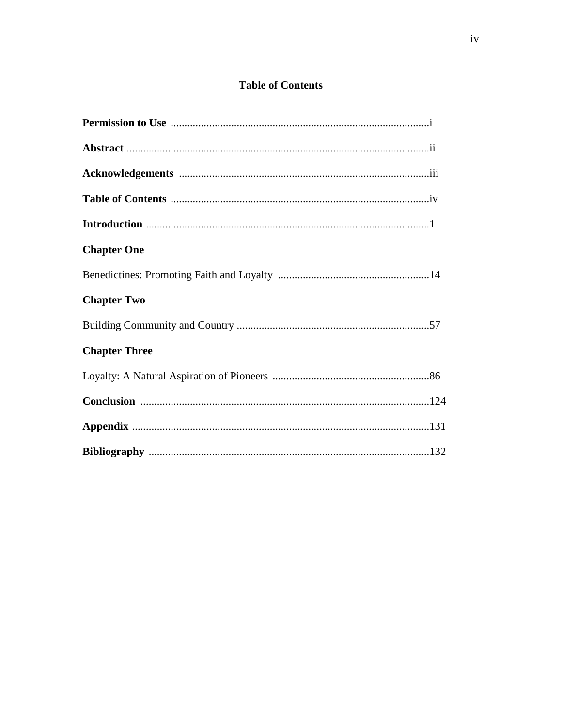## **Table of Contents**

| <b>Chapter One</b>   |
|----------------------|
|                      |
| <b>Chapter Two</b>   |
|                      |
| <b>Chapter Three</b> |
|                      |
|                      |
|                      |
|                      |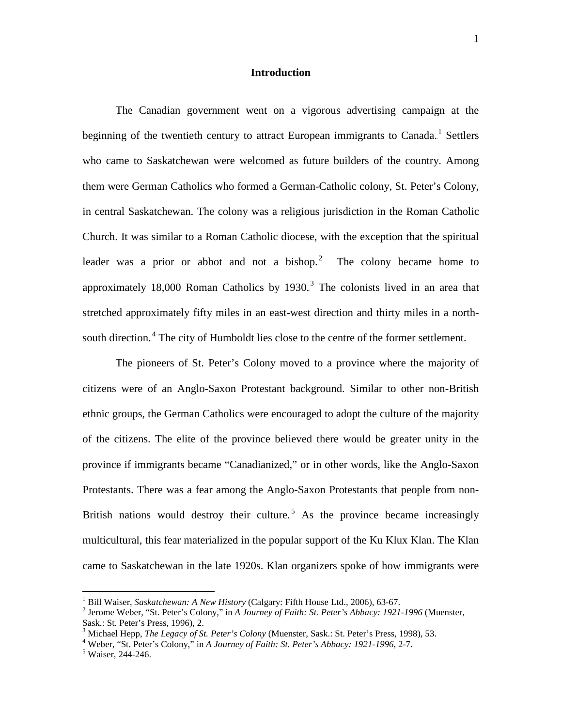### **Introduction**

The Canadian government went on a vigorous advertising campaign at the beginning of the twentieth century to attract European immigrants to Canada.<sup>1</sup> Settlers who came to Saskatchewan were welcomed as future builders of the country. Among them were German Catholics who formed a German-Catholic colony, St. Peter's Colony, in central Saskatchewan. The colony was a religious jurisdiction in the Roman Catholic Church. It was similar to a Roman Catholic diocese, with the exception that the spiritual leader was a prior or abbot and not a bishop.<sup>2</sup> The colony became home to approximately 18,000 Roman Catholics by 1930.<sup>3</sup> The colonists lived in an area that stretched approximately fifty miles in an east-west direction and thirty miles in a northsouth direction.<sup>4</sup> The city of Humboldt lies close to the centre of the former settlement.

The pioneers of St. Peter's Colony moved to a province where the majority of citizens were of an Anglo-Saxon Protestant background. Similar to other non-British ethnic groups, the German Catholics were encouraged to adopt the culture of the majority of the citizens. The elite of the province believed there would be greater unity in the province if immigrants became "Canadianized," or in other words, like the Anglo-Saxon Protestants. There was a fear among the Anglo-Saxon Protestants that people from non-British nations would destroy their culture.<sup>5</sup> As the province became increasingly multicultural, this fear materialized in the popular support of the Ku Klux Klan. The Klan came to Saskatchewan in the late 1920s. Klan organizers spoke of how immigrants were

<sup>&</sup>lt;sup>1</sup> Bill Waiser, *Saskatchewan: A New History* (Calgary: Fifth House Ltd., 2006), 63-67.<br><sup>2</sup> Jerome Weber, "St. Peter's Colony," in *A Journey of Faith: St. Peter's Abbacy: 1921-1996* (Muenster, Sask.: St. Peter's Press, 1996), 2.

<sup>&</sup>lt;sup>3</sup> Michael Hepp, *The Legacy of St. Peter's Colony* (Muenster, Sask.: St. Peter's Press, 1998), 53.<br><sup>4</sup> Weber, "St. Peter's Colony," in *A Journey of Faith: St. Peter's Abbacy: 1921-1996*, 2-7.<br><sup>5</sup> Waiser, 244-246.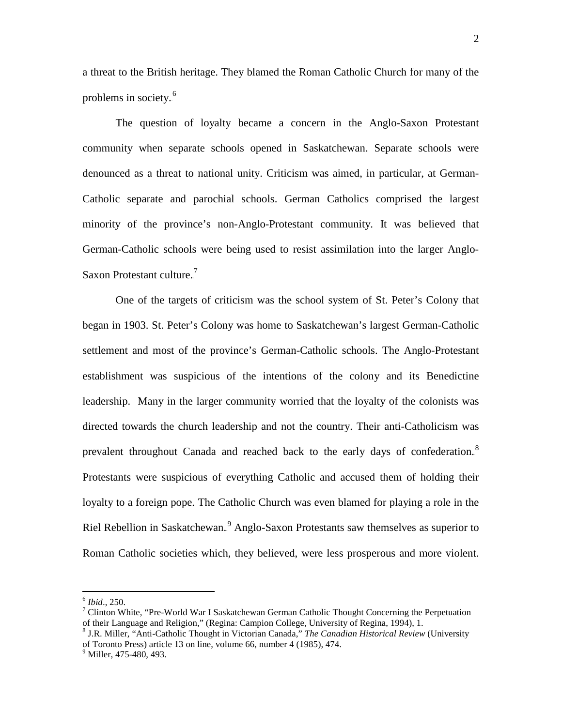a threat to the British heritage. They blamed the Roman Catholic Church for many of the problems in society. $<sup>6</sup>$ </sup>

The question of loyalty became a concern in the Anglo-Saxon Protestant community when separate schools opened in Saskatchewan. Separate schools were denounced as a threat to national unity. Criticism was aimed, in particular, at German-Catholic separate and parochial schools. German Catholics comprised the largest minority of the province's non-Anglo-Protestant community. It was believed that German-Catholic schools were being used to resist assimilation into the larger Anglo-Saxon Protestant culture.<sup>7</sup>

One of the targets of criticism was the school system of St. Peter's Colony that began in 1903. St. Peter's Colony was home to Saskatchewan's largest German-Catholic settlement and most of the province's German-Catholic schools. The Anglo-Protestant establishment was suspicious of the intentions of the colony and its Benedictine leadership. Many in the larger community worried that the loyalty of the colonists was directed towards the church leadership and not the country. Their anti-Catholicism was prevalent throughout Canada and reached back to the early days of confederation.<sup>8</sup> Protestants were suspicious of everything Catholic and accused them of holding their loyalty to a foreign pope. The Catholic Church was even blamed for playing a role in the Riel Rebellion in Saskatchewan.<sup>9</sup> Anglo-Saxon Protestants saw themselves as superior to Roman Catholic societies which, they believed, were less prosperous and more violent.

<sup>&</sup>lt;sup>6</sup> *Ibid.*, 250.<br><sup>7</sup> Clinton White, "Pre-World War I Saskatchewan German Catholic Thought Concerning the Perpetuation of their Language and Religion," (Regina: Campion College, University of Regina, 1994), 1.

<sup>8</sup> J.R. Miller, "Anti-Catholic Thought in Victorian Canada," *The Canadian Historical Review* (University of Toronto Press) article 13 on line, volume 66, number 4 (1985), 474.

 $<sup>9</sup>$  Miller, 475-480, 493.</sup>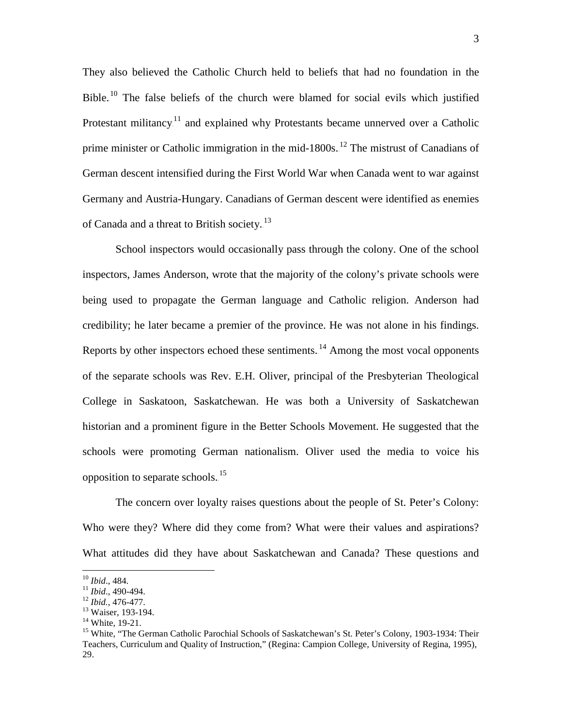They also believed the Catholic Church held to beliefs that had no foundation in the Bible.<sup>10</sup> The false beliefs of the church were blamed for social evils which justified Protestant militancy.<sup>11</sup> and explained why Protestants became unnerved over a Catholic prime minister or Catholic immigration in the mid-1800s.<sup>12</sup> The mistrust of Canadians of German descent intensified during the First World War when Canada went to war against Germany and Austria-Hungary. Canadians of German descent were identified as enemies of Canada and a threat to British society.<sup>13</sup>

School inspectors would occasionally pass through the colony. One of the school inspectors, James Anderson, wrote that the majority of the colony's private schools were being used to propagate the German language and Catholic religion. Anderson had credibility; he later became a premier of the province. He was not alone in his findings. Reports by other inspectors echoed these sentiments. $14$  Among the most vocal opponents of the separate schools was Rev. E.H. Oliver, principal of the Presbyterian Theological College in Saskatoon, Saskatchewan. He was both a University of Saskatchewan historian and a prominent figure in the Better Schools Movement. He suggested that the schools were promoting German nationalism. Oliver used the media to voice his opposition to separate schools.<sup>15</sup>

The concern over loyalty raises questions about the people of St. Peter's Colony: Who were they? Where did they come from? What were their values and aspirations? What attitudes did they have about Saskatchewan and Canada? These questions and

<sup>&</sup>lt;sup>10</sup> *Ibid.*, 484.<br>
<sup>11</sup> *Ibid.*, 490-494.<br>
<sup>12</sup> *Ibid.*, 476-477.<br>
<sup>13</sup> White, 19-21.<br>
<sup>14</sup> White, "The German Catholic Parochial Schools of Saskatchewan's St. Peter's Colony, 1903-1934: Their Teachers, Curriculum and Quality of Instruction," (Regina: Campion College, University of Regina, 1995), 29.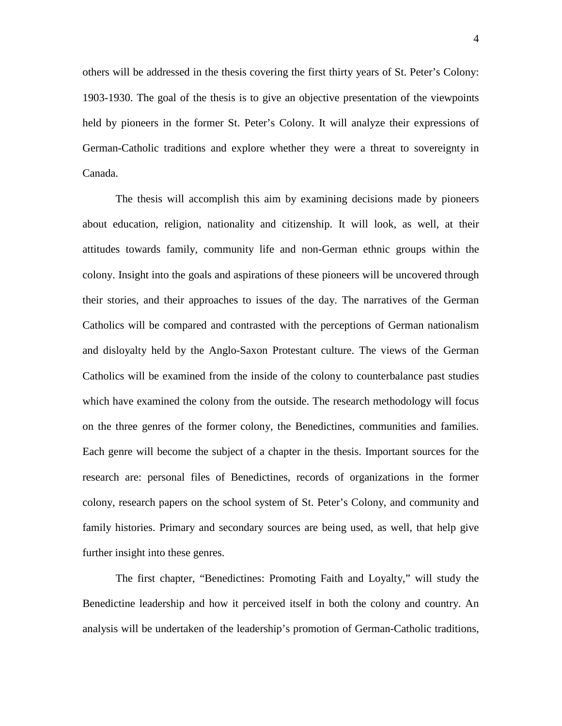others will be addressed in the thesis covering the first thirty years of St. Peter's Colony: 1903-1930. The goal of the thesis is to give an objective presentation of the viewpoints held by pioneers in the former St. Peter's Colony. It will analyze their expressions of German-Catholic traditions and explore whether they were a threat to sovereignty in Canada.

The thesis will accomplish this aim by examining decisions made by pioneers about education, religion, nationality and citizenship. It will look, as well, at their attitudes towards family, community life and non-German ethnic groups within the colony. Insight into the goals and aspirations of these pioneers will be uncovered through their stories, and their approaches to issues of the day. The narratives of the German Catholics will be compared and contrasted with the perceptions of German nationalism and disloyalty held by the Anglo-Saxon Protestant culture. The views of the German Catholics will be examined from the inside of the colony to counterbalance past studies which have examined the colony from the outside. The research methodology will focus on the three genres of the former colony, the Benedictines, communities and families. Each genre will become the subject of a chapter in the thesis. Important sources for the research are: personal files of Benedictines, records of organizations in the former colony, research papers on the school system of St. Peter's Colony, and community and family histories. Primary and secondary sources are being used, as well, that help give further insight into these genres.

The first chapter, "Benedictines: Promoting Faith and Loyalty," will study the Benedictine leadership and how it perceived itself in both the colony and country. An analysis will be undertaken of the leadership's promotion of German-Catholic traditions,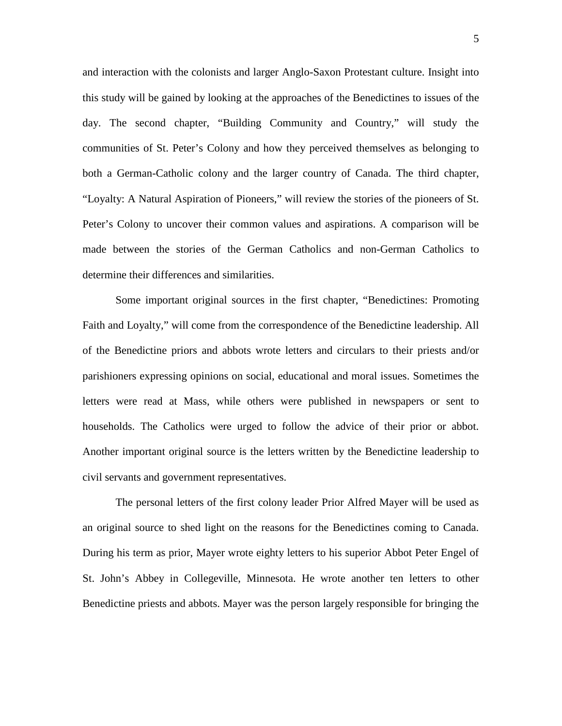and interaction with the colonists and larger Anglo-Saxon Protestant culture. Insight into this study will be gained by looking at the approaches of the Benedictines to issues of the day. The second chapter, "Building Community and Country," will study the communities of St. Peter's Colony and how they perceived themselves as belonging to both a German-Catholic colony and the larger country of Canada. The third chapter, "Loyalty: A Natural Aspiration of Pioneers," will review the stories of the pioneers of St. Peter's Colony to uncover their common values and aspirations. A comparison will be made between the stories of the German Catholics and non-German Catholics to determine their differences and similarities.

Some important original sources in the first chapter, "Benedictines: Promoting Faith and Loyalty," will come from the correspondence of the Benedictine leadership. All of the Benedictine priors and abbots wrote letters and circulars to their priests and/or parishioners expressing opinions on social, educational and moral issues. Sometimes the letters were read at Mass, while others were published in newspapers or sent to households. The Catholics were urged to follow the advice of their prior or abbot. Another important original source is the letters written by the Benedictine leadership to civil servants and government representatives.

The personal letters of the first colony leader Prior Alfred Mayer will be used as an original source to shed light on the reasons for the Benedictines coming to Canada. During his term as prior, Mayer wrote eighty letters to his superior Abbot Peter Engel of St. John's Abbey in Collegeville, Minnesota. He wrote another ten letters to other Benedictine priests and abbots. Mayer was the person largely responsible for bringing the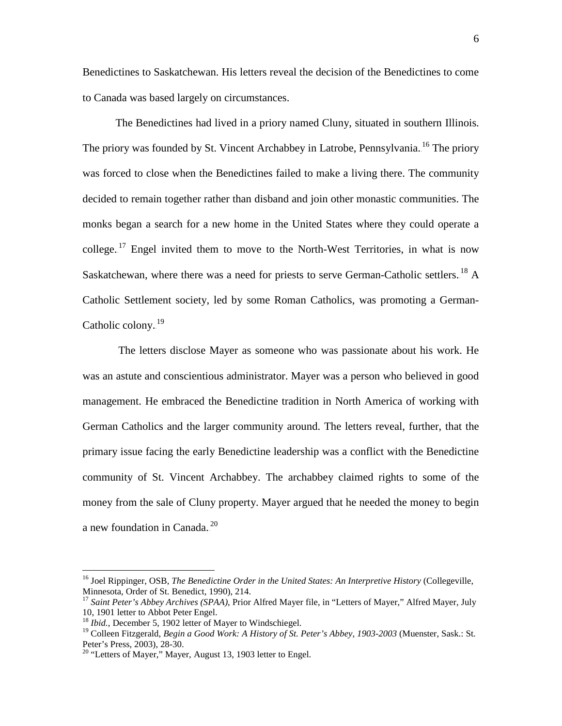Benedictines to Saskatchewan. His letters reveal the decision of the Benedictines to come to Canada was based largely on circumstances.

The Benedictines had lived in a priory named Cluny, situated in southern Illinois. The priory was founded by St. Vincent Archabbey in Latrobe, Pennsylvania.<sup>16</sup> The priory was forced to close when the Benedictines failed to make a living there. The community decided to remain together rather than disband and join other monastic communities. The monks began a search for a new home in the United States where they could operate a college.<sup>17</sup> Engel invited them to move to the North-West Territories, in what is now Saskatchewan, where there was a need for priests to serve German-Catholic settlers.<sup>18</sup> A Catholic Settlement society, led by some Roman Catholics, was promoting a German-Catholic colony.<sup>19</sup>

The letters disclose Mayer as someone who was passionate about his work. He was an astute and conscientious administrator. Mayer was a person who believed in good management. He embraced the Benedictine tradition in North America of working with German Catholics and the larger community around. The letters reveal, further, that the primary issue facing the early Benedictine leadership was a conflict with the Benedictine community of St. Vincent Archabbey. The archabbey claimed rights to some of the money from the sale of Cluny property. Mayer argued that he needed the money to begin a new foundation in Canada. $^{20}$ 

 <sup>16</sup> Joel Rippinger, OSB, *The Benedictine Order in the United States: An Interpretive History* (Collegeville, Minnesota, Order of St. Benedict, 1990), 214.

<sup>17</sup> *Saint Peter's Abbey Archives (SPAA)*, Prior Alfred Mayer file, in "Letters of Mayer," Alfred Mayer, July 10, 1901 letter to Abbot Peter Engel.

<sup>&</sup>lt;sup>18</sup> *Ibid.*, December 5, 1902 letter of Mayer to Windschiegel.

<sup>&</sup>lt;sup>19</sup> Colleen Fitzgerald, *Begin a Good Work: A History of St. Peter's Abbey, 1903-2003* (Muenster, Sask.: St. Peter's Press, 2003), 28-30.

<sup>&</sup>lt;sup>20</sup> "Letters of Mayer," Mayer, August 13, 1903 letter to Engel.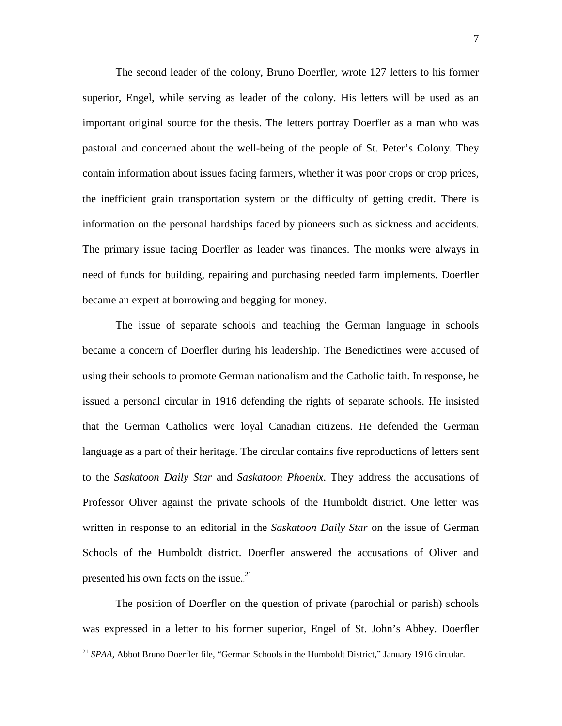The second leader of the colony, Bruno Doerfler, wrote 127 letters to his former superior, Engel, while serving as leader of the colony. His letters will be used as an important original source for the thesis. The letters portray Doerfler as a man who was pastoral and concerned about the well-being of the people of St. Peter's Colony. They contain information about issues facing farmers, whether it was poor crops or crop prices, the inefficient grain transportation system or the difficulty of getting credit. There is information on the personal hardships faced by pioneers such as sickness and accidents. The primary issue facing Doerfler as leader was finances. The monks were always in need of funds for building, repairing and purchasing needed farm implements. Doerfler became an expert at borrowing and begging for money.

The issue of separate schools and teaching the German language in schools became a concern of Doerfler during his leadership. The Benedictines were accused of using their schools to promote German nationalism and the Catholic faith. In response, he issued a personal circular in 1916 defending the rights of separate schools. He insisted that the German Catholics were loyal Canadian citizens. He defended the German language as a part of their heritage. The circular contains five reproductions of letters sent to the *Saskatoon Daily Star* and *Saskatoon Phoenix*. They address the accusations of Professor Oliver against the private schools of the Humboldt district. One letter was written in response to an editorial in the *Saskatoon Daily Star* on the issue of German Schools of the Humboldt district. Doerfler answered the accusations of Oliver and presented his own facts on the issue. $^{21}$ 

The position of Doerfler on the question of private (parochial or parish) schools was expressed in a letter to his former superior, Engel of St. John's Abbey. Doerfler

<sup>&</sup>lt;sup>21</sup> SPAA, Abbot Bruno Doerfler file, "German Schools in the Humboldt District," January 1916 circular.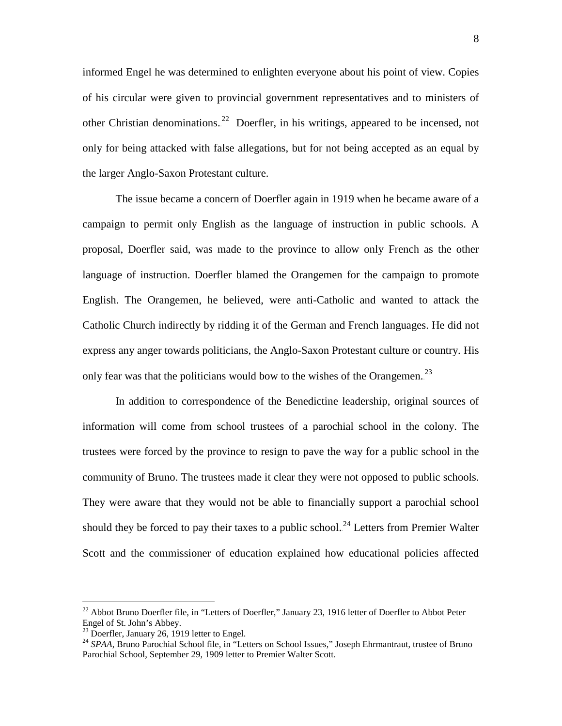informed Engel he was determined to enlighten everyone about his point of view. Copies of his circular were given to provincial government representatives and to ministers of other Christian denominations.<sup>22</sup> Doerfler, in his writings, appeared to be incensed, not only for being attacked with false allegations, but for not being accepted as an equal by the larger Anglo-Saxon Protestant culture.

The issue became a concern of Doerfler again in 1919 when he became aware of a campaign to permit only English as the language of instruction in public schools. A proposal, Doerfler said, was made to the province to allow only French as the other language of instruction. Doerfler blamed the Orangemen for the campaign to promote English. The Orangemen, he believed, were anti-Catholic and wanted to attack the Catholic Church indirectly by ridding it of the German and French languages. He did not express any anger towards politicians, the Anglo-Saxon Protestant culture or country. His only fear was that the politicians would bow to the wishes of the Orangemen.<sup>23</sup>

In addition to correspondence of the Benedictine leadership, original sources of information will come from school trustees of a parochial school in the colony. The trustees were forced by the province to resign to pave the way for a public school in the community of Bruno. The trustees made it clear they were not opposed to public schools. They were aware that they would not be able to financially support a parochial school should they be forced to pay their taxes to a public school.<sup>24</sup> Letters from Premier Walter Scott and the commissioner of education explained how educational policies affected

 $^{22}$  Abbot Bruno Doerfler file, in "Letters of Doerfler," January 23, 1916 letter of Doerfler to Abbot Peter Engel of St. John's Abbey.<br><sup>23</sup> Doerfler, January 26, 1919 letter to Engel.

<sup>&</sup>lt;sup>24</sup> SPAA. Bruno Parochial School file, in "Letters on School Issues," Joseph Ehrmantraut, trustee of Bruno Parochial School, September 29, 1909 letter to Premier Walter Scott.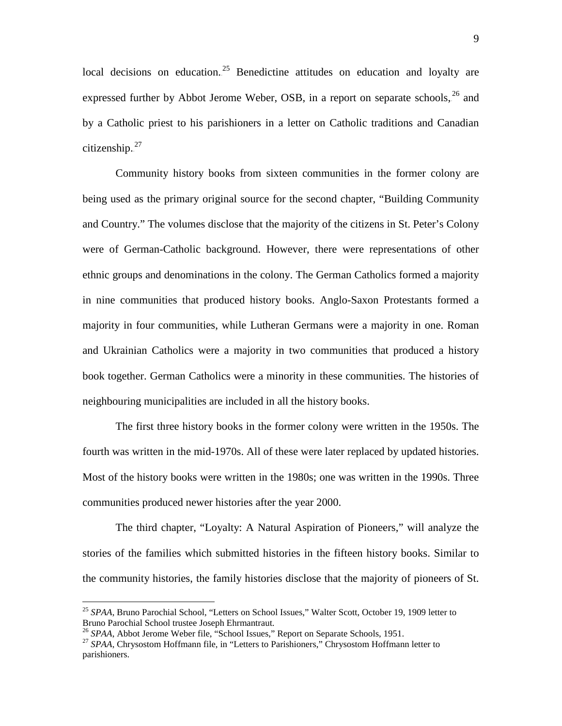local decisions on education.<sup>25</sup> Benedictine attitudes on education and loyalty are expressed further by Abbot Jerome Weber, OSB, in a report on separate schools, <sup>26</sup> and by a Catholic priest to his parishioners in a letter on Catholic traditions and Canadian citizenship. $27$ 

Community history books from sixteen communities in the former colony are being used as the primary original source for the second chapter, "Building Community and Country." The volumes disclose that the majority of the citizens in St. Peter's Colony were of German-Catholic background. However, there were representations of other ethnic groups and denominations in the colony. The German Catholics formed a majority in nine communities that produced history books. Anglo-Saxon Protestants formed a majority in four communities, while Lutheran Germans were a majority in one. Roman and Ukrainian Catholics were a majority in two communities that produced a history book together. German Catholics were a minority in these communities. The histories of neighbouring municipalities are included in all the history books.

The first three history books in the former colony were written in the 1950s. The fourth was written in the mid-1970s. All of these were later replaced by updated histories. Most of the history books were written in the 1980s; one was written in the 1990s. Three communities produced newer histories after the year 2000.

The third chapter, "Loyalty: A Natural Aspiration of Pioneers," will analyze the stories of the families which submitted histories in the fifteen history books. Similar to the community histories, the family histories disclose that the majority of pioneers of St.

<sup>&</sup>lt;sup>25</sup> SPAA, Bruno Parochial School, "Letters on School Issues," Walter Scott, October 19, 1909 letter to Bruno Parochial School trustee Joseph Ehrmantraut.<br><sup>26</sup> SPAA, Abbot Jerome Weber file, "School Issues," Report on Separate Schools, 1951.

<sup>&</sup>lt;sup>27</sup> *SPAA*, Chrysostom Hoffmann file, in "Letters to Parishioners," Chrysostom Hoffmann letter to parishioners.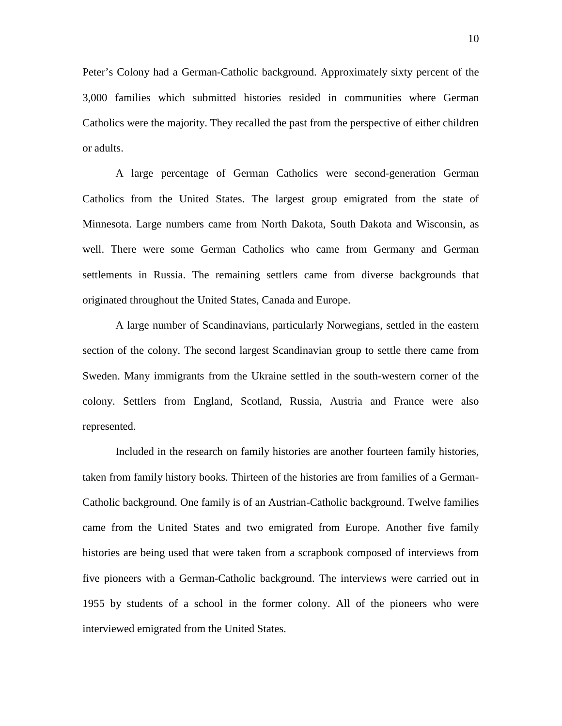Peter's Colony had a German-Catholic background. Approximately sixty percent of the 3,000 families which submitted histories resided in communities where German Catholics were the majority. They recalled the past from the perspective of either children or adults.

A large percentage of German Catholics were second-generation German Catholics from the United States. The largest group emigrated from the state of Minnesota. Large numbers came from North Dakota, South Dakota and Wisconsin, as well. There were some German Catholics who came from Germany and German settlements in Russia. The remaining settlers came from diverse backgrounds that originated throughout the United States, Canada and Europe.

A large number of Scandinavians, particularly Norwegians, settled in the eastern section of the colony. The second largest Scandinavian group to settle there came from Sweden. Many immigrants from the Ukraine settled in the south-western corner of the colony. Settlers from England, Scotland, Russia, Austria and France were also represented.

Included in the research on family histories are another fourteen family histories, taken from family history books. Thirteen of the histories are from families of a German-Catholic background. One family is of an Austrian-Catholic background. Twelve families came from the United States and two emigrated from Europe. Another five family histories are being used that were taken from a scrapbook composed of interviews from five pioneers with a German-Catholic background. The interviews were carried out in 1955 by students of a school in the former colony. All of the pioneers who were interviewed emigrated from the United States.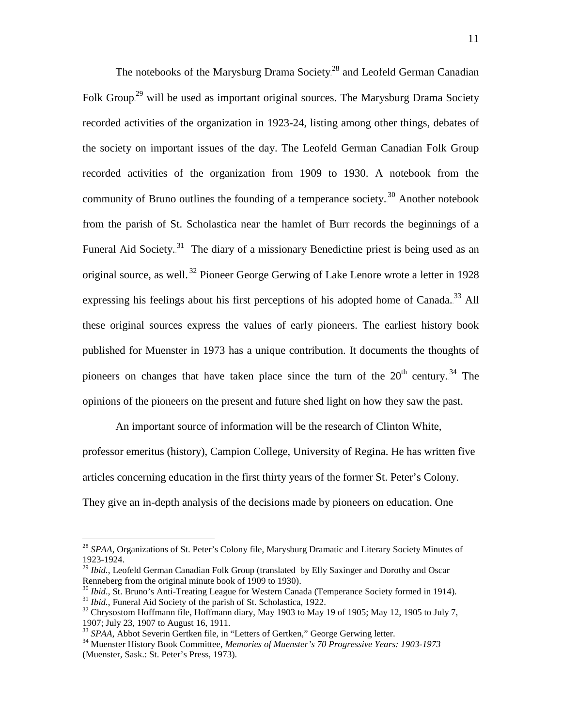The notebooks of the Marysburg Drama Society.<sup>28</sup> and Leofeld German Canadian Folk Group.<sup>29</sup> will be used as important original sources. The Marysburg Drama Society recorded activities of the organization in 1923-24, listing among other things, debates of the society on important issues of the day. The Leofeld German Canadian Folk Group recorded activities of the organization from 1909 to 1930. A notebook from the community of Bruno outlines the founding of a temperance society.<sup>30</sup> Another notebook from the parish of St. Scholastica near the hamlet of Burr records the beginnings of a Funeral Aid Society.<sup>31</sup> The diary of a missionary Benedictine priest is being used as an original source, as well.<sup>32</sup> Pioneer George Gerwing of Lake Lenore wrote a letter in 1928 expressing his feelings about his first perceptions of his adopted home of Canada.<sup>33</sup> All these original sources express the values of early pioneers. The earliest history book published for Muenster in 1973 has a unique contribution. It documents the thoughts of pioneers on changes that have taken place since the turn of the  $20<sup>th</sup>$  century.<sup>34</sup> The opinions of the pioneers on the present and future shed light on how they saw the past.

An important source of information will be the research of Clinton White, professor emeritus (history), Campion College, University of Regina. He has written five articles concerning education in the first thirty years of the former St. Peter's Colony. They give an in-depth analysis of the decisions made by pioneers on education. One

 <sup>28</sup> *SPAA*, Organizations of St. Peter's Colony file, Marysburg Dramatic and Literary Society Minutes of 1923-1924.

<sup>&</sup>lt;sup>29</sup> *Ibid.*, Leofeld German Canadian Folk Group (translated by Elly Saxinger and Dorothy and Oscar Renneberg from the original minute book of 1909 to 1930).

<sup>&</sup>lt;sup>30</sup> *Ibid.*, St. Bruno's Anti-Treating League for Western Canada (Temperance Society formed in 1914).<br><sup>31</sup> *Ibid.*, Funeral Aid Society of the parish of St. Scholastica, 1922.<br><sup>32</sup> Chrysostom Hoffmann file, Hoffmann diar

<sup>1907;</sup> July 23, 1907 to August 16, 1911.<br><sup>33</sup> SPAA, Abbot Severin Gertken file, in "Letters of Gertken," George Gerwing letter.

<sup>&</sup>lt;sup>34</sup> Muenster History Book Committee, *Memories of Muenster's 70 Progressive Years: 1903-1973* (Muenster, Sask.: St. Peter's Press, 1973).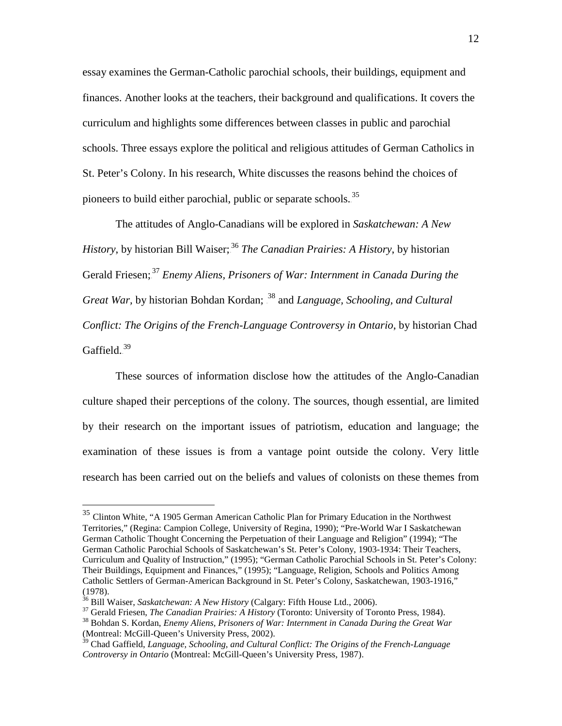essay examines the German-Catholic parochial schools, their buildings, equipment and finances. Another looks at the teachers, their background and qualifications. It covers the curriculum and highlights some differences between classes in public and parochial schools. Three essays explore the political and religious attitudes of German Catholics in St. Peter's Colony. In his research, White discusses the reasons behind the choices of pioneers to build either parochial, public or separate schools.<sup>35</sup>

The attitudes of Anglo-Canadians will be explored in *Saskatchewan: A New History*, by historian Bill Waiser;<sup>36</sup> *The Canadian Prairies: A History*, by historian Gerald Friesen;<sup>37</sup> *Enemy Aliens, Prisoners of War: Internment in Canada During the* Great War, by historian Bohdan Kordan; <sup>38</sup> and *Language, Schooling, and Cultural Conflict: The Origins of the French-Language Controversy in Ontario*, by historian Chad Gaffield. $39$ 

These sources of information disclose how the attitudes of the Anglo-Canadian culture shaped their perceptions of the colony. The sources, though essential, are limited by their research on the important issues of patriotism, education and language; the examination of these issues is from a vantage point outside the colony. Very little research has been carried out on the beliefs and values of colonists on these themes from

 <sup>35</sup> Clinton White, "A 1905 German American Catholic Plan for Primary Education in the Northwest Territories," (Regina: Campion College, University of Regina, 1990); "Pre-World War I Saskatchewan German Catholic Thought Concerning the Perpetuation of their Language and Religion" (1994); "The German Catholic Parochial Schools of Saskatchewan's St. Peter's Colony, 1903-1934: Their Teachers, Curriculum and Quality of Instruction," (1995); "German Catholic Parochial Schools in St. Peter's Colony: Their Buildings, Equipment and Finances," (1995); "Language, Religion, Schools and Politics Among Catholic Settlers of German-American Background in St. Peter's Colony, Saskatchewan, 1903-1916," (1978).<br> $^{36}$  Bill Waiser, *Saskatchewan: A New History* (Calgary: Fifth House Ltd., 2006).

 $37$  Gerald Friesen, *The Canadian Prairies: A History* (Toronto: University of Toronto Press, 1984).<br><sup>38</sup> Bohdan S. Kordan, *Enemy Aliens, Prisoners of War: Internment in Canada During the Great War* 

<sup>(</sup>Montreal: McGill-Queen's University Press, 2002).

<sup>&</sup>lt;sup>39</sup> Chad Gaffield, *Language, Schooling, and Cultural Conflict: The Origins of the French-Language Controversy in Ontario* (Montreal: McGill-Queen's University Press, 1987).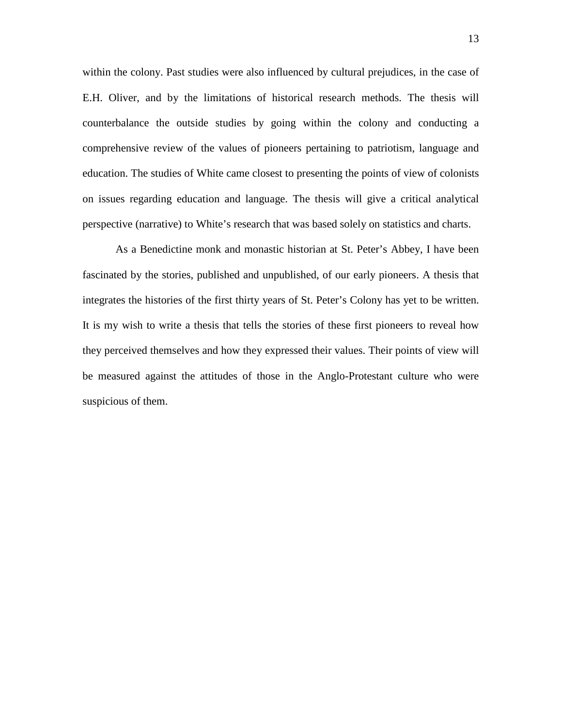within the colony. Past studies were also influenced by cultural prejudices, in the case of E.H. Oliver, and by the limitations of historical research methods. The thesis will counterbalance the outside studies by going within the colony and conducting a comprehensive review of the values of pioneers pertaining to patriotism, language and education. The studies of White came closest to presenting the points of view of colonists on issues regarding education and language. The thesis will give a critical analytical perspective (narrative) to White's research that was based solely on statistics and charts.

As a Benedictine monk and monastic historian at St. Peter's Abbey, I have been fascinated by the stories, published and unpublished, of our early pioneers. A thesis that integrates the histories of the first thirty years of St. Peter's Colony has yet to be written. It is my wish to write a thesis that tells the stories of these first pioneers to reveal how they perceived themselves and how they expressed their values. Their points of view will be measured against the attitudes of those in the Anglo-Protestant culture who were suspicious of them.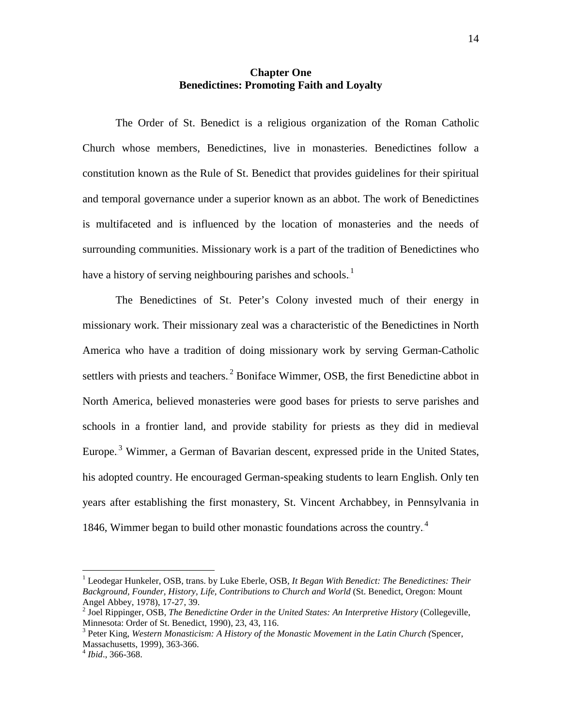### **Chapter One Benedictines: Promoting Faith and Loyalty**

The Order of St. Benedict is a religious organization of the Roman Catholic Church whose members, Benedictines, live in monasteries. Benedictines follow a constitution known as the Rule of St. Benedict that provides guidelines for their spiritual and temporal governance under a superior known as an abbot. The work of Benedictines is multifaceted and is influenced by the location of monasteries and the needs of surrounding communities. Missionary work is a part of the tradition of Benedictines who have a history of serving neighbouring parishes and schools.<sup>1</sup>

The Benedictines of St. Peter's Colony invested much of their energy in missionary work. Their missionary zeal was a characteristic of the Benedictines in North America who have a tradition of doing missionary work by serving German-Catholic settlers with priests and teachers.<sup>2</sup> Boniface Wimmer, OSB, the first Benedictine abbot in North America, believed monasteries were good bases for priests to serve parishes and schools in a frontier land, and provide stability for priests as they did in medieval Europe.<sup>3</sup> Wimmer, a German of Bavarian descent, expressed pride in the United States, his adopted country. He encouraged German-speaking students to learn English. Only ten years after establishing the first monastery, St. Vincent Archabbey, in Pennsylvania in 1846, Wimmer began to build other monastic foundations across the country.<sup>4</sup>

 <sup>1</sup> Leodegar Hunkeler, OSB, trans. by Luke Eberle, OSB, *It Began With Benedict: The Benedictines: Their Background, Founder, History, Life, Contributions to Church and World* (St. Benedict, Oregon: Mount Angel Abbey, 1978), 17-27, 39.<br><sup>2</sup> Joel Rippinger, OSB, *The Benedictine Order in the United States: An Interpretive History* (Collegeville,

Minnesota: Order of St. Benedict, 1990), 23, 43, 116.

<sup>3</sup> Peter King, *Western Monasticism: A History of the Monastic Movement in the Latin Church (*Spencer, Massachusetts, 1999), 363-366. <sup>4</sup> *Ibid*., 366-368.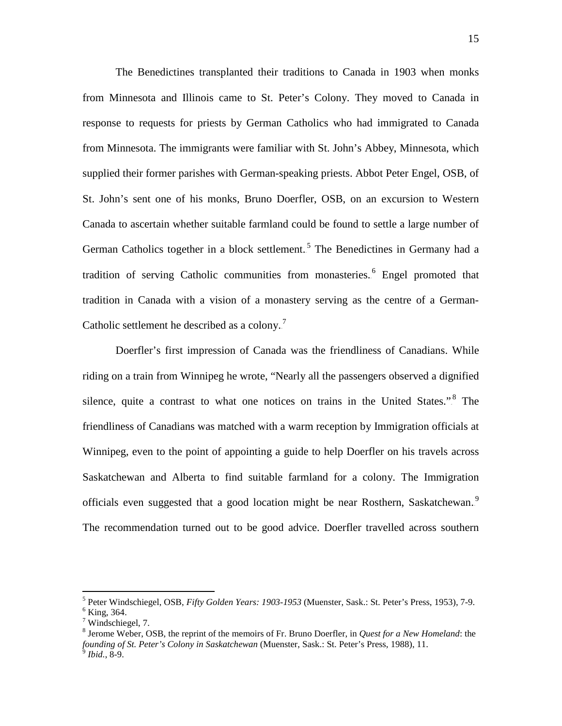The Benedictines transplanted their traditions to Canada in 1903 when monks from Minnesota and Illinois came to St. Peter's Colony. They moved to Canada in response to requests for priests by German Catholics who had immigrated to Canada from Minnesota. The immigrants were familiar with St. John's Abbey, Minnesota, which supplied their former parishes with German-speaking priests. Abbot Peter Engel, OSB, of St. John's sent one of his monks, Bruno Doerfler, OSB, on an excursion to Western Canada to ascertain whether suitable farmland could be found to settle a large number of German Catholics together in a block settlement.<sup>5</sup> The Benedictines in Germany had a tradition of serving Catholic communities from monasteries.<sup>6</sup> Engel promoted that tradition in Canada with a vision of a monastery serving as the centre of a German-Catholic settlement he described as a colony.<sup>7</sup>

Doerfler's first impression of Canada was the friendliness of Canadians. While riding on a train from Winnipeg he wrote, "Nearly all the passengers observed a dignified silence, quite a contrast to what one notices on trains in the United States." $\frac{8}{5}$  The friendliness of Canadians was matched with a warm reception by Immigration officials at Winnipeg, even to the point of appointing a guide to help Doerfler on his travels across Saskatchewan and Alberta to find suitable farmland for a colony. The Immigration officials even suggested that a good location might be near Rosthern, Saskatchewan.<sup>9</sup> The recommendation turned out to be good advice. Doerfler travelled across southern

<sup>5</sup> Peter Windschiegel, OSB, *Fifty Golden Years: 1903-1953* (Muenster, Sask.: St. Peter's Press, 1953), 7-9. <sup>6</sup> King, 364.

<sup>7</sup> Windschiegel, 7.

<sup>8</sup> Jerome Weber, OSB, the reprint of the memoirs of Fr. Bruno Doerfler, in *Quest for a New Homeland*: the *founding of St. Peter's Colony in Saskatchewan* (Muenster, Sask.: St. Peter's Press, 1988), 11. <sup>9</sup> *Ibid.*, 8-9.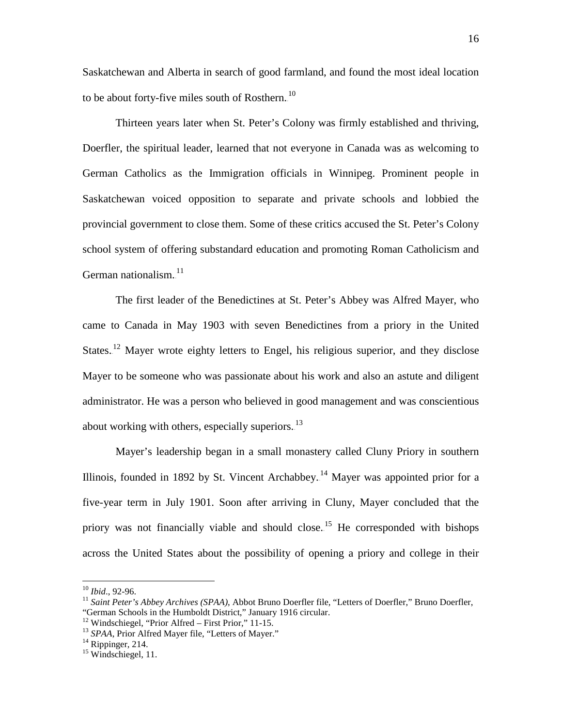Saskatchewan and Alberta in search of good farmland, and found the most ideal location to be about forty-five miles south of Rosthern. $^{10}$ 

Thirteen years later when St. Peter's Colony was firmly established and thriving, Doerfler, the spiritual leader, learned that not everyone in Canada was as welcoming to German Catholics as the Immigration officials in Winnipeg. Prominent people in Saskatchewan voiced opposition to separate and private schools and lobbied the provincial government to close them. Some of these critics accused the St. Peter's Colony school system of offering substandard education and promoting Roman Catholicism and German nationalism.<sup>11</sup>

The first leader of the Benedictines at St. Peter's Abbey was Alfred Mayer, who came to Canada in May 1903 with seven Benedictines from a priory in the United States.<sup>12</sup> Mayer wrote eighty letters to Engel, his religious superior, and they disclose Mayer to be someone who was passionate about his work and also an astute and diligent administrator. He was a person who believed in good management and was conscientious about working with others, especially superiors.<sup>13</sup>

Mayer's leadership began in a small monastery called Cluny Priory in southern Illinois, founded in 1892 by St. Vincent Archabbey.<sup>14</sup> Mayer was appointed prior for a five-year term in July 1901. Soon after arriving in Cluny, Mayer concluded that the priory was not financially viable and should close.<sup>15</sup> He corresponded with bishops across the United States about the possibility of opening a priory and college in their

<sup>&</sup>lt;sup>10</sup> *Ibid.*, 92-96.<br><sup>11</sup> *Saint Peter's Abbey Archives (SPAA)*, Abbot Bruno Doerfler file, "Letters of Doerfler," Bruno Doerfler, "German Schools in the Humboldt District," January 1916 circular.

<sup>&</sup>lt;sup>12</sup> Windschiegel, "Prior Alfred – First Prior," 11-15.<br><sup>13</sup> *SPAA*, Prior Alfred Mayer file, "Letters of Mayer." <sup>14</sup> Rippinger, 214. <sup>15</sup> Windschiegel, 11.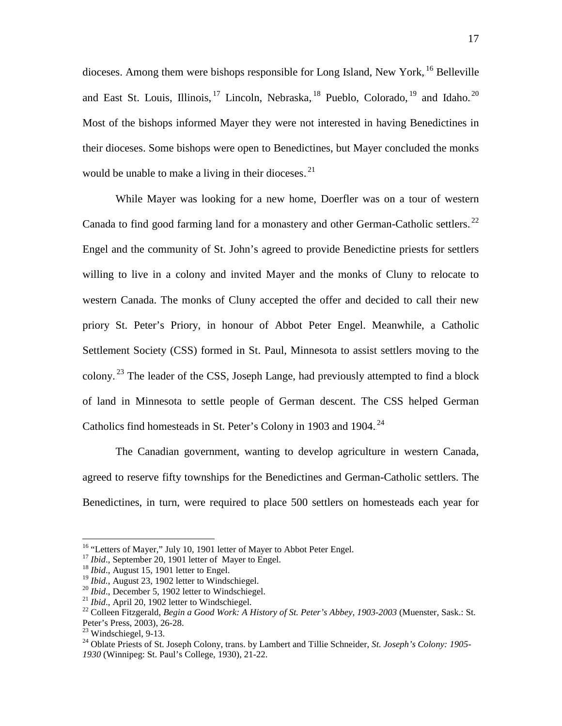dioceses. Among them were bishops responsible for Long Island, New York, <sup>16</sup> Belleville and East St. Louis, Illinois, <sup>17</sup> Lincoln, Nebraska, <sup>18</sup> Pueblo, Colorado, <sup>19</sup> and Idaho.<sup>20</sup> Most of the bishops informed Mayer they were not interested in having Benedictines in their dioceses. Some bishops were open to Benedictines, but Mayer concluded the monks would be unable to make a living in their dioceses. $^{21}$ 

While Mayer was looking for a new home, Doerfler was on a tour of western Canada to find good farming land for a monastery and other German-Catholic settlers.<sup>22</sup> Engel and the community of St. John's agreed to provide Benedictine priests for settlers willing to live in a colony and invited Mayer and the monks of Cluny to relocate to western Canada. The monks of Cluny accepted the offer and decided to call their new priory St. Peter's Priory, in honour of Abbot Peter Engel. Meanwhile, a Catholic Settlement Society (CSS) formed in St. Paul, Minnesota to assist settlers moving to the colony.<sup>23</sup> The leader of the CSS, Joseph Lange, had previously attempted to find a block of land in Minnesota to settle people of German descent. The CSS helped German Catholics find homesteads in St. Peter's Colony in 1903 and 1904. $^{24}$ 

The Canadian government, wanting to develop agriculture in western Canada, agreed to reserve fifty townships for the Benedictines and German-Catholic settlers. The Benedictines, in turn, were required to place 500 settlers on homesteads each year for

<sup>&</sup>lt;sup>16</sup> "Letters of Mayer," July 10, 1901 letter of Mayer to Abbot Peter Engel.<br><sup>17</sup> *Ibid.*, September 20, 1901 letter of Mayer to Engel.<br><sup>18</sup> *Ibid.*, August 15, 1901 letter to Engel.<br><sup>19</sup> *Ibid.*, August 23, 1902 letter to

<sup>&</sup>lt;sup>20</sup> *Ibid.*, December 5, 1902 letter to Windschiegel.<br><sup>21</sup> *Ibid.*, April 20, 1902 letter to Windschiegel.<br><sup>22</sup> Colleen Fitzgerald, *Begin a Good Work: A History of St. Peter's Abbey, 1903-2003* (Muenster, Sask.: St. Pet

<sup>&</sup>lt;sup>23</sup> Windschiegel, 9-13.<br><sup>24</sup> Oblate Priests of St. Joseph Colony, trans. by Lambert and Tillie Schneider, *St. Joseph's Colony: 1905-1930* (Winnipeg: St. Paul's College, 1930), 21-22.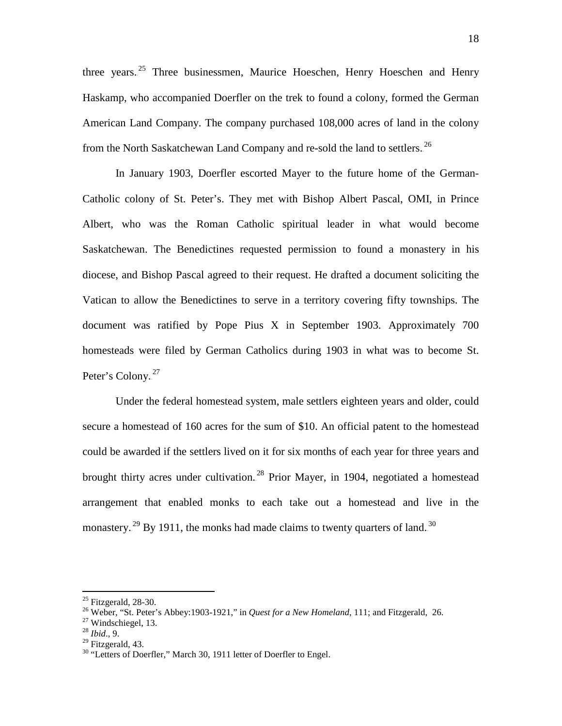three years.<sup>25</sup> Three businessmen, Maurice Hoeschen, Henry Hoeschen and Henry Haskamp, who accompanied Doerfler on the trek to found a colony, formed the German American Land Company. The company purchased 108,000 acres of land in the colony from the North Saskatchewan Land Company and re-sold the land to settlers.<sup>26</sup>

In January 1903, Doerfler escorted Mayer to the future home of the German-Catholic colony of St. Peter's. They met with Bishop Albert Pascal, OMI, in Prince Albert, who was the Roman Catholic spiritual leader in what would become Saskatchewan. The Benedictines requested permission to found a monastery in his diocese, and Bishop Pascal agreed to their request. He drafted a document soliciting the Vatican to allow the Benedictines to serve in a territory covering fifty townships. The document was ratified by Pope Pius X in September 1903. Approximately 700 homesteads were filed by German Catholics during 1903 in what was to become St. Peter's Colony.<sup>27</sup>

Under the federal homestead system, male settlers eighteen years and older, could secure a homestead of 160 acres for the sum of \$10. An official patent to the homestead could be awarded if the settlers lived on it for six months of each year for three years and brought thirty acres under cultivation.<sup>28</sup> Prior Mayer, in 1904, negotiated a homestead arrangement that enabled monks to each take out a homestead and live in the monastery.<sup>29</sup> By 1911, the monks had made claims to twenty quarters of land.<sup>30</sup>

<sup>&</sup>lt;sup>25</sup> Fitzgerald, 28-30.<br><sup>26</sup> Weber, "St. Peter's Abbey:1903-1921," in *Quest for a New Homeland*, 111; and Fitzgerald, 26.<br><sup>27</sup> Windschiegel, 13.<br><sup>28</sup> *Ibid.*, 9.<br><sup>29</sup> Fitzgerald. 43.

 $30$  "Letters of Doerfler," March 30, 1911 letter of Doerfler to Engel.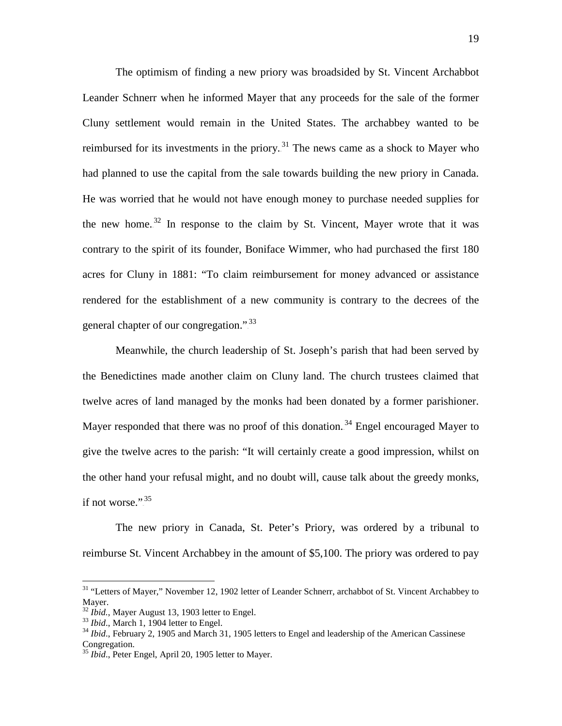The optimism of finding a new priory was broadsided by St. Vincent Archabbot Leander Schnerr when he informed Mayer that any proceeds for the sale of the former Cluny settlement would remain in the United States. The archabbey wanted to be reimbursed for its investments in the priory.<sup>31</sup> The news came as a shock to Mayer who had planned to use the capital from the sale towards building the new priory in Canada. He was worried that he would not have enough money to purchase needed supplies for the new home.<sup>32</sup> In response to the claim by St. Vincent, Mayer wrote that it was contrary to the spirit of its founder, Boniface Wimmer, who had purchased the first 180 acres for Cluny in 1881: "To claim reimbursement for money advanced or assistance rendered for the establishment of a new community is contrary to the decrees of the general chapter of our congregation."<sup>33</sup>

Meanwhile, the church leadership of St. Joseph's parish that had been served by the Benedictines made another claim on Cluny land. The church trustees claimed that twelve acres of land managed by the monks had been donated by a former parishioner. Mayer responded that there was no proof of this donation.<sup>34</sup> Engel encouraged Mayer to give the twelve acres to the parish: "It will certainly create a good impression, whilst on the other hand your refusal might, and no doubt will, cause talk about the greedy monks, if not worse.". $35$ 

The new priory in Canada, St. Peter's Priory, was ordered by a tribunal to reimburse St. Vincent Archabbey in the amount of \$5,100. The priory was ordered to pay

<sup>&</sup>lt;sup>31</sup> "Letters of Mayer," November 12, 1902 letter of Leander Schnerr, archabbot of St. Vincent Archabbey to Mayer.<br><sup>32</sup> *Ibid.*, Mayer August 13, 1903 letter to Engel.

<sup>&</sup>lt;sup>33</sup> *Ibid.*, March 1, 1904 letter to Engel.<br><sup>34</sup> *Ibid.*, February 2, 1905 and March 31, 1905 letters to Engel and leadership of the American Cassinese Congregation.

<sup>&</sup>lt;sup>35</sup> *Ibid.*, Peter Engel, April 20, 1905 letter to Mayer.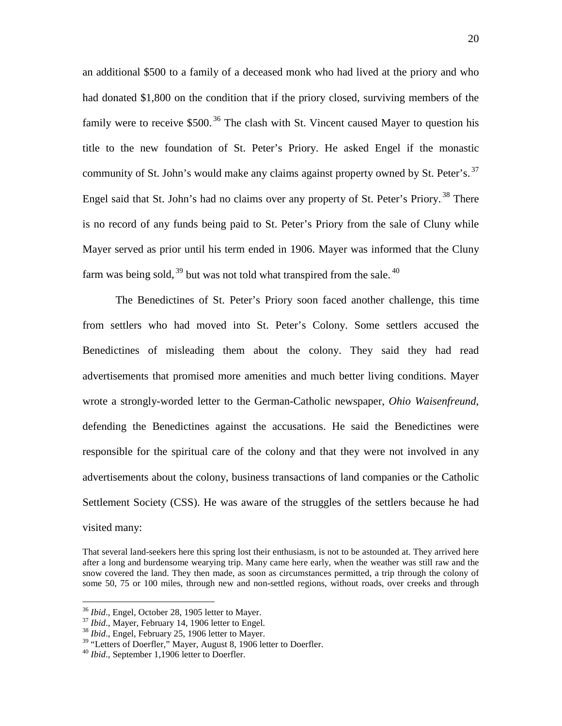an additional \$500 to a family of a deceased monk who had lived at the priory and who had donated \$1,800 on the condition that if the priory closed, surviving members of the family were to receive  $$500.<sup>36</sup>$  The clash with St. Vincent caused Mayer to question his title to the new foundation of St. Peter's Priory. He asked Engel if the monastic community of St. John's would make any claims against property owned by St. Peter's.<sup>37</sup> Engel said that St. John's had no claims over any property of St. Peter's Priory.<sup>38</sup> There is no record of any funds being paid to St. Peter's Priory from the sale of Cluny while Mayer served as prior until his term ended in 1906. Mayer was informed that the Cluny farm was being sold,  $39$  but was not told what transpired from the sale.  $40$ 

The Benedictines of St. Peter's Priory soon faced another challenge, this time from settlers who had moved into St. Peter's Colony. Some settlers accused the Benedictines of misleading them about the colony. They said they had read advertisements that promised more amenities and much better living conditions. Mayer wrote a strongly-worded letter to the German-Catholic newspaper, *Ohio Waisenfreund*, defending the Benedictines against the accusations. He said the Benedictines were responsible for the spiritual care of the colony and that they were not involved in any advertisements about the colony, business transactions of land companies or the Catholic Settlement Society (CSS). He was aware of the struggles of the settlers because he had visited many:

That several land-seekers here this spring lost their enthusiasm, is not to be astounded at. They arrived here after a long and burdensome wearying trip. Many came here early, when the weather was still raw and the snow covered the land. They then made, as soon as circumstances permitted, a trip through the colony of some 50, 75 or 100 miles, through new and non-settled regions, without roads, over creeks and through

<sup>&</sup>lt;sup>36</sup> *Ibid.*, Engel, October 28, 1905 letter to Mayer.<br><sup>37</sup> *Ibid.*, Mayer, February 14, 1906 letter to Engel.<br><sup>38</sup> *Ibid.*, Engel, February 25, 1906 letter to Mayer.

<sup>&</sup>lt;sup>39</sup> "Letters of Doerfler," Mayer, August 8, 1906 letter to Doerfler.<br><sup>40</sup> *Ibid.*, September 1,1906 letter to Doerfler.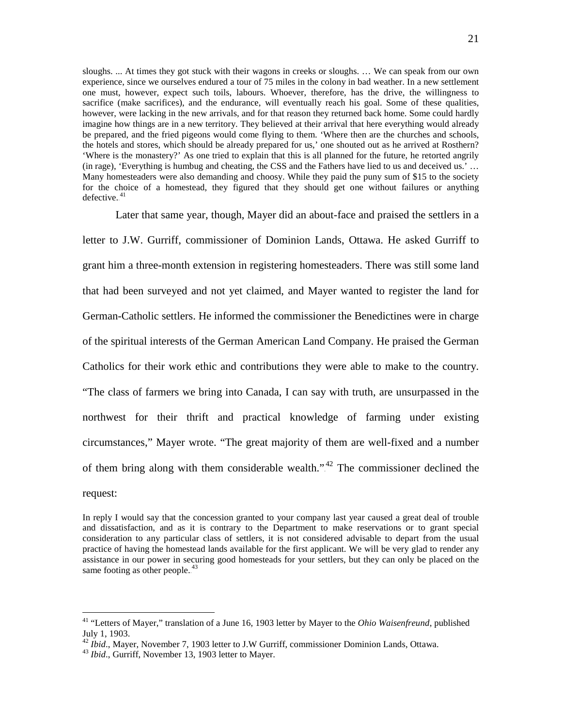sloughs. ... At times they got stuck with their wagons in creeks or sloughs. … We can speak from our own experience, since we ourselves endured a tour of 75 miles in the colony in bad weather. In a new settlement one must, however, expect such toils, labours. Whoever, therefore, has the drive, the willingness to sacrifice (make sacrifices), and the endurance, will eventually reach his goal. Some of these qualities, however, were lacking in the new arrivals, and for that reason they returned back home. Some could hardly imagine how things are in a new territory. They believed at their arrival that here everything would already be prepared, and the fried pigeons would come flying to them. 'Where then are the churches and schools, the hotels and stores, which should be already prepared for us,' one shouted out as he arrived at Rosthern? 'Where is the monastery?' As one tried to explain that this is all planned for the future, he retorted angrily (in rage), 'Everything is humbug and cheating, the CSS and the Fathers have lied to us and deceived us.' … Many homesteaders were also demanding and choosy. While they paid the puny sum of \$15 to the society for the choice of a homestead, they figured that they should get one without failures or anything  $defective.<sup>41</sup>$ 

Later that same year, though, Mayer did an about-face and praised the settlers in a letter to J.W. Gurriff, commissioner of Dominion Lands, Ottawa. He asked Gurriff to grant him a three-month extension in registering homesteaders. There was still some land that had been surveyed and not yet claimed, and Mayer wanted to register the land for German-Catholic settlers. He informed the commissioner the Benedictines were in charge of the spiritual interests of the German American Land Company. He praised the German Catholics for their work ethic and contributions they were able to make to the country. "The class of farmers we bring into Canada, I can say with truth, are unsurpassed in the northwest for their thrift and practical knowledge of farming under existing circumstances," Mayer wrote. "The great majority of them are well-fixed and a number of them bring along with them considerable wealth."<sup>42</sup> The commissioner declined the

request:

In reply I would say that the concession granted to your company last year caused a great deal of trouble and dissatisfaction, and as it is contrary to the Department to make reservations or to grant special consideration to any particular class of settlers, it is not considered advisable to depart from the usual practice of having the homestead lands available for the first applicant. We will be very glad to render any assistance in our power in securing good homesteads for your settlers, but they can only be placed on the same footing as other people. $43$ 

 <sup>41</sup> "Letters of Mayer," translation of a June 16, 1903 letter by Mayer to the *Ohio Waisenfreund*, published July 1, 1903.

<sup>&</sup>lt;sup>42</sup> *Ibid.*, Mayer, November 7, 1903 letter to J.W Gurriff, commissioner Dominion Lands, Ottawa.<br><sup>43</sup> *Ibid.*, Gurriff, November 13, 1903 letter to Mayer.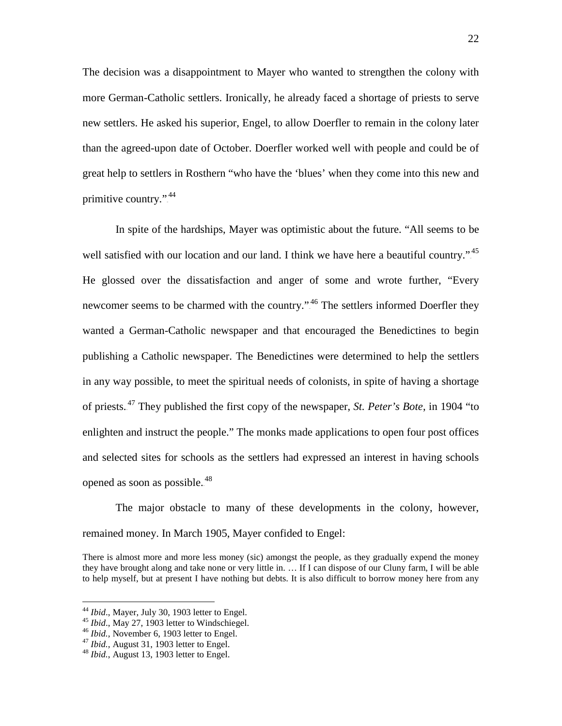The decision was a disappointment to Mayer who wanted to strengthen the colony with more German-Catholic settlers. Ironically, he already faced a shortage of priests to serve new settlers. He asked his superior, Engel, to allow Doerfler to remain in the colony later than the agreed-upon date of October. Doerfler worked well with people and could be of great help to settlers in Rosthern "who have the 'blues' when they come into this new and primitive country.".<sup>44</sup>

In spite of the hardships, Mayer was optimistic about the future. "All seems to be well satisfied with our location and our land. I think we have here a beautiful country."<sup>45</sup> He glossed over the dissatisfaction and anger of some and wrote further, "Every newcomer seems to be charmed with the country.".<sup>46</sup> The settlers informed Doerfler they wanted a German-Catholic newspaper and that encouraged the Benedictines to begin publishing a Catholic newspaper. The Benedictines were determined to help the settlers in any way possible, to meet the spiritual needs of colonists, in spite of having a shortage of priests.<sup>47</sup> They published the first copy of the newspaper, *St. Peter's Bote*, in 1904 "to enlighten and instruct the people." The monks made applications to open four post offices and selected sites for schools as the settlers had expressed an interest in having schools opened as soon as possible.<sup>48</sup>

The major obstacle to many of these developments in the colony, however, remained money. In March 1905, Mayer confided to Engel:

There is almost more and more less money (sic) amongst the people, as they gradually expend the money they have brought along and take none or very little in. … If I can dispose of our Cluny farm, I will be able to help myself, but at present I have nothing but debts. It is also difficult to borrow money here from any

<sup>&</sup>lt;sup>44</sup> *Ibid.*, Mayer, July 30, 1903 letter to Engel.<br><sup>45</sup> *Ibid.*, May 27, 1903 letter to Windschiegel.<br><sup>46</sup> *Ibid.*, November 6, 1903 letter to Engel.<br><sup>47</sup> *Ibid.*, August 31, 1903 letter to Engel.<br><sup>48</sup> *Ibid.*, August 13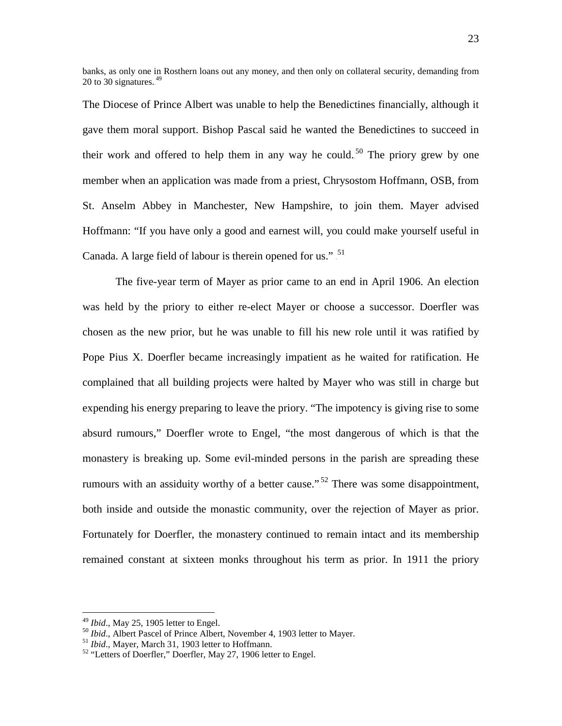banks, as only one in Rosthern loans out any money, and then only on collateral security, demanding from 20 to 30 signatures. $49$ 

The Diocese of Prince Albert was unable to help the Benedictines financially, although it gave them moral support. Bishop Pascal said he wanted the Benedictines to succeed in their work and offered to help them in any way he could.<sup>50</sup> The priory grew by one member when an application was made from a priest, Chrysostom Hoffmann, OSB, from St. Anselm Abbey in Manchester, New Hampshire, to join them. Mayer advised Hoffmann: "If you have only a good and earnest will, you could make yourself useful in Canada. A large field of labour is therein opened for us."  $\frac{51}{10}$ 

The five-year term of Mayer as prior came to an end in April 1906. An election was held by the priory to either re-elect Mayer or choose a successor. Doerfler was chosen as the new prior, but he was unable to fill his new role until it was ratified by Pope Pius X. Doerfler became increasingly impatient as he waited for ratification. He complained that all building projects were halted by Mayer who was still in charge but expending his energy preparing to leave the priory. "The impotency is giving rise to some absurd rumours," Doerfler wrote to Engel, "the most dangerous of which is that the monastery is breaking up. Some evil-minded persons in the parish are spreading these rumours with an assiduity worthy of a better cause.".<sup>52</sup> There was some disappointment, both inside and outside the monastic community, over the rejection of Mayer as prior. Fortunately for Doerfler, the monastery continued to remain intact and its membership remained constant at sixteen monks throughout his term as prior. In 1911 the priory

<sup>&</sup>lt;sup>49</sup> *Ibid.*, May 25, 1905 letter to Engel.<br><sup>50</sup> *Ibid.*, Albert Pascel of Prince Albert, November 4, 1903 letter to Mayer.<br><sup>51</sup> *Ibid.*, Mayer, March 31, 1903 letter to Hoffmann.<br><sup>52</sup> "Letters of Doerfler," Doerfler, May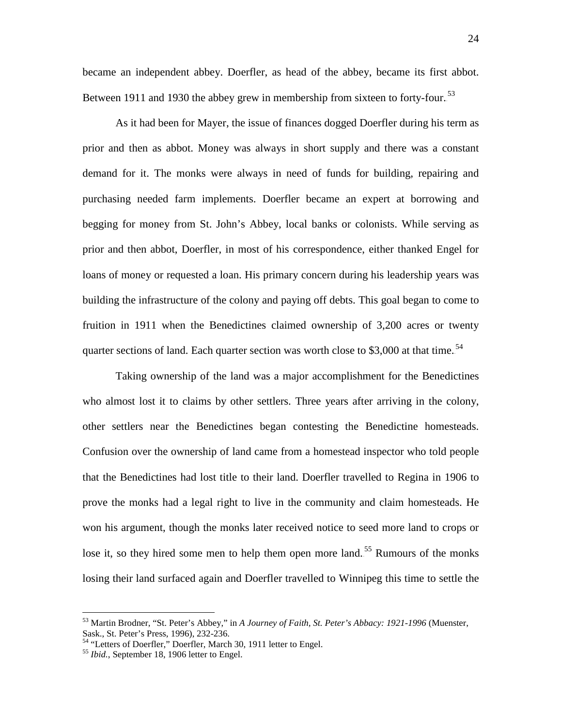became an independent abbey. Doerfler, as head of the abbey, became its first abbot. Between 1911 and 1930 the abbey grew in membership from sixteen to forty-four.<sup>53</sup>

As it had been for Mayer, the issue of finances dogged Doerfler during his term as prior and then as abbot. Money was always in short supply and there was a constant demand for it. The monks were always in need of funds for building, repairing and purchasing needed farm implements. Doerfler became an expert at borrowing and begging for money from St. John's Abbey, local banks or colonists. While serving as prior and then abbot, Doerfler, in most of his correspondence, either thanked Engel for loans of money or requested a loan. His primary concern during his leadership years was building the infrastructure of the colony and paying off debts. This goal began to come to fruition in 1911 when the Benedictines claimed ownership of 3,200 acres or twenty quarter sections of land. Each quarter section was worth close to \$3,000 at that time.<sup>54</sup>

Taking ownership of the land was a major accomplishment for the Benedictines who almost lost it to claims by other settlers. Three years after arriving in the colony, other settlers near the Benedictines began contesting the Benedictine homesteads. Confusion over the ownership of land came from a homestead inspector who told people that the Benedictines had lost title to their land. Doerfler travelled to Regina in 1906 to prove the monks had a legal right to live in the community and claim homesteads. He won his argument, though the monks later received notice to seed more land to crops or lose it, so they hired some men to help them open more land.<sup>55</sup> Rumours of the monks losing their land surfaced again and Doerfler travelled to Winnipeg this time to settle the

 <sup>53</sup> Martin Brodner, "St. Peter's Abbey," in *A Journey of Faith, St. Peter's Abbacy: 1921-1996* (Muenster, Sask., St. Peter's Press, 1996), 232-236.<br><sup>54</sup> "Letters of Doerfler," Doerfler, March 30, 1911 letter to Engel.<br><sup>55</sup> *Ibid.*, September 18, 1906 letter to Engel.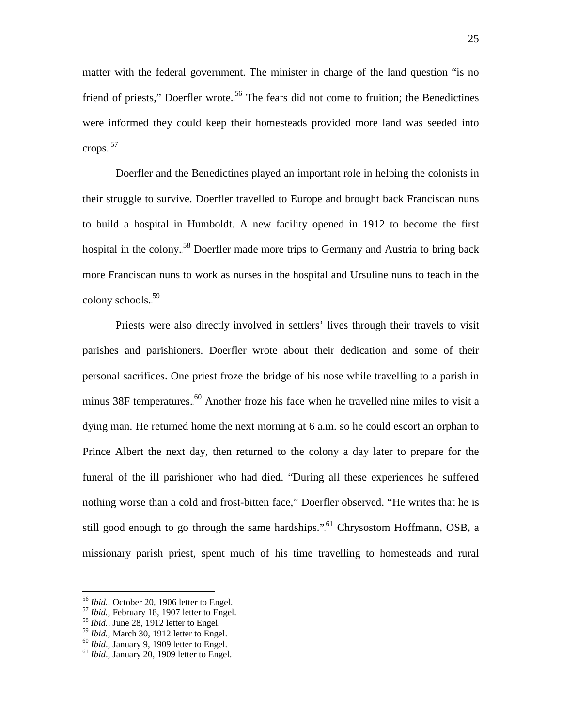matter with the federal government. The minister in charge of the land question "is no friend of priests," Doerfler wrote.<sup>56</sup> The fears did not come to fruition; the Benedictines were informed they could keep their homesteads provided more land was seeded into crops.<sup>57</sup>

Doerfler and the Benedictines played an important role in helping the colonists in their struggle to survive. Doerfler travelled to Europe and brought back Franciscan nuns to build a hospital in Humboldt. A new facility opened in 1912 to become the first hospital in the colony.<sup>58</sup> Doerfler made more trips to Germany and Austria to bring back more Franciscan nuns to work as nurses in the hospital and Ursuline nuns to teach in the colony schools.<sup>59</sup>

Priests were also directly involved in settlers' lives through their travels to visit parishes and parishioners. Doerfler wrote about their dedication and some of their personal sacrifices. One priest froze the bridge of his nose while travelling to a parish in minus 38F temperatures.<sup>60</sup> Another froze his face when he travelled nine miles to visit a dying man. He returned home the next morning at 6 a.m. so he could escort an orphan to Prince Albert the next day, then returned to the colony a day later to prepare for the funeral of the ill parishioner who had died. "During all these experiences he suffered nothing worse than a cold and frost-bitten face," Doerfler observed. "He writes that he is still good enough to go through the same hardships.".<sup>61</sup> Chrysostom Hoffmann, OSB, a missionary parish priest, spent much of his time travelling to homesteads and rural

<sup>&</sup>lt;sup>56</sup> *Ibid.*, October 20, 1906 letter to Engel.<br><sup>57</sup> *Ibid.*, February 18, 1907 letter to Engel.<br><sup>58</sup> *Ibid.*, June 28, 1912 letter to Engel.<br><sup>59</sup> *Ibid.*, March 30, 1912 letter to Engel.

<sup>&</sup>lt;sup>60</sup> *Ibid.*, January 9, 1909 letter to Engel.<br><sup>61</sup> *Ibid.*, January 20, 1909 letter to Engel.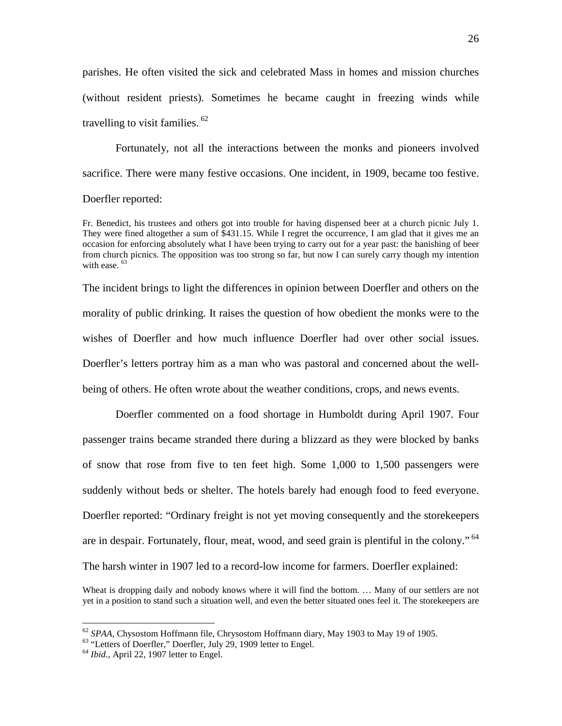parishes. He often visited the sick and celebrated Mass in homes and mission churches (without resident priests). Sometimes he became caught in freezing winds while travelling to visit families. $62$ 

Fortunately, not all the interactions between the monks and pioneers involved sacrifice. There were many festive occasions. One incident, in 1909, became too festive. Doerfler reported:

Fr. Benedict, his trustees and others got into trouble for having dispensed beer at a church picnic July 1. They were fined altogether a sum of \$431.15. While I regret the occurrence, I am glad that it gives me an occasion for enforcing absolutely what I have been trying to carry out for a year past: the banishing of beer from church picnics. The opposition was too strong so far, but now I can surely carry though my intention with ease. $53$ 

The incident brings to light the differences in opinion between Doerfler and others on the morality of public drinking. It raises the question of how obedient the monks were to the wishes of Doerfler and how much influence Doerfler had over other social issues. Doerfler's letters portray him as a man who was pastoral and concerned about the wellbeing of others. He often wrote about the weather conditions, crops, and news events.

Doerfler commented on a food shortage in Humboldt during April 1907. Four passenger trains became stranded there during a blizzard as they were blocked by banks of snow that rose from five to ten feet high. Some 1,000 to 1,500 passengers were suddenly without beds or shelter. The hotels barely had enough food to feed everyone. Doerfler reported: "Ordinary freight is not yet moving consequently and the storekeepers are in despair. Fortunately, flour, meat, wood, and seed grain is plentiful in the colony.".<sup>64</sup> The harsh winter in 1907 led to a record-low income for farmers. Doerfler explained:

Wheat is dropping daily and nobody knows where it will find the bottom. … Many of our settlers are not yet in a position to stand such a situation well, and even the better situated ones feel it. The storekeepers are

<sup>&</sup>lt;sup>62</sup> *SPAA*, Chysostom Hoffmann file, Chrysostom Hoffmann diary, May 1903 to May 19 of 1905.<br><sup>63</sup> "Letters of Doerfler," Doerfler, July 29, 1909 letter to Engel.<br><sup>64</sup> *Ibid.*, April 22, 1907 letter to Engel.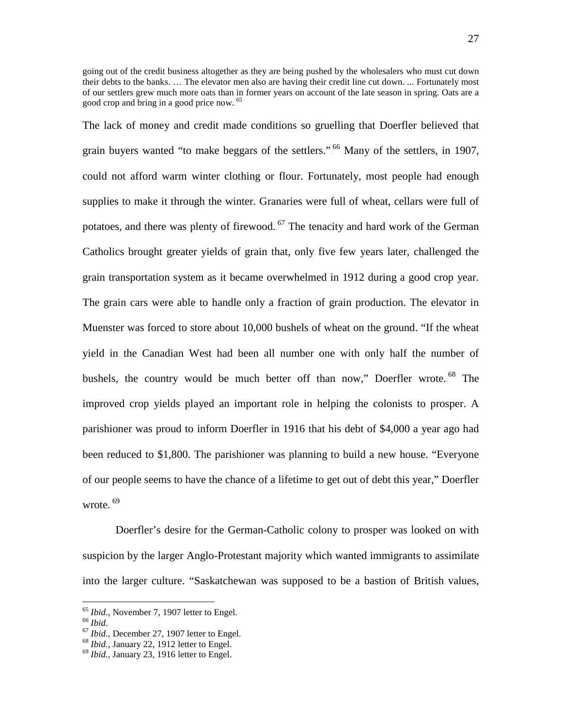going out of the credit business altogether as they are being pushed by the wholesalers who must cut down their debts to the banks. … The elevator men also are having their credit line cut down. ... Fortunately most of our settlers grew much more oats than in former years on account of the late season in spring. Oats are a good crop and bring in a good price now.<sup>65</sup>

The lack of money and credit made conditions so gruelling that Doerfler believed that grain buyers wanted "to make beggars of the settlers.".<sup>66</sup> Many of the settlers, in 1907, could not afford warm winter clothing or flour. Fortunately, most people had enough supplies to make it through the winter. Granaries were full of wheat, cellars were full of potatoes, and there was plenty of firewood.<sup>67</sup> The tenacity and hard work of the German Catholics brought greater yields of grain that, only five few years later, challenged the grain transportation system as it became overwhelmed in 1912 during a good crop year. The grain cars were able to handle only a fraction of grain production. The elevator in Muenster was forced to store about 10,000 bushels of wheat on the ground. "If the wheat yield in the Canadian West had been all number one with only half the number of bushels, the country would be much better off than now," Doerfler wrote.<sup>68</sup> The improved crop yields played an important role in helping the colonists to prosper. A parishioner was proud to inform Doerfler in 1916 that his debt of \$4,000 a year ago had been reduced to \$1,800. The parishioner was planning to build a new house. "Everyone of our people seems to have the chance of a lifetime to get out of debt this year," Doerfler wrote. $5^{\rm 69}$ 

Doerfler's desire for the German-Catholic colony to prosper was looked on with suspicion by the larger Anglo-Protestant majority which wanted immigrants to assimilate into the larger culture. "Saskatchewan was supposed to be a bastion of British values,

<sup>&</sup>lt;sup>65</sup> *Ibid.*, November 7, 1907 letter to Engel.<br><sup>67</sup> *Ibid.*, December 27, 1907 letter to Engel.<br><sup>68</sup> *Ibid.*, January 22, 1912 letter to Engel.<br><sup>69</sup> *Ibid.*, January 23, 1916 letter to Engel.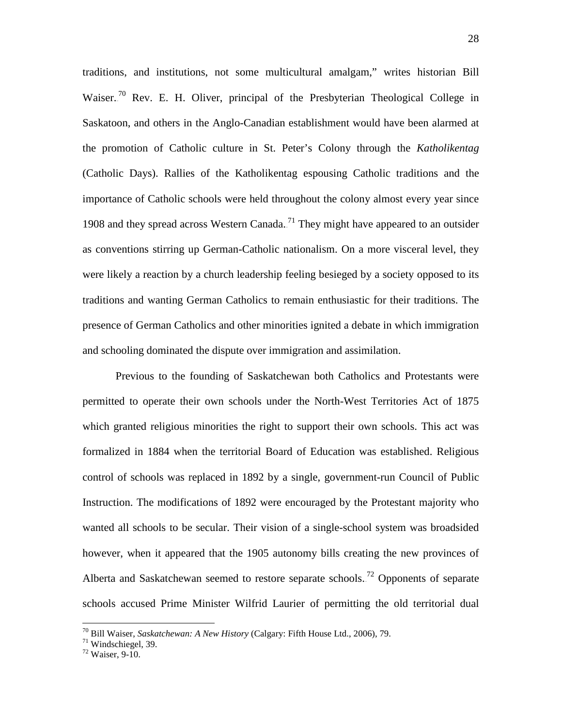traditions, and institutions, not some multicultural amalgam," writes historian Bill Waiser.<sup>70</sup> Rev. E. H. Oliver, principal of the Presbyterian Theological College in Saskatoon, and others in the Anglo-Canadian establishment would have been alarmed at the promotion of Catholic culture in St. Peter's Colony through the *Katholikentag* (Catholic Days). Rallies of the Katholikentag espousing Catholic traditions and the importance of Catholic schools were held throughout the colony almost every year since 1908 and they spread across Western Canada.<sup>71</sup> They might have appeared to an outsider as conventions stirring up German-Catholic nationalism. On a more visceral level, they were likely a reaction by a church leadership feeling besieged by a society opposed to its traditions and wanting German Catholics to remain enthusiastic for their traditions. The presence of German Catholics and other minorities ignited a debate in which immigration and schooling dominated the dispute over immigration and assimilation.

Previous to the founding of Saskatchewan both Catholics and Protestants were permitted to operate their own schools under the North-West Territories Act of 1875 which granted religious minorities the right to support their own schools. This act was formalized in 1884 when the territorial Board of Education was established. Religious control of schools was replaced in 1892 by a single, government-run Council of Public Instruction. The modifications of 1892 were encouraged by the Protestant majority who wanted all schools to be secular. Their vision of a single-school system was broadsided however, when it appeared that the 1905 autonomy bills creating the new provinces of Alberta and Saskatchewan seemed to restore separate schools.<sup>72</sup> Opponents of separate schools accused Prime Minister Wilfrid Laurier of permitting the old territorial dual

<sup>&</sup>lt;sup>70</sup> Bill Waiser, *Saskatchewan: A New History* (Calgary: Fifth House Ltd., 2006), 79.<br><sup>71</sup> Windschiegel, 39.<br><sup>72</sup> Waiser. 9-10.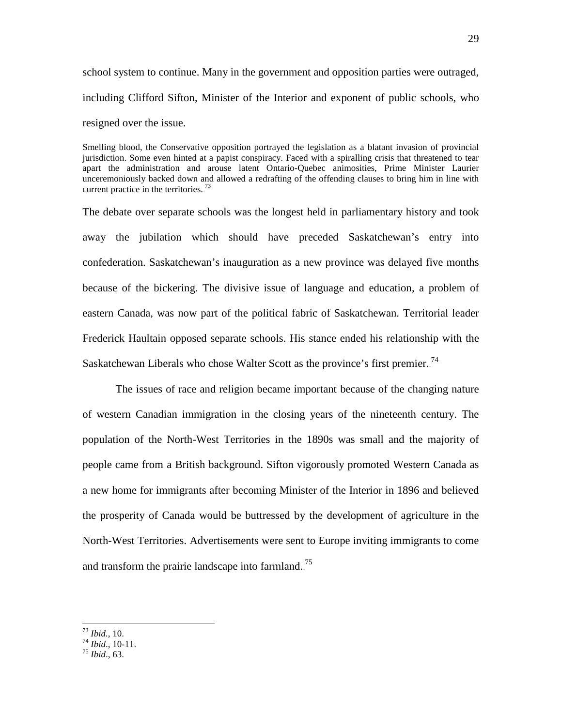school system to continue. Many in the government and opposition parties were outraged, including Clifford Sifton, Minister of the Interior and exponent of public schools, who resigned over the issue.

Smelling blood, the Conservative opposition portrayed the legislation as a blatant invasion of provincial jurisdiction. Some even hinted at a papist conspiracy. Faced with a spiralling crisis that threatened to tear apart the administration and arouse latent Ontario-Quebec animosities, Prime Minister Laurier unceremoniously backed down and allowed a redrafting of the offending clauses to bring him in line with current practice in the territories. $^{73}$ 

The debate over separate schools was the longest held in parliamentary history and took away the jubilation which should have preceded Saskatchewan's entry into confederation. Saskatchewan's inauguration as a new province was delayed five months because of the bickering. The divisive issue of language and education, a problem of eastern Canada, was now part of the political fabric of Saskatchewan. Territorial leader Frederick Haultain opposed separate schools. His stance ended his relationship with the Saskatchewan Liberals who chose Walter Scott as the province's first premier.<sup>74</sup>

The issues of race and religion became important because of the changing nature of western Canadian immigration in the closing years of the nineteenth century. The population of the North-West Territories in the 1890s was small and the majority of people came from a British background. Sifton vigorously promoted Western Canada as a new home for immigrants after becoming Minister of the Interior in 1896 and believed the prosperity of Canada would be buttressed by the development of agriculture in the North-West Territories. Advertisements were sent to Europe inviting immigrants to come and transform the prairie landscape into farmland.<sup>75</sup>

<sup>73</sup> *Ibid.*, 10. <sup>74</sup> *Ibid*., 10-11. <sup>75</sup> *Ibid*., 63.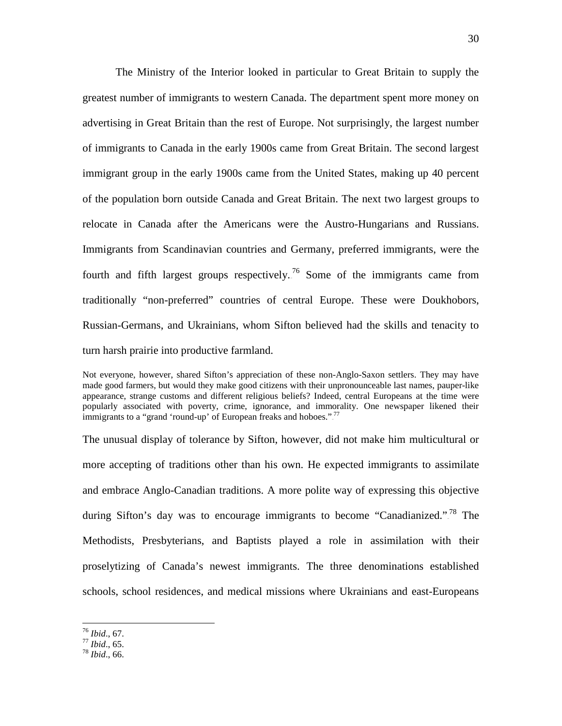The Ministry of the Interior looked in particular to Great Britain to supply the greatest number of immigrants to western Canada. The department spent more money on advertising in Great Britain than the rest of Europe. Not surprisingly, the largest number of immigrants to Canada in the early 1900s came from Great Britain. The second largest immigrant group in the early 1900s came from the United States, making up 40 percent of the population born outside Canada and Great Britain. The next two largest groups to relocate in Canada after the Americans were the Austro-Hungarians and Russians. Immigrants from Scandinavian countries and Germany, preferred immigrants, were the fourth and fifth largest groups respectively.<sup>76</sup> Some of the immigrants came from traditionally "non-preferred" countries of central Europe. These were Doukhobors, Russian-Germans, and Ukrainians, whom Sifton believed had the skills and tenacity to turn harsh prairie into productive farmland.

Not everyone, however, shared Sifton's appreciation of these non-Anglo-Saxon settlers. They may have made good farmers, but would they make good citizens with their unpronounceable last names, pauper-like appearance, strange customs and different religious beliefs? Indeed, central Europeans at the time were popularly associated with poverty, crime, ignorance, and immorality. One newspaper likened their immigrants to a "grand 'round-up' of European freaks and hoboes."<sup>77</sup>

The unusual display of tolerance by Sifton, however, did not make him multicultural or more accepting of traditions other than his own. He expected immigrants to assimilate and embrace Anglo-Canadian traditions. A more polite way of expressing this objective during Sifton's day was to encourage immigrants to become "Canadianized."<sup>78</sup> The Methodists, Presbyterians, and Baptists played a role in assimilation with their proselytizing of Canada's newest immigrants. The three denominations established schools, school residences, and medical missions where Ukrainians and east-Europeans

 <sup>76</sup> *Ibid*., 67. 77 *Ibid*., 65. 78 *Ibid*., 66.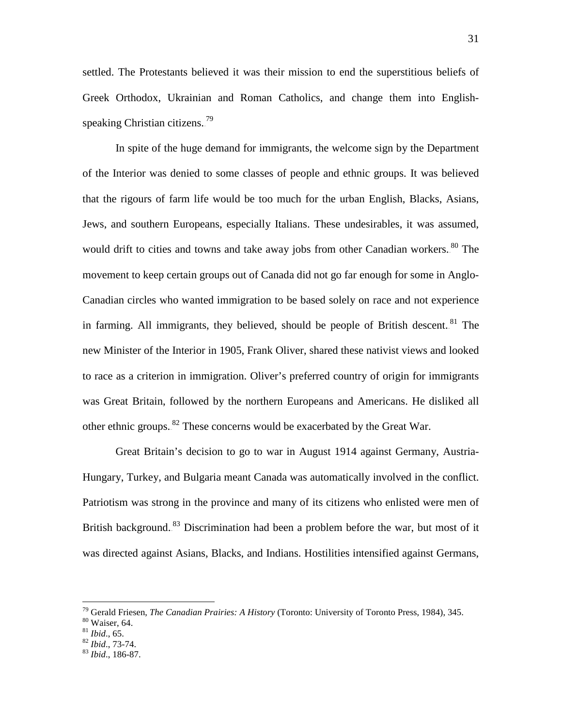settled. The Protestants believed it was their mission to end the superstitious beliefs of Greek Orthodox, Ukrainian and Roman Catholics, and change them into Englishspeaking Christian citizens.<sup>79</sup>

In spite of the huge demand for immigrants, the welcome sign by the Department of the Interior was denied to some classes of people and ethnic groups. It was believed that the rigours of farm life would be too much for the urban English, Blacks, Asians, Jews, and southern Europeans, especially Italians. These undesirables, it was assumed, would drift to cities and towns and take away jobs from other Canadian workers.<sup>80</sup> The movement to keep certain groups out of Canada did not go far enough for some in Anglo-Canadian circles who wanted immigration to be based solely on race and not experience in farming. All immigrants, they believed, should be people of British descent.<sup>81</sup> The new Minister of the Interior in 1905, Frank Oliver, shared these nativist views and looked to race as a criterion in immigration. Oliver's preferred country of origin for immigrants was Great Britain, followed by the northern Europeans and Americans. He disliked all other ethnic groups.<sup>82</sup> These concerns would be exacerbated by the Great War.

Great Britain's decision to go to war in August 1914 against Germany, Austria-Hungary, Turkey, and Bulgaria meant Canada was automatically involved in the conflict. Patriotism was strong in the province and many of its citizens who enlisted were men of British background.<sup>83</sup> Discrimination had been a problem before the war, but most of it was directed against Asians, Blacks, and Indians. Hostilities intensified against Germans,

<sup>79</sup> Gerald Friesen, *The Canadian Prairies: A History* (Toronto: University of Toronto Press, 1984), 345. <sup>80</sup> Waiser, 64. <sup>81</sup> *Ibid*., 65. <sup>82</sup> *Ibid*., 73-74. <sup>83</sup> *Ibid*., 186-87.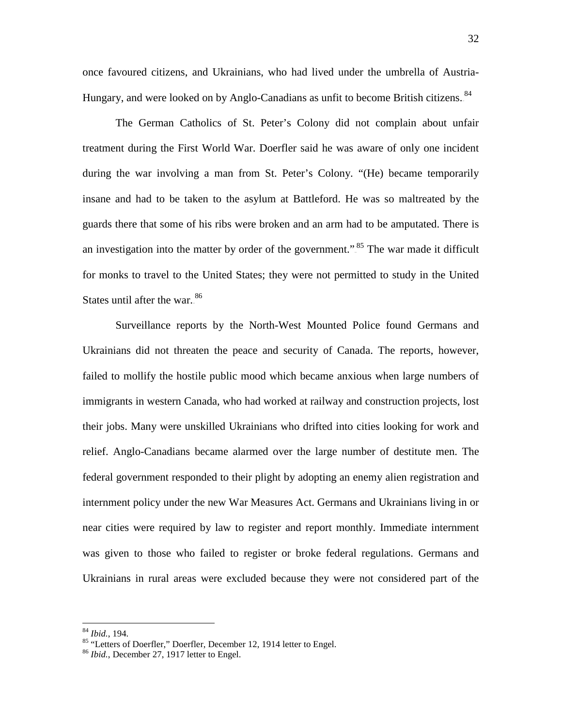once favoured citizens, and Ukrainians, who had lived under the umbrella of Austria-Hungary, and were looked on by Anglo-Canadians as unfit to become British citizens.<sup>84</sup>

The German Catholics of St. Peter's Colony did not complain about unfair treatment during the First World War. Doerfler said he was aware of only one incident during the war involving a man from St. Peter's Colony. "(He) became temporarily insane and had to be taken to the asylum at Battleford. He was so maltreated by the guards there that some of his ribs were broken and an arm had to be amputated. There is an investigation into the matter by order of the government.".<sup>85</sup> The war made it difficult for monks to travel to the United States; they were not permitted to study in the United States until after the war..<sup>86</sup>

Surveillance reports by the North-West Mounted Police found Germans and Ukrainians did not threaten the peace and security of Canada. The reports, however, failed to mollify the hostile public mood which became anxious when large numbers of immigrants in western Canada, who had worked at railway and construction projects, lost their jobs. Many were unskilled Ukrainians who drifted into cities looking for work and relief. Anglo-Canadians became alarmed over the large number of destitute men. The federal government responded to their plight by adopting an enemy alien registration and internment policy under the new War Measures Act. Germans and Ukrainians living in or near cities were required by law to register and report monthly. Immediate internment was given to those who failed to register or broke federal regulations. Germans and Ukrainians in rural areas were excluded because they were not considered part of the

<sup>&</sup>lt;sup>84</sup> *Ibid.*, 194.<br><sup>85</sup> "Letters of Doerfler," Doerfler, December 12, 1914 letter to Engel.<br><sup>86</sup> *Ibid.*, December 27, 1917 letter to Engel.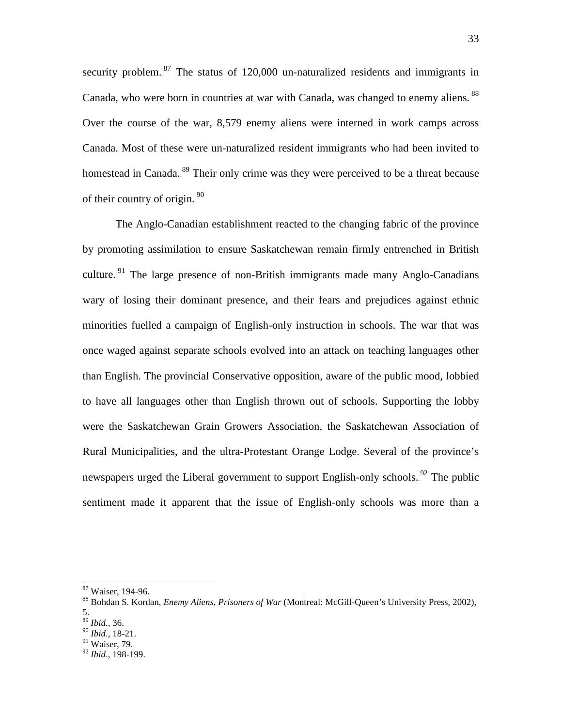security problem. $^{87}$  The status of 120,000 un-naturalized residents and immigrants in Canada, who were born in countries at war with Canada, was changed to enemy aliens.<sup>88</sup> Over the course of the war, 8,579 enemy aliens were interned in work camps across Canada. Most of these were un-naturalized resident immigrants who had been invited to homestead in Canada.<sup>89</sup> Their only crime was they were perceived to be a threat because of their country of origin. $^{90}$ 

The Anglo-Canadian establishment reacted to the changing fabric of the province by promoting assimilation to ensure Saskatchewan remain firmly entrenched in British culture.<sup>91</sup> The large presence of non-British immigrants made many Anglo-Canadians wary of losing their dominant presence, and their fears and prejudices against ethnic minorities fuelled a campaign of English-only instruction in schools. The war that was once waged against separate schools evolved into an attack on teaching languages other than English. The provincial Conservative opposition, aware of the public mood, lobbied to have all languages other than English thrown out of schools. Supporting the lobby were the Saskatchewan Grain Growers Association, the Saskatchewan Association of Rural Municipalities, and the ultra-Protestant Orange Lodge. Several of the province's newspapers urged the Liberal government to support English-only schools.<sup>92</sup> The public sentiment made it apparent that the issue of English-only schools was more than a

 $91$  Waiser, 79.

<sup>&</sup>lt;sup>87</sup> Waiser, 194-96.<br><sup>88</sup> Bohdan S. Kordan, *Enemy Aliens, Prisoners of War* (Montreal: McGill-Queen's University Press, 2002), 5.

<sup>89</sup> *Ibid.*, 36. <sup>90</sup> *Ibid*., 18-21.

<sup>92</sup> *Ibid*., 198-199.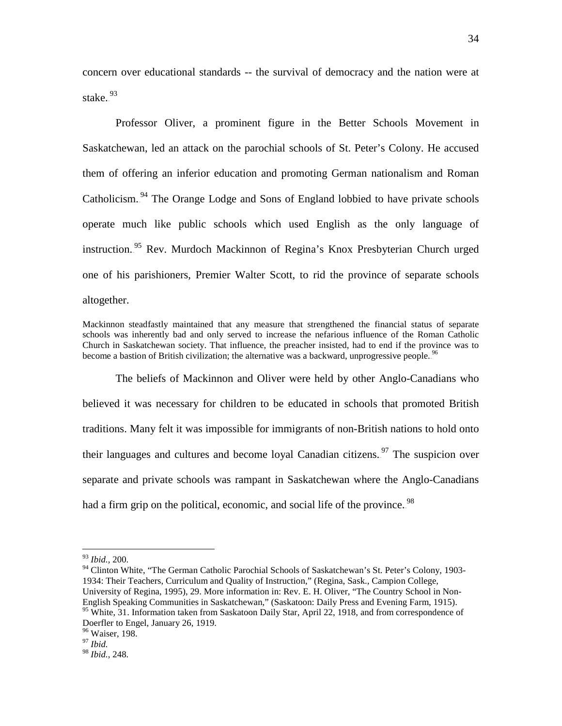concern over educational standards -- the survival of democracy and the nation were at stake.<sup>93</sup>

Professor Oliver, a prominent figure in the Better Schools Movement in Saskatchewan, led an attack on the parochial schools of St. Peter's Colony. He accused them of offering an inferior education and promoting German nationalism and Roman Catholicism.<sup>94</sup> The Orange Lodge and Sons of England lobbied to have private schools operate much like public schools which used English as the only language of instruction.<sup>95</sup> Rev. Murdoch Mackinnon of Regina's Knox Presbyterian Church urged one of his parishioners, Premier Walter Scott, to rid the province of separate schools altogether.

Mackinnon steadfastly maintained that any measure that strengthened the financial status of separate schools was inherently bad and only served to increase the nefarious influence of the Roman Catholic Church in Saskatchewan society. That influence, the preacher insisted, had to end if the province was to become a bastion of British civilization; the alternative was a backward, unprogressive people.<sup>96</sup>

The beliefs of Mackinnon and Oliver were held by other Anglo-Canadians who believed it was necessary for children to be educated in schools that promoted British traditions. Many felt it was impossible for immigrants of non-British nations to hold onto their languages and cultures and become loyal Canadian citizens.<sup>97</sup> The suspicion over separate and private schools was rampant in Saskatchewan where the Anglo-Canadians had a firm grip on the political, economic, and social life of the province.<sup>98</sup>

 <sup>93</sup> *Ibid.,* 200.

<sup>&</sup>lt;sup>94</sup> Clinton White, "The German Catholic Parochial Schools of Saskatchewan's St. Peter's Colony, 1903-1934: Their Teachers, Curriculum and Quality of Instruction," (Regina, Sask., Campion College, University of Regina, 1995), 29. More information in: Rev. E. H. Oliver, "The Country School in Non-English Speaking Communities in Saskatchewan," (Saskatoon: Daily Press and Evening Farm, 1915). <sup>95</sup> White, 31. Information taken from Saskatoon Daily Star, April 22, 1918, and from correspondence of

Doerfler to Engel, January 26, 1919.

<sup>96</sup> Waiser, 198. <sup>97</sup> *Ibid.*

<sup>98</sup> *Ibid.,* 248.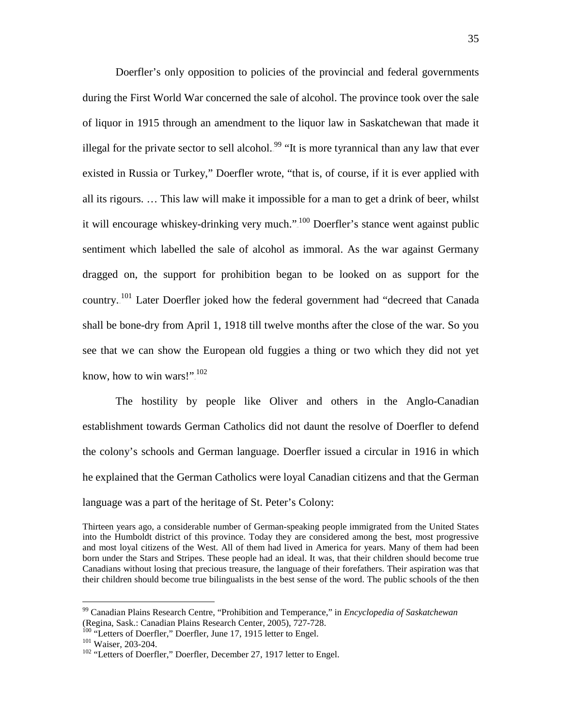Doerfler's only opposition to policies of the provincial and federal governments during the First World War concerned the sale of alcohol. The province took over the sale of liquor in 1915 through an amendment to the liquor law in Saskatchewan that made it illegal for the private sector to sell alcohol.<sup>99</sup> "It is more tyrannical than any law that ever existed in Russia or Turkey," Doerfler wrote, "that is, of course, if it is ever applied with all its rigours. … This law will make it impossible for a man to get a drink of beer, whilst it will encourage whiskey-drinking very much.".<sup>100</sup> Doerfler's stance went against public sentiment which labelled the sale of alcohol as immoral. As the war against Germany dragged on, the support for prohibition began to be looked on as support for the country.<sup>101</sup> Later Doerfler joked how the federal government had "decreed that Canada shall be bone-dry from April 1, 1918 till twelve months after the close of the war. So you see that we can show the European old fuggies a thing or two which they did not yet know, how to win wars!". $102$ 

The hostility by people like Oliver and others in the Anglo-Canadian establishment towards German Catholics did not daunt the resolve of Doerfler to defend the colony's schools and German language. Doerfler issued a circular in 1916 in which he explained that the German Catholics were loyal Canadian citizens and that the German language was a part of the heritage of St. Peter's Colony:

Thirteen years ago, a considerable number of German-speaking people immigrated from the United States into the Humboldt district of this province. Today they are considered among the best, most progressive and most loyal citizens of the West. All of them had lived in America for years. Many of them had been born under the Stars and Stripes. These people had an ideal. It was, that their children should become true Canadians without losing that precious treasure, the language of their forefathers. Their aspiration was that their children should become true bilingualists in the best sense of the word. The public schools of the then

 <sup>99</sup> Canadian Plains Research Centre, "Prohibition and Temperance," in *Encyclopedia of Saskatchewan* (Regina, Sask.: Canadian Plains Research Center, 2005), 727-728.<br><sup>100</sup> "Letters of Doerfler," Doerfler, June 17, 1915 letter to Engel.<br><sup>101</sup> Waiser, 203-204.<br><sup>102</sup> "Letters of Doerfler," Doerfler, December 27, 1917 letter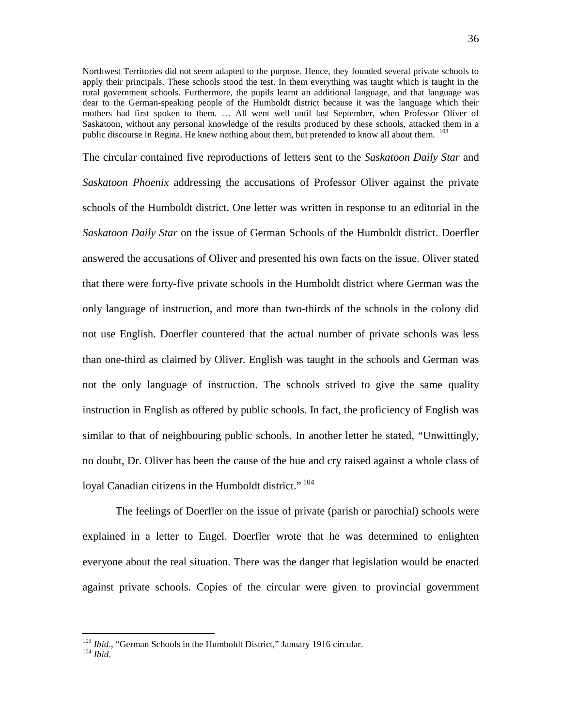Northwest Territories did not seem adapted to the purpose. Hence, they founded several private schools to apply their principals. These schools stood the test. In them everything was taught which is taught in the rural government schools. Furthermore, the pupils learnt an additional language, and that language was dear to the German-speaking people of the Humboldt district because it was the language which their mothers had first spoken to them. … All went well until last September, when Professor Oliver of Saskatoon, without any personal knowledge of the results produced by these schools, attacked them in a public discourse in Regina. He knew nothing about them, but pretended to know all about them. <sup>103</sup>

The circular contained five reproductions of letters sent to the *Saskatoon Daily Star* and *Saskatoon Phoenix* addressing the accusations of Professor Oliver against the private schools of the Humboldt district. One letter was written in response to an editorial in the *Saskatoon Daily Star* on the issue of German Schools of the Humboldt district. Doerfler answered the accusations of Oliver and presented his own facts on the issue. Oliver stated that there were forty-five private schools in the Humboldt district where German was the only language of instruction, and more than two-thirds of the schools in the colony did not use English. Doerfler countered that the actual number of private schools was less than one-third as claimed by Oliver. English was taught in the schools and German was not the only language of instruction. The schools strived to give the same quality instruction in English as offered by public schools. In fact, the proficiency of English was similar to that of neighbouring public schools. In another letter he stated, "Unwittingly, no doubt, Dr. Oliver has been the cause of the hue and cry raised against a whole class of loyal Canadian citizens in the Humboldt district."<sup>104</sup>

The feelings of Doerfler on the issue of private (parish or parochial) schools were explained in a letter to Engel. Doerfler wrote that he was determined to enlighten everyone about the real situation. There was the danger that legislation would be enacted against private schools. Copies of the circular were given to provincial government

<sup>103</sup> *Ibid*., "German Schools in the Humboldt District," January 1916 circular. <sup>104</sup> *Ibid*.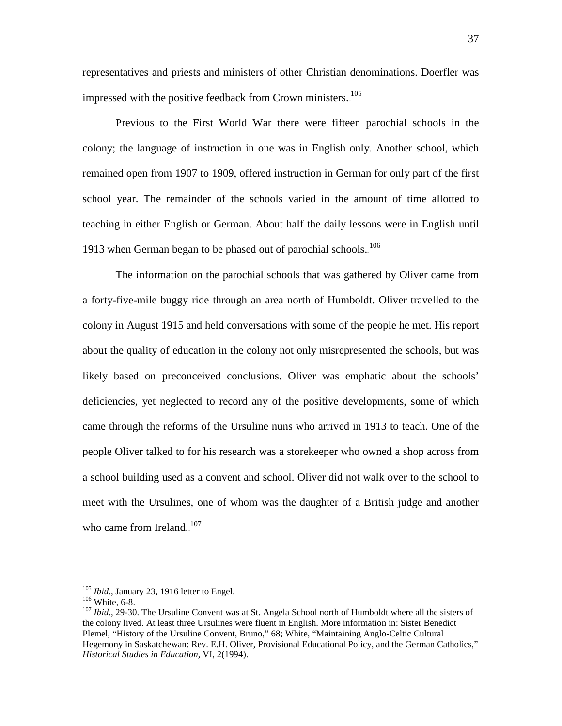representatives and priests and ministers of other Christian denominations. Doerfler was impressed with the positive feedback from Crown ministers. <sup>105</sup>

Previous to the First World War there were fifteen parochial schools in the colony; the language of instruction in one was in English only. Another school, which remained open from 1907 to 1909, offered instruction in German for only part of the first school year. The remainder of the schools varied in the amount of time allotted to teaching in either English or German. About half the daily lessons were in English until 1913 when German began to be phased out of parochial schools. $106$ 

The information on the parochial schools that was gathered by Oliver came from a forty-five-mile buggy ride through an area north of Humboldt. Oliver travelled to the colony in August 1915 and held conversations with some of the people he met. His report about the quality of education in the colony not only misrepresented the schools, but was likely based on preconceived conclusions. Oliver was emphatic about the schools' deficiencies, yet neglected to record any of the positive developments, some of which came through the reforms of the Ursuline nuns who arrived in 1913 to teach. One of the people Oliver talked to for his research was a storekeeper who owned a shop across from a school building used as a convent and school. Oliver did not walk over to the school to meet with the Ursulines, one of whom was the daughter of a British judge and another who came from Ireland. $107$ 

<sup>&</sup>lt;sup>105</sup> *Ibid.*, January 23, 1916 letter to Engel.<br><sup>106</sup> White, 6-8.<br><sup>107</sup> *Ibid.*, 29-30. The Ursuline Convent was at St. Angela School north of Humboldt where all the sisters of the colony lived. At least three Ursulines were fluent in English. More information in: Sister Benedict Plemel, "History of the Ursuline Convent, Bruno," 68; White, "Maintaining Anglo-Celtic Cultural Hegemony in Saskatchewan: Rev. E.H. Oliver, Provisional Educational Policy, and the German Catholics," *Historical Studies in Education*, VI, 2(1994).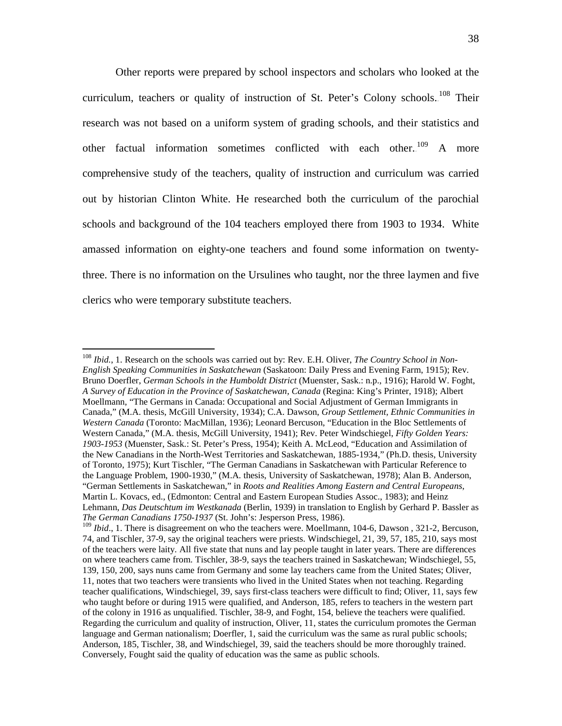Other reports were prepared by school inspectors and scholars who looked at the curriculum, teachers or quality of instruction of St. Peter's Colony schools.<sup>108</sup> Their research was not based on a uniform system of grading schools, and their statistics and other factual information sometimes conflicted with each other.<sup>109</sup> A more comprehensive study of the teachers, quality of instruction and curriculum was carried out by historian Clinton White. He researched both the curriculum of the parochial schools and background of the 104 teachers employed there from 1903 to 1934. White amassed information on eighty-one teachers and found some information on twentythree. There is no information on the Ursulines who taught, nor the three laymen and five clerics who were temporary substitute teachers.

 <sup>108</sup> *Ibid.*, 1. Research on the schools was carried out by: Rev. E.H. Oliver, *The Country School in Non-English Speaking Communities in Saskatchewan* (Saskatoon: Daily Press and Evening Farm, 1915); Rev. Bruno Doerfler, *German Schools in the Humboldt District* (Muenster, Sask.: n.p., 1916); Harold W. Foght, *A Survey of Education in the Province of Saskatchewan, Canada* (Regina: King's Printer, 1918); Albert Moellmann, "The Germans in Canada: Occupational and Social Adjustment of German Immigrants in Canada," (M.A. thesis, McGill University, 1934); C.A. Dawson, *Group Settlement, Ethnic Communities in Western Canada* (Toronto: MacMillan, 1936); Leonard Bercuson, "Education in the Bloc Settlements of Western Canada," (M.A. thesis, McGill University, 1941); Rev. Peter Windschiegel, *Fifty Golden Years: 1903-1953* (Muenster, Sask.: St. Peter's Press, 1954); Keith A. McLeod, "Education and Assimilation of the New Canadians in the North-West Territories and Saskatchewan, 1885-1934," (Ph.D. thesis, University of Toronto, 1975); Kurt Tischler, "The German Canadians in Saskatchewan with Particular Reference to the Language Problem, 1900-1930," (M.A. thesis, University of Saskatchewan, 1978); Alan B. Anderson, "German Settlements in Saskatchewan," in *Roots and Realities Among Eastern and Central Europeans*, Martin L. Kovacs, ed., (Edmonton: Central and Eastern European Studies Assoc., 1983); and Heinz Lehmann, *Das Deutschtum im Westkanada* (Berlin, 1939) in translation to English by Gerhard P. Bassler as *The German Canadians 1750-1937* (St. John's: Jesperson Press, 1986).

<sup>&</sup>lt;sup>109</sup> *Ibid.*, 1. There is disagreement on who the teachers were. Moellmann, 104-6, Dawson, 321-2, Bercuson, 74, and Tischler, 37-9, say the original teachers were priests. Windschiegel, 21, 39, 57, 185, 210, says most of the teachers were laity. All five state that nuns and lay people taught in later years. There are differences on where teachers came from. Tischler, 38-9, says the teachers trained in Saskatchewan; Windschiegel, 55, 139, 150, 200, says nuns came from Germany and some lay teachers came from the United States; Oliver, 11, notes that two teachers were transients who lived in the United States when not teaching. Regarding teacher qualifications, Windschiegel, 39, says first-class teachers were difficult to find; Oliver, 11, says few who taught before or during 1915 were qualified, and Anderson, 185, refers to teachers in the western part of the colony in 1916 as unqualified. Tischler, 38-9, and Foght, 154, believe the teachers were qualified. Regarding the curriculum and quality of instruction, Oliver, 11, states the curriculum promotes the German language and German nationalism; Doerfler, 1, said the curriculum was the same as rural public schools; Anderson, 185, Tischler, 38, and Windschiegel, 39, said the teachers should be more thoroughly trained. Conversely, Fought said the quality of education was the same as public schools.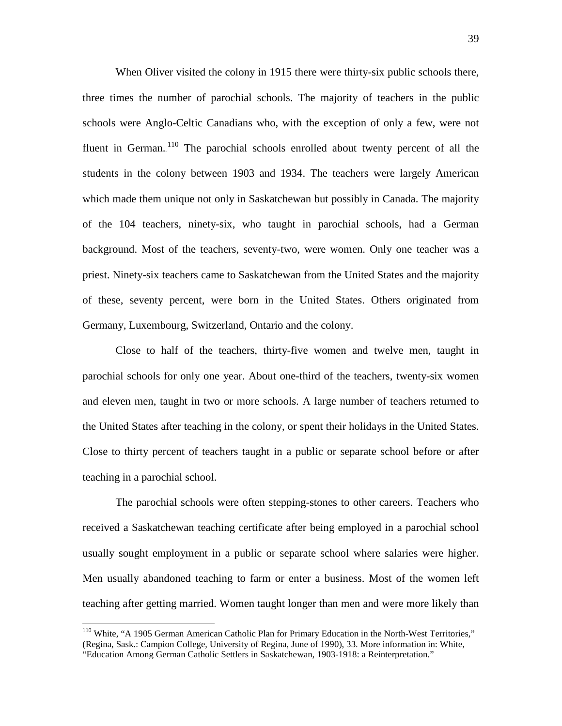When Oliver visited the colony in 1915 there were thirty-six public schools there, three times the number of parochial schools. The majority of teachers in the public schools were Anglo-Celtic Canadians who, with the exception of only a few, were not fluent in German.<sup>110</sup> The parochial schools enrolled about twenty percent of all the students in the colony between 1903 and 1934. The teachers were largely American which made them unique not only in Saskatchewan but possibly in Canada. The majority of the 104 teachers, ninety-six, who taught in parochial schools, had a German background. Most of the teachers, seventy-two, were women. Only one teacher was a priest. Ninety-six teachers came to Saskatchewan from the United States and the majority of these, seventy percent, were born in the United States. Others originated from Germany, Luxembourg, Switzerland, Ontario and the colony.

Close to half of the teachers, thirty-five women and twelve men, taught in parochial schools for only one year. About one-third of the teachers, twenty-six women and eleven men, taught in two or more schools. A large number of teachers returned to the United States after teaching in the colony, or spent their holidays in the United States. Close to thirty percent of teachers taught in a public or separate school before or after teaching in a parochial school.

The parochial schools were often stepping-stones to other careers. Teachers who received a Saskatchewan teaching certificate after being employed in a parochial school usually sought employment in a public or separate school where salaries were higher. Men usually abandoned teaching to farm or enter a business. Most of the women left teaching after getting married. Women taught longer than men and were more likely than

<sup>&</sup>lt;sup>110</sup> White, "A 1905 German American Catholic Plan for Primary Education in the North-West Territories," (Regina, Sask.: Campion College, University of Regina, June of 1990), 33. More information in: White, "Education Among German Catholic Settlers in Saskatchewan, 1903-1918: a Reinterpretation."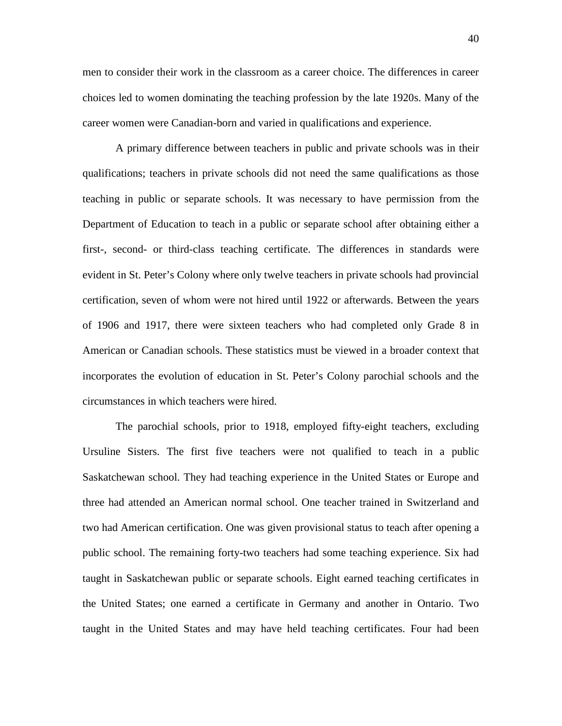men to consider their work in the classroom as a career choice. The differences in career choices led to women dominating the teaching profession by the late 1920s. Many of the career women were Canadian-born and varied in qualifications and experience.

A primary difference between teachers in public and private schools was in their qualifications; teachers in private schools did not need the same qualifications as those teaching in public or separate schools. It was necessary to have permission from the Department of Education to teach in a public or separate school after obtaining either a first-, second- or third-class teaching certificate. The differences in standards were evident in St. Peter's Colony where only twelve teachers in private schools had provincial certification, seven of whom were not hired until 1922 or afterwards. Between the years of 1906 and 1917, there were sixteen teachers who had completed only Grade 8 in American or Canadian schools. These statistics must be viewed in a broader context that incorporates the evolution of education in St. Peter's Colony parochial schools and the circumstances in which teachers were hired.

The parochial schools, prior to 1918, employed fifty-eight teachers, excluding Ursuline Sisters. The first five teachers were not qualified to teach in a public Saskatchewan school. They had teaching experience in the United States or Europe and three had attended an American normal school. One teacher trained in Switzerland and two had American certification. One was given provisional status to teach after opening a public school. The remaining forty-two teachers had some teaching experience. Six had taught in Saskatchewan public or separate schools. Eight earned teaching certificates in the United States; one earned a certificate in Germany and another in Ontario. Two taught in the United States and may have held teaching certificates. Four had been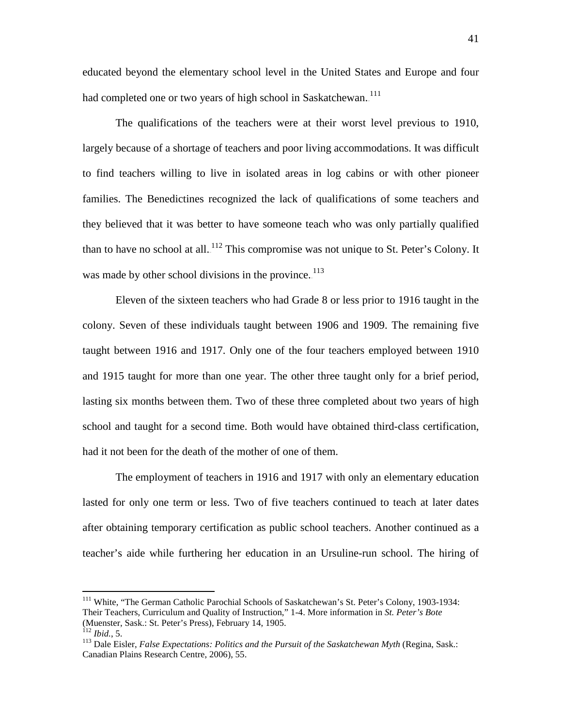educated beyond the elementary school level in the United States and Europe and four had completed one or two years of high school in Saskatchewan.<sup>111</sup>

The qualifications of the teachers were at their worst level previous to 1910, largely because of a shortage of teachers and poor living accommodations. It was difficult to find teachers willing to live in isolated areas in log cabins or with other pioneer families. The Benedictines recognized the lack of qualifications of some teachers and they believed that it was better to have someone teach who was only partially qualified than to have no school at all.<sup>112</sup> This compromise was not unique to St. Peter's Colony. It was made by other school divisions in the province.<sup>113</sup>

Eleven of the sixteen teachers who had Grade 8 or less prior to 1916 taught in the colony. Seven of these individuals taught between 1906 and 1909. The remaining five taught between 1916 and 1917. Only one of the four teachers employed between 1910 and 1915 taught for more than one year. The other three taught only for a brief period, lasting six months between them. Two of these three completed about two years of high school and taught for a second time. Both would have obtained third-class certification, had it not been for the death of the mother of one of them.

The employment of teachers in 1916 and 1917 with only an elementary education lasted for only one term or less. Two of five teachers continued to teach at later dates after obtaining temporary certification as public school teachers. Another continued as a teacher's aide while furthering her education in an Ursuline-run school. The hiring of

<sup>&</sup>lt;sup>111</sup> White, "The German Catholic Parochial Schools of Saskatchewan's St. Peter's Colony, 1903-1934: Their Teachers, Curriculum and Quality of Instruction," 1-4. More information in *St. Peter's Bote* (Muenster, Sask.: St. Peter's Press), February 14, 1905.<br><sup>112</sup> Ibid.. 5.

<sup>&</sup>lt;sup>113</sup> Dale Eisler, *False Expectations: Politics and the Pursuit of the Saskatchewan Myth* (Regina, Sask.: Canadian Plains Research Centre, 2006), 55.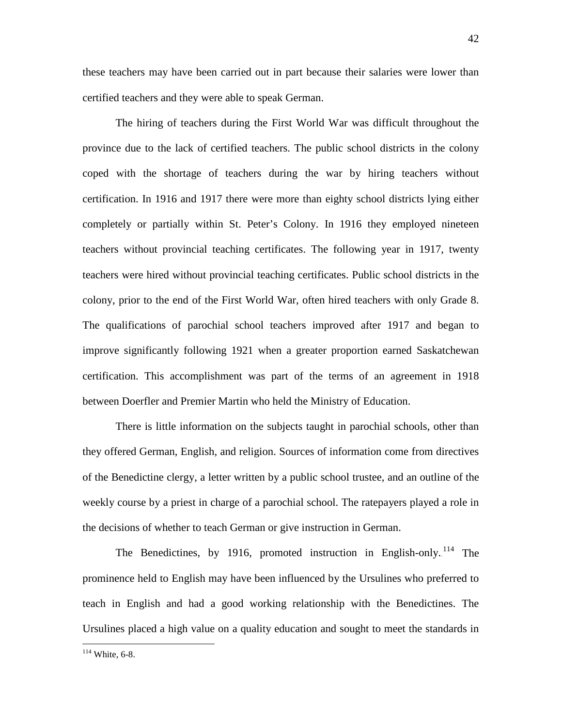these teachers may have been carried out in part because their salaries were lower than certified teachers and they were able to speak German.

The hiring of teachers during the First World War was difficult throughout the province due to the lack of certified teachers. The public school districts in the colony coped with the shortage of teachers during the war by hiring teachers without certification. In 1916 and 1917 there were more than eighty school districts lying either completely or partially within St. Peter's Colony. In 1916 they employed nineteen teachers without provincial teaching certificates. The following year in 1917, twenty teachers were hired without provincial teaching certificates. Public school districts in the colony, prior to the end of the First World War, often hired teachers with only Grade 8. The qualifications of parochial school teachers improved after 1917 and began to improve significantly following 1921 when a greater proportion earned Saskatchewan certification. This accomplishment was part of the terms of an agreement in 1918 between Doerfler and Premier Martin who held the Ministry of Education.

There is little information on the subjects taught in parochial schools, other than they offered German, English, and religion. Sources of information come from directives of the Benedictine clergy, a letter written by a public school trustee, and an outline of the weekly course by a priest in charge of a parochial school. The ratepayers played a role in the decisions of whether to teach German or give instruction in German.

The Benedictines, by 1916, promoted instruction in English-only.<sup>114</sup> The prominence held to English may have been influenced by the Ursulines who preferred to teach in English and had a good working relationship with the Benedictines. The Ursulines placed a high value on a quality education and sought to meet the standards in

114 White, 6-8.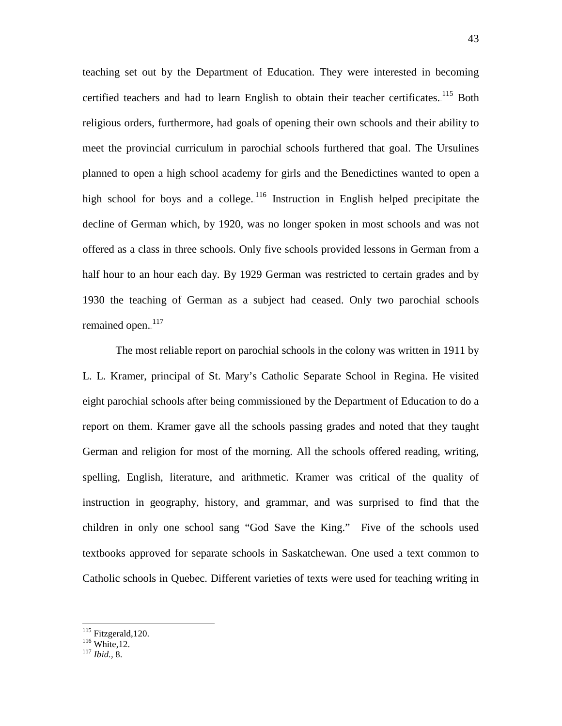teaching set out by the Department of Education. They were interested in becoming certified teachers and had to learn English to obtain their teacher certificates. <sup>115</sup> Both religious orders, furthermore, had goals of opening their own schools and their ability to meet the provincial curriculum in parochial schools furthered that goal. The Ursulines planned to open a high school academy for girls and the Benedictines wanted to open a high school for boys and a college. $116$  Instruction in English helped precipitate the decline of German which, by 1920, was no longer spoken in most schools and was not offered as a class in three schools. Only five schools provided lessons in German from a half hour to an hour each day. By 1929 German was restricted to certain grades and by 1930 the teaching of German as a subject had ceased. Only two parochial schools remained open.<sup>117</sup>

The most reliable report on parochial schools in the colony was written in 1911 by L. L. Kramer, principal of St. Mary's Catholic Separate School in Regina. He visited eight parochial schools after being commissioned by the Department of Education to do a report on them. Kramer gave all the schools passing grades and noted that they taught German and religion for most of the morning. All the schools offered reading, writing, spelling, English, literature, and arithmetic. Kramer was critical of the quality of instruction in geography, history, and grammar, and was surprised to find that the children in only one school sang "God Save the King." Five of the schools used textbooks approved for separate schools in Saskatchewan. One used a text common to Catholic schools in Quebec. Different varieties of texts were used for teaching writing in

<sup>115</sup> Fitzgerald,120. <sup>116</sup> White,12. <sup>117</sup> *Ibid.,* 8.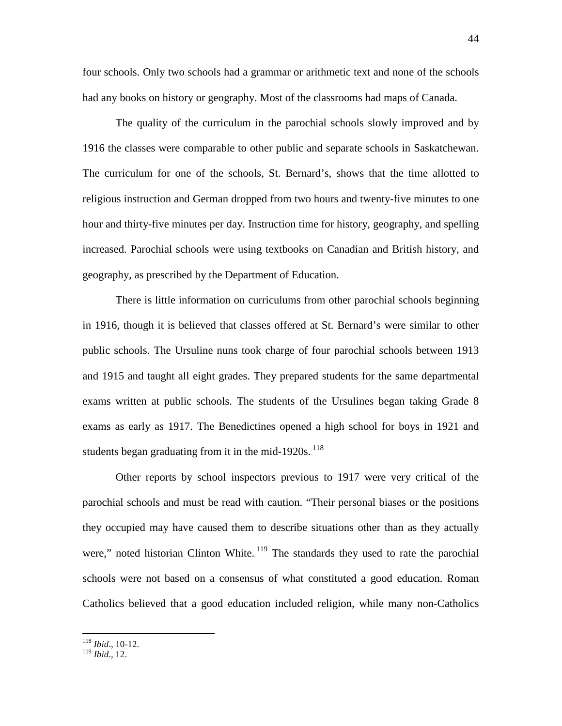four schools. Only two schools had a grammar or arithmetic text and none of the schools had any books on history or geography. Most of the classrooms had maps of Canada.

The quality of the curriculum in the parochial schools slowly improved and by 1916 the classes were comparable to other public and separate schools in Saskatchewan. The curriculum for one of the schools, St. Bernard's, shows that the time allotted to religious instruction and German dropped from two hours and twenty-five minutes to one hour and thirty-five minutes per day. Instruction time for history, geography, and spelling increased. Parochial schools were using textbooks on Canadian and British history, and geography, as prescribed by the Department of Education.

There is little information on curriculums from other parochial schools beginning in 1916, though it is believed that classes offered at St. Bernard's were similar to other public schools. The Ursuline nuns took charge of four parochial schools between 1913 and 1915 and taught all eight grades. They prepared students for the same departmental exams written at public schools. The students of the Ursulines began taking Grade 8 exams as early as 1917. The Benedictines opened a high school for boys in 1921 and students began graduating from it in the mid-1920s. $118$ 

Other reports by school inspectors previous to 1917 were very critical of the parochial schools and must be read with caution. "Their personal biases or the positions they occupied may have caused them to describe situations other than as they actually were," noted historian Clinton White. $119$  The standards they used to rate the parochial schools were not based on a consensus of what constituted a good education. Roman Catholics believed that a good education included religion, while many non-Catholics

 <sup>118</sup> *Ibid*., 10-12.

<sup>119</sup> *Ibid*., 12.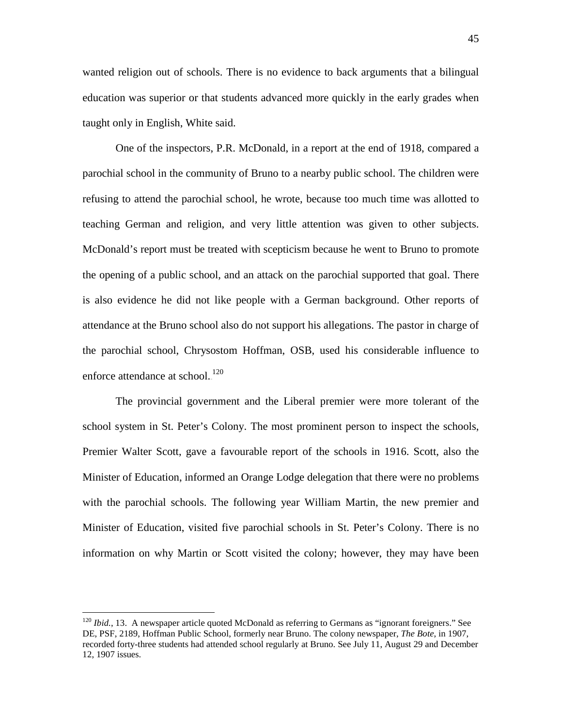wanted religion out of schools. There is no evidence to back arguments that a bilingual education was superior or that students advanced more quickly in the early grades when taught only in English, White said.

One of the inspectors, P.R. McDonald, in a report at the end of 1918, compared a parochial school in the community of Bruno to a nearby public school. The children were refusing to attend the parochial school, he wrote, because too much time was allotted to teaching German and religion, and very little attention was given to other subjects. McDonald's report must be treated with scepticism because he went to Bruno to promote the opening of a public school, and an attack on the parochial supported that goal. There is also evidence he did not like people with a German background. Other reports of attendance at the Bruno school also do not support his allegations. The pastor in charge of the parochial school, Chrysostom Hoffman, OSB, used his considerable influence to enforce attendance at school.<sup>120</sup>

The provincial government and the Liberal premier were more tolerant of the school system in St. Peter's Colony. The most prominent person to inspect the schools, Premier Walter Scott, gave a favourable report of the schools in 1916. Scott, also the Minister of Education, informed an Orange Lodge delegation that there were no problems with the parochial schools. The following year William Martin, the new premier and Minister of Education, visited five parochial schools in St. Peter's Colony. There is no information on why Martin or Scott visited the colony; however, they may have been

<sup>&</sup>lt;sup>120</sup> *Ibid.*, 13. A newspaper article quoted McDonald as referring to Germans as "ignorant foreigners." See DE, PSF, 2189, Hoffman Public School, formerly near Bruno. The colony newspaper, *The Bote*, in 1907, recorded forty-three students had attended school regularly at Bruno. See July 11, August 29 and December 12, 1907 issues.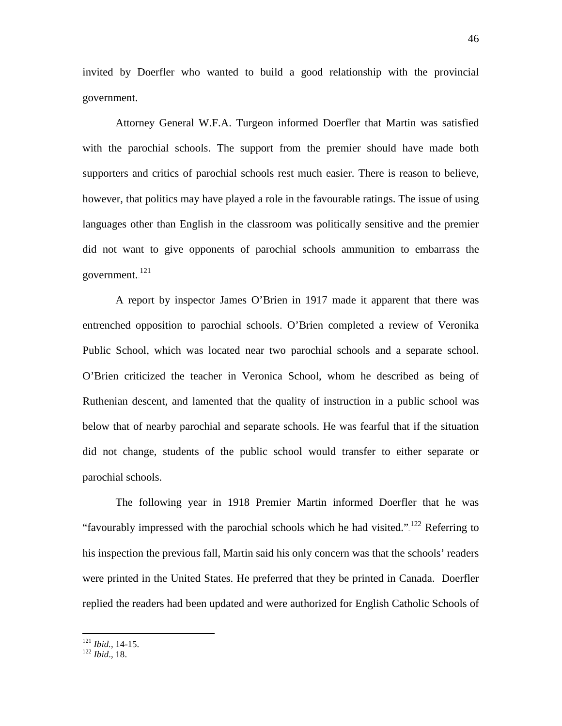invited by Doerfler who wanted to build a good relationship with the provincial government.

Attorney General W.F.A. Turgeon informed Doerfler that Martin was satisfied with the parochial schools. The support from the premier should have made both supporters and critics of parochial schools rest much easier. There is reason to believe, however, that politics may have played a role in the favourable ratings. The issue of using languages other than English in the classroom was politically sensitive and the premier did not want to give opponents of parochial schools ammunition to embarrass the government. <sup>121</sup>

A report by inspector James O'Brien in 1917 made it apparent that there was entrenched opposition to parochial schools. O'Brien completed a review of Veronika Public School, which was located near two parochial schools and a separate school. O'Brien criticized the teacher in Veronica School, whom he described as being of Ruthenian descent, and lamented that the quality of instruction in a public school was below that of nearby parochial and separate schools. He was fearful that if the situation did not change, students of the public school would transfer to either separate or parochial schools.

The following year in 1918 Premier Martin informed Doerfler that he was "favourably impressed with the parochial schools which he had visited." $1^{22}$  Referring to his inspection the previous fall, Martin said his only concern was that the schools' readers were printed in the United States. He preferred that they be printed in Canada. Doerfler replied the readers had been updated and were authorized for English Catholic Schools of

<sup>121</sup> *Ibid.*, 14-15. <sup>122</sup> *Ibid*., 18.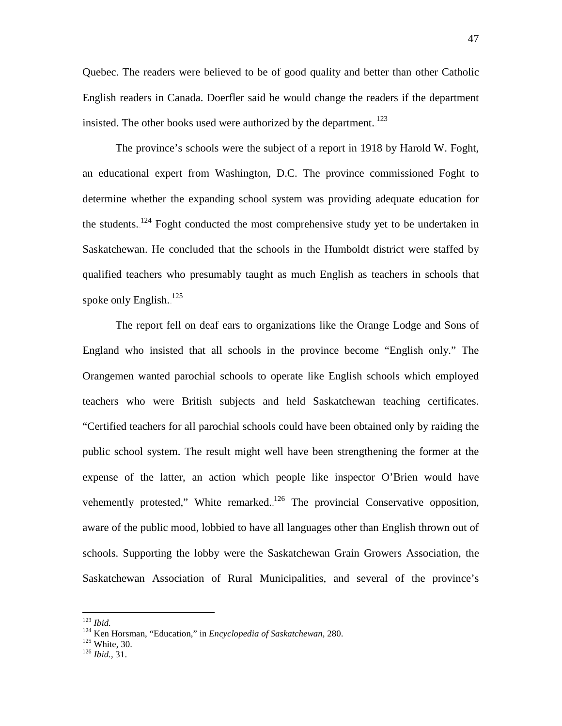Quebec. The readers were believed to be of good quality and better than other Catholic English readers in Canada. Doerfler said he would change the readers if the department insisted. The other books used were authorized by the department. $123$ 

The province's schools were the subject of a report in 1918 by Harold W. Foght, an educational expert from Washington, D.C. The province commissioned Foght to determine whether the expanding school system was providing adequate education for the students.<sup>124</sup> Foght conducted the most comprehensive study yet to be undertaken in Saskatchewan. He concluded that the schools in the Humboldt district were staffed by qualified teachers who presumably taught as much English as teachers in schools that spoke only English.<sup>125</sup>

The report fell on deaf ears to organizations like the Orange Lodge and Sons of England who insisted that all schools in the province become "English only." The Orangemen wanted parochial schools to operate like English schools which employed teachers who were British subjects and held Saskatchewan teaching certificates. "Certified teachers for all parochial schools could have been obtained only by raiding the public school system. The result might well have been strengthening the former at the expense of the latter, an action which people like inspector O'Brien would have vehemently protested," White remarked.<sup>126</sup> The provincial Conservative opposition, aware of the public mood, lobbied to have all languages other than English thrown out of schools. Supporting the lobby were the Saskatchewan Grain Growers Association, the Saskatchewan Association of Rural Municipalities, and several of the province's

<sup>123</sup> *Ibid.* <sup>124</sup> Ken Horsman, "Education," in *Encyclopedia of Saskatchewan,* 280. <sup>125</sup> White, 30. <sup>126</sup> *Ibid.*, 31.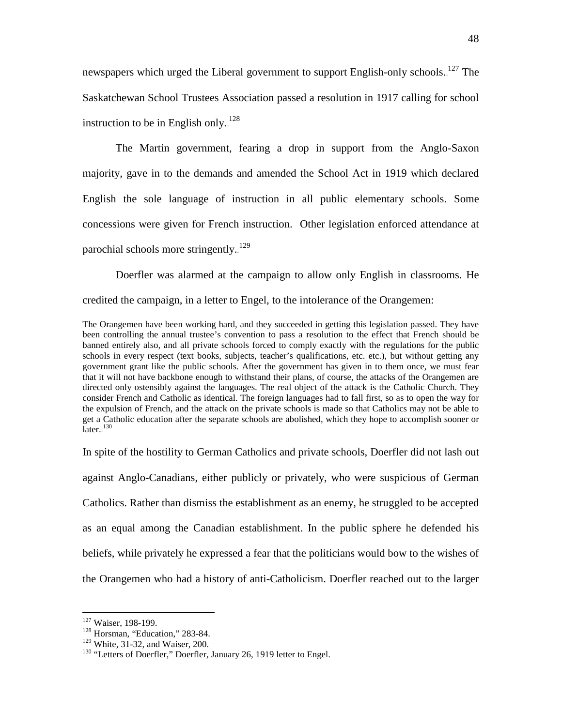newspapers which urged the Liberal government to support English-only schools.<sup>127</sup> The Saskatchewan School Trustees Association passed a resolution in 1917 calling for school instruction to be in English only.<sup>128</sup>

The Martin government, fearing a drop in support from the Anglo-Saxon majority, gave in to the demands and amended the School Act in 1919 which declared English the sole language of instruction in all public elementary schools. Some concessions were given for French instruction. Other legislation enforced attendance at parochial schools more stringently.<sup>129</sup>

Doerfler was alarmed at the campaign to allow only English in classrooms. He credited the campaign, in a letter to Engel, to the intolerance of the Orangemen:

The Orangemen have been working hard, and they succeeded in getting this legislation passed. They have been controlling the annual trustee's convention to pass a resolution to the effect that French should be banned entirely also, and all private schools forced to comply exactly with the regulations for the public schools in every respect (text books, subjects, teacher's qualifications, etc. etc.), but without getting any government grant like the public schools. After the government has given in to them once, we must fear that it will not have backbone enough to withstand their plans, of course, the attacks of the Orangemen are directed only ostensibly against the languages. The real object of the attack is the Catholic Church. They consider French and Catholic as identical. The foreign languages had to fall first, so as to open the way for the expulsion of French, and the attack on the private schools is made so that Catholics may not be able to get a Catholic education after the separate schools are abolished, which they hope to accomplish sooner or  $\rm later.$ <sup>130</sup>

In spite of the hostility to German Catholics and private schools, Doerfler did not lash out against Anglo-Canadians, either publicly or privately, who were suspicious of German Catholics. Rather than dismiss the establishment as an enemy, he struggled to be accepted as an equal among the Canadian establishment. In the public sphere he defended his beliefs, while privately he expressed a fear that the politicians would bow to the wishes of the Orangemen who had a history of anti-Catholicism. Doerfler reached out to the larger

<sup>&</sup>lt;sup>127</sup> Waiser, 198-199.<br><sup>128</sup> Horsman, "Education," 283-84.<br><sup>129</sup> White, 31-32, and Waiser, 200.

<sup>&</sup>lt;sup>130</sup> "Letters of Doerfler," Doerfler, January 26, 1919 letter to Engel.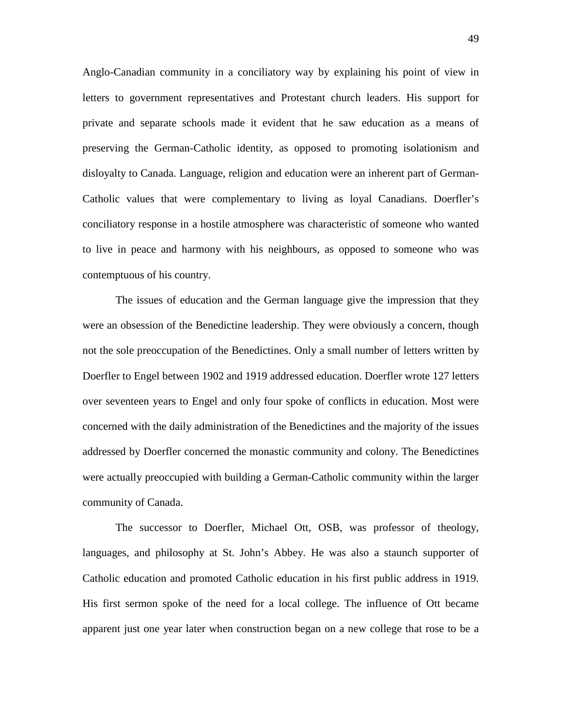Anglo-Canadian community in a conciliatory way by explaining his point of view in letters to government representatives and Protestant church leaders. His support for private and separate schools made it evident that he saw education as a means of preserving the German-Catholic identity, as opposed to promoting isolationism and disloyalty to Canada. Language, religion and education were an inherent part of German-Catholic values that were complementary to living as loyal Canadians. Doerfler's conciliatory response in a hostile atmosphere was characteristic of someone who wanted to live in peace and harmony with his neighbours, as opposed to someone who was contemptuous of his country.

The issues of education and the German language give the impression that they were an obsession of the Benedictine leadership. They were obviously a concern, though not the sole preoccupation of the Benedictines. Only a small number of letters written by Doerfler to Engel between 1902 and 1919 addressed education. Doerfler wrote 127 letters over seventeen years to Engel and only four spoke of conflicts in education. Most were concerned with the daily administration of the Benedictines and the majority of the issues addressed by Doerfler concerned the monastic community and colony. The Benedictines were actually preoccupied with building a German-Catholic community within the larger community of Canada.

The successor to Doerfler, Michael Ott, OSB, was professor of theology, languages, and philosophy at St. John's Abbey. He was also a staunch supporter of Catholic education and promoted Catholic education in his first public address in 1919. His first sermon spoke of the need for a local college. The influence of Ott became apparent just one year later when construction began on a new college that rose to be a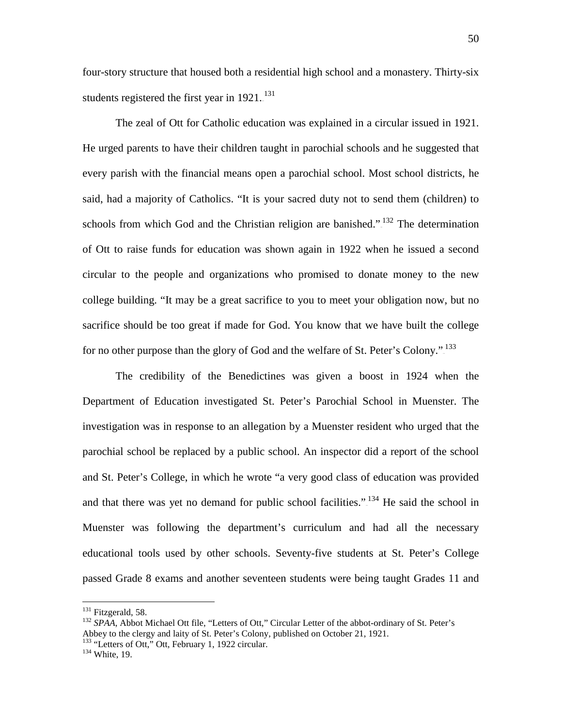four-story structure that housed both a residential high school and a monastery. Thirty-six students registered the first year in  $1921$ .<sup>131</sup>

The zeal of Ott for Catholic education was explained in a circular issued in 1921. He urged parents to have their children taught in parochial schools and he suggested that every parish with the financial means open a parochial school. Most school districts, he said, had a majority of Catholics. "It is your sacred duty not to send them (children) to schools from which God and the Christian religion are banished." $132$  The determination of Ott to raise funds for education was shown again in 1922 when he issued a second circular to the people and organizations who promised to donate money to the new college building. "It may be a great sacrifice to you to meet your obligation now, but no sacrifice should be too great if made for God. You know that we have built the college for no other purpose than the glory of God and the welfare of St. Peter's Colony."<sup>133</sup>

The credibility of the Benedictines was given a boost in 1924 when the Department of Education investigated St. Peter's Parochial School in Muenster. The investigation was in response to an allegation by a Muenster resident who urged that the parochial school be replaced by a public school. An inspector did a report of the school and St. Peter's College, in which he wrote "a very good class of education was provided and that there was yet no demand for public school facilities.".<sup>134</sup> He said the school in Muenster was following the department's curriculum and had all the necessary educational tools used by other schools. Seventy-five students at St. Peter's College passed Grade 8 exams and another seventeen students were being taught Grades 11 and

<sup>&</sup>lt;sup>131</sup> Fitzgerald, 58.<br><sup>132</sup> *SPAA*, Abbot Michael Ott file, "Letters of Ott," Circular Letter of the abbot-ordinary of St. Peter's Abbey to the clergy and laity of St. Peter's Colony, published on October 21, 1921.

 $133$  "Letters of Ott," Ott, February 1, 1922 circular.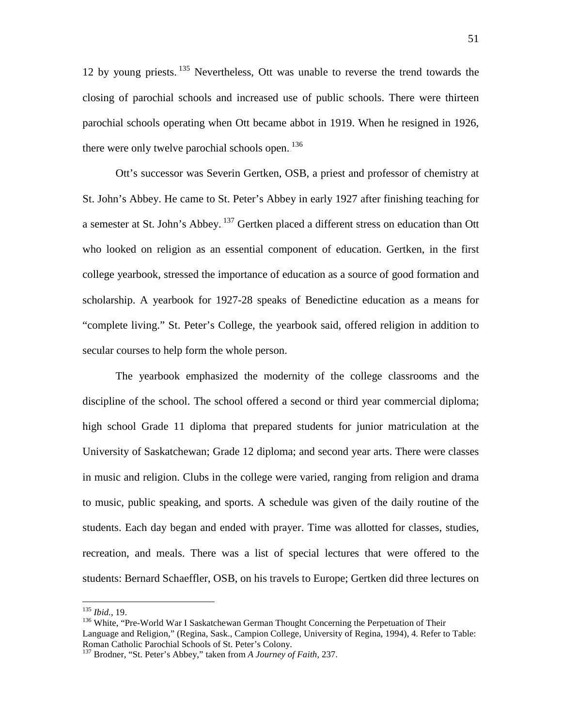12 by young priests. $135$  Nevertheless, Ott was unable to reverse the trend towards the closing of parochial schools and increased use of public schools. There were thirteen parochial schools operating when Ott became abbot in 1919. When he resigned in 1926, there were only twelve parochial schools open.<sup>136</sup>

Ott's successor was Severin Gertken, OSB, a priest and professor of chemistry at St. John's Abbey. He came to St. Peter's Abbey in early 1927 after finishing teaching for a semester at St. John's Abbey.<sup>137</sup> Gertken placed a different stress on education than Ott who looked on religion as an essential component of education. Gertken, in the first college yearbook, stressed the importance of education as a source of good formation and scholarship. A yearbook for 1927-28 speaks of Benedictine education as a means for "complete living." St. Peter's College, the yearbook said, offered religion in addition to secular courses to help form the whole person.

The yearbook emphasized the modernity of the college classrooms and the discipline of the school. The school offered a second or third year commercial diploma; high school Grade 11 diploma that prepared students for junior matriculation at the University of Saskatchewan; Grade 12 diploma; and second year arts. There were classes in music and religion. Clubs in the college were varied, ranging from religion and drama to music, public speaking, and sports. A schedule was given of the daily routine of the students. Each day began and ended with prayer. Time was allotted for classes, studies, recreation, and meals. There was a list of special lectures that were offered to the students: Bernard Schaeffler, OSB, on his travels to Europe; Gertken did three lectures on

<sup>&</sup>lt;sup>135</sup> *Ibid.*, 19.<br><sup>136</sup> White, "Pre-World War I Saskatchewan German Thought Concerning the Perpetuation of Their Language and Religion," (Regina, Sask., Campion College, University of Regina, 1994), 4. Refer to Table: Roman Catholic Parochial Schools of St. Peter's Colony.

<sup>137</sup> Brodner, "St. Peter's Abbey," taken from *A Journey of Faith*, 237.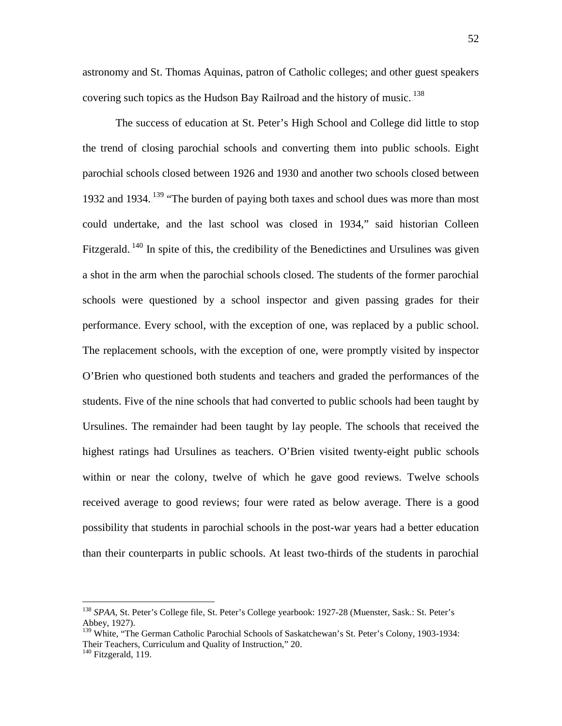astronomy and St. Thomas Aquinas, patron of Catholic colleges; and other guest speakers covering such topics as the Hudson Bay Railroad and the history of music. $138$ 

The success of education at St. Peter's High School and College did little to stop the trend of closing parochial schools and converting them into public schools. Eight parochial schools closed between 1926 and 1930 and another two schools closed between 1932 and 1934.<sup>139</sup> "The burden of paying both taxes and school dues was more than most could undertake, and the last school was closed in 1934," said historian Colleen Fitzgerald.<sup>140</sup> In spite of this, the credibility of the Benedictines and Ursulines was given a shot in the arm when the parochial schools closed. The students of the former parochial schools were questioned by a school inspector and given passing grades for their performance. Every school, with the exception of one, was replaced by a public school. The replacement schools, with the exception of one, were promptly visited by inspector O'Brien who questioned both students and teachers and graded the performances of the students. Five of the nine schools that had converted to public schools had been taught by Ursulines. The remainder had been taught by lay people. The schools that received the highest ratings had Ursulines as teachers. O'Brien visited twenty-eight public schools within or near the colony, twelve of which he gave good reviews. Twelve schools received average to good reviews; four were rated as below average. There is a good possibility that students in parochial schools in the post-war years had a better education than their counterparts in public schools. At least two-thirds of the students in parochial

 <sup>138</sup> *SPAA*, St. Peter's College file, St. Peter's College yearbook: 1927-28 (Muenster, Sask.: St. Peter's Abbey, 1927).

<sup>&</sup>lt;sup>139</sup> White, "The German Catholic Parochial Schools of Saskatchewan's St. Peter's Colony, 1903-1934: Their Teachers, Curriculum and Quality of Instruction," 20.

<sup>&</sup>lt;sup>140</sup> Fitzgerald, 119.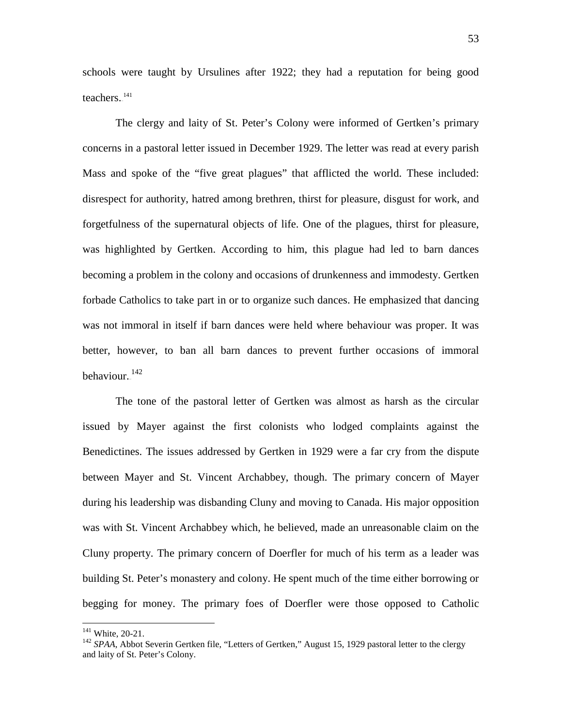schools were taught by Ursulines after 1922; they had a reputation for being good teachers. $141$ 

The clergy and laity of St. Peter's Colony were informed of Gertken's primary concerns in a pastoral letter issued in December 1929. The letter was read at every parish Mass and spoke of the "five great plagues" that afflicted the world. These included: disrespect for authority, hatred among brethren, thirst for pleasure, disgust for work, and forgetfulness of the supernatural objects of life. One of the plagues, thirst for pleasure, was highlighted by Gertken. According to him, this plague had led to barn dances becoming a problem in the colony and occasions of drunkenness and immodesty. Gertken forbade Catholics to take part in or to organize such dances. He emphasized that dancing was not immoral in itself if barn dances were held where behaviour was proper. It was better, however, to ban all barn dances to prevent further occasions of immoral behaviour.<sup>142</sup>

The tone of the pastoral letter of Gertken was almost as harsh as the circular issued by Mayer against the first colonists who lodged complaints against the Benedictines. The issues addressed by Gertken in 1929 were a far cry from the dispute between Mayer and St. Vincent Archabbey, though. The primary concern of Mayer during his leadership was disbanding Cluny and moving to Canada. His major opposition was with St. Vincent Archabbey which, he believed, made an unreasonable claim on the Cluny property. The primary concern of Doerfler for much of his term as a leader was building St. Peter's monastery and colony. He spent much of the time either borrowing or begging for money. The primary foes of Doerfler were those opposed to Catholic

<sup>&</sup>lt;sup>141</sup> White, 20-21.<br><sup>142</sup> *SPAA*, Abbot Severin Gertken file, "Letters of Gertken," August 15, 1929 pastoral letter to the clergy and laity of St. Peter's Colony.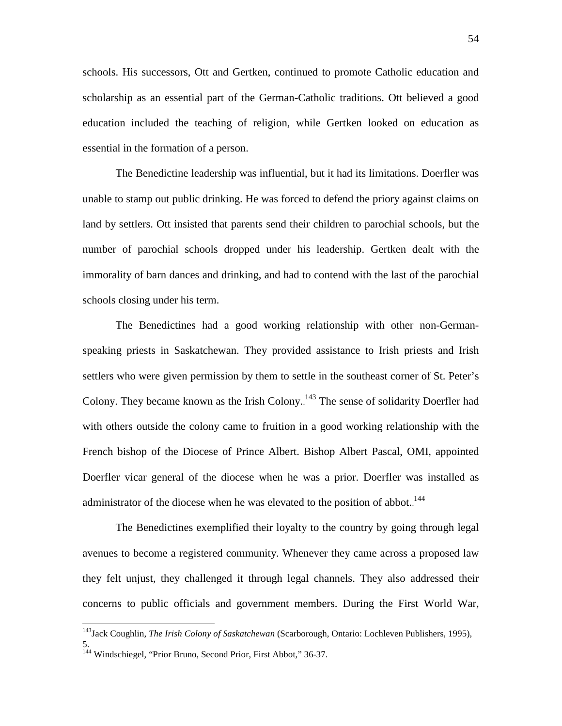schools. His successors, Ott and Gertken, continued to promote Catholic education and scholarship as an essential part of the German-Catholic traditions. Ott believed a good education included the teaching of religion, while Gertken looked on education as essential in the formation of a person.

The Benedictine leadership was influential, but it had its limitations. Doerfler was unable to stamp out public drinking. He was forced to defend the priory against claims on land by settlers. Ott insisted that parents send their children to parochial schools, but the number of parochial schools dropped under his leadership. Gertken dealt with the immorality of barn dances and drinking, and had to contend with the last of the parochial schools closing under his term.

The Benedictines had a good working relationship with other non-Germanspeaking priests in Saskatchewan. They provided assistance to Irish priests and Irish settlers who were given permission by them to settle in the southeast corner of St. Peter's Colony. They became known as the Irish Colony.<sup>143</sup> The sense of solidarity Doerfler had with others outside the colony came to fruition in a good working relationship with the French bishop of the Diocese of Prince Albert. Bishop Albert Pascal, OMI, appointed Doerfler vicar general of the diocese when he was a prior. Doerfler was installed as administrator of the diocese when he was elevated to the position of abbot. $144$ 

The Benedictines exemplified their loyalty to the country by going through legal avenues to become a registered community. Whenever they came across a proposed law they felt unjust, they challenged it through legal channels. They also addressed their concerns to public officials and government members. During the First World War,

5.

 <sup>143</sup>Jack Coughlin, *The Irish Colony of Saskatchewan* (Scarborough, Ontario: Lochleven Publishers, 1995),

<sup>&</sup>lt;sup>144</sup> Windschiegel, "Prior Bruno, Second Prior, First Abbot," 36-37.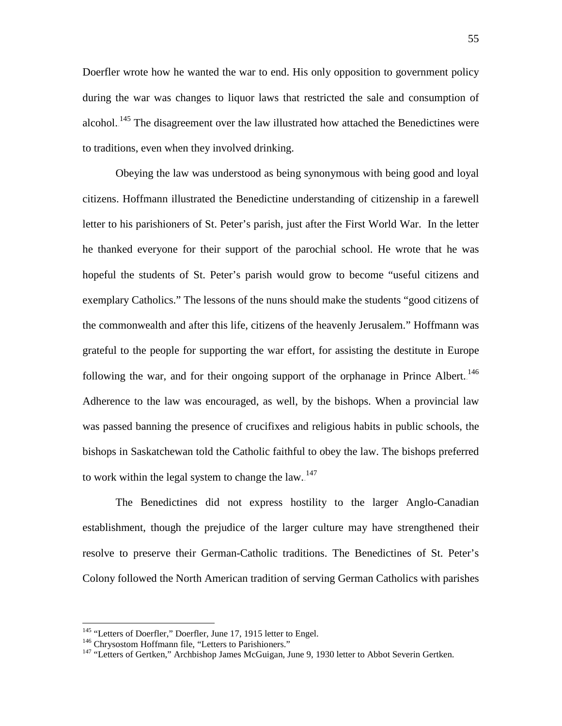Doerfler wrote how he wanted the war to end. His only opposition to government policy during the war was changes to liquor laws that restricted the sale and consumption of alcohol.<sup>145</sup> The disagreement over the law illustrated how attached the Benedictines were to traditions, even when they involved drinking.

Obeying the law was understood as being synonymous with being good and loyal citizens. Hoffmann illustrated the Benedictine understanding of citizenship in a farewell letter to his parishioners of St. Peter's parish, just after the First World War. In the letter he thanked everyone for their support of the parochial school. He wrote that he was hopeful the students of St. Peter's parish would grow to become "useful citizens and exemplary Catholics." The lessons of the nuns should make the students "good citizens of the commonwealth and after this life, citizens of the heavenly Jerusalem." Hoffmann was grateful to the people for supporting the war effort, for assisting the destitute in Europe following the war, and for their ongoing support of the orphanage in Prince Albert.<sup>146</sup> Adherence to the law was encouraged, as well, by the bishops. When a provincial law was passed banning the presence of crucifixes and religious habits in public schools, the bishops in Saskatchewan told the Catholic faithful to obey the law. The bishops preferred to work within the legal system to change the  $law$ .  $147$ 

The Benedictines did not express hostility to the larger Anglo-Canadian establishment, though the prejudice of the larger culture may have strengthened their resolve to preserve their German-Catholic traditions. The Benedictines of St. Peter's Colony followed the North American tradition of serving German Catholics with parishes

<sup>&</sup>lt;sup>145</sup> "Letters of Doerfler," Doerfler, June 17, 1915 letter to Engel.<br><sup>146</sup> Chrysostom Hoffmann file, "Letters to Parishioners."<br><sup>147</sup> "Letters of Gertken," Archbishop James McGuigan, June 9, 1930 letter to Abbot Severin G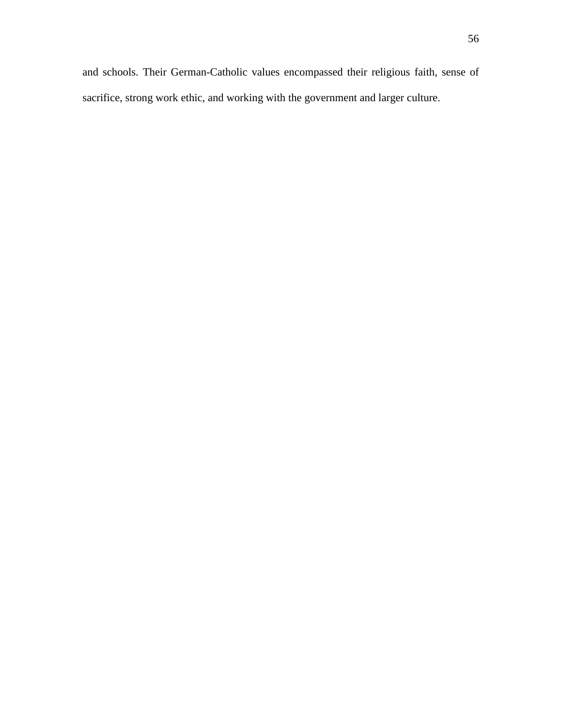and schools. Their German-Catholic values encompassed their religious faith, sense of sacrifice, strong work ethic, and working with the government and larger culture.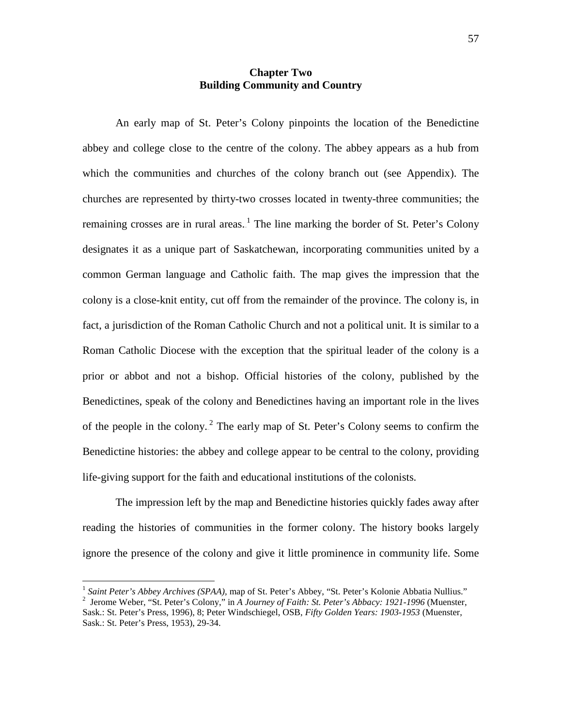## **Chapter Two Building Community and Country**

An early map of St. Peter's Colony pinpoints the location of the Benedictine abbey and college close to the centre of the colony. The abbey appears as a hub from which the communities and churches of the colony branch out (see Appendix). The churches are represented by thirty-two crosses located in twenty-three communities; the remaining crosses are in rural areas.<sup>1</sup> The line marking the border of St. Peter's Colony designates it as a unique part of Saskatchewan, incorporating communities united by a common German language and Catholic faith. The map gives the impression that the colony is a close-knit entity, cut off from the remainder of the province. The colony is, in fact, a jurisdiction of the Roman Catholic Church and not a political unit. It is similar to a Roman Catholic Diocese with the exception that the spiritual leader of the colony is a prior or abbot and not a bishop. Official histories of the colony, published by the Benedictines, speak of the colony and Benedictines having an important role in the lives of the people in the colony.<sup>2</sup> The early map of St. Peter's Colony seems to confirm the Benedictine histories: the abbey and college appear to be central to the colony, providing life-giving support for the faith and educational institutions of the colonists.

The impression left by the map and Benedictine histories quickly fades away after reading the histories of communities in the former colony. The history books largely ignore the presence of the colony and give it little prominence in community life. Some

<sup>&</sup>lt;sup>1</sup> Saint Peter's Abbey Archives (SPAA), map of St. Peter's Abbey, "St. Peter's Kolonie Abbatia Nullius." <sup>2</sup> Jerome Weber, "St. Peter's Colony," in *A Journey of Faith: St. Peter's Abbacy: 1921-1996* (Muenster,

Sask.: St. Peter's Press, 1996), 8; Peter Windschiegel, OSB, *Fifty Golden Years: 1903-1953* (Muenster, Sask.: St. Peter's Press, 1953), 29-34.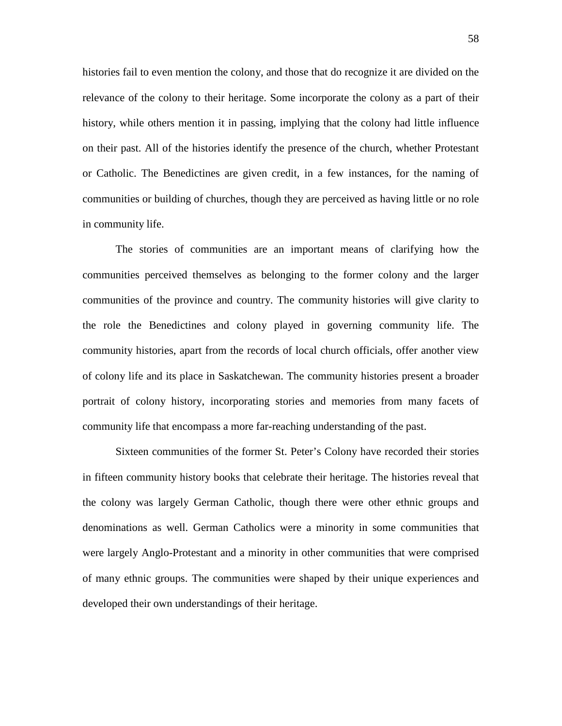histories fail to even mention the colony, and those that do recognize it are divided on the relevance of the colony to their heritage. Some incorporate the colony as a part of their history, while others mention it in passing, implying that the colony had little influence on their past. All of the histories identify the presence of the church, whether Protestant or Catholic. The Benedictines are given credit, in a few instances, for the naming of communities or building of churches, though they are perceived as having little or no role in community life.

The stories of communities are an important means of clarifying how the communities perceived themselves as belonging to the former colony and the larger communities of the province and country. The community histories will give clarity to the role the Benedictines and colony played in governing community life. The community histories, apart from the records of local church officials, offer another view of colony life and its place in Saskatchewan. The community histories present a broader portrait of colony history, incorporating stories and memories from many facets of community life that encompass a more far-reaching understanding of the past.

Sixteen communities of the former St. Peter's Colony have recorded their stories in fifteen community history books that celebrate their heritage. The histories reveal that the colony was largely German Catholic, though there were other ethnic groups and denominations as well. German Catholics were a minority in some communities that were largely Anglo-Protestant and a minority in other communities that were comprised of many ethnic groups. The communities were shaped by their unique experiences and developed their own understandings of their heritage.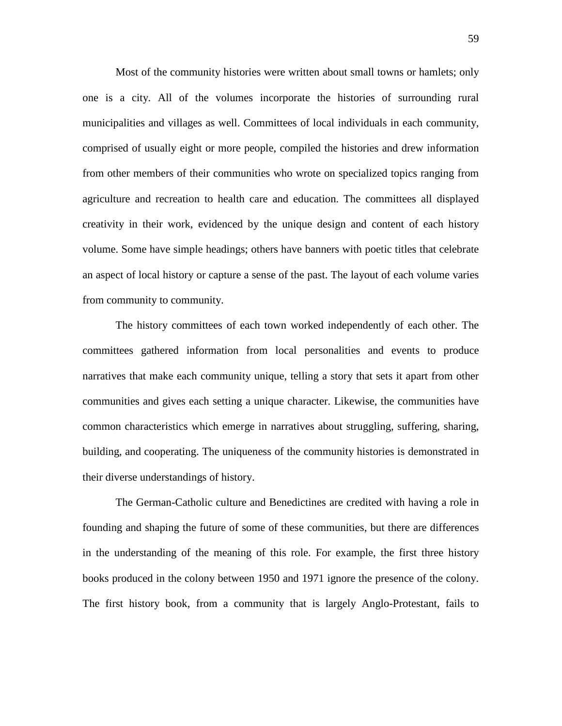Most of the community histories were written about small towns or hamlets; only one is a city. All of the volumes incorporate the histories of surrounding rural municipalities and villages as well. Committees of local individuals in each community, comprised of usually eight or more people, compiled the histories and drew information from other members of their communities who wrote on specialized topics ranging from agriculture and recreation to health care and education. The committees all displayed creativity in their work, evidenced by the unique design and content of each history volume. Some have simple headings; others have banners with poetic titles that celebrate an aspect of local history or capture a sense of the past. The layout of each volume varies from community to community.

The history committees of each town worked independently of each other. The committees gathered information from local personalities and events to produce narratives that make each community unique, telling a story that sets it apart from other communities and gives each setting a unique character. Likewise, the communities have common characteristics which emerge in narratives about struggling, suffering, sharing, building, and cooperating. The uniqueness of the community histories is demonstrated in their diverse understandings of history.

The German-Catholic culture and Benedictines are credited with having a role in founding and shaping the future of some of these communities, but there are differences in the understanding of the meaning of this role. For example, the first three history books produced in the colony between 1950 and 1971 ignore the presence of the colony. The first history book, from a community that is largely Anglo-Protestant, fails to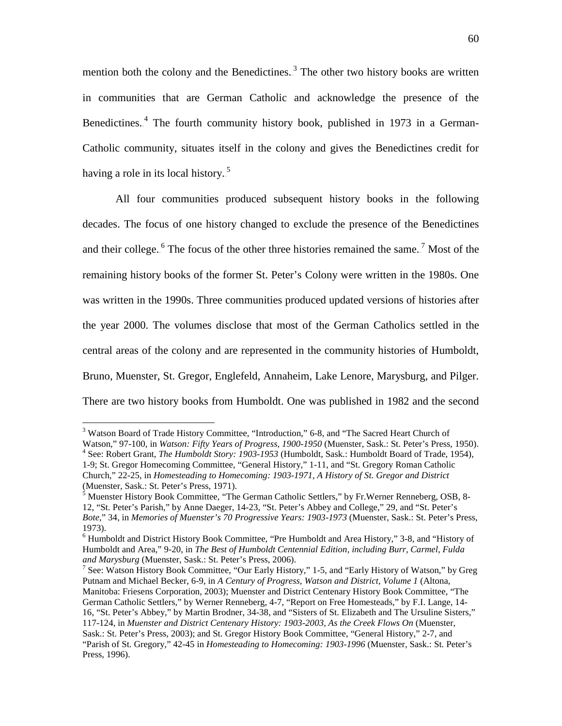mention both the colony and the Benedictines.<sup>3</sup> The other two history books are written in communities that are German Catholic and acknowledge the presence of the Benedictines.<sup>4</sup> The fourth community history book, published in 1973 in a German-Catholic community, situates itself in the colony and gives the Benedictines credit for having a role in its local history.<sup>5</sup>

All four communities produced subsequent history books in the following decades. The focus of one history changed to exclude the presence of the Benedictines and their college.<sup>6</sup> The focus of the other three histories remained the same.<sup>7</sup> Most of the remaining history books of the former St. Peter's Colony were written in the 1980s. One was written in the 1990s. Three communities produced updated versions of histories after the year 2000. The volumes disclose that most of the German Catholics settled in the central areas of the colony and are represented in the community histories of Humboldt, Bruno, Muenster, St. Gregor, Englefeld, Annaheim, Lake Lenore, Marysburg, and Pilger. There are two history books from Humboldt. One was published in 1982 and the second

<sup>&</sup>lt;sup>3</sup> Watson Board of Trade History Committee, "Introduction," 6-8, and "The Sacred Heart Church of Watson," 97-100, in *Watson: Fifty Years of Progress, 1900-1950* (Muenster, Sask.: St. Peter's Press, 1950). <sup>4</sup> See: Robert Grant, *The Humboldt Story: 1903-1953* (Humboldt, Sask.: Humboldt Board of Trade, 1954),

<sup>1-9;</sup> St. Gregor Homecoming Committee, "General History," 1-11, and "St. Gregory Roman Catholic Church," 22-25, in *Homesteading to Homecoming: 1903-1971, A History of St. Gregor and District* (Muenster, Sask.: St. Peter's Press, 1971).

<sup>5</sup> Muenster History Book Committee, "The German Catholic Settlers," by Fr.Werner Renneberg, OSB, 8- 12, "St. Peter's Parish," by Anne Daeger, 14-23, "St. Peter's Abbey and College," 29, and "St. Peter's *Bote*," 34, in *Memories of Muenster's 70 Progressive Years: 1903-1973* (Muenster, Sask.: St. Peter's Press, 1973).

<sup>6</sup> Humboldt and District History Book Committee, "Pre Humboldt and Area History," 3-8, and "History of Humboldt and Area," 9-20, in *The Best of Humboldt Centennial Edition, including Burr, Carmel, Fulda* 

<sup>&</sup>lt;sup>7</sup> See: Watson History Book Committee, "Our Early History," 1-5, and "Early History of Watson," by Greg Putnam and Michael Becker, 6-9, in *A Century of Progress, Watson and District, Volume 1* (Altona, Manitoba: Friesens Corporation, 2003); Muenster and District Centenary History Book Committee, "The German Catholic Settlers," by Werner Renneberg, 4-7, "Report on Free Homesteads," by F.I. Lange, 14- 16, "St. Peter's Abbey," by Martin Brodner, 34-38, and "Sisters of St. Elizabeth and The Ursuline Sisters," 117-124, in *Muenster and District Centenary History: 1903-2003, As the Creek Flows On* (Muenster, Sask.: St. Peter's Press, 2003); and St. Gregor History Book Committee, "General History," 2-7, and "Parish of St. Gregory," 42-45 in *Homesteading to Homecoming: 1903-1996* (Muenster, Sask.: St. Peter's Press, 1996).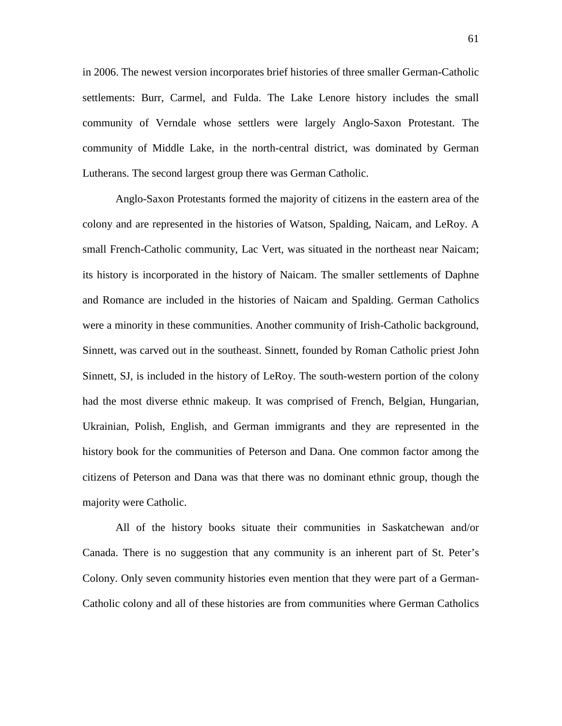in 2006. The newest version incorporates brief histories of three smaller German-Catholic settlements: Burr, Carmel, and Fulda. The Lake Lenore history includes the small community of Verndale whose settlers were largely Anglo-Saxon Protestant. The community of Middle Lake, in the north-central district, was dominated by German Lutherans. The second largest group there was German Catholic.

Anglo-Saxon Protestants formed the majority of citizens in the eastern area of the colony and are represented in the histories of Watson, Spalding, Naicam, and LeRoy. A small French-Catholic community, Lac Vert, was situated in the northeast near Naicam; its history is incorporated in the history of Naicam. The smaller settlements of Daphne and Romance are included in the histories of Naicam and Spalding. German Catholics were a minority in these communities. Another community of Irish-Catholic background, Sinnett, was carved out in the southeast. Sinnett, founded by Roman Catholic priest John Sinnett, SJ, is included in the history of LeRoy. The south-western portion of the colony had the most diverse ethnic makeup. It was comprised of French, Belgian, Hungarian, Ukrainian, Polish, English, and German immigrants and they are represented in the history book for the communities of Peterson and Dana. One common factor among the citizens of Peterson and Dana was that there was no dominant ethnic group, though the majority were Catholic.

All of the history books situate their communities in Saskatchewan and/or Canada. There is no suggestion that any community is an inherent part of St. Peter's Colony. Only seven community histories even mention that they were part of a German-Catholic colony and all of these histories are from communities where German Catholics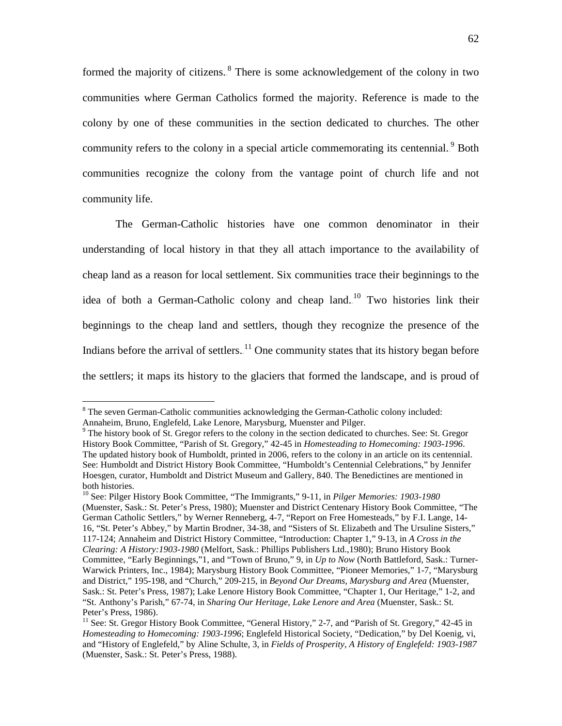formed the majority of citizens.<sup>8</sup> There is some acknowledgement of the colony in two communities where German Catholics formed the majority. Reference is made to the colony by one of these communities in the section dedicated to churches. The other community refers to the colony in a special article commemorating its centennial.<sup>9</sup> Both communities recognize the colony from the vantage point of church life and not community life.

The German-Catholic histories have one common denominator in their understanding of local history in that they all attach importance to the availability of cheap land as a reason for local settlement. Six communities trace their beginnings to the idea of both a German-Catholic colony and cheap land.<sup>10</sup> Two histories link their beginnings to the cheap land and settlers, though they recognize the presence of the Indians before the arrival of settlers.<sup>11</sup> One community states that its history began before the settlers; it maps its history to the glaciers that formed the landscape, and is proud of

<sup>&</sup>lt;sup>8</sup> The seven German-Catholic communities acknowledging the German-Catholic colony included: Annaheim, Bruno, Englefeld, Lake Lenore, Marysburg, Muenster and Pilger.

<sup>&</sup>lt;sup>9</sup> The history book of St. Gregor refers to the colony in the section dedicated to churches. See: St. Gregor History Book Committee, "Parish of St. Gregory," 42-45 in *Homesteading to Homecoming: 1903-1996*. The updated history book of Humboldt, printed in 2006, refers to the colony in an article on its centennial. See: Humboldt and District History Book Committee, "Humboldt's Centennial Celebrations," by Jennifer Hoesgen, curator, Humboldt and District Museum and Gallery, 840. The Benedictines are mentioned in both histories.

<sup>10</sup> See: Pilger History Book Committee, "The Immigrants," 9-11, in *Pilger Memories: 1903-1980* (Muenster, Sask.: St. Peter's Press, 1980); Muenster and District Centenary History Book Committee, "The German Catholic Settlers," by Werner Renneberg, 4-7, "Report on Free Homesteads," by F.I. Lange, 14- 16, "St. Peter's Abbey," by Martin Brodner, 34-38, and "Sisters of St. Elizabeth and The Ursuline Sisters," 117-124; Annaheim and District History Committee, "Introduction: Chapter 1," 9-13, in *A Cross in the Clearing: A History:1903-1980* (Melfort, Sask.: Phillips Publishers Ltd.,1980); Bruno History Book Committee, "Early Beginnings,"1, and "Town of Bruno," 9, in *Up to Now* (North Battleford, Sask.: Turner-Warwick Printers, Inc., 1984); Marysburg History Book Committee, "Pioneer Memories," 1-7, "Marysburg and District," 195-198, and "Church," 209-215, in *Beyond Our Dreams, Marysburg and Area* (Muenster, Sask.: St. Peter's Press, 1987); Lake Lenore History Book Committee, "Chapter 1, Our Heritage," 1-2, and "St. Anthony's Parish," 67-74, in *Sharing Our Heritage, Lake Lenore and Area* (Muenster, Sask.: St. Peter's Press, 1986).

 $11$  See: St. Gregor History Book Committee, "General History," 2-7, and "Parish of St. Gregory," 42-45 in *Homesteading to Homecoming: 1903-1996*; Englefeld Historical Society, "Dedication," by Del Koenig, vi, and "History of Englefeld," by Aline Schulte, 3, in *Fields of Prosperity, A History of Englefeld: 1903-1987* (Muenster, Sask.: St. Peter's Press, 1988).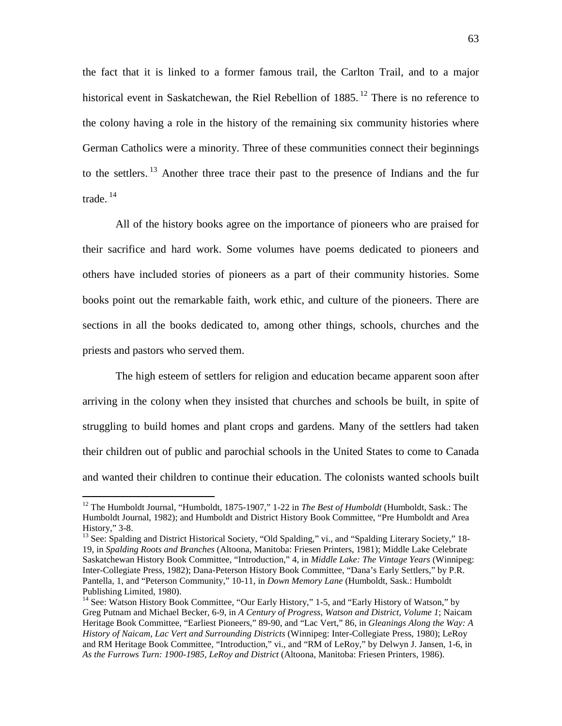the fact that it is linked to a former famous trail, the Carlton Trail, and to a major historical event in Saskatchewan, the Riel Rebellion of 1885.<sup>12</sup> There is no reference to the colony having a role in the history of the remaining six community histories where German Catholics were a minority. Three of these communities connect their beginnings to the settlers.<sup>13</sup> Another three trace their past to the presence of Indians and the fur trade. $^{14}$ 

All of the history books agree on the importance of pioneers who are praised for their sacrifice and hard work. Some volumes have poems dedicated to pioneers and others have included stories of pioneers as a part of their community histories. Some books point out the remarkable faith, work ethic, and culture of the pioneers. There are sections in all the books dedicated to, among other things, schools, churches and the priests and pastors who served them.

The high esteem of settlers for religion and education became apparent soon after arriving in the colony when they insisted that churches and schools be built, in spite of struggling to build homes and plant crops and gardens. Many of the settlers had taken their children out of public and parochial schools in the United States to come to Canada and wanted their children to continue their education. The colonists wanted schools built

 <sup>12</sup> The Humboldt Journal, "Humboldt, 1875-1907," 1-22 in *The Best of Humboldt* (Humboldt, Sask.: The Humboldt Journal, 1982); and Humboldt and District History Book Committee, "Pre Humboldt and Area History," 3-8.<br><sup>13</sup> See: Spalding and District Historical Society, "Old Spalding," vi., and "Spalding Literary Society," 18-

<sup>19,</sup> in *Spalding Roots and Branches* (Altoona, Manitoba: Friesen Printers, 1981); Middle Lake Celebrate Saskatchewan History Book Committee, "Introduction," 4, in *Middle Lake: The Vintage Years* (Winnipeg: Inter-Collegiate Press, 1982); Dana-Peterson History Book Committee, "Dana's Early Settlers," by P.R. Pantella, 1, and "Peterson Community," 10-11, in *Down Memory Lane* (Humboldt, Sask.: Humboldt Publishing Limited, 1980).

<sup>&</sup>lt;sup>14</sup> See: Watson History Book Committee, "Our Early History," 1-5, and "Early History of Watson," by Greg Putnam and Michael Becker, 6-9, in *A Century of Progress, Watson and District, Volume 1*; Naicam Heritage Book Committee, "Earliest Pioneers," 89-90, and "Lac Vert," 86, in *Gleanings Along the Way: A History of Naicam, Lac Vert and Surrounding Districts* (Winnipeg: Inter-Collegiate Press, 1980); LeRoy and RM Heritage Book Committee, "Introduction," vi., and "RM of LeRoy," by Delwyn J. Jansen, 1-6, in *As the Furrows Turn: 1900-1985, LeRoy and District* (Altoona, Manitoba: Friesen Printers, 1986).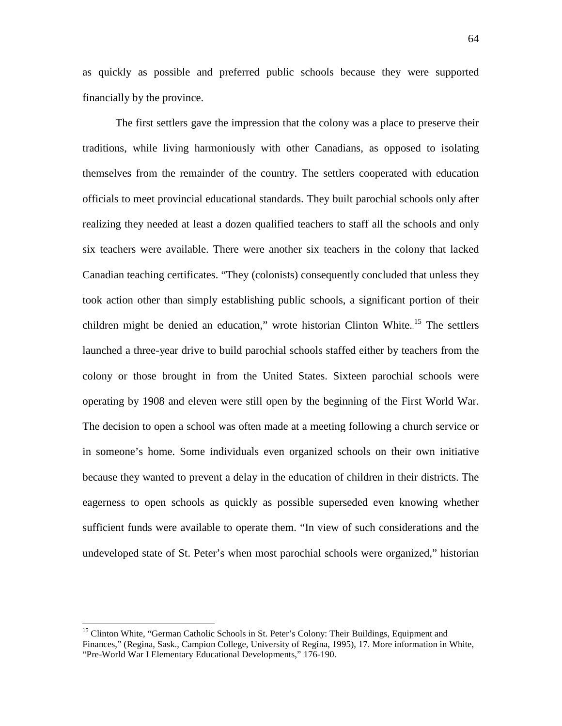as quickly as possible and preferred public schools because they were supported financially by the province.

The first settlers gave the impression that the colony was a place to preserve their traditions, while living harmoniously with other Canadians, as opposed to isolating themselves from the remainder of the country. The settlers cooperated with education officials to meet provincial educational standards. They built parochial schools only after realizing they needed at least a dozen qualified teachers to staff all the schools and only six teachers were available. There were another six teachers in the colony that lacked Canadian teaching certificates. "They (colonists) consequently concluded that unless they took action other than simply establishing public schools, a significant portion of their children might be denied an education," wrote historian Clinton White.<sup>15</sup> The settlers launched a three-year drive to build parochial schools staffed either by teachers from the colony or those brought in from the United States. Sixteen parochial schools were operating by 1908 and eleven were still open by the beginning of the First World War. The decision to open a school was often made at a meeting following a church service or in someone's home. Some individuals even organized schools on their own initiative because they wanted to prevent a delay in the education of children in their districts. The eagerness to open schools as quickly as possible superseded even knowing whether sufficient funds were available to operate them. "In view of such considerations and the undeveloped state of St. Peter's when most parochial schools were organized," historian

<sup>&</sup>lt;sup>15</sup> Clinton White, "German Catholic Schools in St. Peter's Colony: Their Buildings, Equipment and Finances," (Regina, Sask., Campion College, University of Regina, 1995), 17. More information in White, "Pre-World War I Elementary Educational Developments," 176-190.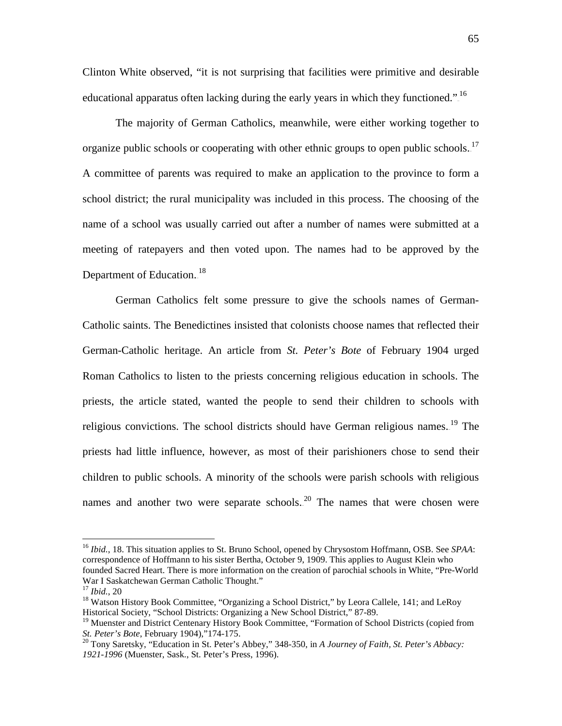Clinton White observed, "it is not surprising that facilities were primitive and desirable educational apparatus often lacking during the early years in which they functioned."<sup>16</sup>

The majority of German Catholics, meanwhile, were either working together to organize public schools or cooperating with other ethnic groups to open public schools.<sup>17</sup> A committee of parents was required to make an application to the province to form a school district; the rural municipality was included in this process. The choosing of the name of a school was usually carried out after a number of names were submitted at a meeting of ratepayers and then voted upon. The names had to be approved by the Department of Education.<sup>18</sup>

German Catholics felt some pressure to give the schools names of German-Catholic saints. The Benedictines insisted that colonists choose names that reflected their German-Catholic heritage. An article from *St. Peter's Bote* of February 1904 urged Roman Catholics to listen to the priests concerning religious education in schools. The priests, the article stated, wanted the people to send their children to schools with religious convictions. The school districts should have German religious names.<sup>19</sup> The priests had little influence, however, as most of their parishioners chose to send their children to public schools. A minority of the schools were parish schools with religious names and another two were separate schools.<sup>20</sup> The names that were chosen were

 <sup>16</sup> *Ibid.*, 18. This situation applies to St. Bruno School, opened by Chrysostom Hoffmann, OSB. See *SPAA*: correspondence of Hoffmann to his sister Bertha, October 9, 1909. This applies to August Klein who founded Sacred Heart. There is more information on the creation of parochial schools in White, "Pre-World War I Saskatchewan German Catholic Thought."<br><sup>17</sup> Ibid.. 20

<sup>&</sup>lt;sup>18</sup> Watson History Book Committee, "Organizing a School District," by Leora Callele, 141; and LeRoy Historical Society, "School Districts: Organizing a New School District," 87-89.

 $<sup>19</sup>$  Muenster and District Centenary History Book Committee, "Formation of School Districts (copied from</sup> *St. Peter's Bote*, February 1904),"174-175.<sup>20</sup> Tony Saretsky, "Education in St. Peter's Abbey," 348-350, in *A Journey of Faith, St. Peter's Abbacy:* 

*<sup>1921-1996</sup>* (Muenster, Sask., St. Peter's Press, 1996).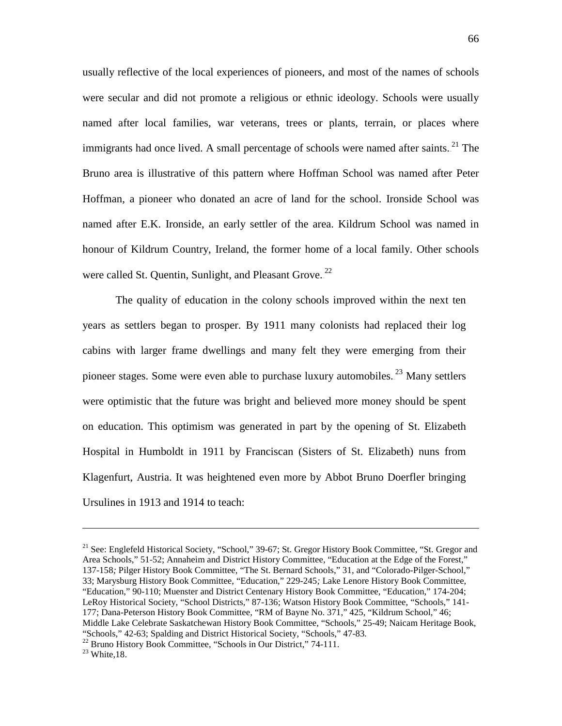usually reflective of the local experiences of pioneers, and most of the names of schools were secular and did not promote a religious or ethnic ideology. Schools were usually named after local families, war veterans, trees or plants, terrain, or places where immigrants had once lived. A small percentage of schools were named after saints.<sup>21</sup> The Bruno area is illustrative of this pattern where Hoffman School was named after Peter Hoffman, a pioneer who donated an acre of land for the school. Ironside School was named after E.K. Ironside, an early settler of the area. Kildrum School was named in honour of Kildrum Country, Ireland, the former home of a local family. Other schools were called St. Quentin, Sunlight, and Pleasant Grove. $^{22}$ 

The quality of education in the colony schools improved within the next ten years as settlers began to prosper. By 1911 many colonists had replaced their log cabins with larger frame dwellings and many felt they were emerging from their pioneer stages. Some were even able to purchase luxury automobiles.<sup>23</sup> Many settlers were optimistic that the future was bright and believed more money should be spent on education. This optimism was generated in part by the opening of St. Elizabeth Hospital in Humboldt in 1911 by Franciscan (Sisters of St. Elizabeth) nuns from Klagenfurt, Austria. It was heightened even more by Abbot Bruno Doerfler bringing Ursulines in 1913 and 1914 to teach:

<sup>21</sup> See: Englefeld Historical Society, "School," 39-67; St. Gregor History Book Committee, "St. Gregor and Area Schools," 51-52; Annaheim and District History Committee, "Education at the Edge of the Forest," 137-158*;* Pilger History Book Committee, "The St. Bernard Schools," 31, and "Colorado-Pilger-School," 33; Marysburg History Book Committee, "Education," 229-245*;* Lake Lenore History Book Committee, "Education," 90-110; Muenster and District Centenary History Book Committee, "Education," 174-204; LeRoy Historical Society*,* "School Districts," 87-136; Watson History Book Committee, "Schools," 141- 177; Dana-Peterson History Book Committee, "RM of Bayne No. 371," 425, "Kildrum School," 46; Middle Lake Celebrate Saskatchewan History Book Committee, "Schools," 25-49; Naicam Heritage Book, "Schools," 42-63; Spalding and District Historical Society, "Schools," 47-83*.* <sup>22</sup> Bruno History Book Committee, "Schools in Our District," 74-111. <sup>23</sup> White,18.

 $\overline{a}$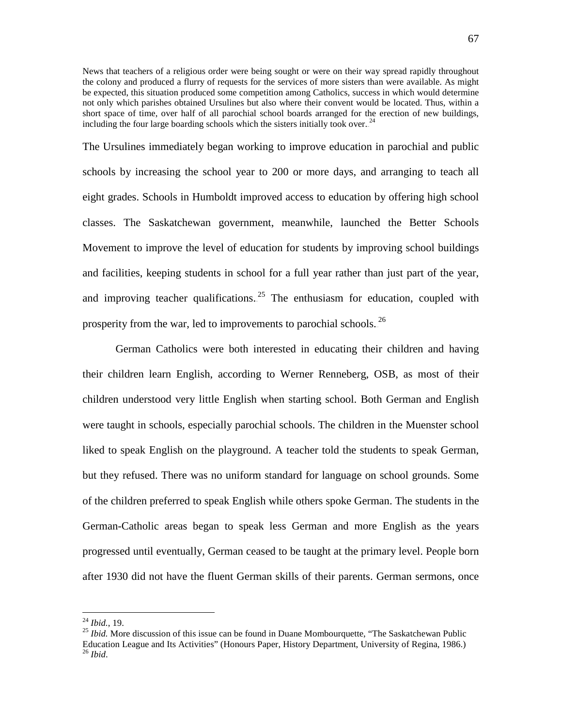News that teachers of a religious order were being sought or were on their way spread rapidly throughout the colony and produced a flurry of requests for the services of more sisters than were available. As might be expected, this situation produced some competition among Catholics, success in which would determine not only which parishes obtained Ursulines but also where their convent would be located. Thus, within a short space of time, over half of all parochial school boards arranged for the erection of new buildings, including the four large boarding schools which the sisters initially took over.<sup>24</sup>

The Ursulines immediately began working to improve education in parochial and public schools by increasing the school year to 200 or more days, and arranging to teach all eight grades. Schools in Humboldt improved access to education by offering high school classes. The Saskatchewan government, meanwhile, launched the Better Schools Movement to improve the level of education for students by improving school buildings and facilities, keeping students in school for a full year rather than just part of the year, and improving teacher qualifications.<sup>25</sup> The enthusiasm for education, coupled with prosperity from the war, led to improvements to parochial schools.<sup>26</sup>

German Catholics were both interested in educating their children and having their children learn English, according to Werner Renneberg, OSB, as most of their children understood very little English when starting school. Both German and English were taught in schools, especially parochial schools. The children in the Muenster school liked to speak English on the playground. A teacher told the students to speak German, but they refused. There was no uniform standard for language on school grounds. Some of the children preferred to speak English while others spoke German. The students in the German-Catholic areas began to speak less German and more English as the years progressed until eventually, German ceased to be taught at the primary level. People born after 1930 did not have the fluent German skills of their parents. German sermons, once

<sup>&</sup>lt;sup>24</sup> *Ibid.*, 19.<br><sup>25</sup> *Ibid.* More discussion of this issue can be found in Duane Mombourquette, "The Saskatchewan Public Education League and Its Activities" (Honours Paper, History Department, University of Regina, 1986.) <sup>26</sup> *Ibid*.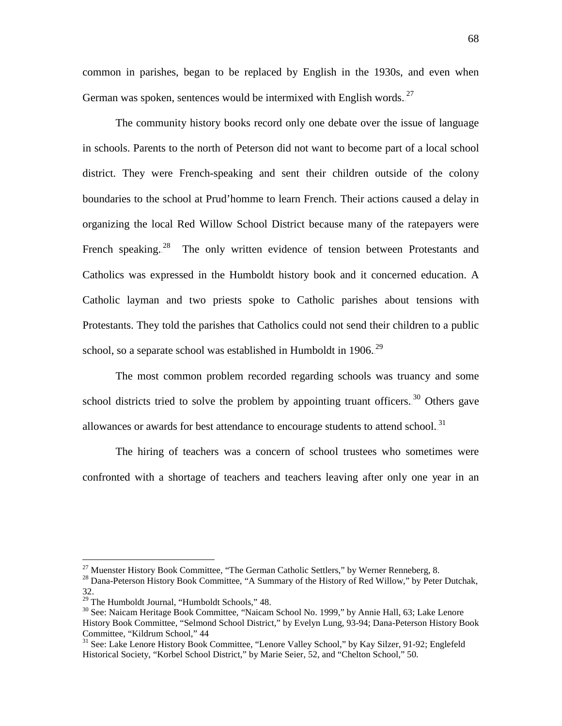common in parishes, began to be replaced by English in the 1930s, and even when German was spoken, sentences would be intermixed with English words. $^{27}$ 

The community history books record only one debate over the issue of language in schools. Parents to the north of Peterson did not want to become part of a local school district. They were French-speaking and sent their children outside of the colony boundaries to the school at Prud'homme to learn French. Their actions caused a delay in organizing the local Red Willow School District because many of the ratepayers were French speaking.<sup>28</sup> The only written evidence of tension between Protestants and Catholics was expressed in the Humboldt history book and it concerned education. A Catholic layman and two priests spoke to Catholic parishes about tensions with Protestants. They told the parishes that Catholics could not send their children to a public school, so a separate school was established in Humboldt in 1906.<sup>29</sup>

The most common problem recorded regarding schools was truancy and some school districts tried to solve the problem by appointing truant officers.<sup>30</sup> Others gave allowances or awards for best attendance to encourage students to attend school.<sup>31</sup>

The hiring of teachers was a concern of school trustees who sometimes were confronted with a shortage of teachers and teachers leaving after only one year in an

<sup>&</sup>lt;sup>27</sup> Muenster History Book Committee, "The German Catholic Settlers," by Werner Renneberg, 8.<br><sup>28</sup> Dana-Peterson History Book Committee, "A Summary of the History of Red Willow," by Peter Dutchak, 32.<br><sup>29</sup> The Humboldt Journal, "Humboldt Schools," 48.

<sup>&</sup>lt;sup>30</sup> See: Naicam Heritage Book Committee, "Naicam School No. 1999," by Annie Hall, 63; Lake Lenore History Book Committee, "Selmond School District," by Evelyn Lung, 93-94; Dana-Peterson History Book Committee, "Kildrum School," 44

<sup>&</sup>lt;sup>31</sup> See: Lake Lenore History Book Committee, "Lenore Valley School," by Kay Silzer, 91-92; Englefeld Historical Society, "Korbel School District," by Marie Seier, 52, and "Chelton School," 50*.*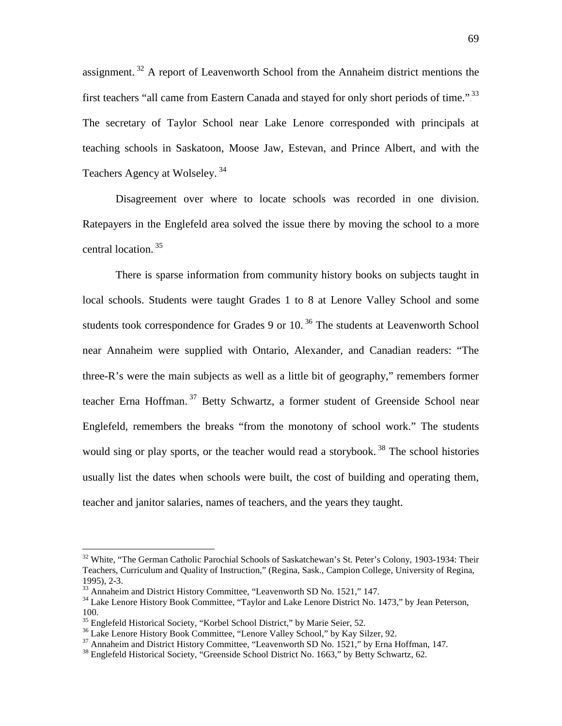assignment.<sup>32</sup> A report of Leavenworth School from the Annaheim district mentions the first teachers "all came from Eastern Canada and stayed for only short periods of time.".<sup>33</sup> The secretary of Taylor School near Lake Lenore corresponded with principals at teaching schools in Saskatoon, Moose Jaw, Estevan, and Prince Albert, and with the Teachers Agency at Wolseley..<sup>34</sup>

Disagreement over where to locate schools was recorded in one division. Ratepayers in the Englefeld area solved the issue there by moving the school to a more central location.<sup>35</sup>

There is sparse information from community history books on subjects taught in local schools. Students were taught Grades 1 to 8 at Lenore Valley School and some students took correspondence for Grades 9 or  $10.^{36}$  The students at Leavenworth School near Annaheim were supplied with Ontario, Alexander, and Canadian readers: "The three-R's were the main subjects as well as a little bit of geography," remembers former teacher Erna Hoffman.<sup>37</sup> Betty Schwartz, a former student of Greenside School near Englefeld, remembers the breaks "from the monotony of school work." The students would sing or play sports, or the teacher would read a storybook.<sup>38</sup> The school histories usually list the dates when schools were built, the cost of building and operating them, teacher and janitor salaries, names of teachers, and the years they taught.

<sup>&</sup>lt;sup>32</sup> White, "The German Catholic Parochial Schools of Saskatchewan's St. Peter's Colony, 1903-1934: Their Teachers, Curriculum and Quality of Instruction," (Regina, Sask., Campion College, University of Regina, 1995), 2-3. 33 Annaheim and District History Committee, "Leavenworth SD No. 1521," 147*.* <sup>34</sup> Lake Lenore History Book Committee, "Taylor and Lake Lenore District No. 1473," by Jean Peterson,

<sup>&</sup>lt;sup>35</sup> Englefeld Historical Society, "Korbel School District," by Marie Seier, 52.

<sup>&</sup>lt;sup>36</sup> Lake Lenore History Book Committee, "Lenore Valley School," by Kay Silzer, 92.<br><sup>37</sup> Annaheim and District History Committee, "Leavenworth SD No. 1521," by Erna Hoffman, 147.<br><sup>38</sup> Englefeld Historical Society, "Greens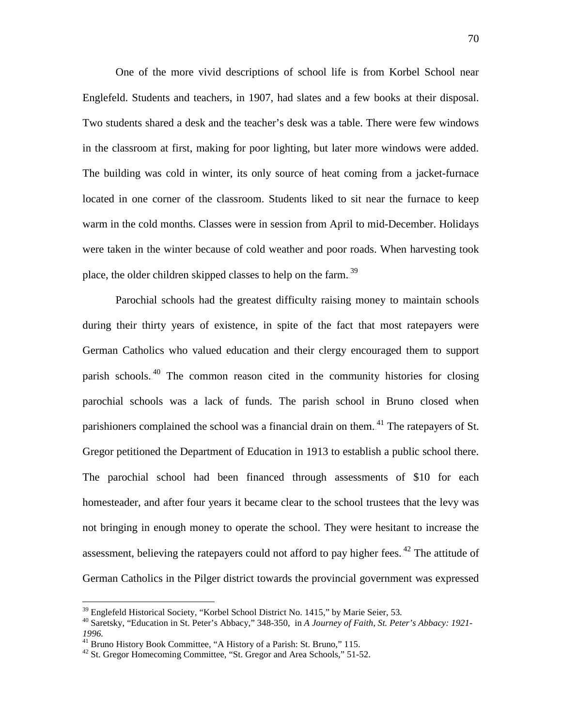One of the more vivid descriptions of school life is from Korbel School near Englefeld. Students and teachers, in 1907, had slates and a few books at their disposal. Two students shared a desk and the teacher's desk was a table. There were few windows in the classroom at first, making for poor lighting, but later more windows were added. The building was cold in winter, its only source of heat coming from a jacket-furnace located in one corner of the classroom. Students liked to sit near the furnace to keep warm in the cold months. Classes were in session from April to mid-December. Holidays were taken in the winter because of cold weather and poor roads. When harvesting took place, the older children skipped classes to help on the farm.<sup>39</sup>

Parochial schools had the greatest difficulty raising money to maintain schools during their thirty years of existence, in spite of the fact that most ratepayers were German Catholics who valued education and their clergy encouraged them to support parish schools.<sup>40</sup> The common reason cited in the community histories for closing parochial schools was a lack of funds. The parish school in Bruno closed when parishioners complained the school was a financial drain on them.<sup>41</sup> The ratepayers of St. Gregor petitioned the Department of Education in 1913 to establish a public school there. The parochial school had been financed through assessments of \$10 for each homesteader, and after four years it became clear to the school trustees that the levy was not bringing in enough money to operate the school. They were hesitant to increase the assessment, believing the ratepayers could not afford to pay higher fees. $42$  The attitude of German Catholics in the Pilger district towards the provincial government was expressed

<sup>&</sup>lt;sup>39</sup> Englefeld Historical Society, "Korbel School District No. 1415," by Marie Seier, 53.<br><sup>40</sup> Saretsky, "Education in St. Peter's Abbacy," 348-350, in *A Journey of Faith, St. Peter's Abbacy: 1921*-

<sup>&</sup>lt;sup>41</sup> Bruno History Book Committee, "A History of a Parish: St. Bruno," 115.<br><sup>42</sup> St. Gregor Homecoming Committee, "St. Gregor and Area Schools," 51-52.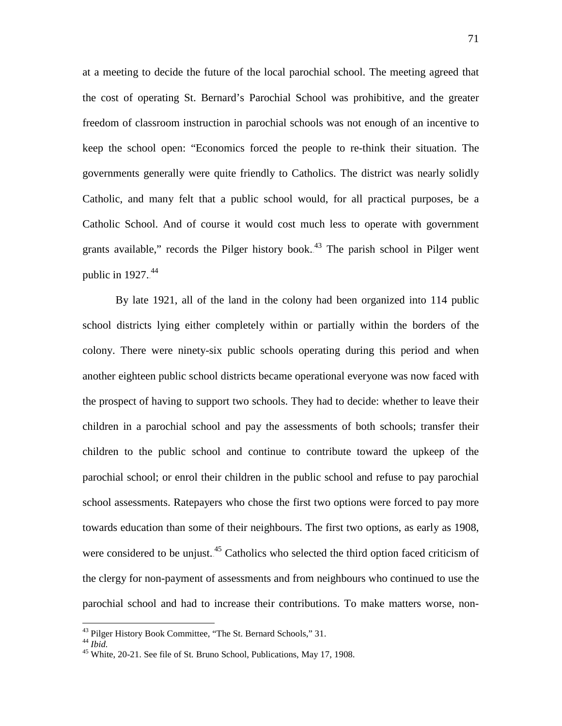at a meeting to decide the future of the local parochial school. The meeting agreed that the cost of operating St. Bernard's Parochial School was prohibitive, and the greater freedom of classroom instruction in parochial schools was not enough of an incentive to keep the school open: "Economics forced the people to re-think their situation. The governments generally were quite friendly to Catholics. The district was nearly solidly Catholic, and many felt that a public school would, for all practical purposes, be a Catholic School. And of course it would cost much less to operate with government grants available," records the Pilger history book. $43$  The parish school in Pilger went public in  $1927.<sup>44</sup>$ 

By late 1921, all of the land in the colony had been organized into 114 public school districts lying either completely within or partially within the borders of the colony. There were ninety-six public schools operating during this period and when another eighteen public school districts became operational everyone was now faced with the prospect of having to support two schools. They had to decide: whether to leave their children in a parochial school and pay the assessments of both schools; transfer their children to the public school and continue to contribute toward the upkeep of the parochial school; or enrol their children in the public school and refuse to pay parochial school assessments. Ratepayers who chose the first two options were forced to pay more towards education than some of their neighbours. The first two options, as early as 1908, were considered to be unjust.<sup>45</sup> Catholics who selected the third option faced criticism of the clergy for non-payment of assessments and from neighbours who continued to use the parochial school and had to increase their contributions. To make matters worse, non-

<sup>&</sup>lt;sup>43</sup> Pilger History Book Committee, "The St. Bernard Schools," 31.<br><sup>44</sup> *Ibid.* 45 White, 20-21. See file of St. Bruno School, Publications, May 17, 1908.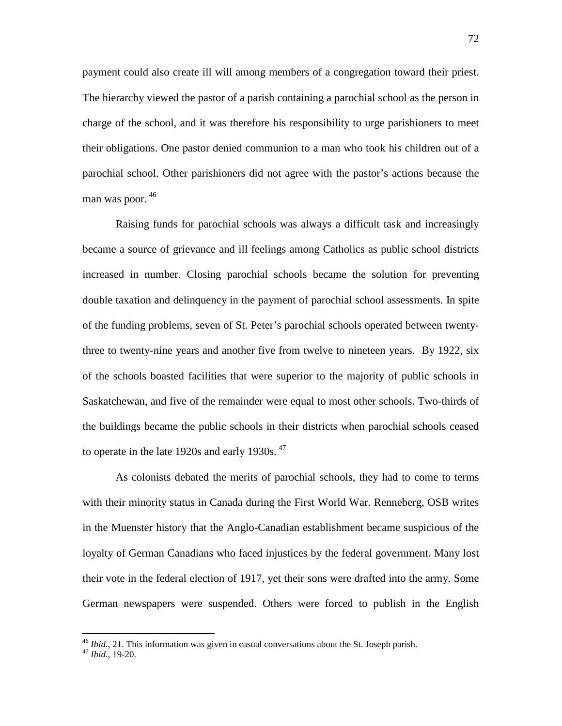payment could also create ill will among members of a congregation toward their priest. The hierarchy viewed the pastor of a parish containing a parochial school as the person in charge of the school, and it was therefore his responsibility to urge parishioners to meet their obligations. One pastor denied communion to a man who took his children out of a parochial school. Other parishioners did not agree with the pastor's actions because the man was poor.<sup>46</sup>

Raising funds for parochial schools was always a difficult task and increasingly became a source of grievance and ill feelings among Catholics as public school districts increased in number. Closing parochial schools became the solution for preventing double taxation and delinquency in the payment of parochial school assessments. In spite of the funding problems, seven of St. Peter's parochial schools operated between twentythree to twenty-nine years and another five from twelve to nineteen years. By 1922, six of the schools boasted facilities that were superior to the majority of public schools in Saskatchewan, and five of the remainder were equal to most other schools. Two-thirds of the buildings became the public schools in their districts when parochial schools ceased to operate in the late  $1920s$  and early  $1930s.<sup>47</sup>$ 

As colonists debated the merits of parochial schools, they had to come to terms with their minority status in Canada during the First World War. Renneberg, OSB writes in the Muenster history that the Anglo-Canadian establishment became suspicious of the loyalty of German Canadians who faced injustices by the federal government. Many lost their vote in the federal election of 1917, yet their sons were drafted into the army. Some German newspapers were suspended. Others were forced to publish in the English

<sup>46</sup> *Ibid.*, 21. This information was given in casual conversations about the St. Joseph parish. <sup>47</sup> *Ibid.,* 19-20.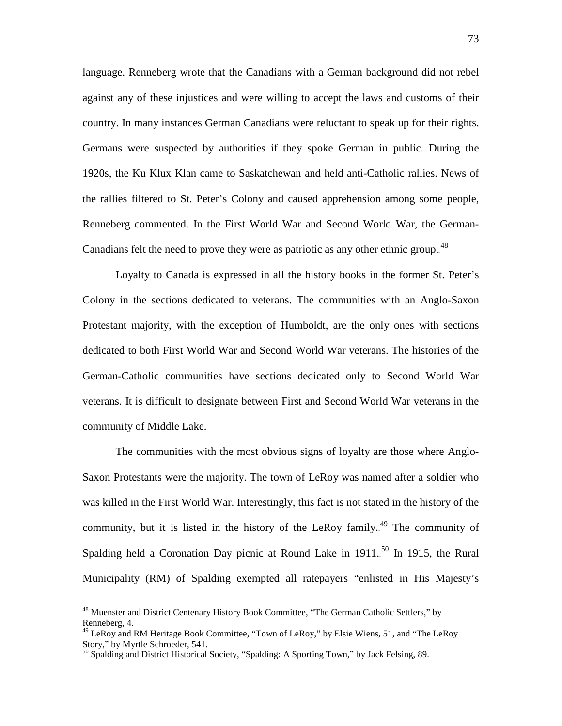language. Renneberg wrote that the Canadians with a German background did not rebel against any of these injustices and were willing to accept the laws and customs of their country. In many instances German Canadians were reluctant to speak up for their rights. Germans were suspected by authorities if they spoke German in public. During the 1920s, the Ku Klux Klan came to Saskatchewan and held anti-Catholic rallies. News of the rallies filtered to St. Peter's Colony and caused apprehension among some people, Renneberg commented. In the First World War and Second World War, the German-Canadians felt the need to prove they were as patriotic as any other ethnic group.  $48$ 

Loyalty to Canada is expressed in all the history books in the former St. Peter's Colony in the sections dedicated to veterans. The communities with an Anglo-Saxon Protestant majority, with the exception of Humboldt, are the only ones with sections dedicated to both First World War and Second World War veterans. The histories of the German-Catholic communities have sections dedicated only to Second World War veterans. It is difficult to designate between First and Second World War veterans in the community of Middle Lake.

The communities with the most obvious signs of loyalty are those where Anglo-Saxon Protestants were the majority. The town of LeRoy was named after a soldier who was killed in the First World War. Interestingly, this fact is not stated in the history of the community, but it is listed in the history of the LeRoy family.<sup>49</sup> The community of Spalding held a Coronation Day picnic at Round Lake in  $1911$ .<sup>50</sup> In 1915, the Rural Municipality (RM) of Spalding exempted all ratepayers "enlisted in His Majesty's

 <sup>48</sup> Muenster and District Centenary History Book Committee, "The German Catholic Settlers," by Renneberg, 4.

<sup>49</sup> LeRoy and RM Heritage Book Committee, "Town of LeRoy," by Elsie Wiens, 51, and "The LeRoy Story," by Myrtle Schroeder, 541.

<sup>&</sup>lt;sup>50</sup> Spalding and District Historical Society, "Spalding: A Sporting Town," by Jack Felsing, 89.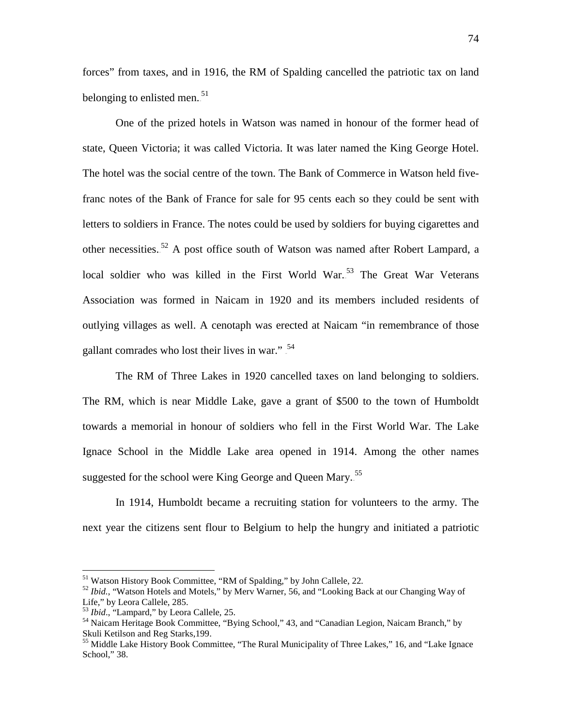forces" from taxes, and in 1916, the RM of Spalding cancelled the patriotic tax on land belonging to enlisted men.<sup>51</sup>

One of the prized hotels in Watson was named in honour of the former head of state, Queen Victoria; it was called Victoria. It was later named the King George Hotel. The hotel was the social centre of the town. The Bank of Commerce in Watson held fivefranc notes of the Bank of France for sale for 95 cents each so they could be sent with letters to soldiers in France. The notes could be used by soldiers for buying cigarettes and other necessities.<sup>52</sup> A post office south of Watson was named after Robert Lampard, a local soldier who was killed in the First World War.<sup>53</sup> The Great War Veterans Association was formed in Naicam in 1920 and its members included residents of outlying villages as well. A cenotaph was erected at Naicam "in remembrance of those gallant comrades who lost their lives in war."<sup>54</sup>

The RM of Three Lakes in 1920 cancelled taxes on land belonging to soldiers. The RM, which is near Middle Lake, gave a grant of \$500 to the town of Humboldt towards a memorial in honour of soldiers who fell in the First World War. The Lake Ignace School in the Middle Lake area opened in 1914. Among the other names suggested for the school were King George and Queen Mary.<sup>55</sup>

In 1914, Humboldt became a recruiting station for volunteers to the army. The next year the citizens sent flour to Belgium to help the hungry and initiated a patriotic

<sup>&</sup>lt;sup>51</sup> Watson History Book Committee, "RM of Spalding," by John Callele, 22.<br><sup>52</sup> *Ibid.*, "Watson Hotels and Motels," by Merv Warner, 56, and "Looking Back at our Changing Way of Life," by Leora Callele, 285.<br><sup>53</sup> *Ibid.*, "Lampard," by Leora Callele, 25.

<sup>&</sup>lt;sup>54</sup> Naicam Heritage Book Committee, "Bying School," 43, and "Canadian Legion, Naicam Branch," by Skuli Ketilson and Reg Starks,199.<br><sup>55</sup> Middle Lake History Book Committee, "The Rural Municipality of Three Lakes," 16, and "Lake Ignace"

School," 38.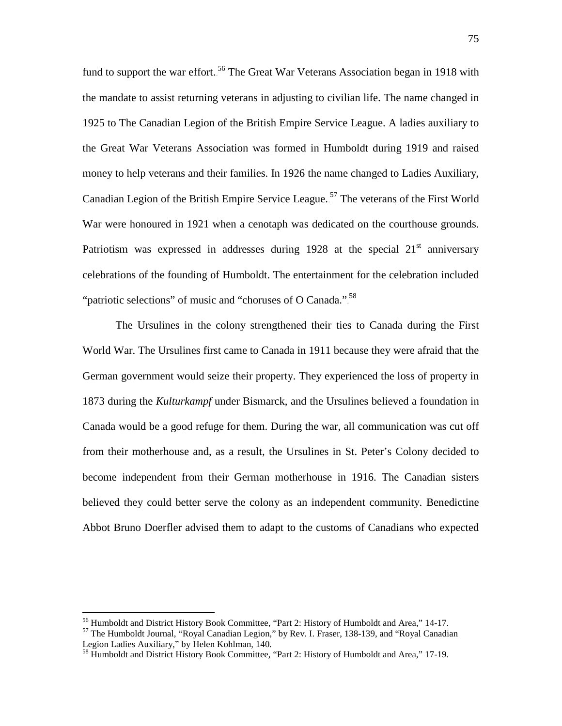fund to support the war effort.<sup>56</sup> The Great War Veterans Association began in 1918 with the mandate to assist returning veterans in adjusting to civilian life. The name changed in 1925 to The Canadian Legion of the British Empire Service League. A ladies auxiliary to the Great War Veterans Association was formed in Humboldt during 1919 and raised money to help veterans and their families. In 1926 the name changed to Ladies Auxiliary, Canadian Legion of the British Empire Service League.<sup>57</sup> The veterans of the First World War were honoured in 1921 when a cenotaph was dedicated on the courthouse grounds. Patriotism was expressed in addresses during 1928 at the special  $21<sup>st</sup>$  anniversary celebrations of the founding of Humboldt. The entertainment for the celebration included "patriotic selections" of music and "choruses of O Canada.".<sup>58</sup>

The Ursulines in the colony strengthened their ties to Canada during the First World War. The Ursulines first came to Canada in 1911 because they were afraid that the German government would seize their property. They experienced the loss of property in 1873 during the *Kulturkampf* under Bismarck, and the Ursulines believed a foundation in Canada would be a good refuge for them. During the war, all communication was cut off from their motherhouse and, as a result, the Ursulines in St. Peter's Colony decided to become independent from their German motherhouse in 1916. The Canadian sisters believed they could better serve the colony as an independent community. Benedictine Abbot Bruno Doerfler advised them to adapt to the customs of Canadians who expected

<sup>&</sup>lt;sup>56</sup> Humboldt and District History Book Committee, "Part 2: History of Humboldt and Area," 14-17.<br><sup>57</sup> The Humboldt Journal, "Royal Canadian Legion," by Rev. I. Fraser, 138-139, and "Royal Canadian Legion Ladies Auxiliary

<sup>&</sup>lt;sup>58</sup> Humboldt and District History Book Committee, "Part 2: History of Humboldt and Area," 17-19.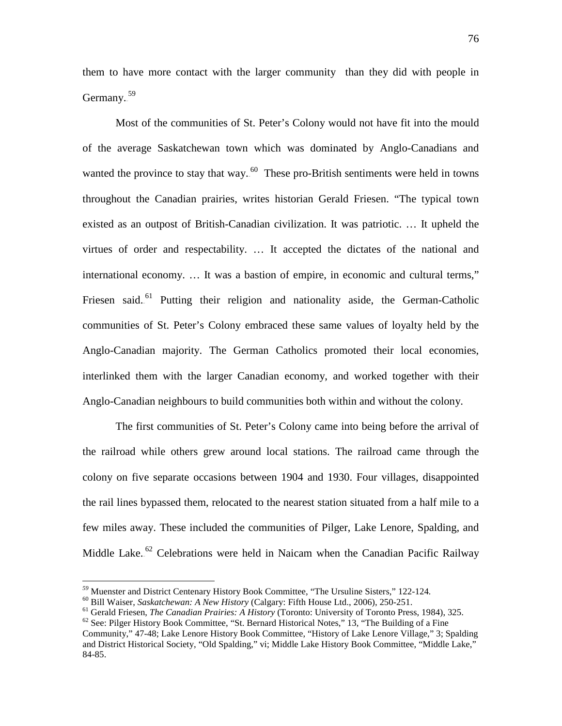them to have more contact with the larger community than they did with people in Germany.<sup>59</sup>

Most of the communities of St. Peter's Colony would not have fit into the mould of the average Saskatchewan town which was dominated by Anglo-Canadians and wanted the province to stay that way.<sup>60</sup> These pro-British sentiments were held in towns throughout the Canadian prairies, writes historian Gerald Friesen. "The typical town existed as an outpost of British-Canadian civilization. It was patriotic. … It upheld the virtues of order and respectability. … It accepted the dictates of the national and international economy. … It was a bastion of empire, in economic and cultural terms," Friesen said.<sup>61</sup> Putting their religion and nationality aside, the German-Catholic communities of St. Peter's Colony embraced these same values of loyalty held by the Anglo-Canadian majority. The German Catholics promoted their local economies, interlinked them with the larger Canadian economy, and worked together with their Anglo-Canadian neighbours to build communities both within and without the colony.

The first communities of St. Peter's Colony came into being before the arrival of the railroad while others grew around local stations. The railroad came through the colony on five separate occasions between 1904 and 1930. Four villages, disappointed the rail lines bypassed them, relocated to the nearest station situated from a half mile to a few miles away. These included the communities of Pilger, Lake Lenore, Spalding, and Middle Lake.<sup>62</sup> Celebrations were held in Naicam when the Canadian Pacific Railway

<sup>&</sup>lt;sup>59</sup> Muenster and District Centenary History Book Committee, "The Ursuline Sisters," 122-124.<br><sup>60</sup> Bill Waiser, *Saskatchewan: A New History* (Calgary: Fifth House Ltd., 2006), 250-251.<br><sup>61</sup> Gerald Friesen, *The Canadian* 

Community," 47-48; Lake Lenore History Book Committee, "History of Lake Lenore Village," 3; Spalding

and District Historical Society, "Old Spalding," vi; Middle Lake History Book Committee, "Middle Lake," 84-85.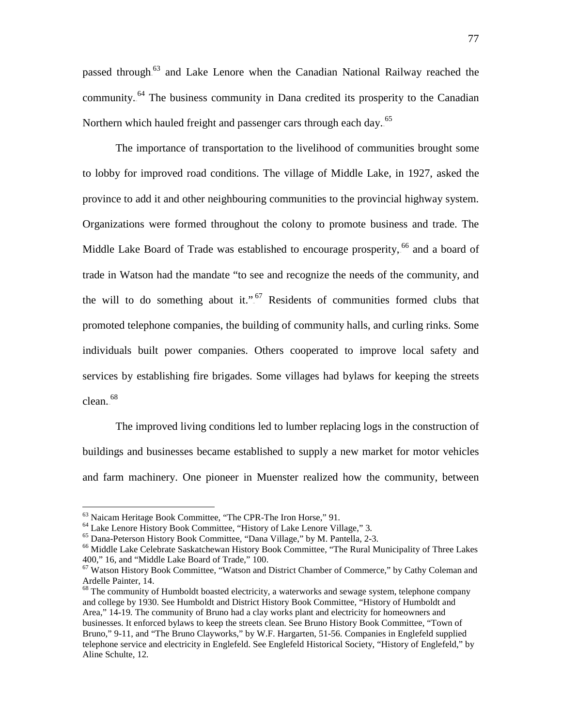passed through.<sup>63</sup> and Lake Lenore when the Canadian National Railway reached the community.<sup>64</sup> The business community in Dana credited its prosperity to the Canadian Northern which hauled freight and passenger cars through each day..<sup>65</sup>

The importance of transportation to the livelihood of communities brought some to lobby for improved road conditions. The village of Middle Lake, in 1927, asked the province to add it and other neighbouring communities to the provincial highway system. Organizations were formed throughout the colony to promote business and trade. The Middle Lake Board of Trade was established to encourage prosperity, <sup>66</sup> and a board of trade in Watson had the mandate "to see and recognize the needs of the community, and the will to do something about it.".<sup>67</sup> Residents of communities formed clubs that promoted telephone companies, the building of community halls, and curling rinks. Some individuals built power companies. Others cooperated to improve local safety and services by establishing fire brigades. Some villages had bylaws for keeping the streets  $clean.<sup>68</sup>$ 

The improved living conditions led to lumber replacing logs in the construction of buildings and businesses became established to supply a new market for motor vehicles and farm machinery. One pioneer in Muenster realized how the community, between

<sup>&</sup>lt;sup>63</sup> Naicam Heritage Book Committee, "The CPR-The Iron Horse," 91.<br><sup>64</sup> Lake Lenore History Book Committee, "History of Lake Lenore Village," 3.<br><sup>65</sup> Dana-Peterson History Book Committee, "Dana Village," by M. Pantella, 2 400," 16, and "Middle Lake Board of Trade," 100.

 $67$  Watson History Book Committee, "Watson and District Chamber of Commerce," by Cathy Coleman and Ardelle Painter, 14.

 $^{68}$  The community of Humboldt boasted electricity, a waterworks and sewage system, telephone company and college by 1930. See Humboldt and District History Book Committee, "History of Humboldt and Area," 14-19*.* The community of Bruno had a clay works plant and electricity for homeowners and businesses. It enforced bylaws to keep the streets clean. See Bruno History Book Committee, "Town of Bruno," 9-11, and "The Bruno Clayworks," by W.F. Hargarten, 51-56*.* Companies in Englefeld supplied telephone service and electricity in Englefeld. See Englefeld Historical Society, "History of Englefeld," by Aline Schulte, 12*.*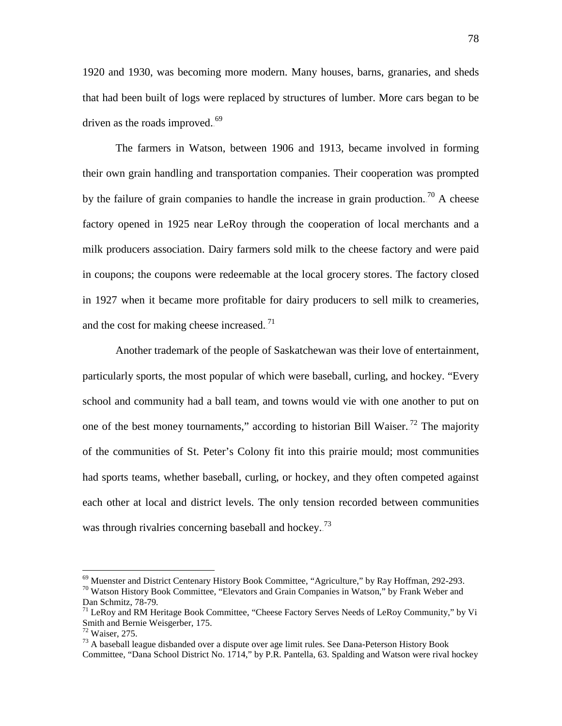1920 and 1930, was becoming more modern. Many houses, barns, granaries, and sheds that had been built of logs were replaced by structures of lumber. More cars began to be driven as the roads improved. $5^{69}$ 

The farmers in Watson, between 1906 and 1913, became involved in forming their own grain handling and transportation companies. Their cooperation was prompted by the failure of grain companies to handle the increase in grain production.<sup>70</sup> A cheese factory opened in 1925 near LeRoy through the cooperation of local merchants and a milk producers association. Dairy farmers sold milk to the cheese factory and were paid in coupons; the coupons were redeemable at the local grocery stores. The factory closed in 1927 when it became more profitable for dairy producers to sell milk to creameries, and the cost for making cheese increased.<sup>71</sup>

Another trademark of the people of Saskatchewan was their love of entertainment, particularly sports, the most popular of which were baseball, curling, and hockey. "Every school and community had a ball team, and towns would vie with one another to put on one of the best money tournaments," according to historian Bill Waiser.<sup>72</sup> The majority of the communities of St. Peter's Colony fit into this prairie mould; most communities had sports teams, whether baseball, curling, or hockey, and they often competed against each other at local and district levels. The only tension recorded between communities was through rivalries concerning baseball and hockey.<sup>73</sup>

<sup>&</sup>lt;sup>69</sup> Muenster and District Centenary History Book Committee, "Agriculture," by Ray Hoffman, 292-293.<br><sup>70</sup> Watson History Book Committee, "Elevators and Grain Companies in Watson," by Frank Weber and<br>Dan Schmitz, 78-79.

<sup>&</sup>lt;sup>71</sup> LeRoy and RM Heritage Book Committee, "Cheese Factory Serves Needs of LeRoy Community," by Vi Smith and Bernie Weisgerber, 175.<br><sup>72</sup> Waiser, 275.

 $^{73}$  A baseball league disbanded over a dispute over age limit rules. See Dana-Peterson History Book Committee, "Dana School District No. 1714," by P.R. Pantella, 63. Spalding and Watson were rival hockey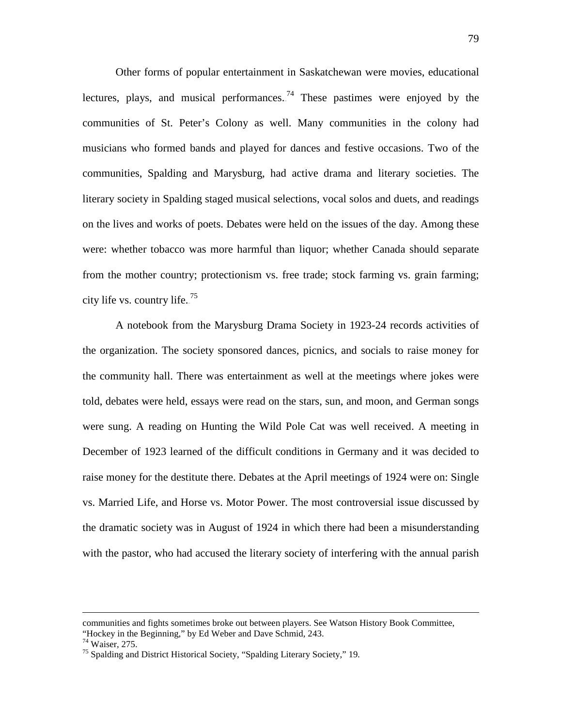Other forms of popular entertainment in Saskatchewan were movies, educational lectures, plays, and musical performances.<sup>74</sup> These pastimes were enjoyed by the communities of St. Peter's Colony as well. Many communities in the colony had musicians who formed bands and played for dances and festive occasions. Two of the communities, Spalding and Marysburg, had active drama and literary societies. The literary society in Spalding staged musical selections, vocal solos and duets, and readings on the lives and works of poets. Debates were held on the issues of the day. Among these were: whether tobacco was more harmful than liquor; whether Canada should separate from the mother country; protectionism vs. free trade; stock farming vs. grain farming; city life vs. country life.<sup>75</sup>

A notebook from the Marysburg Drama Society in 1923-24 records activities of the organization. The society sponsored dances, picnics, and socials to raise money for the community hall. There was entertainment as well at the meetings where jokes were told, debates were held, essays were read on the stars, sun, and moon, and German songs were sung. A reading on Hunting the Wild Pole Cat was well received. A meeting in December of 1923 learned of the difficult conditions in Germany and it was decided to raise money for the destitute there. Debates at the April meetings of 1924 were on: Single vs. Married Life, and Horse vs. Motor Power. The most controversial issue discussed by the dramatic society was in August of 1924 in which there had been a misunderstanding with the pastor, who had accused the literary society of interfering with the annual parish

 $\overline{a}$ 

communities and fights sometimes broke out between players. See Watson History Book Committee, "Hockey in the Beginning," by Ed Weber and Dave Schmid, 243.  $\frac{74}{14}$  Waiser, 275.

<sup>&</sup>lt;sup>75</sup> Spalding and District Historical Society, "Spalding Literary Society," 19.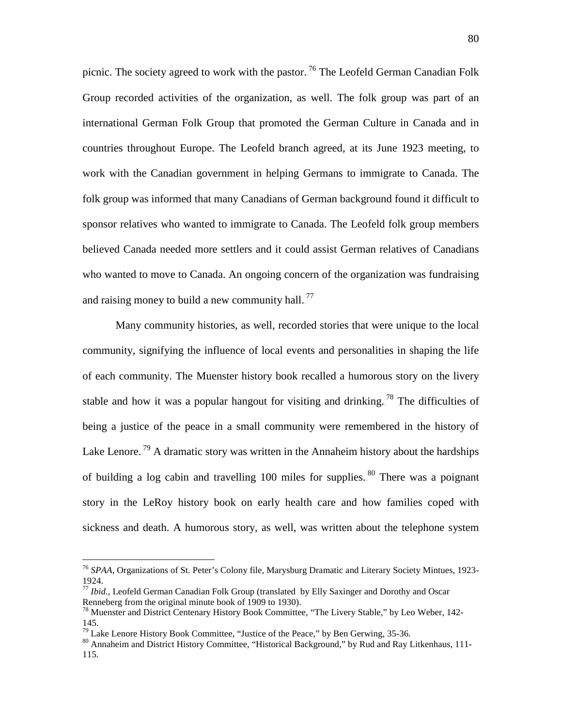picnic. The society agreed to work with the pastor.<sup>76</sup> The Leofeld German Canadian Folk Group recorded activities of the organization, as well. The folk group was part of an international German Folk Group that promoted the German Culture in Canada and in countries throughout Europe. The Leofeld branch agreed, at its June 1923 meeting, to work with the Canadian government in helping Germans to immigrate to Canada. The folk group was informed that many Canadians of German background found it difficult to sponsor relatives who wanted to immigrate to Canada. The Leofeld folk group members believed Canada needed more settlers and it could assist German relatives of Canadians who wanted to move to Canada. An ongoing concern of the organization was fundraising and raising money to build a new community hall.<sup>77</sup>

Many community histories, as well, recorded stories that were unique to the local community, signifying the influence of local events and personalities in shaping the life of each community. The Muenster history book recalled a humorous story on the livery stable and how it was a popular hangout for visiting and drinking.<sup>78</sup> The difficulties of being a justice of the peace in a small community were remembered in the history of Lake Lenore.<sup>79</sup> A dramatic story was written in the Annaheim history about the hardships of building a log cabin and travelling 100 miles for supplies.<sup>80</sup> There was a poignant story in the LeRoy history book on early health care and how families coped with sickness and death. A humorous story, as well, was written about the telephone system

 <sup>76</sup> *SPAA*, Organizations of St. Peter's Colony file, Marysburg Dramatic and Literary Society Mintues, 1923- 1924.

<sup>&</sup>lt;sup>77</sup> *Ibid.*, Leofeld German Canadian Folk Group (translated by Elly Saxinger and Dorothy and Oscar Renneberg from the original minute book of 1909 to 1930).

 $^{78}$  Muenster and District Centenary History Book Committee, "The Livery Stable," by Leo Weber, 142-145.<br><sup>79</sup> Lake Lenore History Book Committee, "Justice of the Peace," by Ben Gerwing, 35-36.

<sup>&</sup>lt;sup>80</sup> Annaheim and District History Committee, "Historical Background," by Rud and Ray Litkenhaus, 111-115*.*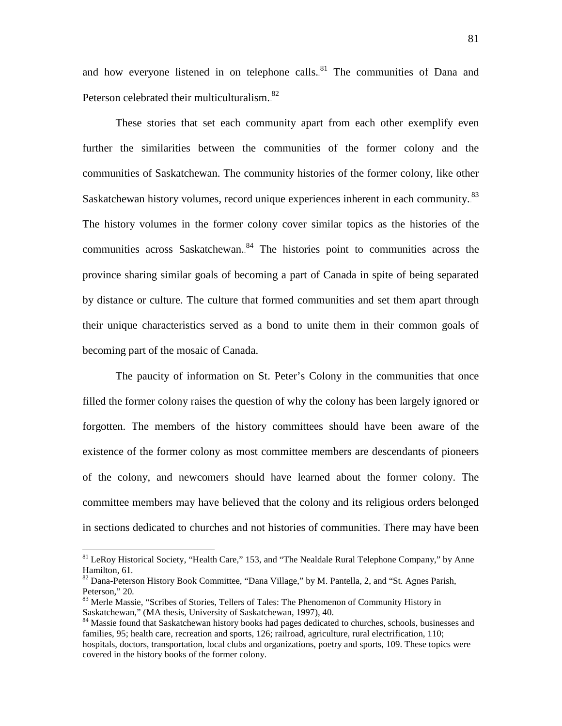and how everyone listened in on telephone calls.<sup>81</sup> The communities of Dana and Peterson celebrated their multiculturalism.<sup>82</sup>

These stories that set each community apart from each other exemplify even further the similarities between the communities of the former colony and the communities of Saskatchewan. The community histories of the former colony, like other Saskatchewan history volumes, record unique experiences inherent in each community.<sup>83</sup> The history volumes in the former colony cover similar topics as the histories of the communities across Saskatchewan.<sup>84</sup> The histories point to communities across the province sharing similar goals of becoming a part of Canada in spite of being separated by distance or culture. The culture that formed communities and set them apart through their unique characteristics served as a bond to unite them in their common goals of becoming part of the mosaic of Canada.

The paucity of information on St. Peter's Colony in the communities that once filled the former colony raises the question of why the colony has been largely ignored or forgotten. The members of the history committees should have been aware of the existence of the former colony as most committee members are descendants of pioneers of the colony, and newcomers should have learned about the former colony. The committee members may have believed that the colony and its religious orders belonged in sections dedicated to churches and not histories of communities. There may have been

 $81$  LeRoy Historical Society, "Health Care," 153, and "The Nealdale Rural Telephone Company," by Anne Hamilton, 61.

<sup>&</sup>lt;sup>82</sup> Dana-Peterson History Book Committee, "Dana Village," by M. Pantella, 2, and "St. Agnes Parish, Peterson," 20.<br><sup>83</sup> Merle Massie, "Scribes of Stories, Tellers of Tales: The Phenomenon of Community History in

Saskatchewan," (MA thesis, University of Saskatchewan, 1997), 40.

<sup>&</sup>lt;sup>84</sup> Massie found that Saskatchewan history books had pages dedicated to churches, schools, businesses and families, 95; health care, recreation and sports, 126; railroad, agriculture, rural electrification, 110; hospitals, doctors, transportation, local clubs and organizations, poetry and sports, 109. These topics were covered in the history books of the former colony.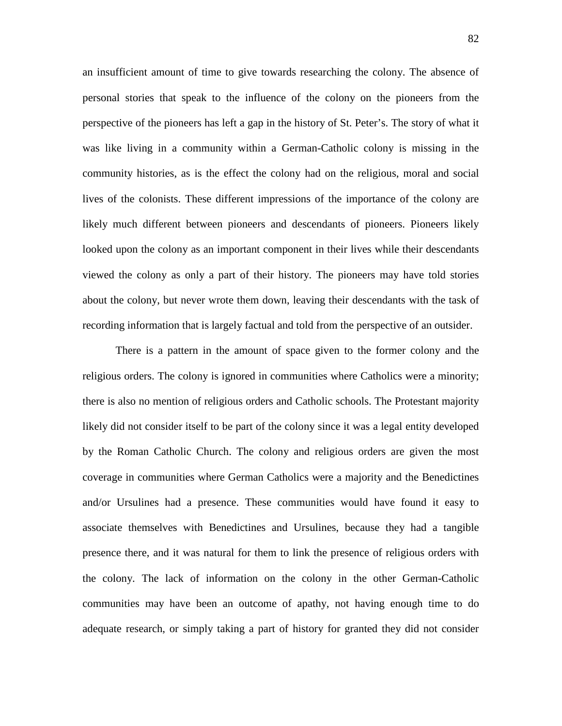an insufficient amount of time to give towards researching the colony. The absence of personal stories that speak to the influence of the colony on the pioneers from the perspective of the pioneers has left a gap in the history of St. Peter's. The story of what it was like living in a community within a German-Catholic colony is missing in the community histories, as is the effect the colony had on the religious, moral and social lives of the colonists. These different impressions of the importance of the colony are likely much different between pioneers and descendants of pioneers. Pioneers likely looked upon the colony as an important component in their lives while their descendants viewed the colony as only a part of their history. The pioneers may have told stories about the colony, but never wrote them down, leaving their descendants with the task of recording information that is largely factual and told from the perspective of an outsider.

There is a pattern in the amount of space given to the former colony and the religious orders. The colony is ignored in communities where Catholics were a minority; there is also no mention of religious orders and Catholic schools. The Protestant majority likely did not consider itself to be part of the colony since it was a legal entity developed by the Roman Catholic Church. The colony and religious orders are given the most coverage in communities where German Catholics were a majority and the Benedictines and/or Ursulines had a presence. These communities would have found it easy to associate themselves with Benedictines and Ursulines, because they had a tangible presence there, and it was natural for them to link the presence of religious orders with the colony. The lack of information on the colony in the other German-Catholic communities may have been an outcome of apathy, not having enough time to do adequate research, or simply taking a part of history for granted they did not consider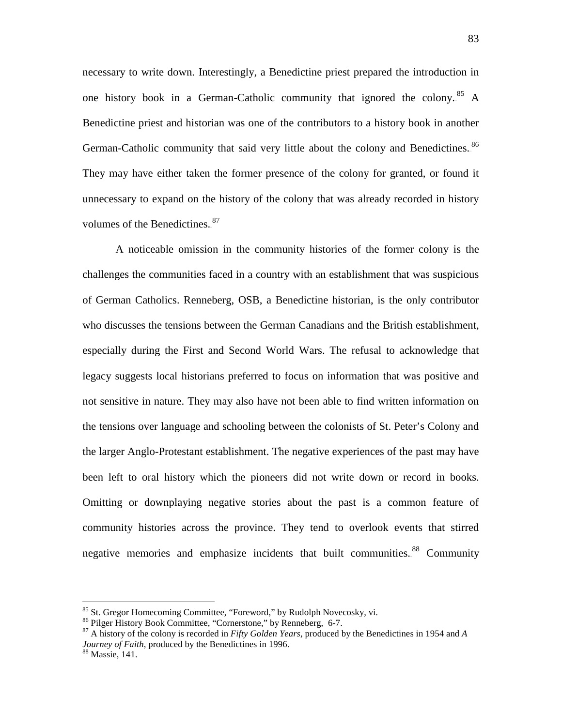necessary to write down. Interestingly, a Benedictine priest prepared the introduction in one history book in a German-Catholic community that ignored the colony.<sup>85</sup> A Benedictine priest and historian was one of the contributors to a history book in another German-Catholic community that said very little about the colony and Benedictines.<sup>86</sup> They may have either taken the former presence of the colony for granted, or found it unnecessary to expand on the history of the colony that was already recorded in history volumes of the Benedictines..<sup>87</sup>

A noticeable omission in the community histories of the former colony is the challenges the communities faced in a country with an establishment that was suspicious of German Catholics. Renneberg, OSB, a Benedictine historian, is the only contributor who discusses the tensions between the German Canadians and the British establishment, especially during the First and Second World Wars. The refusal to acknowledge that legacy suggests local historians preferred to focus on information that was positive and not sensitive in nature. They may also have not been able to find written information on the tensions over language and schooling between the colonists of St. Peter's Colony and the larger Anglo-Protestant establishment. The negative experiences of the past may have been left to oral history which the pioneers did not write down or record in books. Omitting or downplaying negative stories about the past is a common feature of community histories across the province. They tend to overlook events that stirred negative memories and emphasize incidents that built communities.<sup>88</sup> Community

<sup>&</sup>lt;sup>85</sup> St. Gregor Homecoming Committee, "Foreword," by Rudolph Novecosky, vi.<br><sup>86</sup> Pilger History Book Committee, "Cornerstone," by Renneberg, 6-7.<br><sup>87</sup> A history of the colony is recorded in *Fifty Golden Years*, produced *Journey of Faith*, produced by the Benedictines in 1996.<br><sup>88</sup> Massie, 141.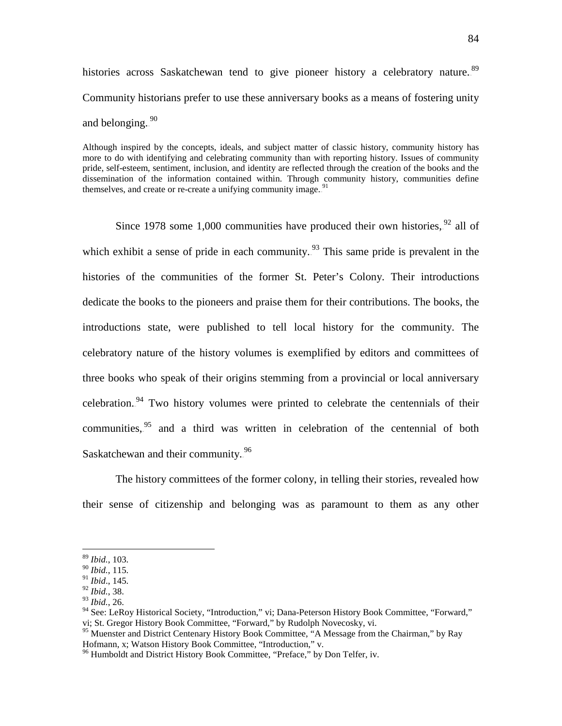histories across Saskatchewan tend to give pioneer history a celebratory nature.<sup>89</sup> Community historians prefer to use these anniversary books as a means of fostering unity and belonging.  $90$ 

Although inspired by the concepts, ideals, and subject matter of classic history, community history has more to do with identifying and celebrating community than with reporting history. Issues of community pride, self-esteem, sentiment, inclusion, and identity are reflected through the creation of the books and the dissemination of the information contained within. Through community history, communities define themselves, and create or re-create a unifying community image.<sup>91</sup>

Since 1978 some 1,000 communities have produced their own histories,  $92$  all of which exhibit a sense of pride in each community.<sup>93</sup> This same pride is prevalent in the histories of the communities of the former St. Peter's Colony. Their introductions dedicate the books to the pioneers and praise them for their contributions. The books, the introductions state, were published to tell local history for the community. The celebratory nature of the history volumes is exemplified by editors and committees of three books who speak of their origins stemming from a provincial or local anniversary celebration.<sup>94</sup> Two history volumes were printed to celebrate the centennials of their communities,  $95$  and a third was written in celebration of the centennial of both Saskatchewan and their community.<sup>96</sup>

The history committees of the former colony, in telling their stories, revealed how their sense of citizenship and belonging was as paramount to them as any other

 <sup>89</sup> *Ibid.*, 103.

<sup>90</sup> *Ibid.*, 115. <sup>91</sup> *Ibid*., 145.

<sup>92</sup> *Ibid.*, 38.

<sup>93</sup> *Ibid.*, 26.

<sup>&</sup>lt;sup>94</sup> See: LeRoy Historical Society, "Introduction," vi; Dana-Peterson History Book Committee, "Forward," vi; St. Gregor History Book Committee, "Forward," by Rudolph Novecosky, vi.

<sup>&</sup>lt;sup>95</sup> Muenster and District Centenary History Book Committee, "A Message from the Chairman," by Ray Hofmann, x; Watson History Book Committee, "Introduction," v.

<sup>&</sup>lt;sup>96</sup> Humboldt and District History Book Committee, "Preface," by Don Telfer, iv.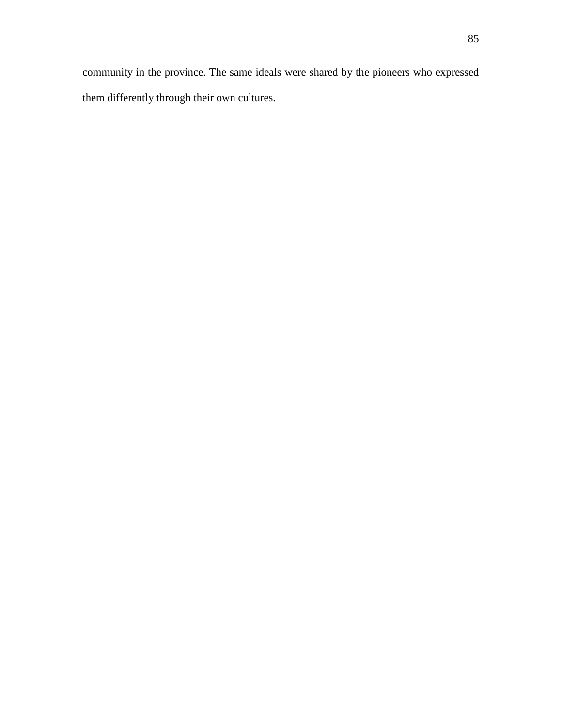community in the province. The same ideals were shared by the pioneers who expressed them differently through their own cultures.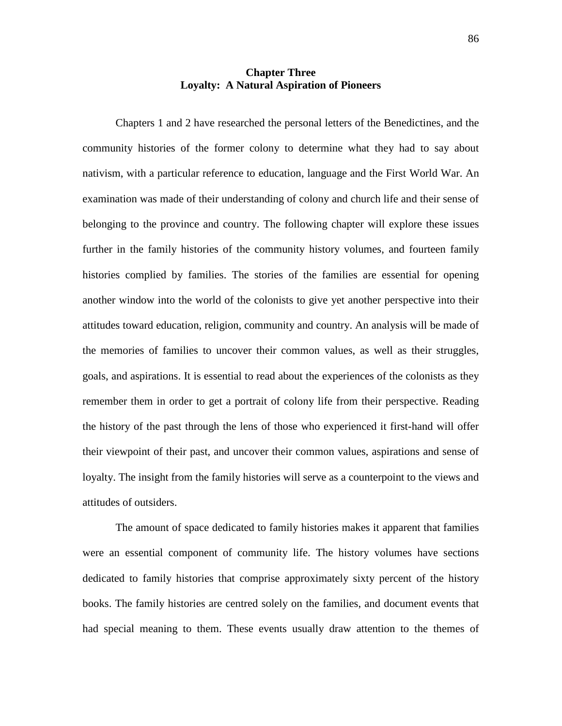## **Chapter Three Loyalty: A Natural Aspiration of Pioneers**

Chapters 1 and 2 have researched the personal letters of the Benedictines, and the community histories of the former colony to determine what they had to say about nativism, with a particular reference to education, language and the First World War. An examination was made of their understanding of colony and church life and their sense of belonging to the province and country. The following chapter will explore these issues further in the family histories of the community history volumes, and fourteen family histories complied by families. The stories of the families are essential for opening another window into the world of the colonists to give yet another perspective into their attitudes toward education, religion, community and country. An analysis will be made of the memories of families to uncover their common values, as well as their struggles, goals, and aspirations. It is essential to read about the experiences of the colonists as they remember them in order to get a portrait of colony life from their perspective. Reading the history of the past through the lens of those who experienced it first-hand will offer their viewpoint of their past, and uncover their common values, aspirations and sense of loyalty. The insight from the family histories will serve as a counterpoint to the views and attitudes of outsiders.

The amount of space dedicated to family histories makes it apparent that families were an essential component of community life. The history volumes have sections dedicated to family histories that comprise approximately sixty percent of the history books. The family histories are centred solely on the families, and document events that had special meaning to them. These events usually draw attention to the themes of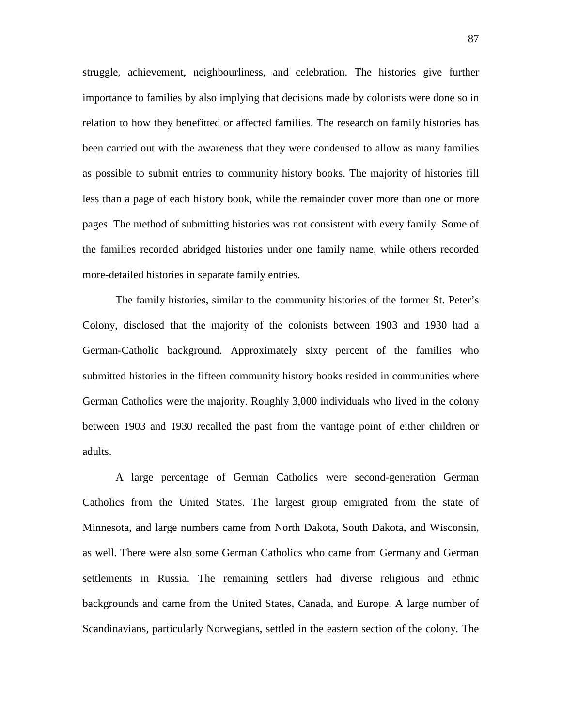struggle, achievement, neighbourliness, and celebration. The histories give further importance to families by also implying that decisions made by colonists were done so in relation to how they benefitted or affected families. The research on family histories has been carried out with the awareness that they were condensed to allow as many families as possible to submit entries to community history books. The majority of histories fill less than a page of each history book, while the remainder cover more than one or more pages. The method of submitting histories was not consistent with every family. Some of the families recorded abridged histories under one family name, while others recorded more-detailed histories in separate family entries.

The family histories, similar to the community histories of the former St. Peter's Colony, disclosed that the majority of the colonists between 1903 and 1930 had a German-Catholic background. Approximately sixty percent of the families who submitted histories in the fifteen community history books resided in communities where German Catholics were the majority. Roughly 3,000 individuals who lived in the colony between 1903 and 1930 recalled the past from the vantage point of either children or adults.

A large percentage of German Catholics were second-generation German Catholics from the United States. The largest group emigrated from the state of Minnesota, and large numbers came from North Dakota, South Dakota, and Wisconsin, as well. There were also some German Catholics who came from Germany and German settlements in Russia. The remaining settlers had diverse religious and ethnic backgrounds and came from the United States, Canada, and Europe. A large number of Scandinavians, particularly Norwegians, settled in the eastern section of the colony. The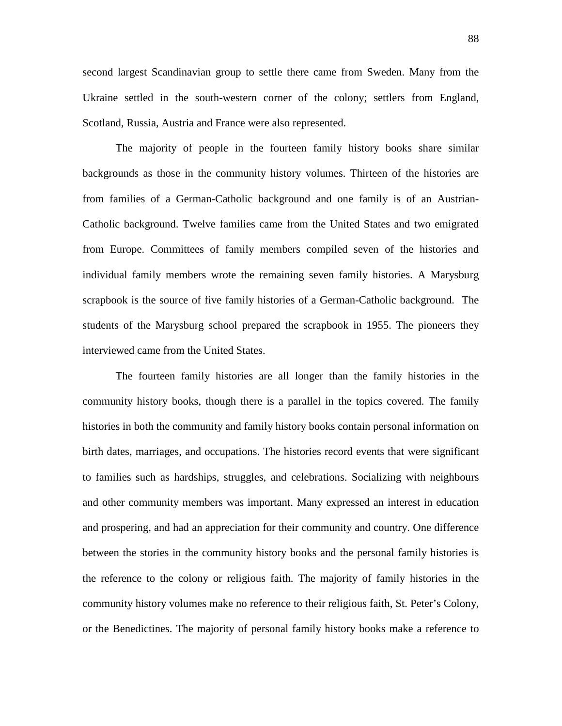second largest Scandinavian group to settle there came from Sweden. Many from the Ukraine settled in the south-western corner of the colony; settlers from England, Scotland, Russia, Austria and France were also represented.

The majority of people in the fourteen family history books share similar backgrounds as those in the community history volumes. Thirteen of the histories are from families of a German-Catholic background and one family is of an Austrian-Catholic background. Twelve families came from the United States and two emigrated from Europe. Committees of family members compiled seven of the histories and individual family members wrote the remaining seven family histories. A Marysburg scrapbook is the source of five family histories of a German-Catholic background. The students of the Marysburg school prepared the scrapbook in 1955. The pioneers they interviewed came from the United States.

The fourteen family histories are all longer than the family histories in the community history books, though there is a parallel in the topics covered. The family histories in both the community and family history books contain personal information on birth dates, marriages, and occupations. The histories record events that were significant to families such as hardships, struggles, and celebrations. Socializing with neighbours and other community members was important. Many expressed an interest in education and prospering, and had an appreciation for their community and country. One difference between the stories in the community history books and the personal family histories is the reference to the colony or religious faith. The majority of family histories in the community history volumes make no reference to their religious faith, St. Peter's Colony, or the Benedictines. The majority of personal family history books make a reference to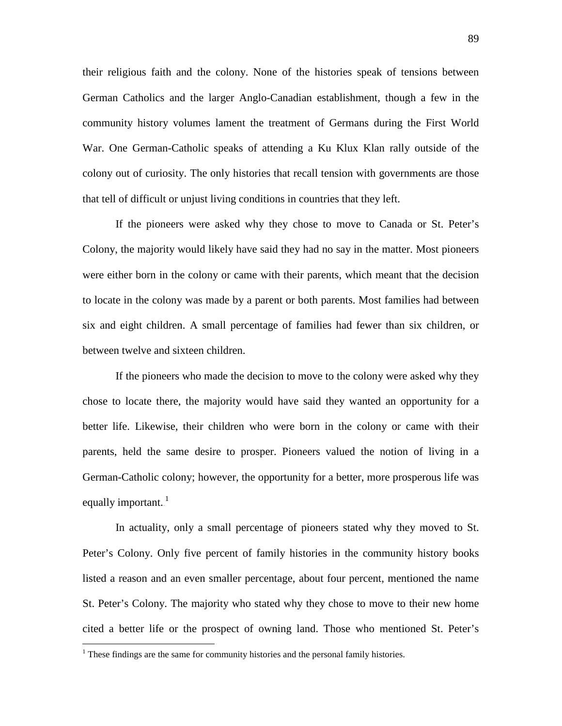their religious faith and the colony. None of the histories speak of tensions between German Catholics and the larger Anglo-Canadian establishment, though a few in the community history volumes lament the treatment of Germans during the First World War. One German-Catholic speaks of attending a Ku Klux Klan rally outside of the colony out of curiosity. The only histories that recall tension with governments are those that tell of difficult or unjust living conditions in countries that they left.

If the pioneers were asked why they chose to move to Canada or St. Peter's Colony, the majority would likely have said they had no say in the matter. Most pioneers were either born in the colony or came with their parents, which meant that the decision to locate in the colony was made by a parent or both parents. Most families had between six and eight children. A small percentage of families had fewer than six children, or between twelve and sixteen children.

If the pioneers who made the decision to move to the colony were asked why they chose to locate there, the majority would have said they wanted an opportunity for a better life. Likewise, their children who were born in the colony or came with their parents, held the same desire to prosper. Pioneers valued the notion of living in a German-Catholic colony; however, the opportunity for a better, more prosperous life was equally important.<sup>1</sup>

In actuality, only a small percentage of pioneers stated why they moved to St. Peter's Colony. Only five percent of family histories in the community history books listed a reason and an even smaller percentage, about four percent, mentioned the name St. Peter's Colony. The majority who stated why they chose to move to their new home cited a better life or the prospect of owning land. Those who mentioned St. Peter's

 $<sup>1</sup>$  These findings are the same for community histories and the personal family histories.</sup>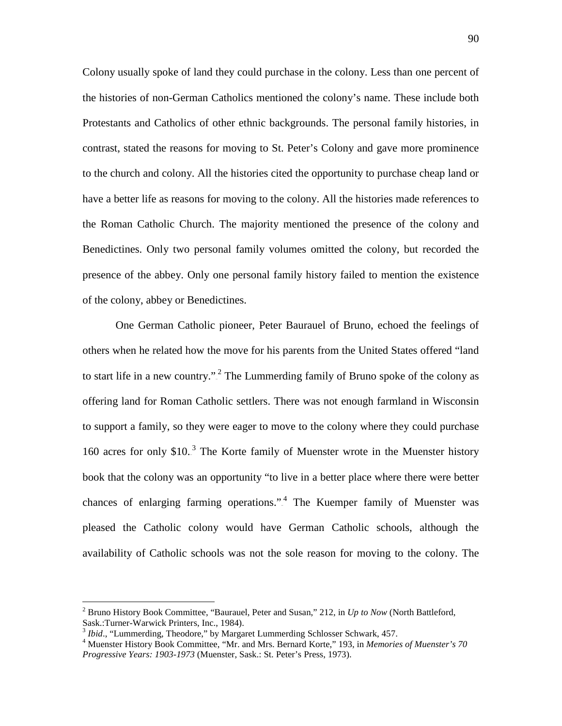Colony usually spoke of land they could purchase in the colony. Less than one percent of the histories of non-German Catholics mentioned the colony's name. These include both Protestants and Catholics of other ethnic backgrounds. The personal family histories, in contrast, stated the reasons for moving to St. Peter's Colony and gave more prominence to the church and colony. All the histories cited the opportunity to purchase cheap land or have a better life as reasons for moving to the colony. All the histories made references to the Roman Catholic Church. The majority mentioned the presence of the colony and Benedictines. Only two personal family volumes omitted the colony, but recorded the presence of the abbey. Only one personal family history failed to mention the existence of the colony, abbey or Benedictines.

One German Catholic pioneer, Peter Baurauel of Bruno, echoed the feelings of others when he related how the move for his parents from the United States offered "land to start life in a new country.".<sup>2</sup> The Lummerding family of Bruno spoke of the colony as offering land for Roman Catholic settlers. There was not enough farmland in Wisconsin to support a family, so they were eager to move to the colony where they could purchase 160 acres for only  $$10<sup>3</sup>$ . The Korte family of Muenster wrote in the Muenster history book that the colony was an opportunity "to live in a better place where there were better chances of enlarging farming operations." $4$  The Kuemper family of Muenster was pleased the Catholic colony would have German Catholic schools, although the availability of Catholic schools was not the sole reason for moving to the colony. The

 <sup>2</sup> Bruno History Book Committee, "Baurauel, Peter and Susan," 212, in *Up to Now* (North Battleford, Sask.:Turner-Warwick Printers, Inc., 1984).<br>
<sup>3</sup> *Ibid.*, "Lummerding, Theodore," by Margaret Lummerding Schlosser Schwark, 457.<br>
<sup>4</sup> Muenster History Book Committee, "Mr. and Mrs. Bernard Korte," 193, in *Memories of Muen* 

*Progressive Years: 1903-1973* (Muenster, Sask.: St. Peter's Press, 1973).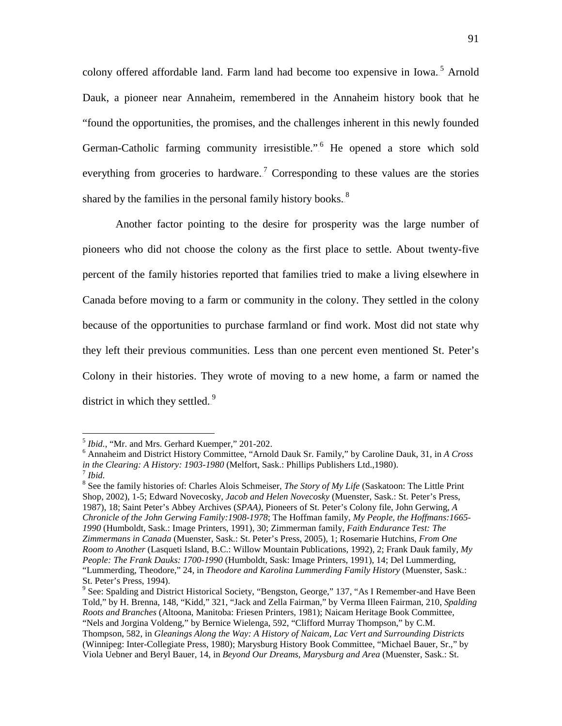colony offered affordable land. Farm land had become too expensive in Iowa.<sup>5</sup> Arnold Dauk, a pioneer near Annaheim, remembered in the Annaheim history book that he "found the opportunities, the promises, and the challenges inherent in this newly founded German-Catholic farming community irresistible.".<sup>6</sup> He opened a store which sold everything from groceries to hardware.<sup>7</sup> Corresponding to these values are the stories shared by the families in the personal family history books. $88$ 

Another factor pointing to the desire for prosperity was the large number of pioneers who did not choose the colony as the first place to settle. About twenty-five percent of the family histories reported that families tried to make a living elsewhere in Canada before moving to a farm or community in the colony. They settled in the colony because of the opportunities to purchase farmland or find work. Most did not state why they left their previous communities. Less than one percent even mentioned St. Peter's Colony in their histories. They wrote of moving to a new home, a farm or named the district in which they settled. $9$ 

<sup>5</sup> *Ibid.*, "Mr. and Mrs. Gerhard Kuemper," 201-202. <sup>6</sup> Annaheim and District History Committee, "Arnold Dauk Sr. Family," by Caroline Dauk, 31, in *A Cross in the Clearing: A History: 1903-1980* (Melfort, Sask.: Phillips Publishers Ltd., 1980). *<sup>7</sup> Ibid.* 

<sup>&</sup>lt;sup>8</sup> See the family histories of: Charles Alois Schmeiser, *The Story of My Life* (Saskatoon: The Little Print Shop, 2002), 1-5; Edward Novecosky, *Jacob and Helen Novecosky* (Muenster, Sask.: St. Peter's Press, 1987), 18; Saint Peter's Abbey Archives (*SPAA)*, Pioneers of St. Peter's Colony file, John Gerwing, *A Chronicle of the John Gerwing Family:1908-1978*; The Hoffman family, *My People, the Hoffmans:1665- 1990* (Humboldt, Sask.: Image Printers, 1991), 30; Zimmerman family, *Faith Endurance Test: The Zimmermans in Canada* (Muenster, Sask.: St. Peter's Press, 2005), 1; Rosemarie Hutchins, *From One Room to Another* (Lasqueti Island, B.C.: Willow Mountain Publications, 1992), 2; Frank Dauk family, *My People: The Frank Dauks: 1700-1990* (Humboldt, Sask: Image Printers, 1991), 14; Del Lummerding, "Lummerding, Theodore," 24, in *Theodore and Karolina Lummerding Family History* (Muenster, Sask.: St. Peter's Press, 1994).

 $9$  See: Spalding and District Historical Society, "Bengston, George," 137, "As I Remember-and Have Been Told," by H. Brenna, 148, "Kidd," 321, "Jack and Zella Fairman," by Verma Illeen Fairman, 210, *Spalding Roots and Branches* (Altoona, Manitoba: Friesen Printers, 1981); Naicam Heritage Book Committee, "Nels and Jorgina Voldeng," by Bernice Wielenga, 592, "Clifford Murray Thompson," by C.M. Thompson, 582, in *Gleanings Along the Way: A History of Naicam, Lac Vert and Surrounding Districts* (Winnipeg: Inter-Collegiate Press, 1980); Marysburg History Book Committee, "Michael Bauer, Sr.," by Viola Uebner and Beryl Bauer, 14, in *Beyond Our Dreams, Marysburg and Area* (Muenster, Sask.: St.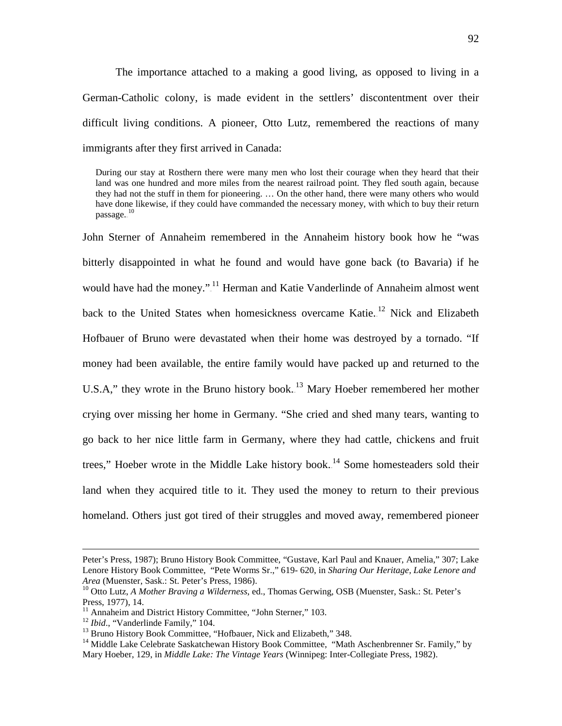The importance attached to a making a good living, as opposed to living in a German-Catholic colony, is made evident in the settlers' discontentment over their difficult living conditions. A pioneer, Otto Lutz, remembered the reactions of many immigrants after they first arrived in Canada:

During our stay at Rosthern there were many men who lost their courage when they heard that their land was one hundred and more miles from the nearest railroad point. They fled south again, because they had not the stuff in them for pioneering. … On the other hand, there were many others who would have done likewise, if they could have commanded the necessary money, with which to buy their return passage. $^{\rm 10}$ 

John Sterner of Annaheim remembered in the Annaheim history book how he "was bitterly disappointed in what he found and would have gone back (to Bavaria) if he would have had the money."<sup>11</sup> Herman and Katie Vanderlinde of Annaheim almost went back to the United States when homesickness overcame Katie.<sup>12</sup> Nick and Elizabeth Hofbauer of Bruno were devastated when their home was destroyed by a tornado. "If money had been available, the entire family would have packed up and returned to the U.S.A," they wrote in the Bruno history book.<sup>13</sup> Mary Hoeber remembered her mother crying over missing her home in Germany. "She cried and shed many tears, wanting to go back to her nice little farm in Germany, where they had cattle, chickens and fruit trees," Hoeber wrote in the Middle Lake history book.<sup>14</sup> Some homesteaders sold their land when they acquired title to it. They used the money to return to their previous homeland. Others just got tired of their struggles and moved away, remembered pioneer

 $\overline{a}$ 

Peter's Press, 1987); Bruno History Book Committee, "Gustave, Karl Paul and Knauer, Amelia," 307; Lake Lenore History Book Committee, "Pete Worms Sr.," 619- 620, in *Sharing Our Heritage, Lake Lenore and* 

<sup>&</sup>lt;sup>10</sup> Otto Lutz, *A Mother Braving a Wilderness*, ed., Thomas Gerwing, OSB (Muenster, Sask.: St. Peter's Press, 1977), 14.<br><sup>11</sup> Annaheim and District History Committee, "John Sterner," 103.

<sup>&</sup>lt;sup>12</sup> *Ibid.*, "Vanderlinde Family," 104.<br><sup>13</sup> Bruno History Book Committee, "Hofbauer, Nick and Elizabeth," 348.<br><sup>14</sup> Middle Lake Celebrate Saskatchewan History Book Committee, "Math Aschenbrenner Sr. Family," by Mary Hoeber, 129, in *Middle Lake: The Vintage Years* (Winnipeg: Inter-Collegiate Press, 1982).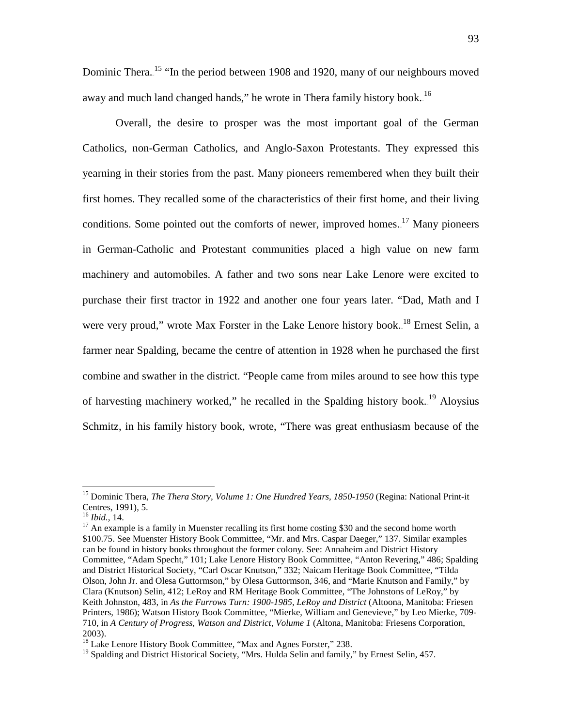Dominic Thera.<sup>15</sup> "In the period between 1908 and 1920, many of our neighbours moved away and much land changed hands," he wrote in Thera family history book.<sup>16</sup>

Overall, the desire to prosper was the most important goal of the German Catholics, non-German Catholics, and Anglo-Saxon Protestants. They expressed this yearning in their stories from the past. Many pioneers remembered when they built their first homes. They recalled some of the characteristics of their first home, and their living conditions. Some pointed out the comforts of newer, improved homes.<sup>17</sup> Many pioneers in German-Catholic and Protestant communities placed a high value on new farm machinery and automobiles. A father and two sons near Lake Lenore were excited to purchase their first tractor in 1922 and another one four years later. "Dad, Math and I were very proud," wrote Max Forster in the Lake Lenore history book.<sup>18</sup> Ernest Selin, a farmer near Spalding, became the centre of attention in 1928 when he purchased the first combine and swather in the district. "People came from miles around to see how this type of harvesting machinery worked," he recalled in the Spalding history book.<sup>19</sup> Aloysius Schmitz, in his family history book, wrote, "There was great enthusiasm because of the

 <sup>15</sup> Dominic Thera*, The Thera Story, Volume 1: One Hundred Years, 1850-1950* (Regina: National Print-it Centres, 1991), 5.<br><sup>16</sup> *Ibid.*, 14.

<sup>&</sup>lt;sup>17</sup> An example is a family in Muenster recalling its first home costing \$30 and the second home worth \$100.75. See Muenster History Book Committee, "Mr. and Mrs. Caspar Daeger," 137. Similar examples can be found in history books throughout the former colony. See: Annaheim and District History Committee, "Adam Specht," 101; Lake Lenore History Book Committee, "Anton Revering," 486; Spalding and District Historical Society, "Carl Oscar Knutson," 332; Naicam Heritage Book Committee, "Tilda Olson, John Jr. and Olesa Guttormson," by Olesa Guttormson, 346, and "Marie Knutson and Family," by Clara (Knutson) Selin, 412; LeRoy and RM Heritage Book Committee, "The Johnstons of LeRoy," by Keith Johnston, 483, in *As the Furrows Turn: 1900-1985, LeRoy and District* (Altoona, Manitoba: Friesen Printers, 1986); Watson History Book Committee, "Mierke, William and Genevieve," by Leo Mierke, 709- 710, in *A Century of Progress, Watson and District, Volume 1* (Altona, Manitoba: Friesens Corporation, 2003).

<sup>&</sup>lt;sup>18</sup> Lake Lenore History Book Committee, "Max and Agnes Forster," 238.

<sup>&</sup>lt;sup>19</sup> Spalding and District Historical Society, "Mrs. Hulda Selin and family," by Ernest Selin, 457.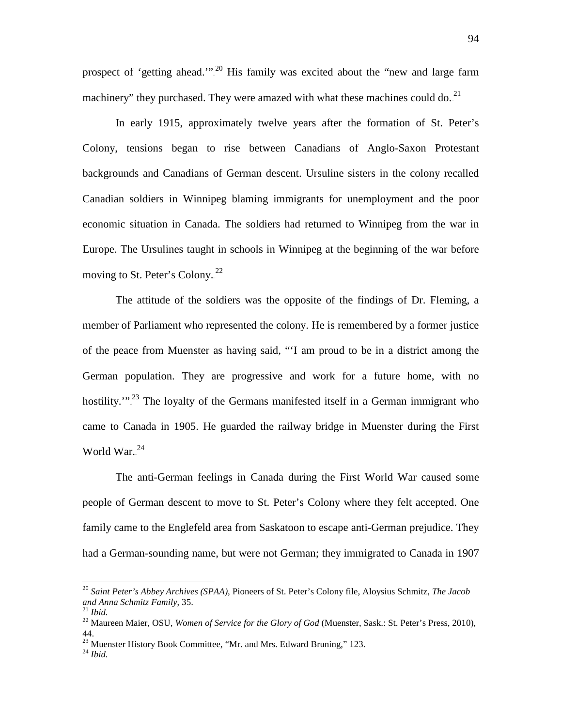prospect of 'getting ahead."<sup>20</sup> His family was excited about the "new and large farm machinery" they purchased. They were amazed with what these machines could do.<sup>21</sup>

In early 1915, approximately twelve years after the formation of St. Peter's Colony, tensions began to rise between Canadians of Anglo-Saxon Protestant backgrounds and Canadians of German descent. Ursuline sisters in the colony recalled Canadian soldiers in Winnipeg blaming immigrants for unemployment and the poor economic situation in Canada. The soldiers had returned to Winnipeg from the war in Europe. The Ursulines taught in schools in Winnipeg at the beginning of the war before moving to St. Peter's Colony. $2^2$ 

The attitude of the soldiers was the opposite of the findings of Dr. Fleming, a member of Parliament who represented the colony. He is remembered by a former justice of the peace from Muenster as having said, "'I am proud to be in a district among the German population. They are progressive and work for a future home, with no hostility."<sup>23</sup> The loyalty of the Germans manifested itself in a German immigrant who came to Canada in 1905. He guarded the railway bridge in Muenster during the First World War. $^{24}$ 

The anti-German feelings in Canada during the First World War caused some people of German descent to move to St. Peter's Colony where they felt accepted. One family came to the Englefeld area from Saskatoon to escape anti-German prejudice. They had a German-sounding name, but were not German; they immigrated to Canada in 1907

 <sup>20</sup> *Saint Peter's Abbey Archives (SPAA),* Pioneers of St. Peter's Colony file, Aloysius Schmitz, *The Jacob and Anna Schmitz Family*, 35. 21 *Ibid.* <sup>22</sup> Maureen Maier, OSU, *Women of Service for the Glory of God* (Muenster, Sask.: St. Peter's Press, 2010),

<sup>44.</sup>

<sup>&</sup>lt;sup>23</sup> Muenster History Book Committee, "Mr. and Mrs. Edward Bruning," 123.<br><sup>24</sup> *Ibid.*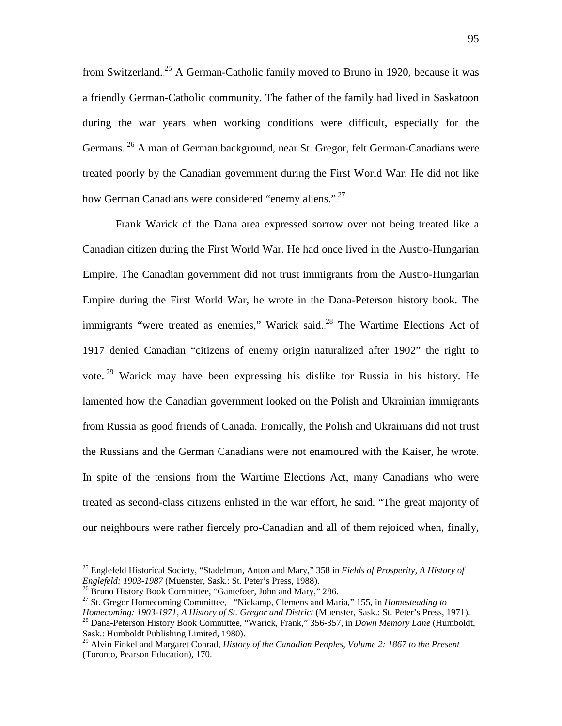from Switzerland.<sup>25</sup> A German-Catholic family moved to Bruno in 1920, because it was a friendly German-Catholic community. The father of the family had lived in Saskatoon during the war years when working conditions were difficult, especially for the Germans.<sup>26</sup> A man of German background, near St. Gregor, felt German-Canadians were treated poorly by the Canadian government during the First World War. He did not like how German Canadians were considered "enemy aliens.".<sup>27</sup>

Frank Warick of the Dana area expressed sorrow over not being treated like a Canadian citizen during the First World War. He had once lived in the Austro-Hungarian Empire. The Canadian government did not trust immigrants from the Austro-Hungarian Empire during the First World War, he wrote in the Dana-Peterson history book. The immigrants "were treated as enemies," Warick said.<sup>28</sup> The Wartime Elections Act of 1917 denied Canadian "citizens of enemy origin naturalized after 1902" the right to vote.<sup>29</sup> Warick may have been expressing his dislike for Russia in his history. He lamented how the Canadian government looked on the Polish and Ukrainian immigrants from Russia as good friends of Canada. Ironically, the Polish and Ukrainians did not trust the Russians and the German Canadians were not enamoured with the Kaiser, he wrote. In spite of the tensions from the Wartime Elections Act, many Canadians who were treated as second-class citizens enlisted in the war effort, he said. "The great majority of our neighbours were rather fiercely pro-Canadian and all of them rejoiced when, finally,

<sup>&</sup>lt;sup>25</sup> Englefeld Historical Society, "Stadelman, Anton and Mary," 358 in *Fields of Prosperity, A History of Englefeld: 1903-1987* (Muenster, Sask.: St. Peter's Press, 1988).

<sup>&</sup>lt;sup>26</sup> Bruno History Book Committee, "Gantefoer, John and Mary," 286.<br><sup>27</sup> St. Gregor Homecoming Committee, "Niekamp, Clemens and Maria," 155, in *Homesteading to*<br>*Homecoming: 1903-1971, A History of St. Gregor and Distric* 

<sup>&</sup>lt;sup>28</sup> Dana-Peterson History Book Committee, "Warick, Frank," 356-357, in *Down Memory Lane* (Humboldt, Sask.: Humboldt Publishing Limited, 1980).

<sup>29</sup> Alvin Finkel and Margaret Conrad, *History of the Canadian Peoples, Volume 2: 1867 to the Present* (Toronto, Pearson Education), 170.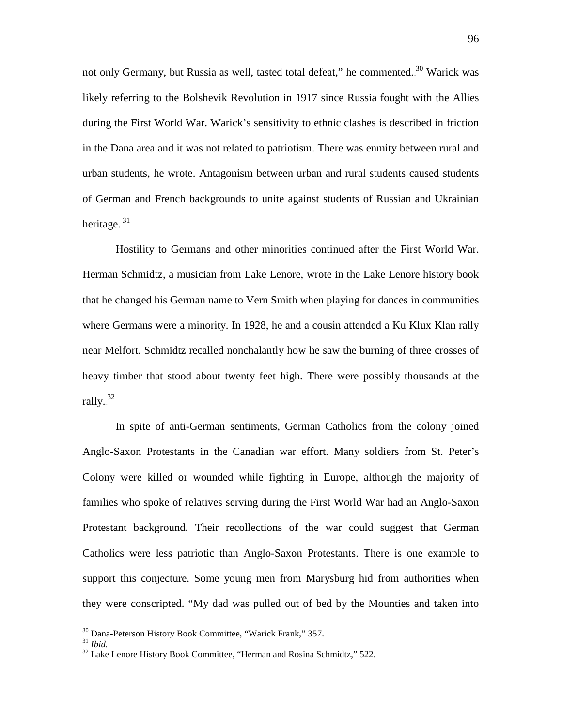not only Germany, but Russia as well, tasted total defeat," he commented.<sup>30</sup> Warick was likely referring to the Bolshevik Revolution in 1917 since Russia fought with the Allies during the First World War. Warick's sensitivity to ethnic clashes is described in friction in the Dana area and it was not related to patriotism. There was enmity between rural and urban students, he wrote. Antagonism between urban and rural students caused students of German and French backgrounds to unite against students of Russian and Ukrainian heritage.<sup>31</sup>

Hostility to Germans and other minorities continued after the First World War. Herman Schmidtz, a musician from Lake Lenore, wrote in the Lake Lenore history book that he changed his German name to Vern Smith when playing for dances in communities where Germans were a minority. In 1928, he and a cousin attended a Ku Klux Klan rally near Melfort. Schmidtz recalled nonchalantly how he saw the burning of three crosses of heavy timber that stood about twenty feet high. There were possibly thousands at the rally.<sup>32</sup>

In spite of anti-German sentiments, German Catholics from the colony joined Anglo-Saxon Protestants in the Canadian war effort. Many soldiers from St. Peter's Colony were killed or wounded while fighting in Europe, although the majority of families who spoke of relatives serving during the First World War had an Anglo-Saxon Protestant background. Their recollections of the war could suggest that German Catholics were less patriotic than Anglo-Saxon Protestants. There is one example to support this conjecture. Some young men from Marysburg hid from authorities when they were conscripted. "My dad was pulled out of bed by the Mounties and taken into

<sup>&</sup>lt;sup>30</sup> Dana-Peterson History Book Committee, "Warick Frank," 357.<br><sup>31</sup> *Ibid.* 32 Lake Lenore History Book Committee, "Herman and Rosina Schmidtz," 522.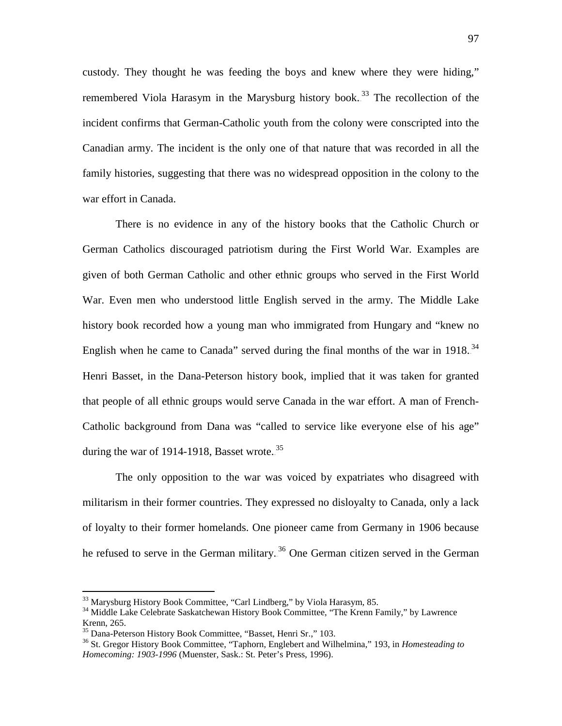custody. They thought he was feeding the boys and knew where they were hiding," remembered Viola Harasym in the Marysburg history book.<sup>33</sup> The recollection of the incident confirms that German-Catholic youth from the colony were conscripted into the Canadian army. The incident is the only one of that nature that was recorded in all the family histories, suggesting that there was no widespread opposition in the colony to the war effort in Canada.

There is no evidence in any of the history books that the Catholic Church or German Catholics discouraged patriotism during the First World War. Examples are given of both German Catholic and other ethnic groups who served in the First World War. Even men who understood little English served in the army. The Middle Lake history book recorded how a young man who immigrated from Hungary and "knew no English when he came to Canada" served during the final months of the war in  $1918.^{34}$ Henri Basset, in the Dana-Peterson history book, implied that it was taken for granted that people of all ethnic groups would serve Canada in the war effort. A man of French-Catholic background from Dana was "called to service like everyone else of his age" during the war of 1914-1918, Basset wrote. $35$ 

The only opposition to the war was voiced by expatriates who disagreed with militarism in their former countries. They expressed no disloyalty to Canada, only a lack of loyalty to their former homelands. One pioneer came from Germany in 1906 because he refused to serve in the German military.<sup>36</sup> One German citizen served in the German

 $33$  Marysburg History Book Committee, "Carl Lindberg," by Viola Harasym, 85.<br><sup>34</sup> Middle Lake Celebrate Saskatchewan History Book Committee, "The Krenn Family," by Lawrence Krenn, 265.<br><sup>35</sup> Dana-Peterson History Book Committee, "Basset, Henri Sr.," 103.

<sup>&</sup>lt;sup>36</sup> St. Gregor History Book Committee, "Taphorn, Englebert and Wilhelmina," 193, in *Homesteading to Homecoming: 1903-1996* (Muenster, Sask.: St. Peter's Press, 1996).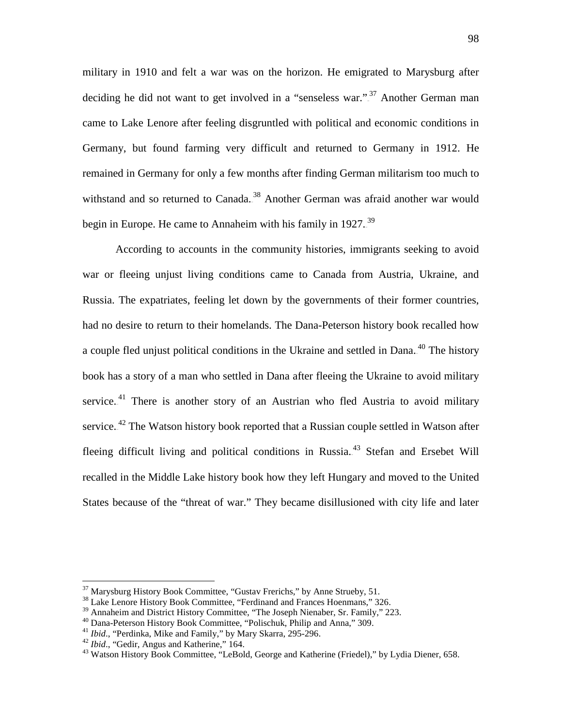military in 1910 and felt a war was on the horizon. He emigrated to Marysburg after deciding he did not want to get involved in a "senseless war.".<sup>37</sup> Another German man came to Lake Lenore after feeling disgruntled with political and economic conditions in Germany, but found farming very difficult and returned to Germany in 1912. He remained in Germany for only a few months after finding German militarism too much to withstand and so returned to Canada.<sup>38</sup> Another German was afraid another war would begin in Europe. He came to Annaheim with his family in 1927.<sup>39</sup>

According to accounts in the community histories, immigrants seeking to avoid war or fleeing unjust living conditions came to Canada from Austria, Ukraine, and Russia. The expatriates, feeling let down by the governments of their former countries, had no desire to return to their homelands. The Dana-Peterson history book recalled how a couple fled unjust political conditions in the Ukraine and settled in Dana.<sup>40</sup> The history book has a story of a man who settled in Dana after fleeing the Ukraine to avoid military service.<sup>41</sup> There is another story of an Austrian who fled Austria to avoid military service.<sup>42</sup> The Watson history book reported that a Russian couple settled in Watson after fleeing difficult living and political conditions in Russia.<sup>43</sup> Stefan and Ersebet Will recalled in the Middle Lake history book how they left Hungary and moved to the United States because of the "threat of war." They became disillusioned with city life and later

<sup>&</sup>lt;sup>37</sup> Marysburg History Book Committee, "Gustav Frerichs," by Anne Strueby, 51.<br><sup>38</sup> Lake Lenore History Book Committee, "Ferdinand and Frances Hoenmans," 326.<br><sup>39</sup> Annaheim and District History Committee, "The Joseph Nien

<sup>&</sup>lt;sup>40</sup> Dana-Peterson History Book Committee, "Polischuk, Philip and Anna," 309.<br><sup>41</sup> *Ibid.*, "Perdinka, Mike and Family," by Mary Skarra, 295-296.<br><sup>42</sup> *Ibid.*, "Gedir, Angus and Katherine," 164.<br><sup>43</sup> Watson History Book C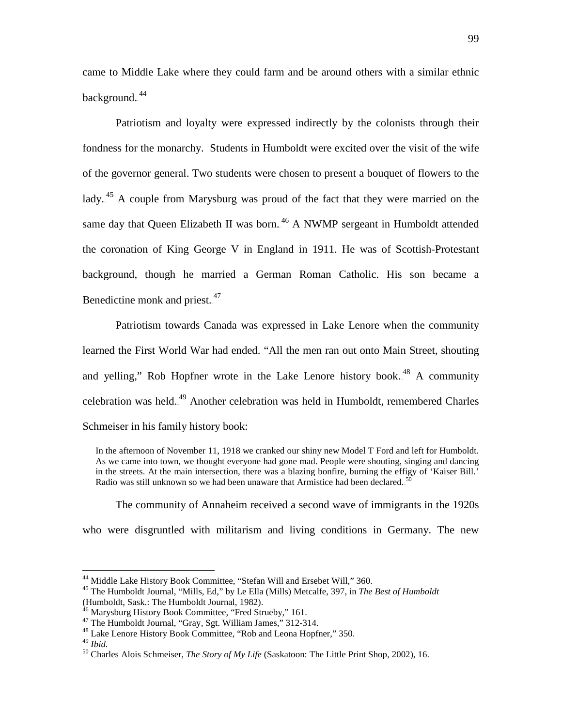came to Middle Lake where they could farm and be around others with a similar ethnic background.<sup>44</sup>

Patriotism and loyalty were expressed indirectly by the colonists through their fondness for the monarchy. Students in Humboldt were excited over the visit of the wife of the governor general. Two students were chosen to present a bouquet of flowers to the lady.<sup>45</sup> A couple from Marysburg was proud of the fact that they were married on the same day that Queen Elizabeth II was born.<sup>46</sup> A NWMP sergeant in Humboldt attended the coronation of King George V in England in 1911. He was of Scottish-Protestant background, though he married a German Roman Catholic. His son became a Benedictine monk and priest..<sup>47</sup>

Patriotism towards Canada was expressed in Lake Lenore when the community learned the First World War had ended. "All the men ran out onto Main Street, shouting and yelling," Rob Hopfner wrote in the Lake Lenore history book.<sup>48</sup> A community celebration was held.<sup>49</sup> Another celebration was held in Humboldt, remembered Charles Schmeiser in his family history book:

In the afternoon of November 11, 1918 we cranked our shiny new Model T Ford and left for Humboldt. As we came into town, we thought everyone had gone mad. People were shouting, singing and dancing in the streets. At the main intersection, there was a blazing bonfire, burning the effigy of 'Kaiser Bill.' Radio was still unknown so we had been unaware that Armistice had been declared.<sup>50</sup>

The community of Annaheim received a second wave of immigrants in the 1920s who were disgruntled with militarism and living conditions in Germany. The new

<sup>&</sup>lt;sup>44</sup> Middle Lake History Book Committee, "Stefan Will and Ersebet Will," 360.<br><sup>45</sup> The Humboldt Journal, "Mills, Ed," by Le Ella (Mills) Metcalfe, 397, in *The Best of Humboldt* (Humboldt, Sask.: The Humboldt Journal, 1982).<br><sup>46</sup> Marysburg History Book Committee, "Fred Strueby," 161.

<sup>&</sup>lt;sup>47</sup> The Humboldt Journal, "Gray, Sgt. William James," 312-314.<br><sup>48</sup> Lake Lenore History Book Committee, "Rob and Leona Hopfner," 350.<br><sup>49</sup> Ibid

<sup>&</sup>lt;sup>50</sup> Charles Alois Schmeiser, *The Story of My Life* (Saskatoon: The Little Print Shop, 2002), 16.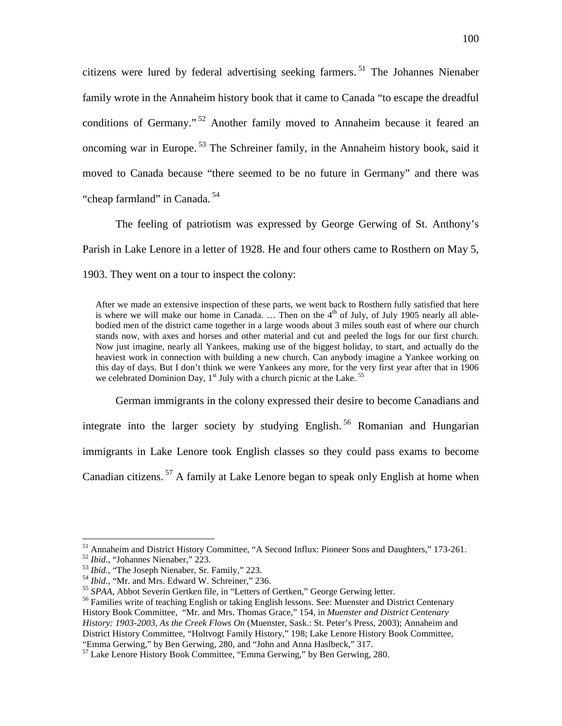citizens were lured by federal advertising seeking farmers.<sup>51</sup> The Johannes Nienaber family wrote in the Annaheim history book that it came to Canada "to escape the dreadful conditions of Germany."<sup>52</sup> Another family moved to Annaheim because it feared an oncoming war in Europe.<sup>53</sup> The Schreiner family, in the Annaheim history book, said it moved to Canada because "there seemed to be no future in Germany" and there was "cheap farmland" in Canada.<sup>54</sup>

The feeling of patriotism was expressed by George Gerwing of St. Anthony's Parish in Lake Lenore in a letter of 1928. He and four others came to Rosthern on May 5, 1903. They went on a tour to inspect the colony:

After we made an extensive inspection of these parts, we went back to Rosthern fully satisfied that here is where we will make our home in Canada. ... Then on the  $4<sup>th</sup>$  of July, of July 1905 nearly all ablebodied men of the district came together in a large woods about 3 miles south east of where our church stands now, with axes and horses and other material and cut and peeled the logs for our first church. Now just imagine, nearly all Yankees, making use of the biggest holiday, to start, and actually do the heaviest work in connection with building a new church. Can anybody imagine a Yankee working on this day of days. But I don't think we were Yankees any more, for the very first year after that in 1906 we celebrated Dominion Day,  $1<sup>st</sup>$  July with a church picnic at the Lake.<sup>55</sup>

German immigrants in the colony expressed their desire to become Canadians and integrate into the larger society by studying English.<sup>56</sup> Romanian and Hungarian immigrants in Lake Lenore took English classes so they could pass exams to become Canadian citizens.<sup>57</sup> A family at Lake Lenore began to speak only English at home when

<sup>&</sup>lt;sup>51</sup> Annaheim and District History Committee, "A Second Influx: Pioneer Sons and Daughters," 173-261.<br><sup>52</sup> *Ibid.*, "Johannes Nienaber," 223.<br><sup>53</sup> *Ibid.*, "The Joseph Nienaber, Sr. Family," 223.<br><sup>54</sup> *Ibid.*, "Mr. and Mr

History Book Committee, "Mr. and Mrs. Thomas Grace," 154, in *Muenster and District Centenary History: 1903-2003, As the Creek Flows On* (Muenster, Sask.: St. Peter's Press, 2003); Annaheim and District History Committee, "Holtvogt Family History," 198; Lake Lenore History Book Committee, "Emma Gerwing," by Ben Gerwing, 280, and "John and Anna Haslbeck," 317.

 $57$  Lake Lenore History Book Committee, "Emma Gerwing," by Ben Gerwing, 280.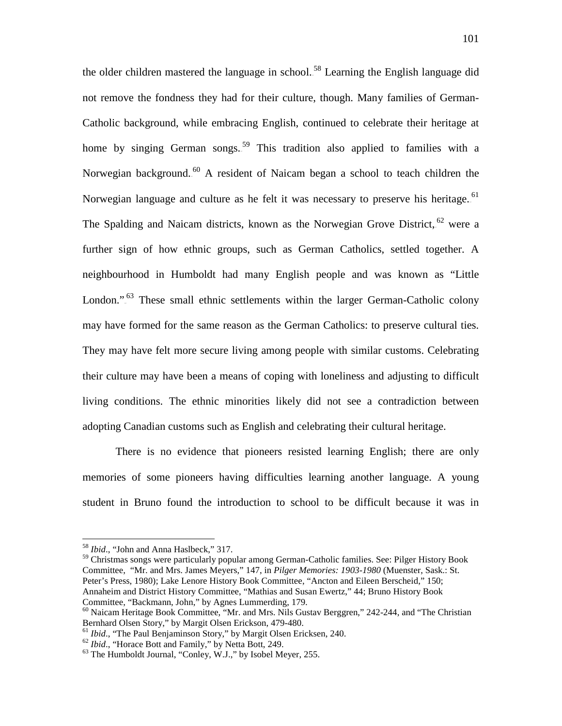the older children mastered the language in school.<sup>58</sup> Learning the English language did not remove the fondness they had for their culture, though. Many families of German-Catholic background, while embracing English, continued to celebrate their heritage at home by singing German songs.<sup>59</sup> This tradition also applied to families with a Norwegian background.<sup>60</sup> A resident of Naicam began a school to teach children the Norwegian language and culture as he felt it was necessary to preserve his heritage.<sup>61</sup> The Spalding and Naicam districts, known as the Norwegian Grove District, <sup>62</sup> were a further sign of how ethnic groups, such as German Catholics, settled together. A neighbourhood in Humboldt had many English people and was known as "Little London."<sup>63</sup> These small ethnic settlements within the larger German-Catholic colony may have formed for the same reason as the German Catholics: to preserve cultural ties. They may have felt more secure living among people with similar customs. Celebrating their culture may have been a means of coping with loneliness and adjusting to difficult living conditions. The ethnic minorities likely did not see a contradiction between adopting Canadian customs such as English and celebrating their cultural heritage.

There is no evidence that pioneers resisted learning English; there are only memories of some pioneers having difficulties learning another language. A young student in Bruno found the introduction to school to be difficult because it was in

<sup>59</sup> Christmas songs were particularly popular among German-Catholic families. See: Pilger History Book Committee, "Mr. and Mrs. James Meyers," 147, in *Pilger Memories: 1903-1980* (Muenster, Sask.: St. Peter's Press, 1980); Lake Lenore History Book Committee, "Ancton and Eileen Berscheid," 150; Annaheim and District History Committee, "Mathias and Susan Ewertz," 44; Bruno History Book Committee, "Backmann, John," by Agnes Lummerding, 179.

 <sup>58</sup> *Ibid*., "John and Anna Haslbeck," 317.

 $60$  Naicam Heritage Book Committee, "Mr. and Mrs. Nils Gustav Berggren," 242-244, and "The Christian Bernhard Olsen Story," by Margit Olsen Erickson, 479-480.

<sup>&</sup>lt;sup>61</sup> *Ibid.*, "The Paul Benjaminson Story," by Margit Olsen Ericksen, 240.<br>
<sup>62</sup> *Ibid.*, "Horace Bott and Family," by Netta Bott, 249.<br>
<sup>63</sup> The Humboldt Journal, "Conley, W.J.," by Isobel Meyer, 255.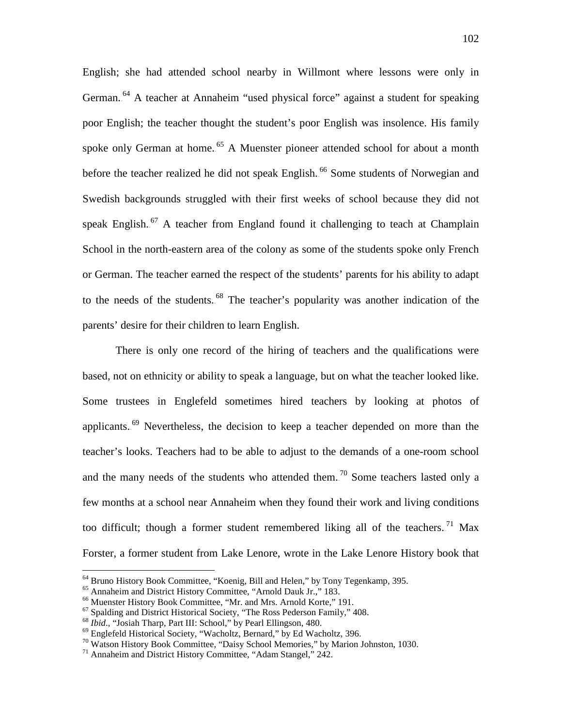English; she had attended school nearby in Willmont where lessons were only in German.<sup>64</sup> A teacher at Annaheim "used physical force" against a student for speaking poor English; the teacher thought the student's poor English was insolence. His family spoke only German at home.<sup>65</sup> A Muenster pioneer attended school for about a month before the teacher realized he did not speak English.<sup>66</sup> Some students of Norwegian and Swedish backgrounds struggled with their first weeks of school because they did not speak English.<sup>67</sup> A teacher from England found it challenging to teach at Champlain School in the north-eastern area of the colony as some of the students spoke only French or German. The teacher earned the respect of the students' parents for his ability to adapt to the needs of the students.<sup>68</sup> The teacher's popularity was another indication of the parents' desire for their children to learn English.

There is only one record of the hiring of teachers and the qualifications were based, not on ethnicity or ability to speak a language, but on what the teacher looked like. Some trustees in Englefeld sometimes hired teachers by looking at photos of applicants.<sup>69</sup> Nevertheless, the decision to keep a teacher depended on more than the teacher's looks. Teachers had to be able to adjust to the demands of a one-room school and the many needs of the students who attended them.<sup>70</sup> Some teachers lasted only a few months at a school near Annaheim when they found their work and living conditions too difficult; though a former student remembered liking all of the teachers.<sup>71</sup> Max Forster, a former student from Lake Lenore, wrote in the Lake Lenore History book that

<sup>&</sup>lt;sup>64</sup> Bruno History Book Committee, "Koenig, Bill and Helen," by Tony Tegenkamp, 395.<br>
<sup>65</sup> Annaheim and District History Committee, "Arnold Dauk Jr.," 183.<br>
<sup>66</sup> Muenster History Book Committee, "Mr. and Mrs. Arnold Korte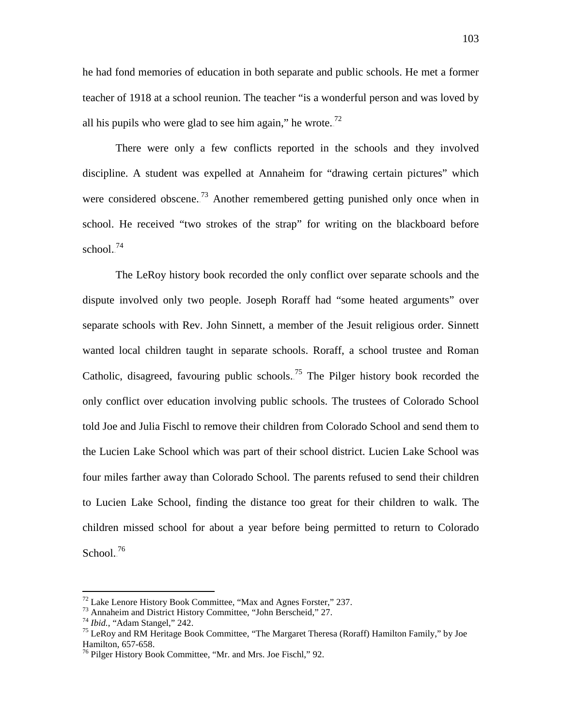he had fond memories of education in both separate and public schools. He met a former teacher of 1918 at a school reunion. The teacher "is a wonderful person and was loved by all his pupils who were glad to see him again," he wrote.<sup>72</sup>

There were only a few conflicts reported in the schools and they involved discipline. A student was expelled at Annaheim for "drawing certain pictures" which were considered obscene.<sup>73</sup> Another remembered getting punished only once when in school. He received "two strokes of the strap" for writing on the blackboard before  $\text{school.}^{74}$ 

The LeRoy history book recorded the only conflict over separate schools and the dispute involved only two people. Joseph Roraff had "some heated arguments" over separate schools with Rev. John Sinnett, a member of the Jesuit religious order. Sinnett wanted local children taught in separate schools. Roraff, a school trustee and Roman Catholic, disagreed, favouring public schools.<sup>75</sup> The Pilger history book recorded the only conflict over education involving public schools. The trustees of Colorado School told Joe and Julia Fischl to remove their children from Colorado School and send them to the Lucien Lake School which was part of their school district. Lucien Lake School was four miles farther away than Colorado School. The parents refused to send their children to Lucien Lake School, finding the distance too great for their children to walk. The children missed school for about a year before being permitted to return to Colorado School. $^{76}$ 

<sup>&</sup>lt;sup>72</sup> Lake Lenore History Book Committee, "Max and Agnes Forster," 237.<br>
<sup>73</sup> Annaheim and District History Committee, "John Berscheid," 27.<br>
<sup>74</sup> Ibid., "Adam Stangel," 242.<br>
<sup>75</sup> LeRoy and RM Heritage Book Committee, "Th

 $^{76}$  Pilger History Book Committee, "Mr. and Mrs. Joe Fischl," 92.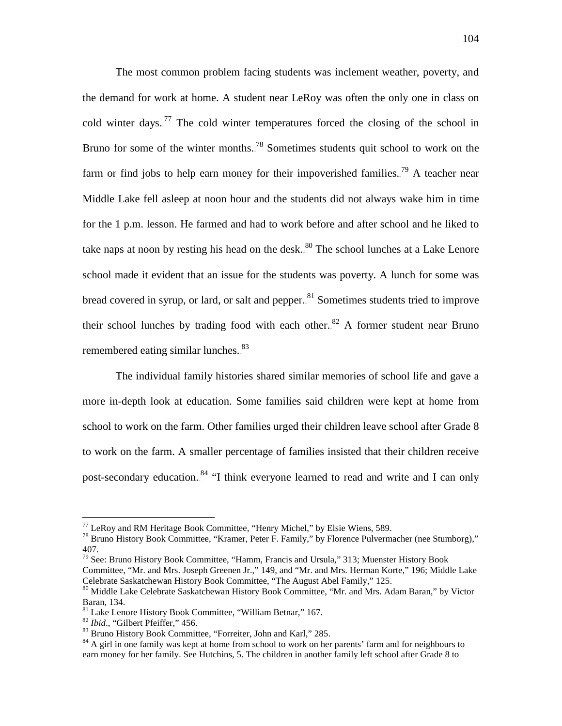The most common problem facing students was inclement weather, poverty, and the demand for work at home. A student near LeRoy was often the only one in class on cold winter days.<sup>77</sup> The cold winter temperatures forced the closing of the school in Bruno for some of the winter months.<sup>78</sup> Sometimes students quit school to work on the farm or find jobs to help earn money for their impoverished families.<sup>79</sup> A teacher near Middle Lake fell asleep at noon hour and the students did not always wake him in time for the 1 p.m. lesson. He farmed and had to work before and after school and he liked to take naps at noon by resting his head on the desk.<sup>80</sup> The school lunches at a Lake Lenore school made it evident that an issue for the students was poverty. A lunch for some was bread covered in syrup, or lard, or salt and pepper.<sup>81</sup> Sometimes students tried to improve their school lunches by trading food with each other.<sup>82</sup> A former student near Bruno remembered eating similar lunches.<sup>83</sup>

The individual family histories shared similar memories of school life and gave a more in-depth look at education. Some families said children were kept at home from school to work on the farm. Other families urged their children leave school after Grade 8 to work on the farm. A smaller percentage of families insisted that their children receive post-secondary education.<sup>84</sup> "I think everyone learned to read and write and I can only

<sup>&</sup>lt;sup>77</sup> LeRoy and RM Heritage Book Committee, "Henry Michel," by Elsie Wiens, 589.<br><sup>78</sup> Bruno History Book Committee, "Kramer, Peter F. Family," by Florence Pulvermacher (nee Stumborg)," 407.

<sup>&</sup>lt;sup>79</sup> See: Bruno History Book Committee, "Hamm, Francis and Ursula," 313; Muenster History Book Committee, "Mr. and Mrs. Joseph Greenen Jr.," 149, and "Mr. and Mrs. Herman Korte," 196; Middle Lake Celebrate Saskatchewan History Book Committee, "The August Abel Family," 125.

 $^{80}$  Middle Lake Celebrate Saskatchewan History Book Committee, "Mr. and Mrs. Adam Baran," by Victor Baran, 134.<br><sup>81</sup> Lake Lenore History Book Committee, "William Betnar," 167.

<sup>&</sup>lt;sup>82</sup> *Ibid.*, "Gilbert Pfeiffer," 456.<br><sup>83</sup> Bruno History Book Committee, "Forreiter, John and Karl," 285.<br><sup>84</sup> A girl in one family was kept at home from school to work on her parents' farm and for neighbours to earn money for her family. See Hutchins, 5. The children in another family left school after Grade 8 to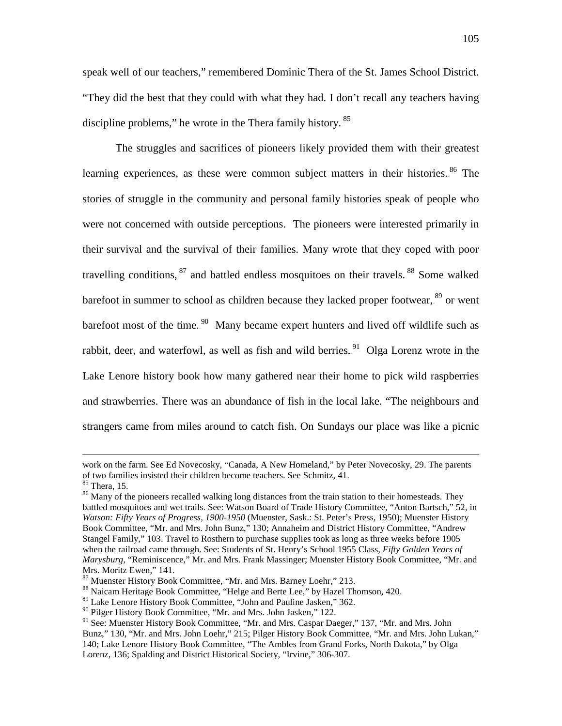speak well of our teachers," remembered Dominic Thera of the St. James School District. "They did the best that they could with what they had. I don't recall any teachers having discipline problems," he wrote in the Thera family history.<sup>85</sup>

The struggles and sacrifices of pioneers likely provided them with their greatest learning experiences, as these were common subject matters in their histories.<sup>86</sup> The stories of struggle in the community and personal family histories speak of people who were not concerned with outside perceptions. The pioneers were interested primarily in their survival and the survival of their families. Many wrote that they coped with poor travelling conditions, <sup>87</sup> and battled endless mosquitoes on their travels. <sup>88</sup> Some walked barefoot in summer to school as children because they lacked proper footwear,.<sup>89</sup> or went barefoot most of the time.<sup>90</sup> Many became expert hunters and lived off wildlife such as rabbit, deer, and waterfowl, as well as fish and wild berries.<sup>91</sup> Olga Lorenz wrote in the Lake Lenore history book how many gathered near their home to pick wild raspberries and strawberries. There was an abundance of fish in the local lake. "The neighbours and strangers came from miles around to catch fish. On Sundays our place was like a picnic

 $\overline{a}$ 

work on the farm. See Ed Novecosky, "Canada, A New Homeland," by Peter Novecosky, 29. The parents of two families insisted their children become teachers. See Schmitz, 41.<br><sup>85</sup> Thera. 15.

<sup>&</sup>lt;sup>86</sup> Many of the pioneers recalled walking long distances from the train station to their homesteads. They battled mosquitoes and wet trails. See: Watson Board of Trade History Committee, "Anton Bartsch," 52, in *Watson: Fifty Years of Progress, 1900-1950* (Muenster, Sask.: St. Peter's Press, 1950); Muenster History Book Committee, "Mr. and Mrs. John Bunz," 130; Annaheim and District History Committee, "Andrew Stangel Family," 103. Travel to Rosthern to purchase supplies took as long as three weeks before 1905 when the railroad came through. See: Students of St. Henry's School 1955 Class, *Fifty Golden Years of Marysburg,* "Reminiscence," Mr. and Mrs. Frank Massinger; Muenster History Book Committee, "Mr. and Mrs. Moritz Ewen," 141.<br><sup>87</sup> Muenster History Book Committee, "Mr. and Mrs. Barney Loehr," 213.

<sup>&</sup>lt;sup>88</sup> Naicam Heritage Book Committee, "Helge and Berte Lee," by Hazel Thomson, 420.

<sup>89</sup> Lake Lenore History Book Committee, "John and Pauline Jasken," 362.

<sup>90</sup> Pilger History Book Committee, "Mr. and Mrs. John Jasken," 122.

<sup>&</sup>lt;sup>91</sup> See: Muenster History Book Committee, "Mr. and Mrs. Caspar Daeger," 137, "Mr. and Mrs. John Bunz," 130, "Mr. and Mrs. John Loehr," 215; Pilger History Book Committee, "Mr. and Mrs. John Lukan," 140; Lake Lenore History Book Committee, "The Ambles from Grand Forks, North Dakota," by Olga Lorenz, 136; Spalding and District Historical Society, "Irvine," 306-307.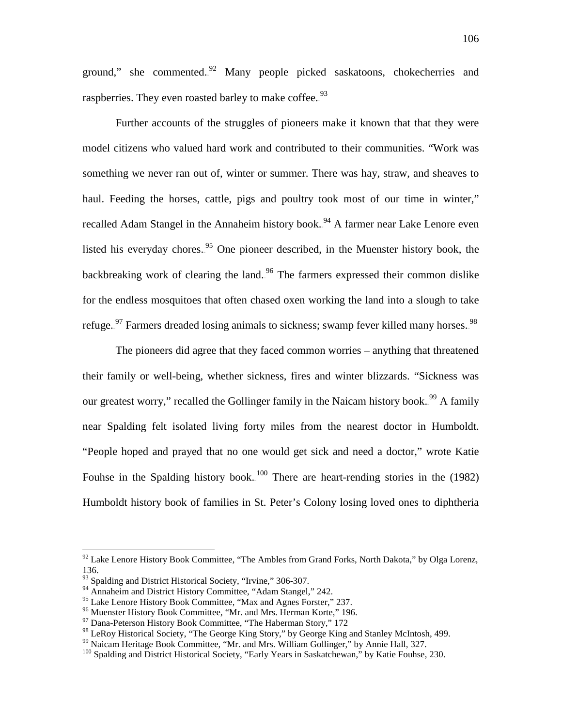ground," she commented.<sup>92</sup> Many people picked saskatoons, chokecherries and raspberries. They even roasted barley to make coffee.<sup>93</sup>

Further accounts of the struggles of pioneers make it known that that they were model citizens who valued hard work and contributed to their communities. "Work was something we never ran out of, winter or summer. There was hay, straw, and sheaves to haul. Feeding the horses, cattle, pigs and poultry took most of our time in winter," recalled Adam Stangel in the Annaheim history book.<sup>94</sup> A farmer near Lake Lenore even listed his everyday chores.<sup>95</sup> One pioneer described, in the Muenster history book, the backbreaking work of clearing the land.<sup>96</sup> The farmers expressed their common dislike for the endless mosquitoes that often chased oxen working the land into a slough to take refuge.<sup>97</sup> Farmers dreaded losing animals to sickness; swamp fever killed many horses.<sup>98</sup>

The pioneers did agree that they faced common worries – anything that threatened their family or well-being, whether sickness, fires and winter blizzards. "Sickness was our greatest worry," recalled the Gollinger family in the Naicam history book.<sup>99</sup> A family near Spalding felt isolated living forty miles from the nearest doctor in Humboldt. "People hoped and prayed that no one would get sick and need a doctor," wrote Katie Fouhse in the Spalding history book.<sup>100</sup> There are heart-rending stories in the (1982) Humboldt history book of families in St. Peter's Colony losing loved ones to diphtheria

 $92$  Lake Lenore History Book Committee, "The Ambles from Grand Forks, North Dakota," by Olga Lorenz, 136.

<sup>&</sup>lt;sup>93</sup> Spalding and District Historical Society, "Irvine," 306-307.

<sup>&</sup>lt;sup>94</sup> Annaheim and District History Committee, "Adam Stangel," 242.<br><sup>95</sup> Lake Lenore History Book Committee, "Max and Agnes Forster," 237.

<sup>&</sup>lt;sup>96</sup> Muenster History Book Committee, "Mr. and Mrs. Herman Korte," 196. 97 Dana-Peterson History Book Committee, "The Haberman Story," 172

<sup>&</sup>lt;sup>98</sup> LeRoy Historical Society, "The George King Story," by George King and Stanley McIntosh, 499.<br><sup>99</sup> Naicam Heritage Book Committee, "Mr. and Mrs. William Gollinger," by Annie Hall, 327.<br><sup>100</sup> Spalding and District Histo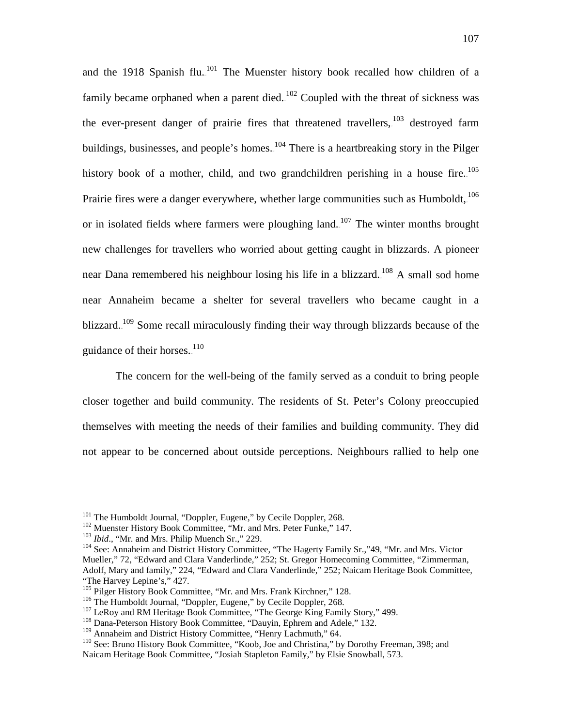and the 1918 Spanish flu.<sup>101</sup> The Muenster history book recalled how children of a family became orphaned when a parent died.<sup>102</sup> Coupled with the threat of sickness was the ever-present danger of prairie fires that threatened travellers,  $103$  destroyed farm buildings, businesses, and people's homes. <sup>104</sup> There is a heartbreaking story in the Pilger history book of a mother, child, and two grandchildren perishing in a house fire.  $^{105}$ Prairie fires were a danger everywhere, whether large communities such as Humboldt,  $^{106}$ or in isolated fields where farmers were ploughing land.<sup>107</sup> The winter months brought new challenges for travellers who worried about getting caught in blizzards. A pioneer near Dana remembered his neighbour losing his life in a blizzard.<sup>108</sup> A small sod home near Annaheim became a shelter for several travellers who became caught in a blizzard.<sup>109</sup> Some recall miraculously finding their way through blizzards because of the guidance of their horses. $110$ 

The concern for the well-being of the family served as a conduit to bring people closer together and build community. The residents of St. Peter's Colony preoccupied themselves with meeting the needs of their families and building community. They did not appear to be concerned about outside perceptions. Neighbours rallied to help one

<sup>&</sup>lt;sup>101</sup> The Humboldt Journal, "Doppler, Eugene," by Cecile Doppler, 268.<br><sup>102</sup> Muenster History Book Committee, "Mr. and Mrs. Peter Funke," 147.<br><sup>103</sup> *Ibid.*, "Mr. and Mrs. Philip Muench Sr.," 229.<br><sup>104</sup> See: Annaheim and Mueller," 72, "Edward and Clara Vanderlinde," 252; St. Gregor Homecoming Committee, "Zimmerman, Adolf, Mary and family," 224, "Edward and Clara Vanderlinde," 252; Naicam Heritage Book Committee, "The Harvey Lepine's," 427.<br><sup>105</sup> Pilger History Book Committee, "Mr. and Mrs. Frank Kirchner," 128.

<sup>&</sup>lt;sup>106</sup> The Humboldt Journal, "Doppler, Eugene," by Cecile Doppler, 268.<br><sup>107</sup> LeRoy and RM Heritage Book Committee, "The George King Family Story," 499.<br><sup>108</sup> Dana-Peterson History Book Committee, "Dauyin, Ephrem and Adele,

 $110$  See: Bruno History Book Committee, "Koob, Joe and Christina," by Dorothy Freeman, 398; and Naicam Heritage Book Committee, "Josiah Stapleton Family," by Elsie Snowball, 573.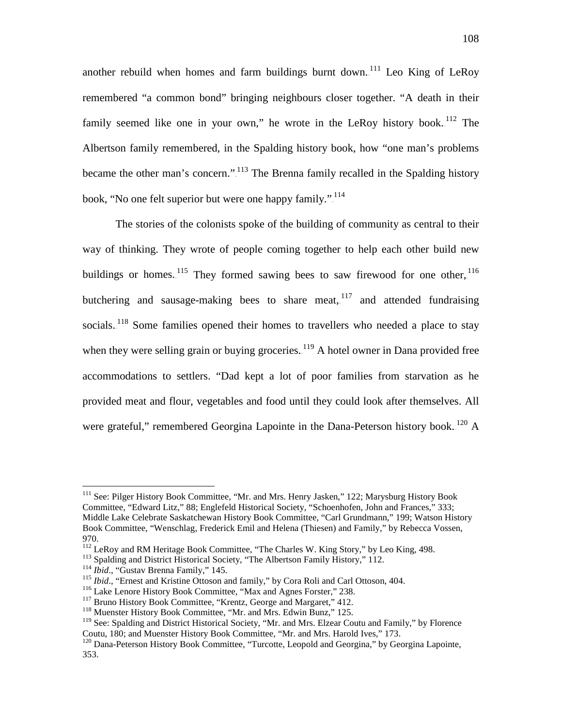another rebuild when homes and farm buildings burnt down.<sup>111</sup> Leo King of LeRoy remembered "a common bond" bringing neighbours closer together. "A death in their family seemed like one in your own," he wrote in the LeRoy history book.<sup>112</sup> The Albertson family remembered, in the Spalding history book, how "one man's problems became the other man's concern." $1^{113}$  The Brenna family recalled in the Spalding history book, "No one felt superior but were one happy family."<sup>114</sup>

The stories of the colonists spoke of the building of community as central to their way of thinking. They wrote of people coming together to help each other build new buildings or homes.  $^{115}$  They formed sawing bees to saw firewood for one other,  $^{116}$ butchering and sausage-making bees to share meat,  $117$  and attended fundraising socials.<sup>118</sup> Some families opened their homes to travellers who needed a place to stay when they were selling grain or buying groceries. $1^{19}$  A hotel owner in Dana provided free accommodations to settlers. "Dad kept a lot of poor families from starvation as he provided meat and flour, vegetables and food until they could look after themselves. All were grateful," remembered Georgina Lapointe in the Dana-Peterson history book.<sup>120</sup> A

<sup>&</sup>lt;sup>111</sup> See: Pilger History Book Committee, "Mr. and Mrs. Henry Jasken," 122; Marysburg History Book Committee, "Edward Litz," 88; Englefeld Historical Society, "Schoenhofen, John and Frances," 333; Middle Lake Celebrate Saskatchewan History Book Committee, "Carl Grundmann," 199; Watson History Book Committee, "Wenschlag, Frederick Emil and Helena (Thiesen) and Family," by Rebecca Vossen, 970.<br><sup>112</sup> LeRoy and RM Heritage Book Committee, "The Charles W. King Story," by Leo King, 498.

<sup>&</sup>lt;sup>113</sup> Spalding and District Historical Society, "The Albertson Family History," 112.<br><sup>114</sup> *Ibid.*, "Gustav Brenna Family," 145.<br><sup>115</sup> *Ibid.*, "Ernest and Kristine Ottoson and family," by Cora Roli and Carl Ottoson, 404.

<sup>&</sup>lt;sup>119</sup> See: Spalding and District Historical Society, "Mr. and Mrs. Elzear Coutu and Family," by Florence Coutu, 180; and Muenster History Book Committee, "Mr. and Mrs. Harold Ives," 173.

<sup>&</sup>lt;sup>120</sup> Dana-Peterson History Book Committee, "Turcotte, Leopold and Georgina," by Georgina Lapointe, 353.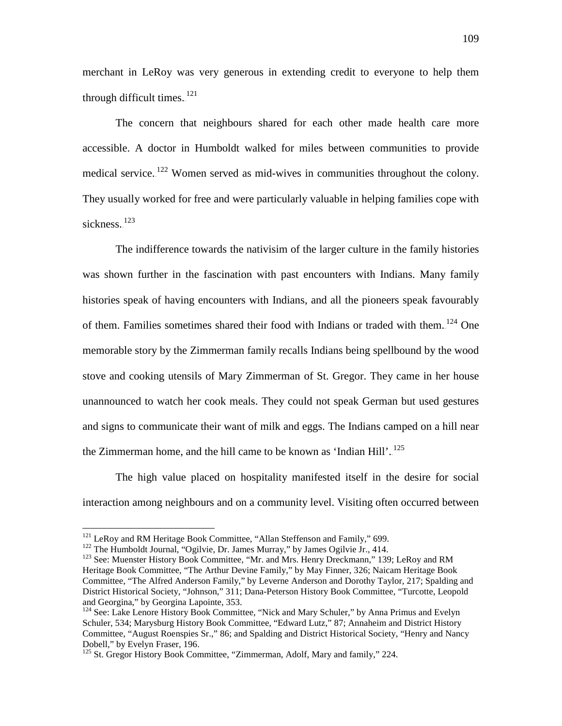merchant in LeRoy was very generous in extending credit to everyone to help them through difficult times.<sup>121</sup>

The concern that neighbours shared for each other made health care more accessible. A doctor in Humboldt walked for miles between communities to provide medical service. $122$  Women served as mid-wives in communities throughout the colony. They usually worked for free and were particularly valuable in helping families cope with sickness.<sup>123</sup>

The indifference towards the nativisim of the larger culture in the family histories was shown further in the fascination with past encounters with Indians. Many family histories speak of having encounters with Indians, and all the pioneers speak favourably of them. Families sometimes shared their food with Indians or traded with them.<sup>124</sup> One memorable story by the Zimmerman family recalls Indians being spellbound by the wood stove and cooking utensils of Mary Zimmerman of St. Gregor. They came in her house unannounced to watch her cook meals. They could not speak German but used gestures and signs to communicate their want of milk and eggs. The Indians camped on a hill near the Zimmerman home, and the hill came to be known as 'Indian Hill'.<sup>125</sup>

The high value placed on hospitality manifested itself in the desire for social interaction among neighbours and on a community level. Visiting often occurred between

<sup>&</sup>lt;sup>121</sup> LeRoy and RM Heritage Book Committee, "Allan Steffenson and Family," 699.<br><sup>122</sup> The Humboldt Journal, "Ogilvie, Dr. James Murray," by James Ogilvie Jr., 414.<br><sup>123</sup> See: Muenster History Book Committee, "Mr. and Mrs. Heritage Book Committee, "The Arthur Devine Family," by May Finner, 326; Naicam Heritage Book Committee, "The Alfred Anderson Family," by Leverne Anderson and Dorothy Taylor, 217; Spalding and District Historical Society, "Johnson," 311; Dana-Peterson History Book Committee, "Turcotte, Leopold and Georgina," by Georgina Lapointe, 353.

<sup>&</sup>lt;sup>124</sup> See: Lake Lenore History Book Committee, "Nick and Mary Schuler," by Anna Primus and Evelyn Schuler, 534; Marysburg History Book Committee, "Edward Lutz," 87; Annaheim and District History Committee, "August Roenspies Sr.," 86; and Spalding and District Historical Society, "Henry and Nancy Dobell," by Evelyn Fraser, 196.<br><sup>125</sup> St. Gregor History Book Committee, "Zimmerman, Adolf, Mary and family," 224.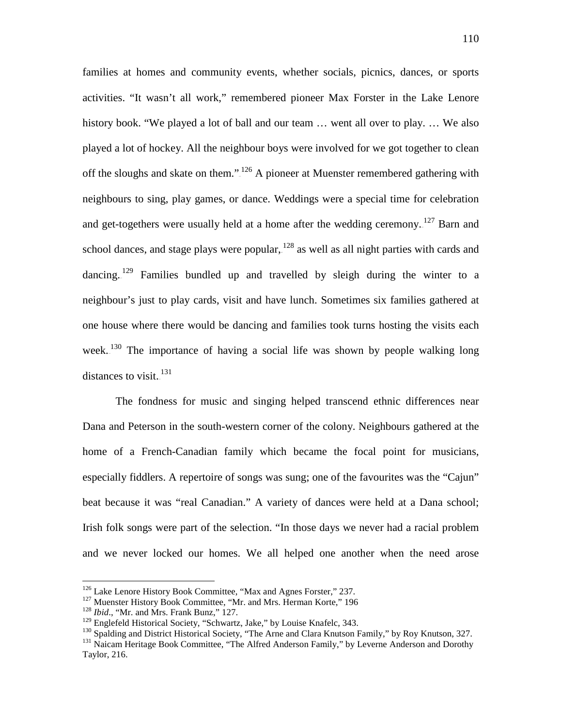families at homes and community events, whether socials, picnics, dances, or sports activities. "It wasn't all work," remembered pioneer Max Forster in the Lake Lenore history book. "We played a lot of ball and our team … went all over to play. … We also played a lot of hockey. All the neighbour boys were involved for we got together to clean off the sloughs and skate on them." $1^{126}$  A pioneer at Muenster remembered gathering with neighbours to sing, play games, or dance. Weddings were a special time for celebration and get-togethers were usually held at a home after the wedding ceremony.  $^{127}$  Barn and school dances, and stage plays were popular,  $^{128}$  as well as all night parties with cards and dancing.<sup>129</sup> Families bundled up and travelled by sleigh during the winter to a neighbour's just to play cards, visit and have lunch. Sometimes six families gathered at one house where there would be dancing and families took turns hosting the visits each week. $130$  The importance of having a social life was shown by people walking long distances to visit. $^{131}$ 

The fondness for music and singing helped transcend ethnic differences near Dana and Peterson in the south-western corner of the colony. Neighbours gathered at the home of a French-Canadian family which became the focal point for musicians, especially fiddlers. A repertoire of songs was sung; one of the favourites was the "Cajun" beat because it was "real Canadian." A variety of dances were held at a Dana school; Irish folk songs were part of the selection. "In those days we never had a racial problem and we never locked our homes. We all helped one another when the need arose

<sup>&</sup>lt;sup>126</sup> Lake Lenore History Book Committee, "Max and Agnes Forster," 237.<br><sup>127</sup> Muenster History Book Committee, "Mr. and Mrs. Herman Korte," 196<br><sup>128</sup> *Ibid.*, "Mr. and Mrs. Frank Bunz," 127.<br><sup>129</sup> Englefeld Historical Soci

<sup>130</sup> Spalding and District Historical Society, "The Arne and Clara Knutson Family," by Roy Knutson, 327.<br>
<sup>131</sup> Naicam Heritage Book Committee, "The Alfred Anderson Family," by Leverne Anderson and Dorothy Taylor, 216.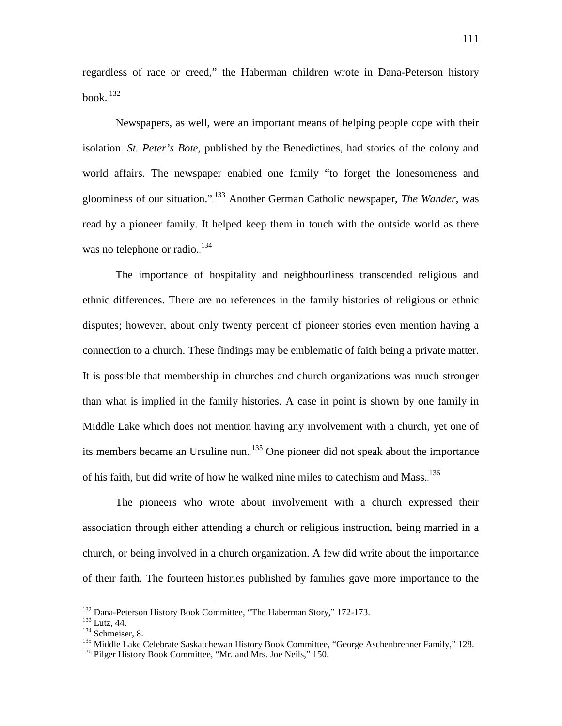regardless of race or creed," the Haberman children wrote in Dana-Peterson history book. $^{132}$ 

Newspapers, as well, were an important means of helping people cope with their isolation. *St. Peter's Bote*, published by the Benedictines, had stories of the colony and world affairs. The newspaper enabled one family "to forget the lonesomeness and gloominess of our situation."<sup>133</sup> Another German Catholic newspaper, *The Wander*, was read by a pioneer family. It helped keep them in touch with the outside world as there was no telephone or radio.<sup>134</sup>

The importance of hospitality and neighbourliness transcended religious and ethnic differences. There are no references in the family histories of religious or ethnic disputes; however, about only twenty percent of pioneer stories even mention having a connection to a church. These findings may be emblematic of faith being a private matter. It is possible that membership in churches and church organizations was much stronger than what is implied in the family histories. A case in point is shown by one family in Middle Lake which does not mention having any involvement with a church, yet one of its members became an Ursuline nun. $135$  One pioneer did not speak about the importance of his faith, but did write of how he walked nine miles to catechism and Mass.<sup>136</sup>

The pioneers who wrote about involvement with a church expressed their association through either attending a church or religious instruction, being married in a church, or being involved in a church organization. A few did write about the importance of their faith. The fourteen histories published by families gave more importance to the

<sup>&</sup>lt;sup>132</sup> Dana-Peterson History Book Committee, "The Haberman Story," 172-173.<br><sup>133</sup> Lutz, 44.<br><sup>134</sup> Schmeiser, 8.<br><sup>135</sup> Middle Lake Celebrate Saskatchewan History Book Committee, "George Aschenbrenner Family," 128.<br><sup>136</sup> Pil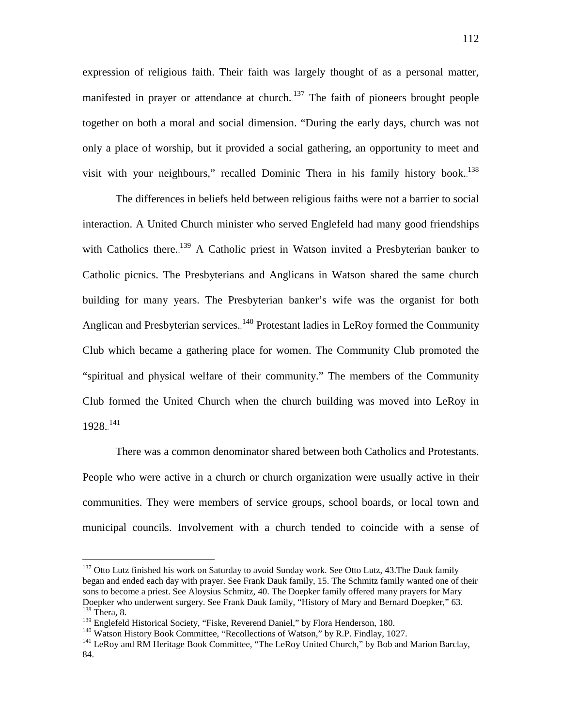expression of religious faith. Their faith was largely thought of as a personal matter, manifested in prayer or attendance at church.<sup>137</sup> The faith of pioneers brought people together on both a moral and social dimension. "During the early days, church was not only a place of worship, but it provided a social gathering, an opportunity to meet and visit with your neighbours," recalled Dominic Thera in his family history book.<sup>138</sup>

The differences in beliefs held between religious faiths were not a barrier to social interaction. A United Church minister who served Englefeld had many good friendships with Catholics there.<sup>139</sup> A Catholic priest in Watson invited a Presbyterian banker to Catholic picnics. The Presbyterians and Anglicans in Watson shared the same church building for many years. The Presbyterian banker's wife was the organist for both Anglican and Presbyterian services.<sup>140</sup> Protestant ladies in LeRoy formed the Community Club which became a gathering place for women. The Community Club promoted the "spiritual and physical welfare of their community." The members of the Community Club formed the United Church when the church building was moved into LeRoy in  $1928.<sup>141</sup>$ 

There was a common denominator shared between both Catholics and Protestants. People who were active in a church or church organization were usually active in their communities. They were members of service groups, school boards, or local town and municipal councils. Involvement with a church tended to coincide with a sense of

<sup>&</sup>lt;sup>137</sup> Otto Lutz finished his work on Saturday to avoid Sunday work. See Otto Lutz, 43. The Dauk family began and ended each day with prayer. See Frank Dauk family, 15. The Schmitz family wanted one of their sons to become a priest. See Aloysius Schmitz, 40. The Doepker family offered many prayers for Mary Doepker who underwent surgery. See Frank Dauk family, "History of Mary and Bernard Doepker," 63. <sup>138</sup> Thera, 8.<br><sup>139</sup> Englefeld Historical Society, "Fiske, Reverend Daniel," by Flora Henderson, 180.

 $^{140}$  Watson History Book Committee, "Recollections of Watson," by R.P. Findlay, 1027.<br> $^{141}$  LeRoy and RM Heritage Book Committee, "The LeRoy United Church," by Bob and Marion Barclay, 84.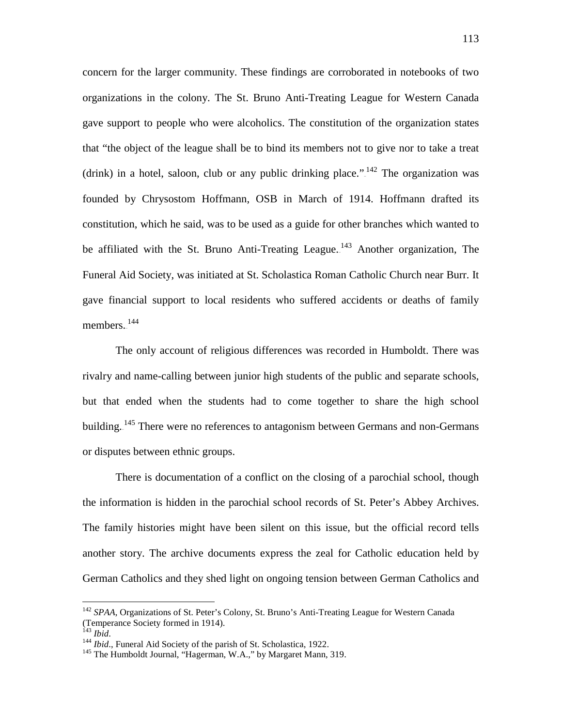concern for the larger community. These findings are corroborated in notebooks of two organizations in the colony. The St. Bruno Anti-Treating League for Western Canada gave support to people who were alcoholics. The constitution of the organization states that "the object of the league shall be to bind its members not to give nor to take a treat (drink) in a hotel, saloon, club or any public drinking place." $142$  The organization was founded by Chrysostom Hoffmann, OSB in March of 1914. Hoffmann drafted its constitution, which he said, was to be used as a guide for other branches which wanted to be affiliated with the St. Bruno Anti-Treating League.<sup>143</sup> Another organization, The Funeral Aid Society, was initiated at St. Scholastica Roman Catholic Church near Burr. It gave financial support to local residents who suffered accidents or deaths of family members. $144$ 

The only account of religious differences was recorded in Humboldt. There was rivalry and name-calling between junior high students of the public and separate schools, but that ended when the students had to come together to share the high school building.<sup>145</sup> There were no references to antagonism between Germans and non-Germans or disputes between ethnic groups.

There is documentation of a conflict on the closing of a parochial school, though the information is hidden in the parochial school records of St. Peter's Abbey Archives. The family histories might have been silent on this issue, but the official record tells another story. The archive documents express the zeal for Catholic education held by German Catholics and they shed light on ongoing tension between German Catholics and

<sup>&</sup>lt;sup>142</sup> SPAA, Organizations of St. Peter's Colony, St. Bruno's Anti-Treating League for Western Canada (Temperance Society formed in 1914).<br><sup>143</sup> Ihid.

<sup>&</sup>lt;sup>144</sup> *Ibid.*, Funeral Aid Society of the parish of St. Scholastica, 1922.<br><sup>145</sup> The Humboldt Journal, "Hagerman, W.A.," by Margaret Mann, 319.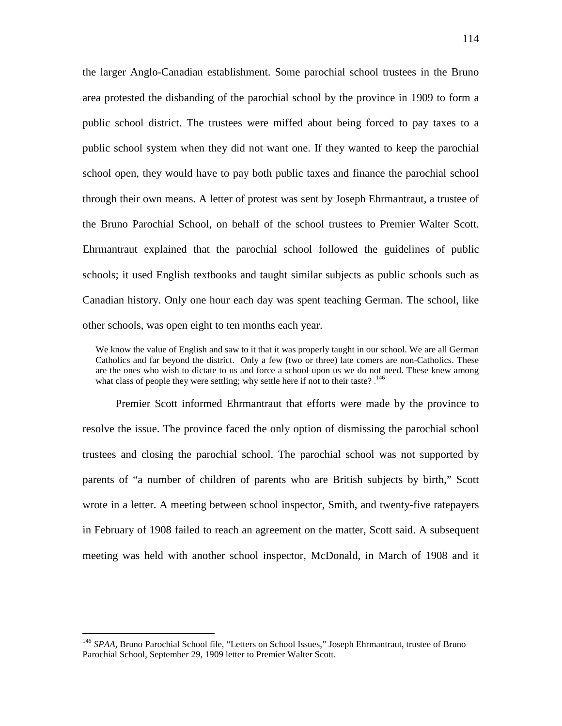the larger Anglo-Canadian establishment. Some parochial school trustees in the Bruno area protested the disbanding of the parochial school by the province in 1909 to form a public school district. The trustees were miffed about being forced to pay taxes to a public school system when they did not want one. If they wanted to keep the parochial school open, they would have to pay both public taxes and finance the parochial school through their own means. A letter of protest was sent by Joseph Ehrmantraut, a trustee of the Bruno Parochial School, on behalf of the school trustees to Premier Walter Scott. Ehrmantraut explained that the parochial school followed the guidelines of public schools; it used English textbooks and taught similar subjects as public schools such as Canadian history. Only one hour each day was spent teaching German. The school, like other schools, was open eight to ten months each year.

We know the value of English and saw to it that it was properly taught in our school. We are all German Catholics and far beyond the district. Only a few (two or three) late comers are non-Catholics. These are the ones who wish to dictate to us and force a school upon us we do not need. These knew among what class of people they were settling; why settle here if not to their taste?  $146$ 

Premier Scott informed Ehrmantraut that efforts were made by the province to resolve the issue. The province faced the only option of dismissing the parochial school trustees and closing the parochial school. The parochial school was not supported by parents of "a number of children of parents who are British subjects by birth," Scott wrote in a letter. A meeting between school inspector, Smith, and twenty-five ratepayers in February of 1908 failed to reach an agreement on the matter, Scott said. A subsequent meeting was held with another school inspector, McDonald, in March of 1908 and it

<sup>&</sup>lt;sup>146</sup> SPAA, Bruno Parochial School file, "Letters on School Issues," Joseph Ehrmantraut, trustee of Bruno Parochial School, September 29, 1909 letter to Premier Walter Scott.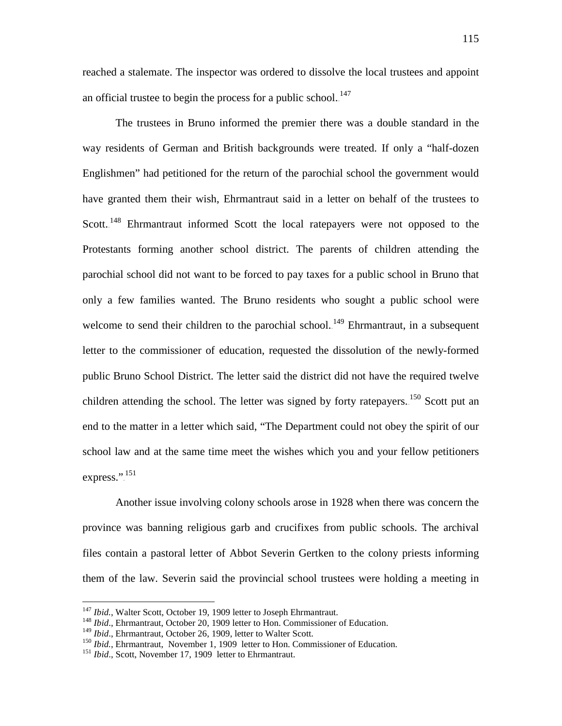reached a stalemate. The inspector was ordered to dissolve the local trustees and appoint an official trustee to begin the process for a public school. $^{147}$ 

The trustees in Bruno informed the premier there was a double standard in the way residents of German and British backgrounds were treated. If only a "half-dozen Englishmen" had petitioned for the return of the parochial school the government would have granted them their wish, Ehrmantraut said in a letter on behalf of the trustees to Scott.<sup>148</sup> Ehrmantraut informed Scott the local ratepayers were not opposed to the Protestants forming another school district. The parents of children attending the parochial school did not want to be forced to pay taxes for a public school in Bruno that only a few families wanted. The Bruno residents who sought a public school were welcome to send their children to the parochial school.<sup>149</sup> Ehrmantraut, in a subsequent letter to the commissioner of education, requested the dissolution of the newly-formed public Bruno School District. The letter said the district did not have the required twelve children attending the school. The letter was signed by forty ratepayers. <sup>150</sup> Scott put an end to the matter in a letter which said, "The Department could not obey the spirit of our school law and at the same time meet the wishes which you and your fellow petitioners express.".<sup>151</sup>

Another issue involving colony schools arose in 1928 when there was concern the province was banning religious garb and crucifixes from public schools. The archival files contain a pastoral letter of Abbot Severin Gertken to the colony priests informing them of the law. Severin said the provincial school trustees were holding a meeting in

<sup>&</sup>lt;sup>147</sup> *Ibid.*, Walter Scott, October 19, 1909 letter to Joseph Ehrmantraut.<br><sup>148</sup> *Ibid.*, Ehrmantraut, October 20, 1909 letter to Hon. Commissioner of Education.<br><sup>149</sup> *Ibid.*, Ehrmantraut, October 26, 1909, letter to Wa

 $^{150}$  *Ibid.*, Ehrmantraut, November 1, 1909 letter to Hon. Commissioner of Education.<br><sup>151</sup> *Ibid.*, Scott, November 17, 1909 letter to Ehrmantraut.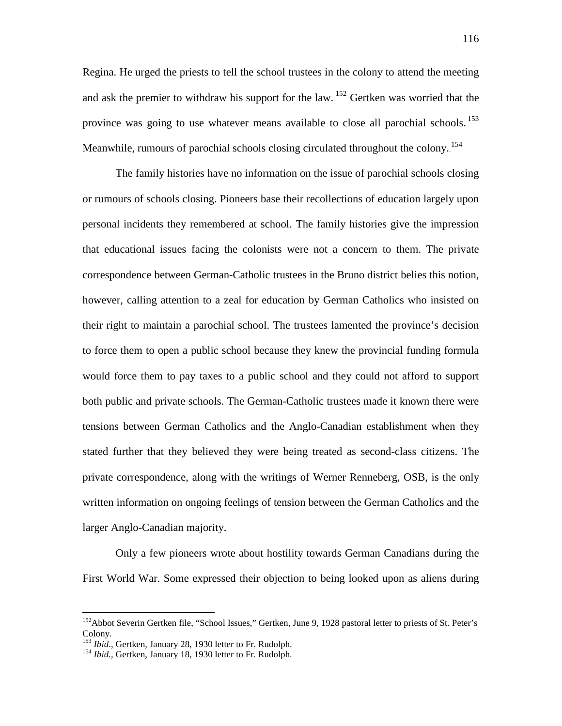Regina. He urged the priests to tell the school trustees in the colony to attend the meeting and ask the premier to withdraw his support for the  $law$ <sup>152</sup> Gertken was worried that the province was going to use whatever means available to close all parochial schools.<sup>153</sup> Meanwhile, rumours of parochial schools closing circulated throughout the colony.<sup>154</sup>

The family histories have no information on the issue of parochial schools closing or rumours of schools closing. Pioneers base their recollections of education largely upon personal incidents they remembered at school. The family histories give the impression that educational issues facing the colonists were not a concern to them. The private correspondence between German-Catholic trustees in the Bruno district belies this notion, however, calling attention to a zeal for education by German Catholics who insisted on their right to maintain a parochial school. The trustees lamented the province's decision to force them to open a public school because they knew the provincial funding formula would force them to pay taxes to a public school and they could not afford to support both public and private schools. The German-Catholic trustees made it known there were tensions between German Catholics and the Anglo-Canadian establishment when they stated further that they believed they were being treated as second-class citizens. The private correspondence, along with the writings of Werner Renneberg, OSB, is the only written information on ongoing feelings of tension between the German Catholics and the larger Anglo-Canadian majority.

Only a few pioneers wrote about hostility towards German Canadians during the First World War. Some expressed their objection to being looked upon as aliens during

<sup>&</sup>lt;sup>152</sup>Abbot Severin Gertken file, "School Issues," Gertken, June 9, 1928 pastoral letter to priests of St. Peter's Colony.<br><sup>153</sup> *Ibid.*, Gertken, January 28, 1930 letter to Fr. Rudolph.

<sup>&</sup>lt;sup>154</sup> *Ibid.*, Gertken, January 18, 1930 letter to Fr. Rudolph.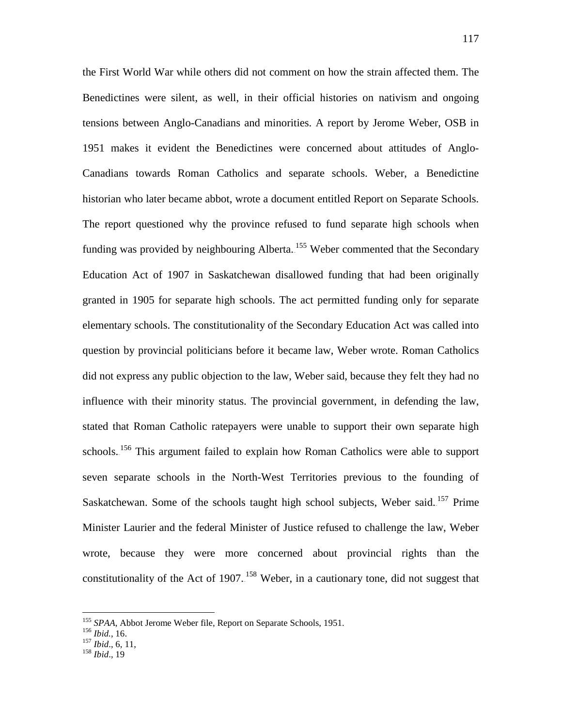the First World War while others did not comment on how the strain affected them. The Benedictines were silent, as well, in their official histories on nativism and ongoing tensions between Anglo-Canadians and minorities. A report by Jerome Weber, OSB in 1951 makes it evident the Benedictines were concerned about attitudes of Anglo-Canadians towards Roman Catholics and separate schools. Weber, a Benedictine historian who later became abbot, wrote a document entitled Report on Separate Schools. The report questioned why the province refused to fund separate high schools when funding was provided by neighbouring Alberta.<sup>155</sup> Weber commented that the Secondary Education Act of 1907 in Saskatchewan disallowed funding that had been originally granted in 1905 for separate high schools. The act permitted funding only for separate elementary schools. The constitutionality of the Secondary Education Act was called into question by provincial politicians before it became law, Weber wrote. Roman Catholics did not express any public objection to the law, Weber said, because they felt they had no influence with their minority status. The provincial government, in defending the law, stated that Roman Catholic ratepayers were unable to support their own separate high schools.<sup>156</sup> This argument failed to explain how Roman Catholics were able to support seven separate schools in the North-West Territories previous to the founding of Saskatchewan. Some of the schools taught high school subjects, Weber said.<sup>157</sup> Prime Minister Laurier and the federal Minister of Justice refused to challenge the law, Weber wrote, because they were more concerned about provincial rights than the constitutionality of the Act of 1907.<sup>158</sup> Weber, in a cautionary tone, did not suggest that

<sup>155</sup> *SPAA*, Abbot Jerome Weber file, Report on Separate Schools, 1951. <sup>156</sup> *Ibid.*, 16. <sup>157</sup> *Ibid*., 6, 11, <sup>158</sup> *Ibid*., 19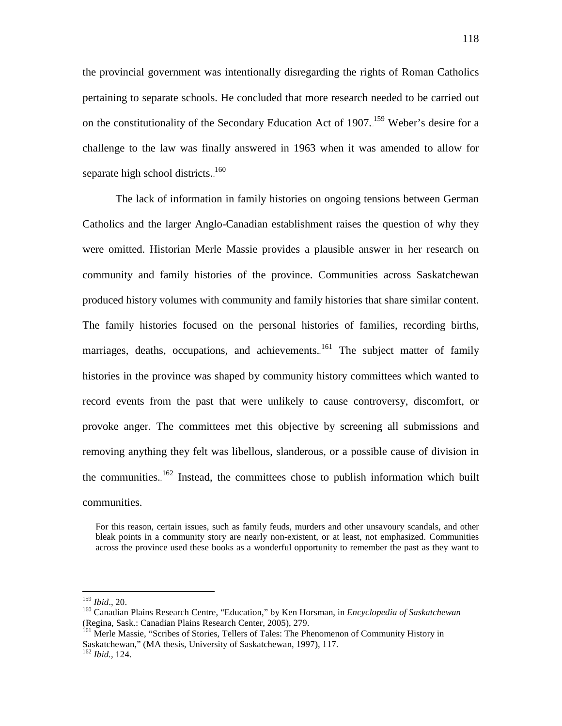the provincial government was intentionally disregarding the rights of Roman Catholics pertaining to separate schools. He concluded that more research needed to be carried out on the constitutionality of the Secondary Education Act of 1907.<sup>159</sup> Weber's desire for a challenge to the law was finally answered in 1963 when it was amended to allow for separate high school districts. $160$ 

The lack of information in family histories on ongoing tensions between German Catholics and the larger Anglo-Canadian establishment raises the question of why they were omitted. Historian Merle Massie provides a plausible answer in her research on community and family histories of the province. Communities across Saskatchewan produced history volumes with community and family histories that share similar content. The family histories focused on the personal histories of families, recording births, marriages, deaths, occupations, and achievements.<sup>161</sup> The subject matter of family histories in the province was shaped by community history committees which wanted to record events from the past that were unlikely to cause controversy, discomfort, or provoke anger. The committees met this objective by screening all submissions and removing anything they felt was libellous, slanderous, or a possible cause of division in the communities. $162$  Instead, the committees chose to publish information which built communities.

For this reason, certain issues, such as family feuds, murders and other unsavoury scandals, and other bleak points in a community story are nearly non-existent, or at least, not emphasized. Communities across the province used these books as a wonderful opportunity to remember the past as they want to

<sup>&</sup>lt;sup>159</sup> *Ibid.*, 20.<br><sup>160</sup> Canadian Plains Research Centre, "Education," by Ken Horsman, in *Encyclopedia of Saskatchewan* (Regina, Sask.: Canadian Plains Research Center, 2005), 279.

<sup>&</sup>lt;sup>161</sup> Merle Massie, "Scribes of Stories, Tellers of Tales: The Phenomenon of Community History in Saskatchewan," (MA thesis, University of Saskatchewan, 1997), 117.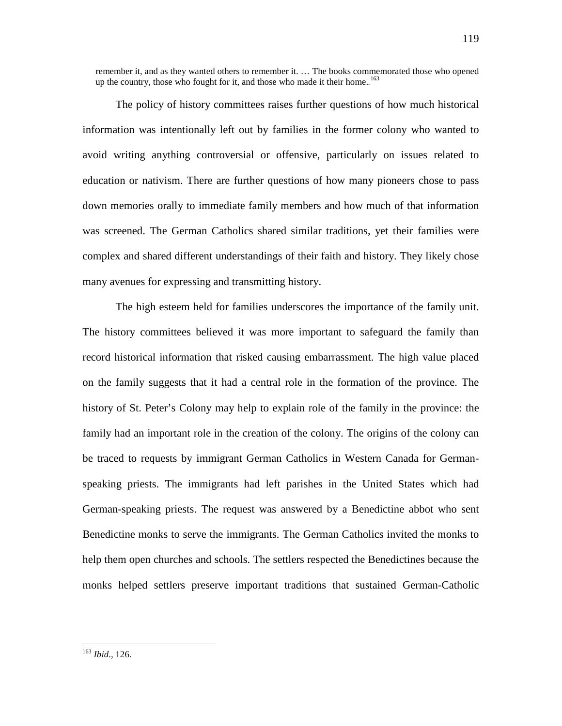remember it, and as they wanted others to remember it. … The books commemorated those who opened up the country, those who fought for it, and those who made it their home. $163$ 

The policy of history committees raises further questions of how much historical information was intentionally left out by families in the former colony who wanted to avoid writing anything controversial or offensive, particularly on issues related to education or nativism. There are further questions of how many pioneers chose to pass down memories orally to immediate family members and how much of that information was screened. The German Catholics shared similar traditions, yet their families were complex and shared different understandings of their faith and history. They likely chose many avenues for expressing and transmitting history.

The high esteem held for families underscores the importance of the family unit. The history committees believed it was more important to safeguard the family than record historical information that risked causing embarrassment. The high value placed on the family suggests that it had a central role in the formation of the province. The history of St. Peter's Colony may help to explain role of the family in the province: the family had an important role in the creation of the colony. The origins of the colony can be traced to requests by immigrant German Catholics in Western Canada for Germanspeaking priests. The immigrants had left parishes in the United States which had German-speaking priests. The request was answered by a Benedictine abbot who sent Benedictine monks to serve the immigrants. The German Catholics invited the monks to help them open churches and schools. The settlers respected the Benedictines because the monks helped settlers preserve important traditions that sustained German-Catholic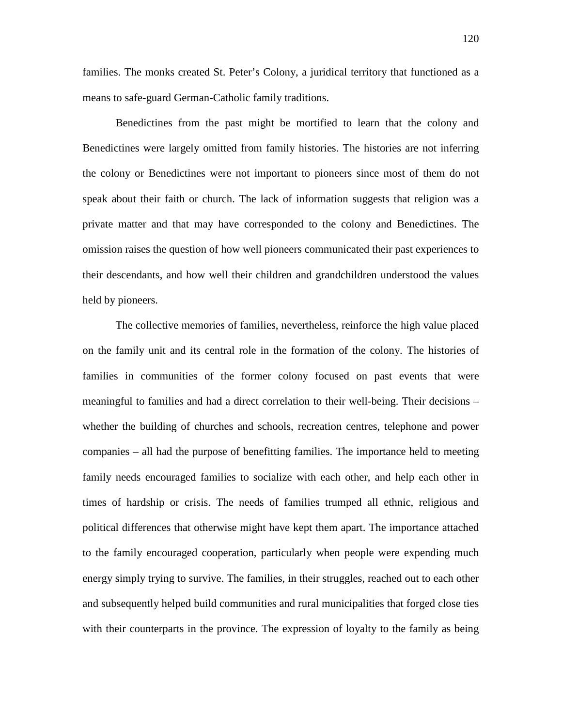families. The monks created St. Peter's Colony, a juridical territory that functioned as a means to safe-guard German-Catholic family traditions.

Benedictines from the past might be mortified to learn that the colony and Benedictines were largely omitted from family histories. The histories are not inferring the colony or Benedictines were not important to pioneers since most of them do not speak about their faith or church. The lack of information suggests that religion was a private matter and that may have corresponded to the colony and Benedictines. The omission raises the question of how well pioneers communicated their past experiences to their descendants, and how well their children and grandchildren understood the values held by pioneers.

The collective memories of families, nevertheless, reinforce the high value placed on the family unit and its central role in the formation of the colony. The histories of families in communities of the former colony focused on past events that were meaningful to families and had a direct correlation to their well-being. Their decisions – whether the building of churches and schools, recreation centres, telephone and power companies – all had the purpose of benefitting families. The importance held to meeting family needs encouraged families to socialize with each other, and help each other in times of hardship or crisis. The needs of families trumped all ethnic, religious and political differences that otherwise might have kept them apart. The importance attached to the family encouraged cooperation, particularly when people were expending much energy simply trying to survive. The families, in their struggles, reached out to each other and subsequently helped build communities and rural municipalities that forged close ties with their counterparts in the province. The expression of loyalty to the family as being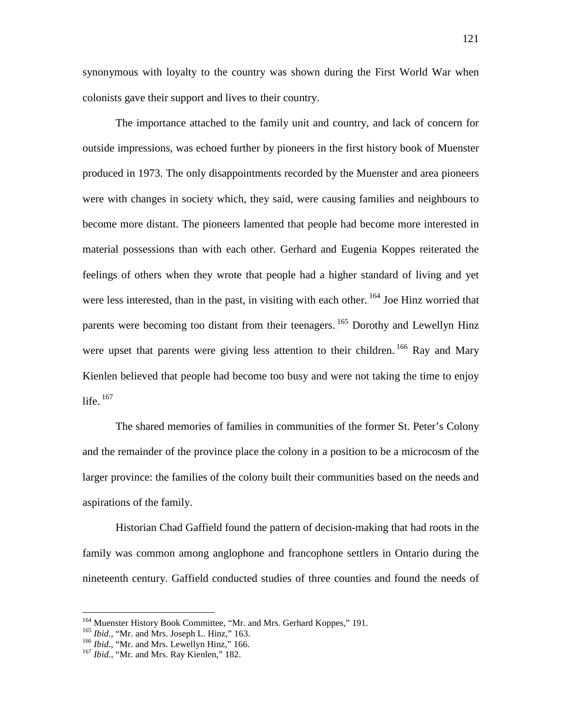synonymous with loyalty to the country was shown during the First World War when colonists gave their support and lives to their country.

The importance attached to the family unit and country, and lack of concern for outside impressions, was echoed further by pioneers in the first history book of Muenster produced in 1973. The only disappointments recorded by the Muenster and area pioneers were with changes in society which, they said, were causing families and neighbours to become more distant. The pioneers lamented that people had become more interested in material possessions than with each other. Gerhard and Eugenia Koppes reiterated the feelings of others when they wrote that people had a higher standard of living and yet were less interested, than in the past, in visiting with each other.<sup>164</sup> Joe Hinz worried that parents were becoming too distant from their teenagers.<sup>165</sup> Dorothy and Lewellyn Hinz were upset that parents were giving less attention to their children.<sup>166</sup> Ray and Mary Kienlen believed that people had become too busy and were not taking the time to enjoy life. $167$ 

The shared memories of families in communities of the former St. Peter's Colony and the remainder of the province place the colony in a position to be a microcosm of the larger province: the families of the colony built their communities based on the needs and aspirations of the family.

Historian Chad Gaffield found the pattern of decision-making that had roots in the family was common among anglophone and francophone settlers in Ontario during the nineteenth century. Gaffield conducted studies of three counties and found the needs of

<sup>&</sup>lt;sup>164</sup> Muenster History Book Committee, "Mr. and Mrs. Gerhard Koppes," 191.<br><sup>165</sup> *Ibid.*, "Mr. and Mrs. Joseph L. Hinz," 163.<br><sup>166</sup> *Ibid.*, "Mr. and Mrs. Lewellyn Hinz," 166.<br><sup>167</sup> *Ibid.*, "Mr. and Mrs. Ray Kienlen," 18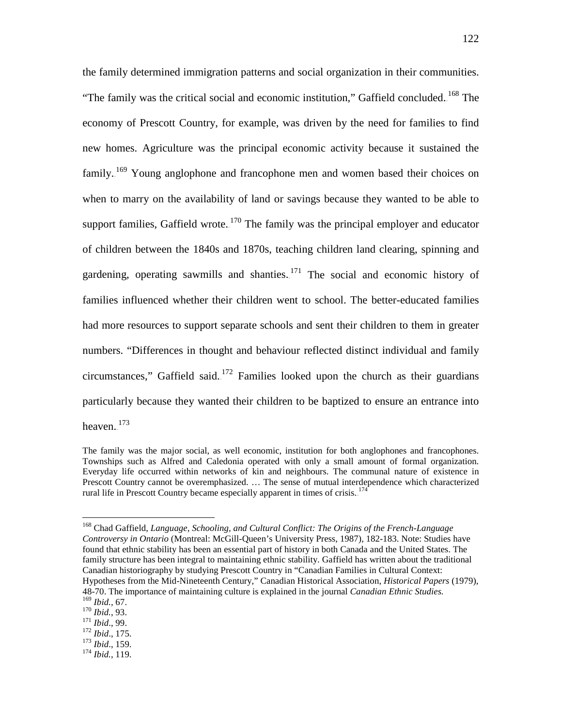the family determined immigration patterns and social organization in their communities. "The family was the critical social and economic institution," Gaffield concluded.<sup>168</sup> The economy of Prescott Country, for example, was driven by the need for families to find new homes. Agriculture was the principal economic activity because it sustained the family.<sup>169</sup> Young anglophone and francophone men and women based their choices on when to marry on the availability of land or savings because they wanted to be able to support families, Gaffield wrote. $170$  The family was the principal employer and educator of children between the 1840s and 1870s, teaching children land clearing, spinning and gardening, operating sawmills and shanties. $171$  The social and economic history of families influenced whether their children went to school. The better-educated families had more resources to support separate schools and sent their children to them in greater numbers. "Differences in thought and behaviour reflected distinct individual and family circumstances," Gaffield said. $172$  Families looked upon the church as their guardians particularly because they wanted their children to be baptized to ensure an entrance into heaven. $173$ 

- 
- 
- 169 *Ibid.,* 67. 170 *Ibid.*, 93. 171 *Ibid*., 99. 172 *Ibid*., 175. 173 *Ibid*., 159. 174 *Ibid.*, 119.

The family was the major social, as well economic, institution for both anglophones and francophones. Townships such as Alfred and Caledonia operated with only a small amount of formal organization. Everyday life occurred within networks of kin and neighbours. The communal nature of existence in Prescott Country cannot be overemphasized. … The sense of mutual interdependence which characterized rural life in Prescott Country became especially apparent in times of crisis. $174$ 

 <sup>168</sup> Chad Gaffield, *Language, Schooling, and Cultural Conflict: The Origins of the French-Language Controversy in Ontario* (Montreal: McGill-Queen's University Press, 1987), 182-183. Note: Studies have found that ethnic stability has been an essential part of history in both Canada and the United States. The family structure has been integral to maintaining ethnic stability. Gaffield has written about the traditional Canadian historiography by studying Prescott Country in "Canadian Families in Cultural Context: Hypotheses from the Mid-Nineteenth Century," Canadian Historical Association, *Historical Papers* (1979), 48-70. The importance of maintaining culture is explained in the journal *Canadian Ethnic Studies.*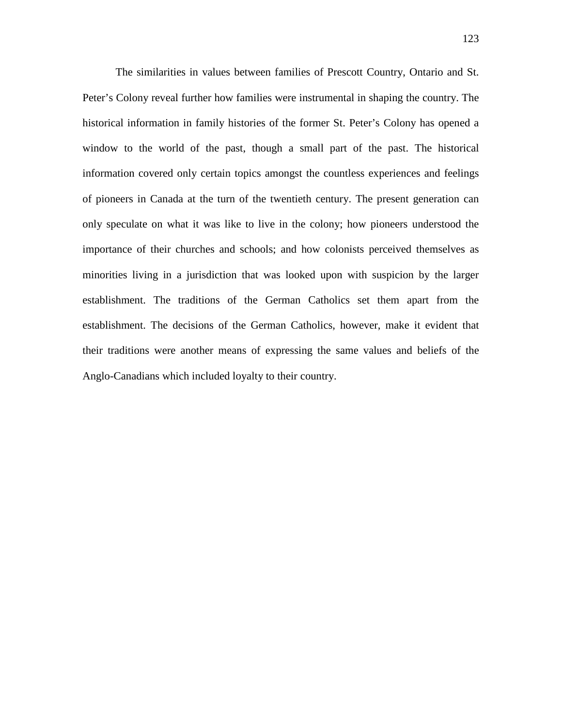The similarities in values between families of Prescott Country, Ontario and St. Peter's Colony reveal further how families were instrumental in shaping the country. The historical information in family histories of the former St. Peter's Colony has opened a window to the world of the past, though a small part of the past. The historical information covered only certain topics amongst the countless experiences and feelings of pioneers in Canada at the turn of the twentieth century. The present generation can only speculate on what it was like to live in the colony; how pioneers understood the importance of their churches and schools; and how colonists perceived themselves as minorities living in a jurisdiction that was looked upon with suspicion by the larger establishment. The traditions of the German Catholics set them apart from the establishment. The decisions of the German Catholics, however, make it evident that their traditions were another means of expressing the same values and beliefs of the Anglo-Canadians which included loyalty to their country.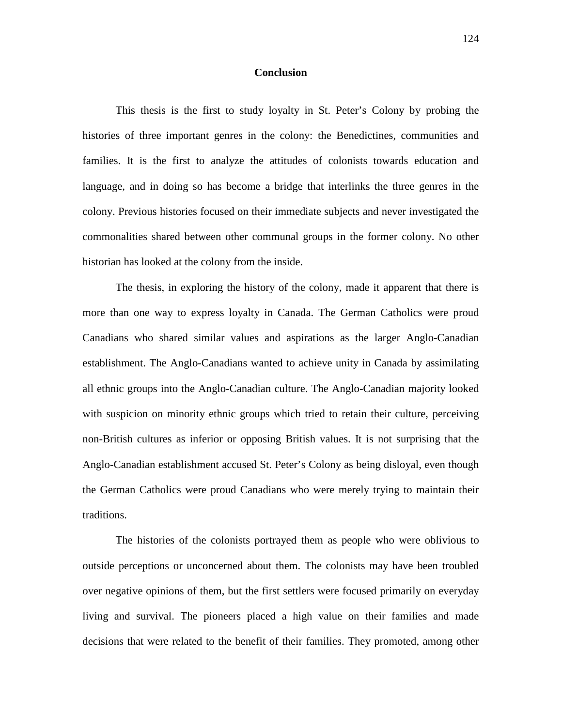## **Conclusion**

This thesis is the first to study loyalty in St. Peter's Colony by probing the histories of three important genres in the colony: the Benedictines, communities and families. It is the first to analyze the attitudes of colonists towards education and language, and in doing so has become a bridge that interlinks the three genres in the colony. Previous histories focused on their immediate subjects and never investigated the commonalities shared between other communal groups in the former colony. No other historian has looked at the colony from the inside.

The thesis, in exploring the history of the colony, made it apparent that there is more than one way to express loyalty in Canada. The German Catholics were proud Canadians who shared similar values and aspirations as the larger Anglo-Canadian establishment. The Anglo-Canadians wanted to achieve unity in Canada by assimilating all ethnic groups into the Anglo-Canadian culture. The Anglo-Canadian majority looked with suspicion on minority ethnic groups which tried to retain their culture, perceiving non-British cultures as inferior or opposing British values. It is not surprising that the Anglo-Canadian establishment accused St. Peter's Colony as being disloyal, even though the German Catholics were proud Canadians who were merely trying to maintain their traditions.

The histories of the colonists portrayed them as people who were oblivious to outside perceptions or unconcerned about them. The colonists may have been troubled over negative opinions of them, but the first settlers were focused primarily on everyday living and survival. The pioneers placed a high value on their families and made decisions that were related to the benefit of their families. They promoted, among other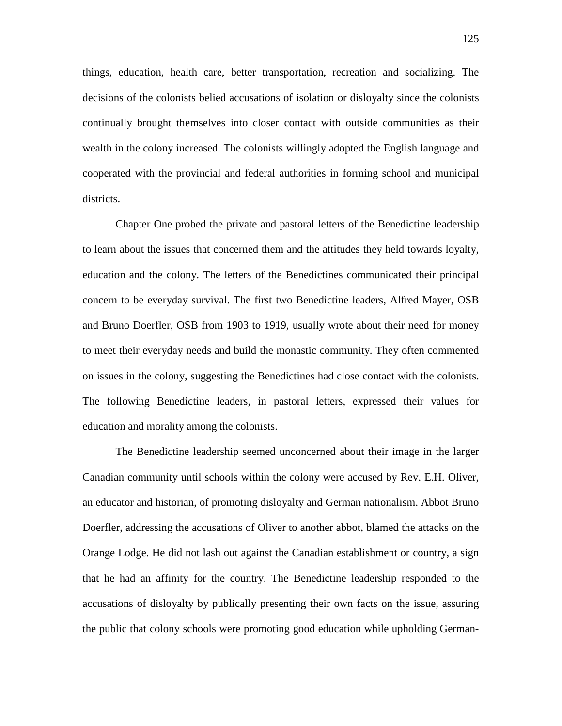things, education, health care, better transportation, recreation and socializing. The decisions of the colonists belied accusations of isolation or disloyalty since the colonists continually brought themselves into closer contact with outside communities as their wealth in the colony increased. The colonists willingly adopted the English language and cooperated with the provincial and federal authorities in forming school and municipal districts.

Chapter One probed the private and pastoral letters of the Benedictine leadership to learn about the issues that concerned them and the attitudes they held towards loyalty, education and the colony. The letters of the Benedictines communicated their principal concern to be everyday survival. The first two Benedictine leaders, Alfred Mayer, OSB and Bruno Doerfler, OSB from 1903 to 1919, usually wrote about their need for money to meet their everyday needs and build the monastic community. They often commented on issues in the colony, suggesting the Benedictines had close contact with the colonists. The following Benedictine leaders, in pastoral letters, expressed their values for education and morality among the colonists.

The Benedictine leadership seemed unconcerned about their image in the larger Canadian community until schools within the colony were accused by Rev. E.H. Oliver, an educator and historian, of promoting disloyalty and German nationalism. Abbot Bruno Doerfler, addressing the accusations of Oliver to another abbot, blamed the attacks on the Orange Lodge. He did not lash out against the Canadian establishment or country, a sign that he had an affinity for the country. The Benedictine leadership responded to the accusations of disloyalty by publically presenting their own facts on the issue, assuring the public that colony schools were promoting good education while upholding German-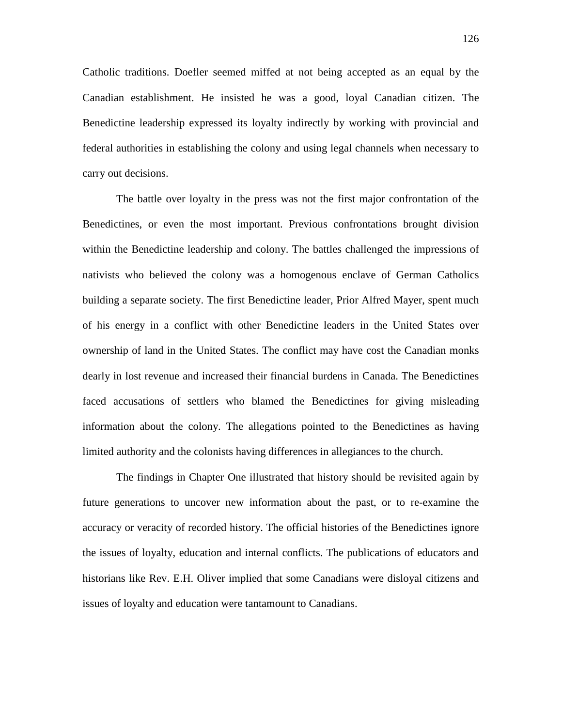Catholic traditions. Doefler seemed miffed at not being accepted as an equal by the Canadian establishment. He insisted he was a good, loyal Canadian citizen. The Benedictine leadership expressed its loyalty indirectly by working with provincial and federal authorities in establishing the colony and using legal channels when necessary to carry out decisions.

The battle over loyalty in the press was not the first major confrontation of the Benedictines, or even the most important. Previous confrontations brought division within the Benedictine leadership and colony. The battles challenged the impressions of nativists who believed the colony was a homogenous enclave of German Catholics building a separate society. The first Benedictine leader, Prior Alfred Mayer, spent much of his energy in a conflict with other Benedictine leaders in the United States over ownership of land in the United States. The conflict may have cost the Canadian monks dearly in lost revenue and increased their financial burdens in Canada. The Benedictines faced accusations of settlers who blamed the Benedictines for giving misleading information about the colony. The allegations pointed to the Benedictines as having limited authority and the colonists having differences in allegiances to the church.

The findings in Chapter One illustrated that history should be revisited again by future generations to uncover new information about the past, or to re-examine the accuracy or veracity of recorded history. The official histories of the Benedictines ignore the issues of loyalty, education and internal conflicts. The publications of educators and historians like Rev. E.H. Oliver implied that some Canadians were disloyal citizens and issues of loyalty and education were tantamount to Canadians.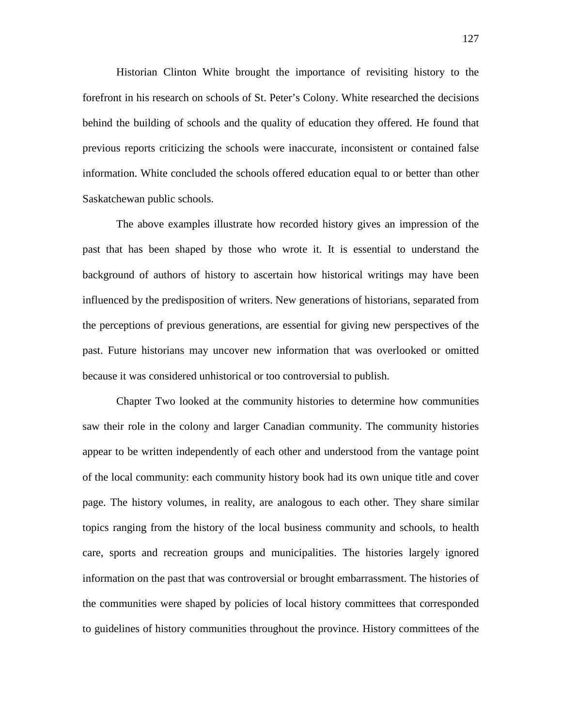Historian Clinton White brought the importance of revisiting history to the forefront in his research on schools of St. Peter's Colony. White researched the decisions behind the building of schools and the quality of education they offered. He found that previous reports criticizing the schools were inaccurate, inconsistent or contained false information. White concluded the schools offered education equal to or better than other Saskatchewan public schools.

The above examples illustrate how recorded history gives an impression of the past that has been shaped by those who wrote it. It is essential to understand the background of authors of history to ascertain how historical writings may have been influenced by the predisposition of writers. New generations of historians, separated from the perceptions of previous generations, are essential for giving new perspectives of the past. Future historians may uncover new information that was overlooked or omitted because it was considered unhistorical or too controversial to publish.

Chapter Two looked at the community histories to determine how communities saw their role in the colony and larger Canadian community. The community histories appear to be written independently of each other and understood from the vantage point of the local community: each community history book had its own unique title and cover page. The history volumes, in reality, are analogous to each other. They share similar topics ranging from the history of the local business community and schools, to health care, sports and recreation groups and municipalities. The histories largely ignored information on the past that was controversial or brought embarrassment. The histories of the communities were shaped by policies of local history committees that corresponded to guidelines of history communities throughout the province. History committees of the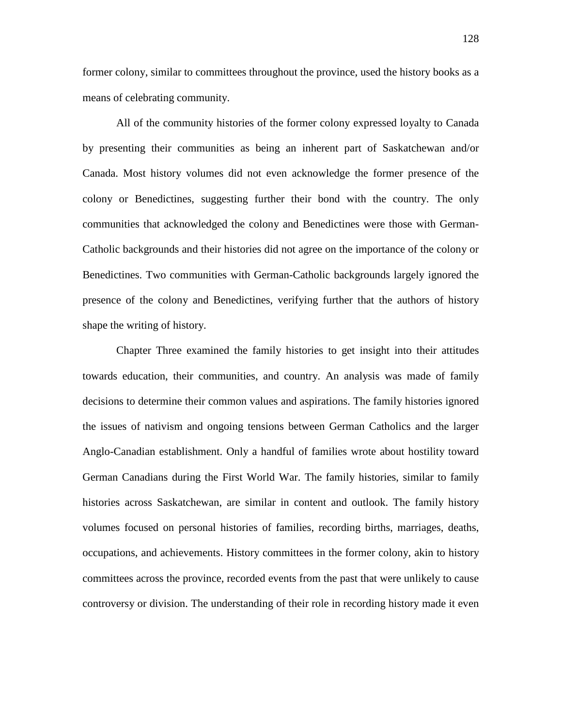former colony, similar to committees throughout the province, used the history books as a means of celebrating community.

All of the community histories of the former colony expressed loyalty to Canada by presenting their communities as being an inherent part of Saskatchewan and/or Canada. Most history volumes did not even acknowledge the former presence of the colony or Benedictines, suggesting further their bond with the country. The only communities that acknowledged the colony and Benedictines were those with German-Catholic backgrounds and their histories did not agree on the importance of the colony or Benedictines. Two communities with German-Catholic backgrounds largely ignored the presence of the colony and Benedictines, verifying further that the authors of history shape the writing of history.

Chapter Three examined the family histories to get insight into their attitudes towards education, their communities, and country. An analysis was made of family decisions to determine their common values and aspirations. The family histories ignored the issues of nativism and ongoing tensions between German Catholics and the larger Anglo-Canadian establishment. Only a handful of families wrote about hostility toward German Canadians during the First World War. The family histories, similar to family histories across Saskatchewan, are similar in content and outlook. The family history volumes focused on personal histories of families, recording births, marriages, deaths, occupations, and achievements. History committees in the former colony, akin to history committees across the province, recorded events from the past that were unlikely to cause controversy or division. The understanding of their role in recording history made it even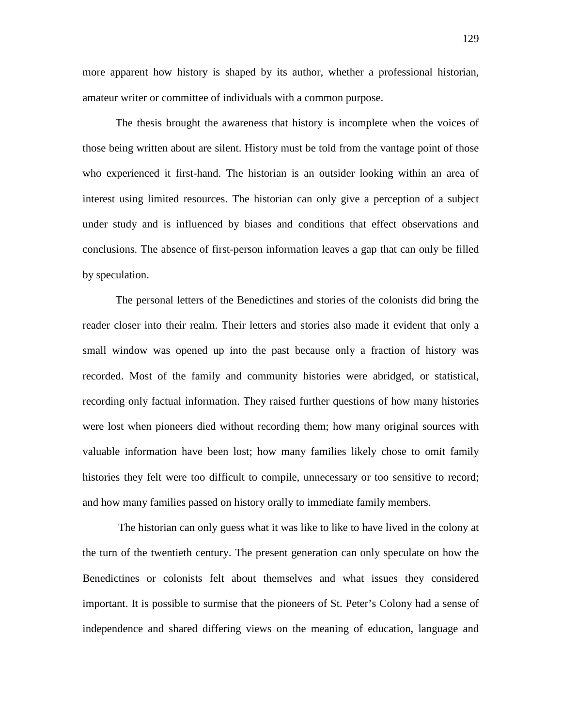more apparent how history is shaped by its author, whether a professional historian, amateur writer or committee of individuals with a common purpose.

The thesis brought the awareness that history is incomplete when the voices of those being written about are silent. History must be told from the vantage point of those who experienced it first-hand. The historian is an outsider looking within an area of interest using limited resources. The historian can only give a perception of a subject under study and is influenced by biases and conditions that effect observations and conclusions. The absence of first-person information leaves a gap that can only be filled by speculation.

The personal letters of the Benedictines and stories of the colonists did bring the reader closer into their realm. Their letters and stories also made it evident that only a small window was opened up into the past because only a fraction of history was recorded. Most of the family and community histories were abridged, or statistical, recording only factual information. They raised further questions of how many histories were lost when pioneers died without recording them; how many original sources with valuable information have been lost; how many families likely chose to omit family histories they felt were too difficult to compile, unnecessary or too sensitive to record; and how many families passed on history orally to immediate family members.

The historian can only guess what it was like to like to have lived in the colony at the turn of the twentieth century. The present generation can only speculate on how the Benedictines or colonists felt about themselves and what issues they considered important. It is possible to surmise that the pioneers of St. Peter's Colony had a sense of independence and shared differing views on the meaning of education, language and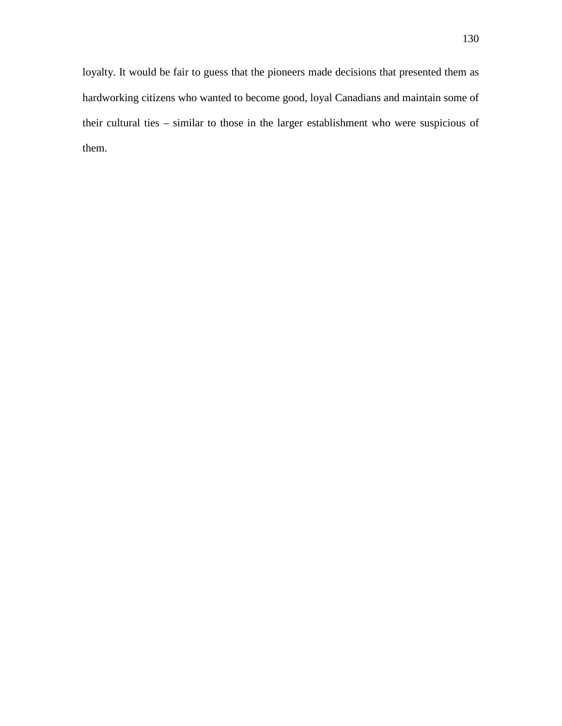loyalty. It would be fair to guess that the pioneers made decisions that presented them as hardworking citizens who wanted to become good, loyal Canadians and maintain some of their cultural ties – similar to those in the larger establishment who were suspicious of them.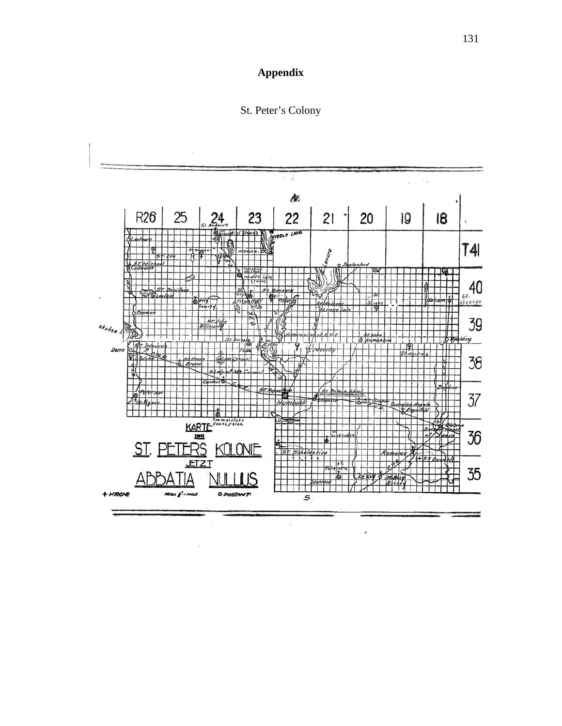



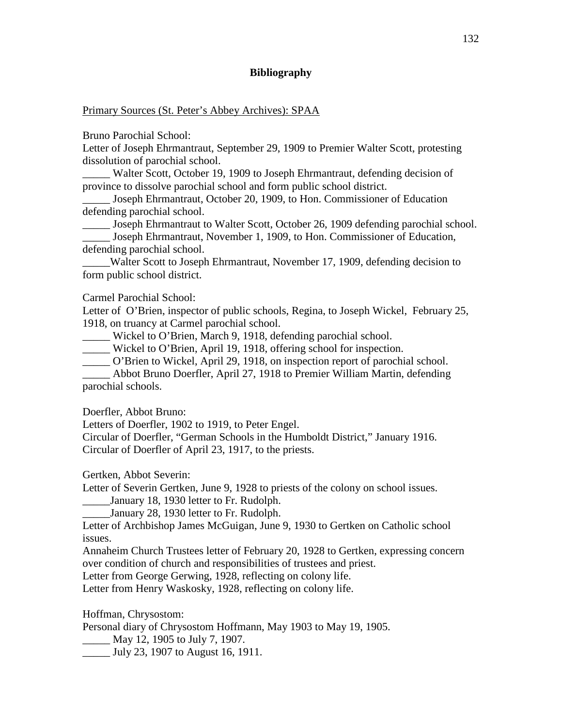## **Bibliography**

Primary Sources (St. Peter's Abbey Archives): SPAA

Bruno Parochial School:

Letter of Joseph Ehrmantraut, September 29, 1909 to Premier Walter Scott, protesting dissolution of parochial school.

\_\_\_\_\_ Walter Scott, October 19, 1909 to Joseph Ehrmantraut, defending decision of province to dissolve parochial school and form public school district.

Joseph Ehrmantraut, October 20, 1909, to Hon. Commissioner of Education defending parochial school.

Joseph Ehrmantraut to Walter Scott, October 26, 1909 defending parochial school.

\_\_\_\_\_ Joseph Ehrmantraut, November 1, 1909, to Hon. Commissioner of Education, defending parochial school.

\_\_\_\_\_Walter Scott to Joseph Ehrmantraut, November 17, 1909, defending decision to form public school district.

Carmel Parochial School:

Letter of O'Brien, inspector of public schools, Regina, to Joseph Wickel, February 25, 1918, on truancy at Carmel parochial school.

\_\_\_\_\_ Wickel to O'Brien, March 9, 1918, defending parochial school.

\_\_\_\_\_ Wickel to O'Brien, April 19, 1918, offering school for inspection.

\_\_\_\_\_ O'Brien to Wickel, April 29, 1918, on inspection report of parochial school.

\_\_\_\_\_ Abbot Bruno Doerfler, April 27, 1918 to Premier William Martin, defending parochial schools.

Doerfler, Abbot Bruno:

Letters of Doerfler, 1902 to 1919, to Peter Engel.

Circular of Doerfler, "German Schools in the Humboldt District," January 1916. Circular of Doerfler of April 23, 1917, to the priests.

Gertken, Abbot Severin:

Letter of Severin Gertken, June 9, 1928 to priests of the colony on school issues.

January 18, 1930 letter to Fr. Rudolph.

\_\_\_\_\_January 28, 1930 letter to Fr. Rudolph.

Letter of Archbishop James McGuigan, June 9, 1930 to Gertken on Catholic school issues.

Annaheim Church Trustees letter of February 20, 1928 to Gertken, expressing concern over condition of church and responsibilities of trustees and priest.

Letter from George Gerwing, 1928, reflecting on colony life.

Letter from Henry Waskosky, 1928, reflecting on colony life.

Hoffman, Chrysostom:

Personal diary of Chrysostom Hoffmann, May 1903 to May 19, 1905.

\_\_\_\_\_ May 12, 1905 to July 7, 1907.

\_\_\_\_\_ July 23, 1907 to August 16, 1911.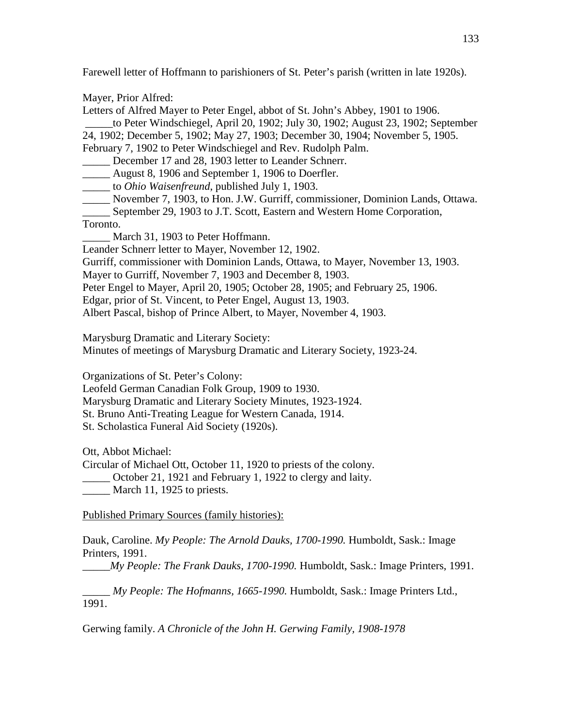Farewell letter of Hoffmann to parishioners of St. Peter's parish (written in late 1920s).

Mayer, Prior Alfred:

Letters of Alfred Mayer to Peter Engel, abbot of St. John's Abbey, 1901 to 1906.

\_\_\_\_\_to Peter Windschiegel, April 20, 1902; July 30, 1902; August 23, 1902; September 24, 1902; December 5, 1902; May 27, 1903; December 30, 1904; November 5, 1905. February 7, 1902 to Peter Windschiegel and Rev. Rudolph Palm.

December 17 and 28, 1903 letter to Leander Schnerr.

\_\_\_\_\_ August 8, 1906 and September 1, 1906 to Doerfler.

\_\_\_\_\_ to *Ohio Waisenfreund*, published July 1, 1903.

\_\_\_\_\_ November 7, 1903, to Hon. J.W. Gurriff, commissioner, Dominion Lands, Ottawa.

\_\_\_\_\_ September 29, 1903 to J.T. Scott, Eastern and Western Home Corporation, Toronto.

March 31, 1903 to Peter Hoffmann.

Leander Schnerr letter to Mayer, November 12, 1902.

Gurriff, commissioner with Dominion Lands, Ottawa, to Mayer, November 13, 1903.

Mayer to Gurriff, November 7, 1903 and December 8, 1903.

Peter Engel to Mayer, April 20, 1905; October 28, 1905; and February 25, 1906.

Edgar, prior of St. Vincent, to Peter Engel, August 13, 1903.

Albert Pascal, bishop of Prince Albert, to Mayer, November 4, 1903.

Marysburg Dramatic and Literary Society:

Minutes of meetings of Marysburg Dramatic and Literary Society, 1923-24.

Organizations of St. Peter's Colony:

Leofeld German Canadian Folk Group, 1909 to 1930.

Marysburg Dramatic and Literary Society Minutes, 1923-1924.

St. Bruno Anti-Treating League for Western Canada, 1914.

St. Scholastica Funeral Aid Society (1920s).

Ott, Abbot Michael:

Circular of Michael Ott, October 11, 1920 to priests of the colony. \_\_\_\_\_ October 21, 1921 and February 1, 1922 to clergy and laity.

March 11, 1925 to priests.

Published Primary Sources (family histories):

Dauk, Caroline. *My People: The Arnold Dauks, 1700-1990.* Humboldt, Sask.: Image Printers, 1991.

\_\_\_\_\_*My People: The Frank Dauks, 1700-1990.* Humboldt, Sask.: Image Printers, 1991.

\_\_\_\_\_ *My People: The Hofmanns, 1665-1990.* Humboldt, Sask.: Image Printers Ltd., 1991.

Gerwing family. *A Chronicle of the John H. Gerwing Family, 1908-1978*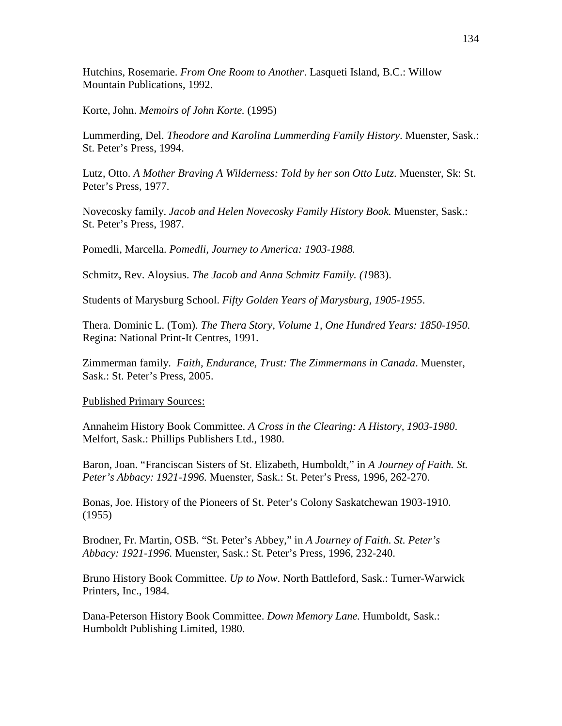Hutchins, Rosemarie. *From One Room to Another*. Lasqueti Island, B.C.: Willow Mountain Publications, 1992.

Korte, John. *Memoirs of John Korte.* (1995)

Lummerding, Del. *Theodore and Karolina Lummerding Family History*. Muenster, Sask.: St. Peter's Press, 1994.

Lutz, Otto. *A Mother Braving A Wilderness: Told by her son Otto Lutz*. Muenster, Sk: St. Peter's Press, 1977.

Novecosky family. *Jacob and Helen Novecosky Family History Book.* Muenster, Sask.: St. Peter's Press, 1987.

Pomedli, Marcella. *Pomedli, Journey to America: 1903-1988.*

Schmitz, Rev. Aloysius. *The Jacob and Anna Schmitz Family. (1*983).

Students of Marysburg School. *Fifty Golden Years of Marysburg, 1905-1955*.

Thera. Dominic L. (Tom). *The Thera Story, Volume 1, One Hundred Years: 1850-1950.* Regina: National Print-It Centres, 1991.

Zimmerman family. *Faith, Endurance, Trust: The Zimmermans in Canada*. Muenster, Sask.: St. Peter's Press, 2005.

## Published Primary Sources:

Annaheim History Book Committee. *A Cross in the Clearing: A History, 1903-1980*. Melfort, Sask.: Phillips Publishers Ltd., 1980.

Baron, Joan. "Franciscan Sisters of St. Elizabeth, Humboldt," in *A Journey of Faith. St. Peter's Abbacy: 1921-1996.* Muenster, Sask.: St. Peter's Press, 1996, 262-270.

Bonas, Joe. History of the Pioneers of St. Peter's Colony Saskatchewan 1903-1910. (1955)

Brodner, Fr. Martin, OSB. "St. Peter's Abbey," in *A Journey of Faith. St. Peter's Abbacy: 1921-1996.* Muenster, Sask.: St. Peter's Press, 1996, 232-240.

Bruno History Book Committee. *Up to Now*. North Battleford, Sask.: Turner-Warwick Printers, Inc., 1984.

Dana-Peterson History Book Committee. *Down Memory Lane.* Humboldt, Sask.: Humboldt Publishing Limited, 1980.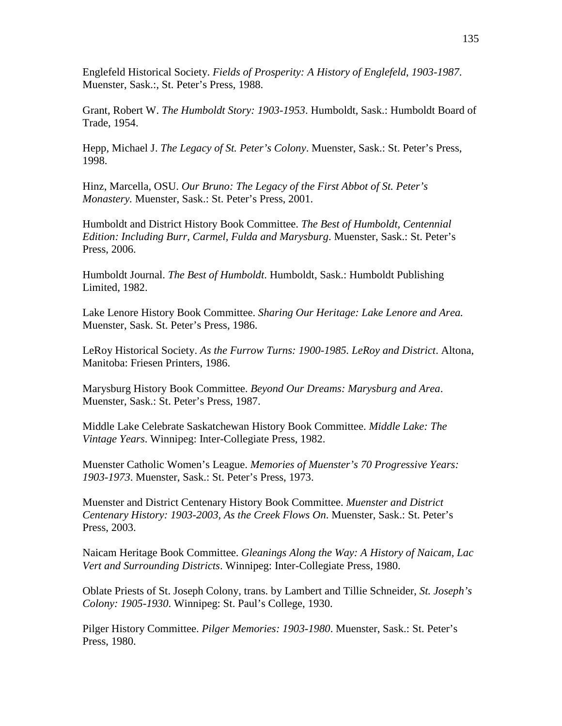Englefeld Historical Society. *Fields of Prosperity: A History of Englefeld, 1903-1987*. Muenster, Sask.:, St. Peter's Press, 1988.

Grant, Robert W. *The Humboldt Story: 1903-1953*. Humboldt, Sask.: Humboldt Board of Trade, 1954.

Hepp, Michael J. *The Legacy of St. Peter's Colony*. Muenster, Sask.: St. Peter's Press, 1998.

Hinz, Marcella, OSU. *Our Bruno: The Legacy of the First Abbot of St. Peter's Monastery.* Muenster, Sask.: St. Peter's Press, 2001.

Humboldt and District History Book Committee. *The Best of Humboldt, Centennial Edition: Including Burr, Carmel, Fulda and Marysburg*. Muenster, Sask.: St. Peter's Press, 2006.

Humboldt Journal. *The Best of Humboldt*. Humboldt, Sask.: Humboldt Publishing Limited, 1982.

Lake Lenore History Book Committee. *Sharing Our Heritage: Lake Lenore and Area.*  Muenster, Sask. St. Peter's Press, 1986.

LeRoy Historical Society. *As the Furrow Turns: 1900-1985. LeRoy and District*. Altona, Manitoba: Friesen Printers, 1986.

Marysburg History Book Committee. *Beyond Our Dreams: Marysburg and Area*. Muenster, Sask.: St. Peter's Press, 1987.

Middle Lake Celebrate Saskatchewan History Book Committee. *Middle Lake: The Vintage Years*. Winnipeg: Inter-Collegiate Press, 1982.

Muenster Catholic Women's League. *Memories of Muenster's 70 Progressive Years: 1903-1973*. Muenster, Sask.: St. Peter's Press, 1973.

Muenster and District Centenary History Book Committee. *Muenster and District Centenary History: 1903-2003, As the Creek Flows On*. Muenster, Sask.: St. Peter's Press, 2003.

Naicam Heritage Book Committee. *Gleanings Along the Way: A History of Naicam, Lac Vert and Surrounding Districts*. Winnipeg: Inter-Collegiate Press, 1980.

Oblate Priests of St. Joseph Colony, trans. by Lambert and Tillie Schneider, *St. Joseph's Colony: 1905-1930*. Winnipeg: St. Paul's College, 1930.

Pilger History Committee. *Pilger Memories: 1903-1980*. Muenster, Sask.: St. Peter's Press, 1980.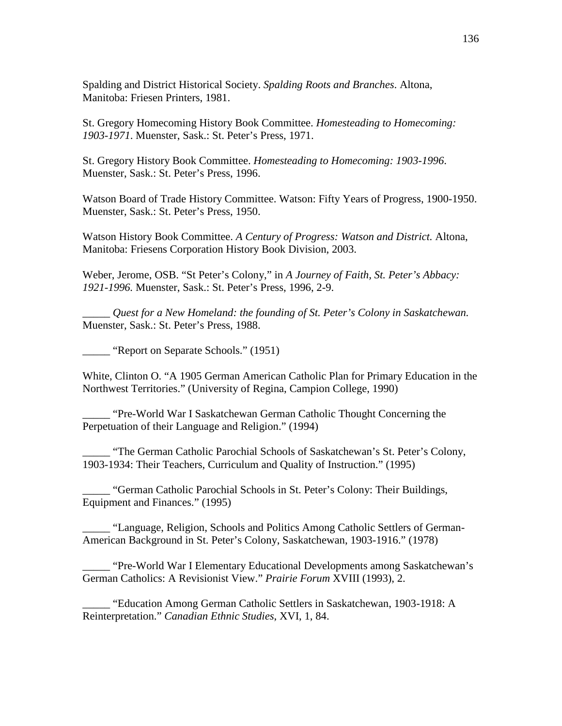Spalding and District Historical Society. *Spalding Roots and Branches*. Altona, Manitoba: Friesen Printers, 1981.

St. Gregory Homecoming History Book Committee. *Homesteading to Homecoming: 1903-1971*. Muenster, Sask.: St. Peter's Press, 1971.

St. Gregory History Book Committee. *Homesteading to Homecoming: 1903-1996*. Muenster, Sask.: St. Peter's Press, 1996.

Watson Board of Trade History Committee. Watson: Fifty Years of Progress, 1900-1950. Muenster, Sask.: St. Peter's Press, 1950.

Watson History Book Committee. *A Century of Progress: Watson and District.* Altona, Manitoba: Friesens Corporation History Book Division, 2003.

Weber, Jerome, OSB. "St Peter's Colony," in *A Journey of Faith, St. Peter's Abbacy: 1921-1996.* Muenster, Sask.: St. Peter's Press, 1996, 2-9.

\_\_\_\_\_ *Quest for a New Homeland: the founding of St. Peter's Colony in Saskatchewan.* Muenster, Sask.: St. Peter's Press, 1988.

"Report on Separate Schools." (1951)

White, Clinton O. "A 1905 German American Catholic Plan for Primary Education in the Northwest Territories." (University of Regina, Campion College, 1990)

\_\_\_\_\_ "Pre-World War I Saskatchewan German Catholic Thought Concerning the Perpetuation of their Language and Religion." (1994)

"The German Catholic Parochial Schools of Saskatchewan's St. Peter's Colony, 1903-1934: Their Teachers, Curriculum and Quality of Instruction." (1995)

\_\_\_\_\_ "German Catholic Parochial Schools in St. Peter's Colony: Their Buildings, Equipment and Finances." (1995)

"Language, Religion, Schools and Politics Among Catholic Settlers of German-American Background in St. Peter's Colony, Saskatchewan, 1903-1916." (1978)

\_\_\_\_\_ "Pre-World War I Elementary Educational Developments among Saskatchewan's German Catholics: A Revisionist View." *Prairie Forum* XVIII (1993), 2.

\_\_\_\_\_ "Education Among German Catholic Settlers in Saskatchewan, 1903-1918: A Reinterpretation." *Canadian Ethnic Studies*, XVI, 1, 84.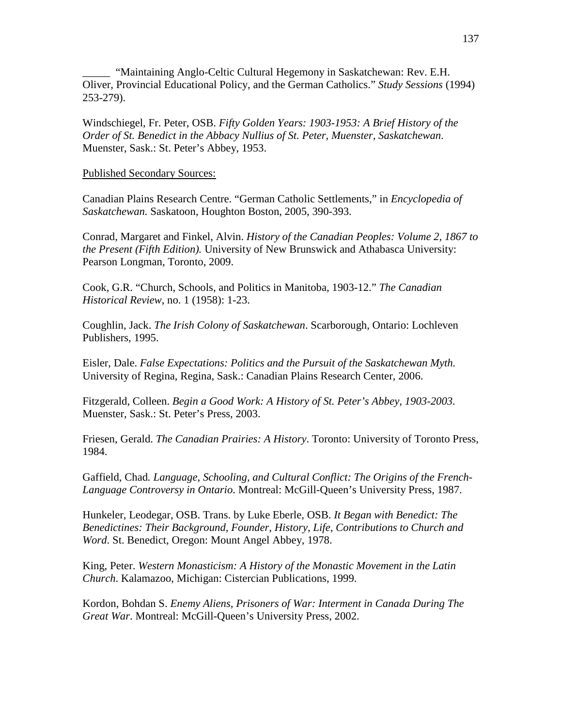"Maintaining Anglo-Celtic Cultural Hegemony in Saskatchewan: Rev. E.H. Oliver, Provincial Educational Policy, and the German Catholics." *Study Sessions* (1994) 253-279).

Windschiegel, Fr. Peter, OSB. *Fifty Golden Years: 1903-1953: A Brief History of the Order of St. Benedict in the Abbacy Nullius of St. Peter, Muenster, Saskatchewan*. Muenster, Sask.: St. Peter's Abbey, 1953.

## Published Secondary Sources:

Canadian Plains Research Centre. "German Catholic Settlements," in *Encyclopedia of Saskatchewan.* Saskatoon, Houghton Boston, 2005, 390-393.

Conrad, Margaret and Finkel, Alvin. *History of the Canadian Peoples: Volume 2, 1867 to the Present (Fifth Edition).* University of New Brunswick and Athabasca University: Pearson Longman, Toronto, 2009.

Cook, G.R. "Church, Schools, and Politics in Manitoba, 1903-12." *The Canadian Historical Review*, no. 1 (1958): 1-23.

Coughlin, Jack. *The Irish Colony of Saskatchewan*. Scarborough, Ontario: Lochleven Publishers, 1995.

Eisler, Dale. *False Expectations: Politics and the Pursuit of the Saskatchewan Myth.* University of Regina, Regina, Sask.: Canadian Plains Research Center, 2006.

Fitzgerald, Colleen. *Begin a Good Work: A History of St. Peter's Abbey, 1903-2003.* Muenster, Sask.: St. Peter's Press, 2003.

Friesen, Gerald. *The Canadian Prairies: A History*. Toronto: University of Toronto Press, 1984.

Gaffield, Chad*. Language, Schooling, and Cultural Conflict: The Origins of the French-Language Controversy in Ontario*. Montreal: McGill-Queen's University Press, 1987.

Hunkeler, Leodegar, OSB. Trans. by Luke Eberle, OSB. *It Began with Benedict: The Benedictines: Their Background, Founder, History, Life, Contributions to Church and Word*. St. Benedict, Oregon: Mount Angel Abbey, 1978.

King, Peter. *Western Monasticism: A History of the Monastic Movement in the Latin Church*. Kalamazoo, Michigan: Cistercian Publications, 1999.

Kordon, Bohdan S. *Enemy Aliens, Prisoners of War: Interment in Canada During The Great War*. Montreal: McGill-Queen's University Press, 2002.